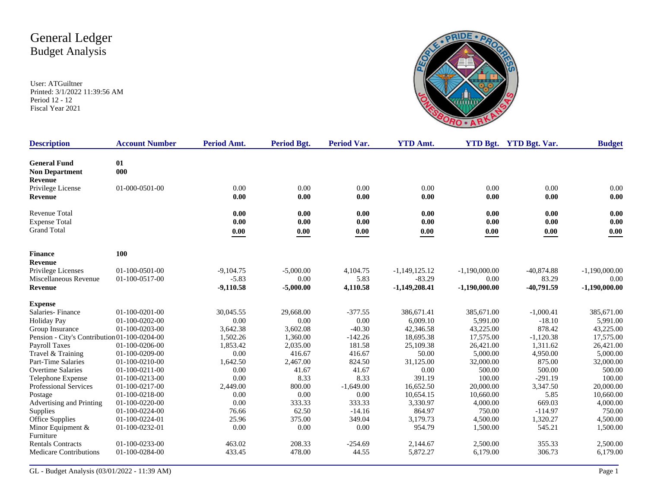

| <b>Description</b>                           | <b>Account Number</b> | Period Amt. | Period Bgt. | <b>Period Var.</b> | <b>YTD Amt.</b> |                     | YTD Bgt. YTD Bgt. Var. | <b>Budget</b>   |
|----------------------------------------------|-----------------------|-------------|-------------|--------------------|-----------------|---------------------|------------------------|-----------------|
| <b>General Fund</b>                          | 01                    |             |             |                    |                 |                     |                        |                 |
| <b>Non Department</b>                        | 000                   |             |             |                    |                 |                     |                        |                 |
| <b>Revenue</b>                               |                       |             |             |                    |                 |                     |                        |                 |
| Privilege License                            | 01-000-0501-00        | 0.00        | 0.00        | 0.00               | 0.00            | 0.00                | 0.00                   | 0.00            |
| <b>Revenue</b>                               |                       | 0.00        | 0.00        | 0.00               | 0.00            | 0.00                | 0.00                   | 0.00            |
| <b>Revenue Total</b>                         |                       | 0.00        | 0.00        | 0.00               | 0.00            | 0.00                | 0.00                   | 0.00            |
| <b>Expense Total</b>                         |                       | 0.00        | 0.00        | 0.00               | 0.00            | 0.00                | 0.00                   | 0.00            |
| <b>Grand Total</b>                           |                       | 0.00        | 0.00        | $0.00\,$           | $0.00\,$        | $\boldsymbol{0.00}$ | $0.00\,$               | 0.00            |
| <b>Finance</b>                               | 100                   |             |             |                    |                 |                     |                        |                 |
| <b>Revenue</b>                               |                       |             |             |                    |                 |                     |                        |                 |
| Privilege Licenses                           | 01-100-0501-00        | $-9,104.75$ | $-5,000.00$ | 4,104.75           | $-1,149,125.12$ | $-1,190,000.00$     | $-40,874.88$           | $-1,190,000.00$ |
| Miscellaneous Revenue                        | 01-100-0517-00        | $-5.83$     | 0.00        | 5.83               | $-83.29$        | 0.00                | 83.29                  | 0.00            |
| Revenue                                      |                       | $-9,110.58$ | $-5,000.00$ | 4,110.58           | $-1,149,208.41$ | $-1,190,000.00$     | $-40,791.59$           | $-1,190,000.00$ |
| <b>Expense</b>                               |                       |             |             |                    |                 |                     |                        |                 |
| Salaries-Finance                             | $01-100-0201-00$      | 30,045.55   | 29,668.00   | $-377.55$          | 386.671.41      | 385,671.00          | $-1,000.41$            | 385,671.00      |
| <b>Holiday Pay</b>                           | $01-100-0202-00$      | 0.00        | 0.00        | 0.00               | 6,009.10        | 5,991.00            | $-18.10$               | 5,991.00        |
| Group Insurance                              | $01-100-0203-00$      | 3.642.38    | 3.602.08    | $-40.30$           | 42,346.58       | 43,225.00           | 878.42                 | 43,225.00       |
| Pension - City's Contribution 01-100-0204-00 |                       | 1.502.26    | 1.360.00    | $-142.26$          | 18,695.38       | 17.575.00           | $-1,120.38$            | 17,575.00       |
| <b>Payroll Taxes</b>                         | 01-100-0206-00        | 1,853.42    | 2,035.00    | 181.58             | 25,109.38       | 26,421.00           | 1,311.62               | 26,421.00       |
| Travel & Training                            | 01-100-0209-00        | 0.00        | 416.67      | 416.67             | 50.00           | 5,000.00            | 4,950.00               | 5,000.00        |
| Part-Time Salaries                           | 01-100-0210-00        | 1,642.50    | 2,467.00    | 824.50             | 31,125.00       | 32,000.00           | 875.00                 | 32,000.00       |
| <b>Overtime Salaries</b>                     | 01-100-0211-00        | 0.00        | 41.67       | 41.67              | 0.00            | 500.00              | 500.00                 | 500.00          |
| Telephone Expense                            | 01-100-0213-00        | 0.00        | 8.33        | 8.33               | 391.19          | 100.00              | $-291.19$              | 100.00          |
| <b>Professional Services</b>                 | 01-100-0217-00        | 2,449.00    | 800.00      | $-1,649.00$        | 16,652.50       | 20,000.00           | 3,347.50               | 20,000.00       |
| Postage                                      | 01-100-0218-00        | 0.00        | 0.00        | 0.00               | 10,654.15       | 10,660.00           | 5.85                   | 10,660.00       |
| Advertising and Printing                     | 01-100-0220-00        | 0.00        | 333.33      | 333.33             | 3,330.97        | 4,000.00            | 669.03                 | 4,000.00        |
| Supplies                                     | 01-100-0224-00        | 76.66       | 62.50       | $-14.16$           | 864.97          | 750.00              | $-114.97$              | 750.00          |
| <b>Office Supplies</b>                       | 01-100-0224-01        | 25.96       | 375.00      | 349.04             | 3,179.73        | 4,500.00            | 1,320.27               | 4,500.00        |
| Minor Equipment $&$<br>Furniture             | 01-100-0232-01        | 0.00        | 0.00        | 0.00               | 954.79          | 1,500.00            | 545.21                 | 1,500.00        |
| <b>Rentals Contracts</b>                     | 01-100-0233-00        | 463.02      | 208.33      | $-254.69$          | 2.144.67        | 2,500.00            | 355.33                 | 2,500.00        |
| <b>Medicare Contributions</b>                | 01-100-0284-00        | 433.45      | 478.00      | 44.55              | 5,872.27        | 6,179.00            | 306.73                 | 6,179.00        |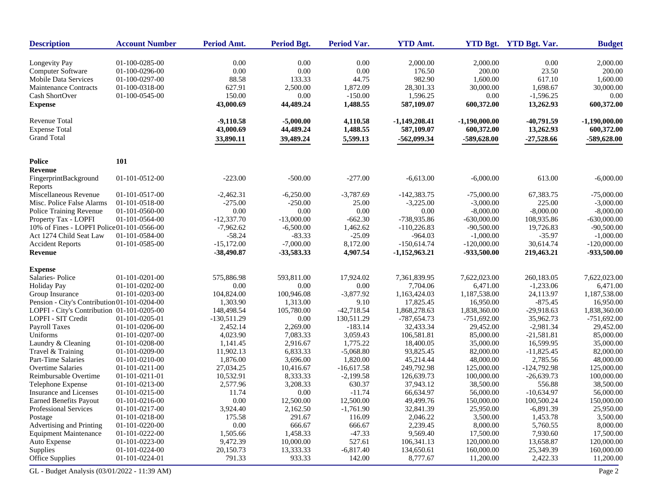| <b>Description</b>                                                   | <b>Account Number</b>            | Period Amt.             | <b>Period Bgt.</b>      | Period Var.          | <b>YTD Amt.</b>            |                              | YTD Bgt. YTD Bgt. Var. | <b>Budget</b>                |
|----------------------------------------------------------------------|----------------------------------|-------------------------|-------------------------|----------------------|----------------------------|------------------------------|------------------------|------------------------------|
| Longevity Pay                                                        | 01-100-0285-00                   | 0.00                    | 0.00                    | 0.00                 | 2,000.00                   | 2,000.00                     | 0.00                   | 2,000.00                     |
| Computer Software                                                    | 01-100-0296-00                   | 0.00                    | 0.00                    | 0.00                 | 176.50                     | 200.00                       | 23.50                  | 200.00                       |
| <b>Mobile Data Services</b>                                          | 01-100-0297-00                   | 88.58                   | 133.33                  | 44.75                | 982.90                     | 1,600.00                     | 617.10                 | 1,600.00                     |
| <b>Maintenance Contracts</b>                                         | 01-100-0318-00                   | 627.91                  | 2,500.00                | 1,872.09             | 28,301.33                  | 30,000.00                    | 1,698.67               | 30,000.00                    |
| Cash ShortOver                                                       | 01-100-0545-00                   | 150.00                  | 0.00                    | $-150.00$            | 1,596.25                   | 0.00                         | $-1,596.25$            | 0.00                         |
| <b>Expense</b>                                                       |                                  | 43,000.69               | 44,489.24               | 1,488.55             | 587,109.07                 | 600,372.00                   | 13,262.93              | 600,372.00                   |
| Revenue Total                                                        |                                  | $-9,110.58$             | $-5,000.00$             | 4,110.58             | $-1,149,208.41$            | $-1,190,000.00$              | $-40,791.59$           | $-1,190,000.00$              |
| <b>Expense Total</b>                                                 |                                  | 43,000.69               | 44,489.24               | 1,488.55             | 587,109.07                 | 600,372.00                   | 13,262.93              | 600,372.00                   |
| <b>Grand Total</b>                                                   |                                  | 33,890.11               | 39,489.24               | 5,599.13             | $-562,099.34$              | -589,628.00                  | $-27,528.66$           | -589,628.00                  |
| <b>Police</b>                                                        | <b>101</b>                       |                         |                         |                      |                            |                              |                        |                              |
| Revenue                                                              |                                  |                         |                         |                      |                            |                              |                        |                              |
| FingerprintBackground                                                | 01-101-0512-00                   | $-223.00$               | $-500.00$               | $-277.00$            | $-6,613.00$                | $-6,000.00$                  | 613.00                 | $-6,000.00$                  |
| Reports<br>Miscellaneous Revenue                                     |                                  |                         |                         |                      |                            |                              |                        |                              |
| Misc. Police False Alarms                                            | 01-101-0517-00<br>01-101-0518-00 | $-2,462.31$             | $-6,250.00$             | $-3,787.69$          | $-142,383.75$              | $-75,000.00$                 | 67,383.75              | $-75,000.00$                 |
|                                                                      | 01-101-0560-00                   | $-275.00$<br>0.00       | $-250.00$<br>0.00       | 25.00<br>0.00        | $-3,225.00$<br>0.00        | $-3,000.00$<br>$-8,000.00$   | 225.00<br>$-8,000.00$  | $-3,000.00$<br>$-8,000.00$   |
| Police Training Revenue                                              |                                  |                         |                         |                      |                            |                              |                        |                              |
| Property Tax - LOPFI                                                 | 01-101-0564-00                   | $-12,337.70$            | $-13,000.00$            | $-662.30$            | -738,935.86                | $-630,000.00$                | 108,935.86             | $-630,000.00$                |
| 10% of Fines - LOPFI Police01-101-0566-00<br>Act 1274 Child Seat Law | 01-101-0584-00                   | $-7,962.62$<br>$-58.24$ | $-6,500.00$<br>$-83.33$ | 1,462.62<br>$-25.09$ | $-110,226.83$<br>$-964.03$ | $-90,500.00$                 | 19,726.83              | $-90,500.00$                 |
|                                                                      | 01-101-0585-00                   | $-15,172.00$            | $-7,000.00$             | 8,172.00             | $-150,614.74$              | $-1,000.00$<br>$-120,000.00$ | $-35.97$<br>30,614.74  | $-1,000.00$<br>$-120,000.00$ |
| <b>Accident Reports</b><br><b>Revenue</b>                            |                                  | -38,490.87              | -33,583.33              | 4,907.54             | $-1,152,963.21$            | -933,500.00                  | 219,463.21             | -933,500.00                  |
| <b>Expense</b>                                                       |                                  |                         |                         |                      |                            |                              |                        |                              |
| Salaries-Police                                                      | 01-101-0201-00                   | 575,886.98              | 593,811.00              | 17,924.02            | 7,361,839.95               | 7,622,023.00                 | 260,183.05             | 7,622,023.00                 |
| <b>Holiday Pay</b>                                                   | 01-101-0202-00                   | 0.00                    | 0.00                    | $0.00\,$             | 7,704.06                   | 6,471.00                     | $-1,233.06$            | 6,471.00                     |
| Group Insurance                                                      | 01-101-0203-00                   | 104,824.00              | 100,946.08              | $-3,877.92$          | 1,163,424.03               | 1,187,538.00                 | 24,113.97              | 1,187,538.00                 |
| Pension - City's Contribution 01-101-0204-00                         |                                  | 1,303.90                | 1,313.00                | 9.10                 | 17,825.45                  | 16,950.00                    | $-875.45$              | 16,950.00                    |
| LOPFI - City's Contribution 01-101-0205-00                           |                                  | 148,498.54              | 105,780.00              | $-42,718.54$         | 1,868,278.63               | 1,838,360.00                 | $-29,918.63$           | 1,838,360.00                 |
| LOPFI - SIT Credit                                                   | 01-101-0205-01                   | $-130,511.29$           | 0.00                    | 130,511.29           | -787,654.73                | $-751,692.00$                | 35,962.73              | $-751,692.00$                |
| <b>Payroll Taxes</b>                                                 | 01-101-0206-00                   | 2,452.14                | 2,269.00                | $-183.14$            | 32,433.34                  | 29,452.00                    | $-2,981.34$            | 29,452.00                    |
| Uniforms                                                             | 01-101-0207-00                   | 4,023.90                | 7,083.33                | 3,059.43             | 106,581.81                 | 85,000.00                    | $-21,581.81$           | 85,000.00                    |
| Laundry & Cleaning                                                   | 01-101-0208-00                   | 1,141.45                | 2,916.67                | 1,775.22             | 18,400.05                  | 35,000.00                    | 16,599.95              | 35,000.00                    |
| Travel & Training                                                    | 01-101-0209-00                   | 11,902.13               | 6,833.33                | $-5,068.80$          | 93,825.45                  | 82,000.00                    | $-11,825.45$           | 82,000.00                    |
| Part-Time Salaries                                                   | 01-101-0210-00                   | 1,876.00                | 3,696.00                | 1,820.00             | 45,214.44                  | 48,000.00                    | 2,785.56               | 48,000.00                    |
| <b>Overtime Salaries</b>                                             | 01-101-0211-00                   | 27,034.25               | 10,416.67               | $-16,617.58$         | 249,792.98                 | 125,000.00                   | $-124,792.98$          | 125,000.00                   |
| Reimbursable Overtime                                                | 01-101-0211-01                   | 10,532.91               | 8,333.33                | $-2,199.58$          | 126,639.73                 | 100,000.00                   | $-26,639.73$           | 100,000.00                   |
| Telephone Expense                                                    | 01-101-0213-00                   | 2,577.96                | 3,208.33                | 630.37               | 37,943.12                  | 38,500.00                    | 556.88                 | 38,500.00                    |
| <b>Insurance and Licenses</b>                                        | 01-101-0215-00                   | 11.74                   | 0.00                    | $-11.74$             | 66,634.97                  | 56,000.00                    | $-10,634.97$           | 56,000.00                    |
| <b>Earned Benefits Payout</b>                                        | 01-101-0216-00                   | 0.00                    | 12,500.00               | 12,500.00            | 49,499.76                  | 150,000.00                   | 100,500.24             | 150,000.00                   |
| Professional Services                                                | 01-101-0217-00                   | 3,924.40                | 2,162.50                | $-1,761.90$          | 32,841.39                  | 25,950.00                    | $-6,891.39$            | 25,950.00                    |
| Postage                                                              | 01-101-0218-00                   | 175.58                  | 291.67                  | 116.09               | 2,046.22                   | 3,500.00                     | 1,453.78               | 3,500.00                     |
| Advertising and Printing                                             | 01-101-0220-00                   | $0.00\,$                | 666.67                  | 666.67               | 2,239.45                   | 8,000.00                     | 5,760.55               | 8,000.00                     |
| <b>Equipment Maintenance</b>                                         | 01-101-0222-00                   | 1,505.66                | 1,458.33                | $-47.33$             | 9,569.40                   | 17,500.00                    | 7,930.60               | 17,500.00                    |
| Auto Expense                                                         | 01-101-0223-00                   | 9,472.39                | 10,000.00               | 527.61               | 106,341.13                 | 120,000.00                   | 13,658.87              | 120,000.00                   |
| Supplies                                                             | 01-101-0224-00                   | 20,150.73               | 13,333.33               | $-6,817.40$          | 134,650.61                 | 160,000.00                   | 25,349.39              | 160,000.00                   |
| Office Supplies                                                      | 01-101-0224-01                   | 791.33                  | 933.33                  | 142.00               | 8,777.67                   | 11,200.00                    | 2,422.33               | 11,200.00                    |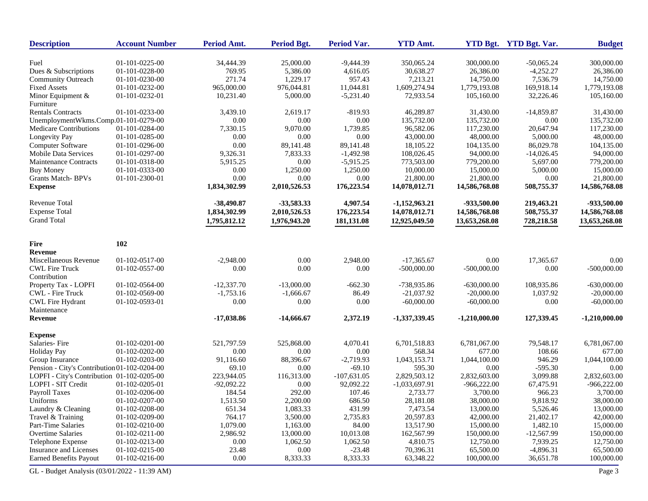| <b>Description</b>                           | <b>Account Number</b> | Period Amt.  | Period Bgt.  | Period Var.   | <b>YTD Amt.</b> |               | YTD Bgt. YTD Bgt. Var. | <b>Budget</b>   |
|----------------------------------------------|-----------------------|--------------|--------------|---------------|-----------------|---------------|------------------------|-----------------|
| Fuel                                         | 01-101-0225-00        | 34,444.39    | 25,000.00    | $-9,444.39$   | 350,065.24      | 300,000.00    | $-50,065.24$           | 300,000.00      |
| Dues & Subscriptions                         | 01-101-0228-00        | 769.95       | 5,386.00     | 4,616.05      | 30,638.27       | 26,386.00     | $-4,252.27$            | 26,386.00       |
| <b>Community Outreach</b>                    | 01-101-0230-00        | 271.74       | 1,229.17     | 957.43        | 7,213.21        | 14,750.00     | 7,536.79               | 14,750.00       |
| <b>Fixed Assets</b>                          | 01-101-0232-00        | 965,000.00   | 976,044.81   | 11,044.81     | 1,609,274.94    | 1,779,193.08  | 169,918.14             | 1,779,193.08    |
| Minor Equipment &                            | 01-101-0232-01        | 10,231.40    | 5,000.00     | $-5,231.40$   | 72,933.54       | 105,160.00    | 32,226.46              | 105,160.00      |
| Furniture                                    |                       |              |              |               |                 |               |                        |                 |
| <b>Rentals Contracts</b>                     | 01-101-0233-00        | 3,439.10     | 2,619.17     | $-819.93$     | 46,289.87       | 31,430.00     | $-14,859.87$           | 31,430.00       |
| UnemploymentWkms.Comp.01-101-0279-00         |                       | 0.00         | 0.00         | 0.00          | 135,732.00      | 135,732.00    | 0.00                   | 135,732.00      |
| <b>Medicare Contributions</b>                | 01-101-0284-00        | 7,330.15     | 9,070.00     | 1,739.85      | 96,582.06       | 117,230.00    | 20,647.94              | 117,230.00      |
| Longevity Pay                                | 01-101-0285-00        | 0.00         | 0.00         | 0.00          | 43,000.00       | 48,000.00     | 5,000.00               | 48,000.00       |
| Computer Software                            | 01-101-0296-00        | 0.00         | 89,141.48    | 89,141.48     | 18,105.22       | 104,135.00    | 86,029.78              | 104.135.00      |
| <b>Mobile Data Services</b>                  | 01-101-0297-00        | 9,326.31     | 7,833.33     | $-1,492.98$   | 108,026.45      | 94,000.00     | $-14,026.45$           | 94,000.00       |
| Maintenance Contracts                        | 01-101-0318-00        | 5,915.25     | 0.00         | $-5,915.25$   | 773,503.00      | 779,200.00    | 5,697.00               | 779,200.00      |
| Buy Money                                    | 01-101-0333-00        | 0.00         | 1,250.00     | 1,250.00      | 10,000.00       | 15,000.00     | 5,000.00               | 15,000.00       |
| <b>Grants Match-BPVs</b>                     | 01-101-2300-01        | 0.00         | 0.00         | 0.00          | 21,800.00       | 21,800.00     | 0.00                   | 21,800.00       |
| <b>Expense</b>                               |                       | 1,834,302.99 | 2,010,526.53 | 176,223.54    | 14,078,012.71   | 14,586,768.08 | 508,755.37             | 14,586,768.08   |
| <b>Revenue Total</b>                         |                       | $-38,490.87$ | -33,583.33   | 4,907.54      | $-1,152,963,21$ | -933,500.00   | 219,463.21             | -933,500.00     |
| <b>Expense Total</b>                         |                       | 1,834,302.99 | 2,010,526.53 | 176,223.54    | 14,078,012.71   | 14,586,768.08 | 508,755.37             | 14,586,768.08   |
| <b>Grand Total</b>                           |                       | 1,795,812.12 | 1,976,943.20 | 181,131.08    | 12,925,049.50   | 13,653,268.08 | 728,218.58             | 13,653,268.08   |
|                                              |                       |              |              |               |                 |               |                        |                 |
| <b>Fire</b>                                  | 102                   |              |              |               |                 |               |                        |                 |
| Revenue                                      |                       |              |              |               |                 |               |                        |                 |
| Miscellaneous Revenue                        | 01-102-0517-00        | $-2,948.00$  | 0.00         | 2,948.00      | $-17,365.67$    | 0.00          | 17,365.67              | 0.00            |
| <b>CWL Fire Truck</b>                        | 01-102-0557-00        | 0.00         | 0.00         | 0.00          | $-500,000.00$   | $-500,000.00$ | 0.00                   | $-500,000.00$   |
| Contribution                                 |                       |              |              |               |                 |               |                        |                 |
| Property Tax - LOPFI                         | 01-102-0564-00        | $-12,337.70$ | $-13,000.00$ | $-662.30$     | -738,935.86     | $-630,000.00$ | 108,935.86             | $-630,000.00$   |
| CWL - Fire Truck                             | 01-102-0569-00        | $-1,753.16$  | $-1,666.67$  | 86.49         | $-21,037.92$    | $-20,000.00$  | 1,037.92               | $-20,000.00$    |
| <b>CWL Fire Hydrant</b>                      | 01-102-0593-01        | 0.00         | 0.00         | 0.00          | $-60,000.00$    | $-60,000.00$  | 0.00                   | $-60,000.00$    |
| Maintenance                                  |                       |              |              |               |                 |               |                        |                 |
| <b>Revenue</b>                               |                       | $-17,038.86$ | $-14,666.67$ | 2,372.19      | -1,337,339.45   | -1,210,000.00 | 127,339.45             | $-1,210,000.00$ |
| <b>Expense</b>                               |                       |              |              |               |                 |               |                        |                 |
| Salaries-Fire                                | 01-102-0201-00        | 521,797.59   | 525,868.00   | 4,070.41      | 6,701,518.83    | 6,781,067.00  | 79,548.17              | 6,781,067.00    |
| <b>Holiday Pay</b>                           | 01-102-0202-00        | 0.00         | 0.00         | 0.00          | 568.34          | 677.00        | 108.66                 | 677.00          |
| Group Insurance                              | 01-102-0203-00        | 91.116.60    | 88,396.67    | $-2,719.93$   | 1,043,153.71    | 1,044,100.00  | 946.29                 | 1,044,100.00    |
| Pension - City's Contribution 01-102-0204-00 |                       | 69.10        | 0.00         | $-69.10$      | 595.30          | 0.00          | $-595.30$              | 0.00            |
| LOPFI - City's Contribution 01-102-0205-00   |                       | 223,944.05   | 116,313.00   | $-107,631.05$ | 2,829,503.12    | 2,832,603.00  | 3,099.88               | 2,832,603.00    |
| LOPFI - SIT Credit                           | 01-102-0205-01        | $-92,092.22$ | 0.00         | 92,092.22     | $-1,033,697.91$ | $-966,222.00$ | 67,475.91              | $-966,222.00$   |
| Payroll Taxes                                | 01-102-0206-00        | 184.54       | 292.00       | 107.46        | 2,733.77        | 3,700.00      | 966.23                 | 3,700.00        |
| Uniforms                                     | 01-102-0207-00        | 1,513.50     | 2,200.00     | 686.50        | 28,181.08       | 38,000.00     | 9,818.92               | 38,000.00       |
| Laundry & Cleaning                           | 01-102-0208-00        | 651.34       | 1,083.33     | 431.99        | 7,473.54        | 13,000.00     | 5,526.46               | 13,000.00       |
| Travel & Training                            | 01-102-0209-00        | 764.17       | 3,500.00     | 2,735.83      | 20,597.83       | 42,000.00     | 21,402.17              | 42,000.00       |
| Part-Time Salaries                           | 01-102-0210-00        | 1,079.00     | 1,163.00     | 84.00         | 13,517.90       | 15,000.00     | 1,482.10               | 15,000.00       |
| Overtime Salaries                            | 01-102-0211-00        | 2,986.92     | 13,000.00    | 10,013.08     | 162,567.99      | 150,000.00    | $-12,567.99$           | 150,000.00      |
| Telephone Expense                            | 01-102-0213-00        | 0.00         | 1,062.50     | 1,062.50      | 4,810.75        | 12,750.00     | 7,939.25               | 12,750.00       |
| Insurance and Licenses                       | 01-102-0215-00        | 23.48        | 0.00         | $-23.48$      | 70,396.31       | 65,500.00     | $-4,896.31$            | 65,500.00       |
| <b>Earned Benefits Payout</b>                | 01-102-0216-00        | 0.00         | 8,333.33     | 8,333.33      | 63,348.22       | 100,000.00    | 36,651.78              | 100,000.00      |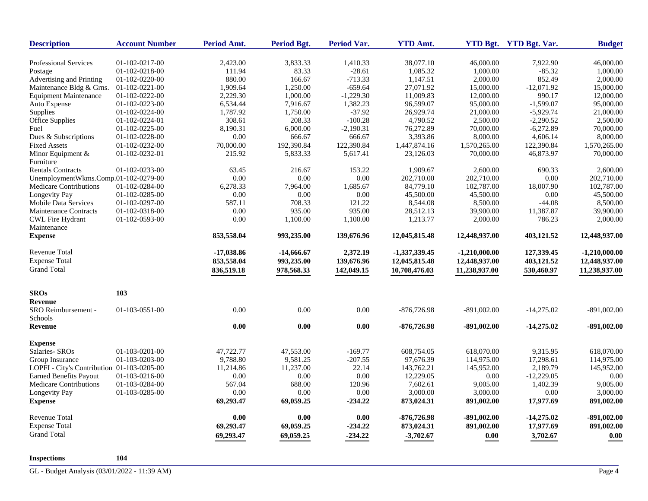| <b>Description</b>                         | <b>Account Number</b> | Period Amt.  | Period Bgt.  | <b>Period Var.</b> | <b>YTD Amt.</b> |                 | YTD Bgt. YTD Bgt. Var. | <b>Budget</b>   |
|--------------------------------------------|-----------------------|--------------|--------------|--------------------|-----------------|-----------------|------------------------|-----------------|
| <b>Professional Services</b>               | 01-102-0217-00        | 2,423.00     | 3,833.33     | 1,410.33           | 38,077.10       | 46,000.00       | 7,922.90               | 46,000.00       |
| Postage                                    | 01-102-0218-00        | 111.94       | 83.33        | $-28.61$           | 1,085.32        | 1,000.00        | $-85.32$               | 1,000.00        |
| Advertising and Printing                   | 01-102-0220-00        | 880.00       | 166.67       | $-713.33$          | 1,147.51        | 2,000.00        | 852.49                 | 2,000.00        |
| Maintenance Bldg & Grns.                   | $01-102-0221-00$      | 1,909.64     | 1,250.00     | $-659.64$          | 27,071.92       | 15,000.00       | $-12,071.92$           | 15,000.00       |
| <b>Equipment Maintenance</b>               | 01-102-0222-00        | 2.229.30     | 1,000.00     | $-1,229,30$        | 11.009.83       | 12,000.00       | 990.17                 | 12,000.00       |
| Auto Expense                               | 01-102-0223-00        | 6,534.44     | 7,916.67     | 1,382.23           | 96,599.07       | 95,000.00       | $-1,599.07$            | 95,000.00       |
| Supplies                                   | 01-102-0224-00        | 1,787.92     | 1,750.00     | $-37.92$           | 26,929.74       | 21,000.00       | $-5,929.74$            | 21,000.00       |
| Office Supplies                            | 01-102-0224-01        | 308.61       | 208.33       | $-100.28$          | 4,790.52        | 2,500.00        | $-2,290.52$            | 2,500.00        |
| Fuel                                       | 01-102-0225-00        | 8,190.31     | 6,000.00     | $-2,190.31$        | 76,272.89       | 70,000.00       | $-6,272.89$            | 70,000.00       |
| Dues & Subscriptions                       | 01-102-0228-00        | $0.00\,$     | 666.67       | 666.67             | 3,393.86        | 8,000.00        | 4,606.14               | 8,000.00        |
| <b>Fixed Assets</b>                        | 01-102-0232-00        | 70,000.00    | 192,390.84   | 122,390.84         | 1,447,874.16    | 1,570,265.00    | 122,390.84             | 1,570,265.00    |
| Minor Equipment &                          |                       | 215.92       |              | 5,617.41           |                 |                 |                        |                 |
|                                            | 01-102-0232-01        |              | 5,833.33     |                    | 23,126.03       | 70,000.00       | 46,873.97              | 70,000.00       |
| Furniture                                  |                       |              |              |                    |                 |                 |                        |                 |
| <b>Rentals Contracts</b>                   | 01-102-0233-00        | 63.45        | 216.67       | 153.22             | 1,909.67        | 2,600.00        | 690.33                 | 2,600.00        |
| UnemploymentWkms.Comp.01-102-0279-00       |                       | 0.00         | 0.00         | 0.00               | 202,710.00      | 202,710.00      | 0.00                   | 202,710.00      |
| Medicare Contributions                     | 01-102-0284-00        | 6,278.33     | 7,964.00     | 1,685.67           | 84,779.10       | 102,787.00      | 18,007.90              | 102,787.00      |
| Longevity Pay                              | 01-102-0285-00        | $0.00\,$     | 0.00         | $0.00\,$           | 45,500.00       | 45,500.00       | 0.00                   | 45,500.00       |
| <b>Mobile Data Services</b>                | 01-102-0297-00        | 587.11       | 708.33       | 121.22             | 8,544.08        | 8,500.00        | $-44.08$               | 8,500.00        |
| <b>Maintenance Contracts</b>               | 01-102-0318-00        | 0.00         | 935.00       | 935.00             | 28,512.13       | 39,900.00       | 11,387.87              | 39,900.00       |
| <b>CWL Fire Hydrant</b><br>Maintenance     | 01-102-0593-00        | 0.00         | 1,100.00     | 1,100.00           | 1,213.77        | 2,000.00        | 786.23                 | 2,000.00        |
| <b>Expense</b>                             |                       | 853,558.04   | 993,235.00   | 139,676.96         | 12,045,815.48   | 12,448,937.00   | 403,121.52             | 12,448,937.00   |
| <b>Revenue Total</b>                       |                       | $-17,038.86$ | $-14,666.67$ | 2,372.19           | $-1,337,339.45$ | $-1,210,000.00$ | 127,339.45             | $-1,210,000.00$ |
| <b>Expense Total</b>                       |                       | 853,558.04   | 993,235.00   | 139,676.96         | 12,045,815.48   | 12,448,937.00   | 403,121.52             | 12,448,937.00   |
| <b>Grand Total</b>                         |                       | 836,519.18   | 978,568.33   | 142,049.15         | 10,708,476.03   | 11,238,937.00   | 530,460.97             | 11,238,937.00   |
| <b>SROs</b>                                | 103                   |              |              |                    |                 |                 |                        |                 |
| <b>Revenue</b>                             |                       |              |              |                    |                 |                 |                        |                 |
| SRO Reimbursement -                        | 01-103-0551-00        | 0.00         | 0.00         | $0.00\,$           | $-876,726.98$   | $-891,002.00$   | $-14,275.02$           | $-891,002.00$   |
| Schools                                    |                       |              |              |                    |                 |                 |                        |                 |
| <b>Revenue</b>                             |                       | 0.00         | 0.00         | 0.00               | $-876,726.98$   | $-891,002.00$   | $-14,275.02$           | $-891,002.00$   |
| <b>Expense</b>                             |                       |              |              |                    |                 |                 |                        |                 |
| Salaries- SROs                             | 01-103-0201-00        | 47,722.77    | 47,553.00    | $-169.77$          | 608,754.05      | 618,070.00      | 9,315.95               | 618,070.00      |
| Group Insurance                            | 01-103-0203-00        | 9,788.80     | 9,581.25     | $-207.55$          | 97,676.39       | 114,975.00      | 17,298.61              | 114,975.00      |
| LOPFI - City's Contribution 01-103-0205-00 |                       | 11,214.86    | 11,237.00    | 22.14              | 143,762.21      | 145,952.00      | 2,189.79               | 145,952.00      |
| <b>Earned Benefits Payout</b>              | 01-103-0216-00        | 0.00         | 0.00         | 0.00               | 12,229.05       | 0.00            | $-12,229.05$           | 0.00            |
| Medicare Contributions                     | 01-103-0284-00        | 567.04       | 688.00       | 120.96             | 7,602.61        | 9,005.00        | 1,402.39               | 9,005.00        |
|                                            |                       | 0.00         | 0.00         |                    | 3,000.00        | 3,000.00        |                        | 3,000.00        |
| Longevity Pay<br><b>Expense</b>            | 01-103-0285-00        | 69,293.47    | 69,059.25    | 0.00<br>$-234.22$  | 873,024.31      | 891,002.00      | 0.00<br>17,977.69      | 891,002.00      |
| <b>Revenue Total</b>                       |                       | 0.00         | 0.00         | 0.00               | $-876,726.98$   | $-891,002.00$   | $-14,275.02$           | $-891,002.00$   |
| <b>Expense Total</b>                       |                       | 69,293.47    | 69,059.25    | $-234.22$          | 873,024.31      | 891,002.00      | 17,977.69              | 891,002.00      |
| <b>Grand Total</b>                         |                       | 69,293.47    | 69,059.25    | $-234.22$          | $-3,702.67$     | $0.00\,$        | 3,702.67               | 0.00            |

**Inspections 104**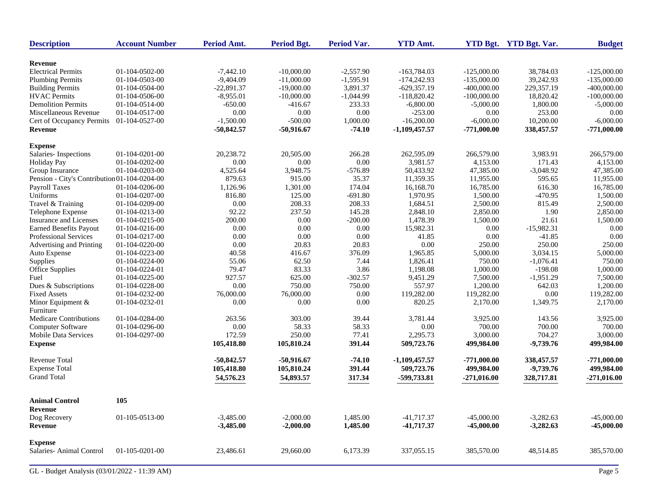| <b>Description</b>                           | <b>Account Number</b> | Period Amt.  | <b>Period Bgt.</b> | Period Var. | <b>YTD Amt.</b> |               | YTD Bgt. YTD Bgt. Var. | <b>Budget</b> |
|----------------------------------------------|-----------------------|--------------|--------------------|-------------|-----------------|---------------|------------------------|---------------|
| <b>Revenue</b>                               |                       |              |                    |             |                 |               |                        |               |
| <b>Electrical Permits</b>                    | 01-104-0502-00        | $-7,442.10$  | $-10,000.00$       | $-2,557.90$ | $-163,784.03$   | $-125,000.00$ | 38,784.03              | $-125,000.00$ |
| <b>Plumbing Permits</b>                      | 01-104-0503-00        | $-9,404.09$  | $-11,000.00$       | $-1,595.91$ | $-174,242.93$   | $-135,000.00$ | 39,242.93              | $-135,000.00$ |
| <b>Building Permits</b>                      | 01-104-0504-00        | $-22,891.37$ | $-19,000.00$       | 3,891.37    | $-629,357.19$   | $-400,000,00$ | 229,357.19             | $-400,000.00$ |
| <b>HVAC</b> Permits                          | 01-104-0506-00        | $-8,955.01$  | $-10,000.00$       | $-1,044.99$ | $-118,820.42$   | $-100,000.00$ | 18,820.42              | $-100,000.00$ |
| <b>Demolition Permits</b>                    | 01-104-0514-00        | $-650.00$    | $-416.67$          | 233.33      | $-6,800.00$     | $-5,000.00$   | 1,800.00               | $-5,000.00$   |
| Miscellaneous Revenue                        | 01-104-0517-00        | 0.00         | 0.00               | 0.00        | $-253.00$       | 0.00          | 253.00                 | 0.00          |
| Cert of Occupancy Permits                    | 01-104-0527-00        | $-1,500.00$  | $-500.00$          | 1,000.00    | $-16,200.00$    | $-6,000.00$   | 10,200.00              | $-6,000.00$   |
| Revenue                                      |                       | $-50,842.57$ | $-50,916.67$       | $-74.10$    | $-1,109,457.57$ | $-771,000.00$ | 338,457.57             | $-771,000.00$ |
| <b>Expense</b>                               |                       |              |                    |             |                 |               |                        |               |
| Salaries-Inspections                         | $01-104-0201-00$      | 20,238.72    | 20,505.00          | 266.28      | 262,595.09      | 266,579.00    | 3,983.91               | 266,579.00    |
| <b>Holiday Pay</b>                           | 01-104-0202-00        | 0.00         | 0.00               | $0.00\,$    | 3,981.57        | 4,153.00      | 171.43                 | 4,153.00      |
| Group Insurance                              | 01-104-0203-00        | 4,525.64     | 3,948.75           | $-576.89$   | 50,433.92       | 47,385.00     | $-3,048.92$            | 47,385.00     |
| Pension - City's Contribution 01-104-0204-00 |                       | 879.63       | 915.00             | 35.37       | 11,359.35       | 11,955.00     | 595.65                 | 11,955.00     |
| Payroll Taxes                                | 01-104-0206-00        | 1,126.96     | 1,301.00           | 174.04      | 16,168.70       | 16,785.00     | 616.30                 | 16,785.00     |
| Uniforms                                     | 01-104-0207-00        | 816.80       | 125.00             | $-691.80$   | 1,970.95        | 1,500.00      | $-470.95$              | 1,500.00      |
| Travel & Training                            | 01-104-0209-00        | 0.00         | 208.33             | 208.33      | 1,684.51        | 2,500.00      | 815.49                 | 2,500.00      |
| Telephone Expense                            | 01-104-0213-00        | 92.22        | 237.50             | 145.28      | 2,848.10        | 2,850.00      | 1.90                   | 2,850.00      |
| Insurance and Licenses                       | 01-104-0215-00        | 200.00       | 0.00               | $-200.00$   | 1,478.39        | 1,500.00      | 21.61                  | 1,500.00      |
| <b>Earned Benefits Payout</b>                | 01-104-0216-00        | 0.00         | 0.00               | 0.00        | 15,982.31       | 0.00          | $-15,982.31$           | 0.00          |
| Professional Services                        | 01-104-0217-00        | 0.00         | 0.00               | $0.00\,$    | 41.85           | 0.00          | $-41.85$               | 0.00          |
| Advertising and Printing                     | 01-104-0220-00        | 0.00         | 20.83              | 20.83       | 0.00            | 250.00        | 250.00                 | 250.00        |
| Auto Expense                                 | 01-104-0223-00        | 40.58        | 416.67             | 376.09      | 1,965.85        | 5,000.00      | 3,034.15               | 5,000.00      |
| Supplies                                     | 01-104-0224-00        | 55.06        | 62.50              | 7.44        | 1,826.41        | 750.00        | $-1,076.41$            | 750.00        |
| Office Supplies                              | 01-104-0224-01        | 79.47        | 83.33              | 3.86        | 1,198.08        | 1,000.00      | $-198.08$              | 1,000.00      |
| Fuel                                         | 01-104-0225-00        | 927.57       | 625.00             | $-302.57$   | 9,451.29        | 7,500.00      | $-1,951.29$            | 7,500.00      |
| Dues & Subscriptions                         | 01-104-0228-00        | 0.00         | 750.00             | 750.00      | 557.97          | 1,200.00      | 642.03                 | 1,200.00      |
| <b>Fixed Assets</b>                          | 01-104-0232-00        | 76,000.00    | 76,000.00          | 0.00        | 119,282.00      | 119,282.00    | 0.00                   | 119,282.00    |
| Minor Equipment &                            | 01-104-0232-01        | 0.00         | 0.00               | 0.00        | 820.25          | 2,170.00      | 1,349.75               | 2,170.00      |
| Furniture                                    |                       |              |                    |             |                 |               |                        |               |
| <b>Medicare Contributions</b>                | 01-104-0284-00        | 263.56       | 303.00             | 39.44       | 3,781.44        | 3,925.00      | 143.56                 | 3,925.00      |
| <b>Computer Software</b>                     | 01-104-0296-00        | 0.00         | 58.33              | 58.33       | 0.00            | 700.00        | 700.00                 | 700.00        |
| Mobile Data Services                         | 01-104-0297-00        | 172.59       | 250.00             | 77.41       | 2,295.73        | 3,000.00      | 704.27                 | 3,000.00      |
| <b>Expense</b>                               |                       | 105,418.80   | 105,810.24         | 391.44      | 509,723.76      | 499,984.00    | $-9,739.76$            | 499,984.00    |
| <b>Revenue Total</b>                         |                       | $-50,842.57$ | $-50,916.67$       | $-74.10$    | $-1,109,457.57$ | $-771,000.00$ | 338,457.57             | $-771,000.00$ |
| <b>Expense Total</b>                         |                       | 105,418.80   | 105,810.24         | 391.44      | 509,723.76      | 499,984.00    | $-9,739.76$            | 499,984.00    |
| <b>Grand Total</b>                           |                       | 54,576.23    | 54,893.57          | 317.34      | -599,733.81     | $-271,016.00$ | 328,717.81             | $-271,016.00$ |
| <b>Animal Control</b>                        | 105                   |              |                    |             |                 |               |                        |               |
| Revenue                                      |                       |              |                    |             |                 |               |                        |               |
| Dog Recovery                                 | 01-105-0513-00        | $-3,485.00$  | $-2,000.00$        | 1,485.00    | $-41,717.37$    | $-45,000.00$  | $-3,282.63$            | $-45,000.00$  |
| <b>Revenue</b>                               |                       | $-3,485.00$  | $-2,000.00$        | 1,485.00    | $-41,717.37$    | $-45,000.00$  | $-3,282.63$            | $-45,000.00$  |
| <b>Expense</b>                               |                       |              |                    |             |                 |               |                        |               |
| Salaries- Animal Control                     | 01-105-0201-00        | 23,486.61    | 29,660.00          | 6,173.39    | 337,055.15      | 385,570.00    | 48,514.85              | 385,570.00    |
| GL - Budget Analysis (03/01/2022 - 11:39 AM) |                       |              |                    |             |                 |               |                        | Page 5        |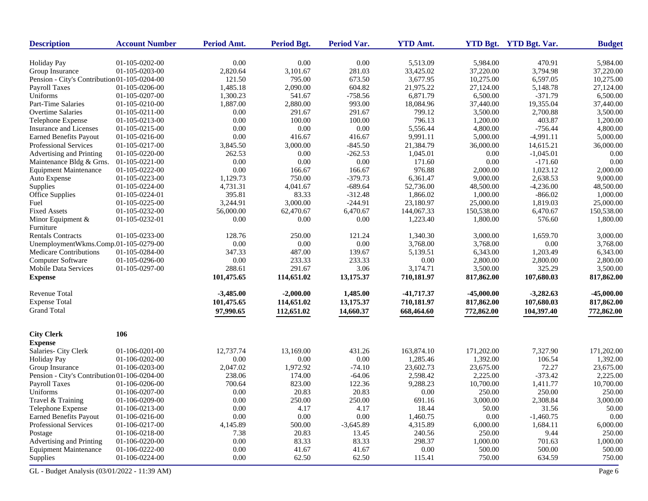| <b>Description</b>                           | <b>Account Number</b> | Period Amt. | <b>Period Bgt.</b> | Period Var. | <b>YTD Amt.</b> |              | YTD Bgt. YTD Bgt. Var. | <b>Budget</b> |
|----------------------------------------------|-----------------------|-------------|--------------------|-------------|-----------------|--------------|------------------------|---------------|
| <b>Holiday Pay</b>                           | 01-105-0202-00        | 0.00        | 0.00               | 0.00        | 5,513.09        | 5,984.00     | 470.91                 | 5,984.00      |
| Group Insurance                              | 01-105-0203-00        | 2,820.64    | 3,101.67           | 281.03      | 33,425.02       | 37,220.00    | 3,794.98               | 37,220.00     |
| Pension - City's Contribution 01-105-0204-00 |                       | 121.50      | 795.00             | 673.50      | 3,677.95        | 10,275.00    | 6,597.05               | 10,275.00     |
| <b>Payroll Taxes</b>                         | 01-105-0206-00        | 1,485.18    | 2,090.00           | 604.82      | 21,975.22       | 27,124.00    | 5,148.78               | 27,124.00     |
| Uniforms                                     | 01-105-0207-00        | 1,300.23    | 541.67             | $-758.56$   | 6,871.79        | 6,500.00     | $-371.79$              | 6,500.00      |
| Part-Time Salaries                           | 01-105-0210-00        | 1,887.00    | 2,880.00           | 993.00      | 18,084.96       | 37,440.00    | 19,355.04              | 37,440.00     |
| Overtime Salaries                            | 01-105-0211-00        | 0.00        | 291.67             | 291.67      | 799.12          | 3,500.00     | 2,700.88               | 3,500.00      |
| Telephone Expense                            | 01-105-0213-00        | 0.00        | 100.00             | 100.00      | 796.13          | 1,200.00     | 403.87                 | 1,200.00      |
| Insurance and Licenses                       | 01-105-0215-00        | 0.00        | 0.00               | 0.00        | 5,556.44        | 4,800.00     | $-756.44$              | 4,800.00      |
| <b>Earned Benefits Payout</b>                | 01-105-0216-00        | 0.00        | 416.67             | 416.67      | 9,991.11        | 5,000.00     | $-4,991.11$            | 5,000.00      |
| <b>Professional Services</b>                 | 01-105-0217-00        | 3,845.50    | 3,000.00           | $-845.50$   | 21,384.79       | 36,000.00    | 14,615.21              | 36,000.00     |
| Advertising and Printing                     | 01-105-0220-00        | 262.53      | 0.00               | $-262.53$   | 1,045.01        | 0.00         | $-1,045.01$            | 0.00          |
| Maintenance Bldg & Grns.                     | 01-105-0221-00        | 0.00        | 0.00               | 0.00        | 171.60          | 0.00         | $-171.60$              | 0.00          |
| <b>Equipment Maintenance</b>                 | 01-105-0222-00        | 0.00        | 166.67             | 166.67      | 976.88          | 2,000.00     | 1,023.12               | 2,000.00      |
| Auto Expense                                 | 01-105-0223-00        | 1,129.73    | 750.00             | $-379.73$   | 6,361.47        | 9,000.00     | 2,638.53               | 9,000.00      |
| Supplies                                     | 01-105-0224-00        | 4,731.31    | 4,041.67           | $-689.64$   | 52,736.00       | 48,500.00    | $-4,236.00$            | 48,500.00     |
| Office Supplies                              | 01-105-0224-01        | 395.81      | 83.33              | $-312.48$   | 1,866.02        | 1,000.00     | $-866.02$              | 1,000.00      |
| Fuel                                         | 01-105-0225-00        | 3,244.91    | 3,000.00           | $-244.91$   | 23,180.97       | 25,000.00    | 1,819.03               | 25,000.00     |
| <b>Fixed Assets</b>                          | 01-105-0232-00        | 56,000.00   | 62,470.67          | 6,470.67    | 144,067.33      | 150,538.00   | 6,470.67               | 150,538.00    |
|                                              | 01-105-0232-01        | 0.00        | 0.00               | 0.00        | 1,223.40        | 1,800.00     | 576.60                 | 1,800.00      |
| Minor Equipment $&$<br>Furniture             |                       |             |                    |             |                 |              |                        |               |
| <b>Rentals Contracts</b>                     | 01-105-0233-00        | 128.76      | 250.00             | 121.24      | 1,340.30        | 3,000.00     | 1,659.70               | 3,000.00      |
| UnemploymentWkms.Comp.01-105-0279-00         |                       | 0.00        | 0.00               | 0.00        | 3,768.00        | 3,768.00     | 0.00                   | 3,768.00      |
| Medicare Contributions                       | 01-105-0284-00        | 347.33      | 487.00             | 139.67      | 5,139.51        | 6,343.00     | 1,203.49               | 6,343.00      |
| Computer Software                            | 01-105-0296-00        | 0.00        | 233.33             | 233.33      | 0.00            | 2,800.00     | 2,800.00               | 2,800.00      |
| <b>Mobile Data Services</b>                  | 01-105-0297-00        | 288.61      | 291.67             | 3.06        | 3,174.71        | 3,500.00     | 325.29                 | 3,500.00      |
| <b>Expense</b>                               |                       | 101,475.65  | 114,651.02         | 13,175.37   | 710,181.97      | 817,862.00   | 107,680.03             | 817,862.00    |
| Revenue Total                                |                       | $-3,485.00$ | $-2,000.00$        | 1,485.00    | $-41,717.37$    | $-45,000.00$ | $-3,282.63$            | $-45,000.00$  |
| <b>Expense Total</b>                         |                       | 101,475.65  | 114,651.02         | 13,175.37   | 710,181.97      | 817,862.00   | 107,680.03             | 817,862.00    |
| <b>Grand Total</b>                           |                       | 97,990.65   | 112,651.02         | 14,660.37   | 668,464.60      | 772,862.00   | 104,397.40             | 772,862.00    |
| <b>City Clerk</b>                            | 106                   |             |                    |             |                 |              |                        |               |
| <b>Expense</b>                               |                       |             |                    |             |                 |              |                        |               |
| Salaries- City Clerk                         | 01-106-0201-00        | 12,737.74   | 13,169.00          | 431.26      | 163,874.10      | 171,202.00   | 7,327.90               | 171,202.00    |
| <b>Holiday Pay</b>                           | 01-106-0202-00        | 0.00        | 0.00               | 0.00        | 1,285.46        | 1,392.00     | 106.54                 | 1,392.00      |
| Group Insurance                              | 01-106-0203-00        | 2,047.02    | 1,972.92           | $-74.10$    | 23,602.73       | 23,675.00    | 72.27                  | 23,675.00     |
| Pension - City's Contribution 01-106-0204-00 |                       | 238.06      | 174.00             | $-64.06$    | 2,598.42        | 2,225.00     | $-373.42$              | 2,225.00      |
| <b>Payroll Taxes</b>                         | 01-106-0206-00        | 700.64      | 823.00             | 122.36      | 9,288.23        | 10,700.00    | 1,411.77               | 10,700.00     |
| Uniforms                                     | 01-106-0207-00        | 0.00        | 20.83              | 20.83       | 0.00            | 250.00       | 250.00                 | 250.00        |
| Travel & Training                            | 01-106-0209-00        | 0.00        | 250.00             | 250.00      | 691.16          | 3,000.00     | 2,308.84               | 3,000.00      |
| Telephone Expense                            | 01-106-0213-00        | 0.00        | 4.17               | 4.17        | 18.44           | 50.00        | 31.56                  | 50.00         |
| <b>Earned Benefits Payout</b>                | 01-106-0216-00        | $0.00\,$    | 0.00               | 0.00        | 1,460.75        | $0.00\,$     | $-1,460.75$            | $0.00\,$      |
| Professional Services                        | 01-106-0217-00        | 4,145.89    | 500.00             | $-3,645.89$ | 4,315.89        | 6,000.00     | 1,684.11               | 6,000.00      |
| Postage                                      | 01-106-0218-00        | 7.38        | 20.83              | 13.45       | 240.56          | 250.00       | 9.44                   | 250.00        |
| Advertising and Printing                     | 01-106-0220-00        | 0.00        | 83.33              | 83.33       | 298.37          | 1,000.00     | 701.63                 | 1,000.00      |
| <b>Equipment Maintenance</b>                 | 01-106-0222-00        | 0.00        | 41.67              | 41.67       | $0.00\,$        | 500.00       | 500.00                 | 500.00        |
| Supplies                                     | 01-106-0224-00        | 0.00        | 62.50              | 62.50       | 115.41          | 750.00       | 634.59                 | 750.00        |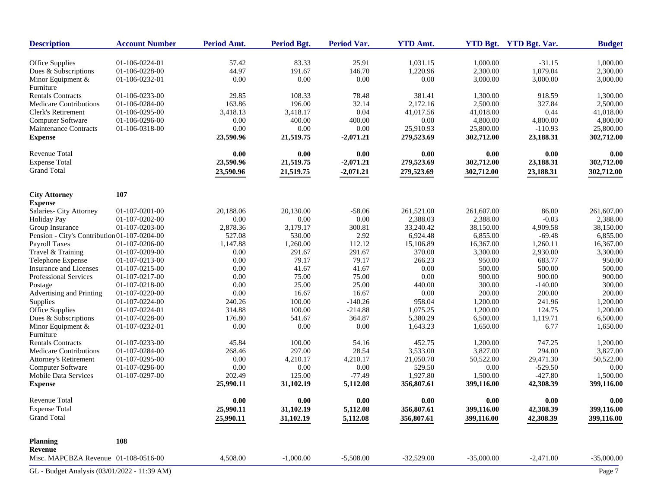| <b>Description</b>                           | <b>Account Number</b>            | Period Amt. | Period Bgt. | Period Var. | <b>YTD Amt.</b> |                      | YTD Bgt. YTD Bgt. Var. | <b>Budget</b>        |
|----------------------------------------------|----------------------------------|-------------|-------------|-------------|-----------------|----------------------|------------------------|----------------------|
| Office Supplies                              | 01-106-0224-01                   | 57.42       | 83.33       | 25.91       | 1,031.15        | 1,000.00             | $-31.15$               | 1,000.00             |
| Dues & Subscriptions                         | 01-106-0228-00                   | 44.97       | 191.67      | 146.70      | 1,220.96        | 2,300.00             | 1,079.04               | 2,300.00             |
| Minor Equipment $\&$                         | 01-106-0232-01                   | 0.00        | 0.00        | $0.00\,$    | 0.00            | 3,000.00             | 3,000.00               | 3,000.00             |
| Furniture                                    |                                  |             |             |             |                 |                      |                        |                      |
| <b>Rentals Contracts</b>                     | 01-106-0233-00                   | 29.85       | 108.33      | 78.48       | 381.41          | 1,300.00             | 918.59                 | 1,300.00             |
| <b>Medicare Contributions</b>                | 01-106-0284-00                   | 163.86      | 196.00      | 32.14       | 2,172.16        | 2,500.00             | 327.84                 | 2,500.00             |
| Clerk's Retirement                           | 01-106-0295-00                   | 3,418.13    | 3,418.17    | 0.04        | 41,017.56       | 41,018.00            | 0.44                   | 41,018.00            |
| Computer Software                            | 01-106-0296-00                   | 0.00        | 400.00      | 400.00      | 0.00            | 4,800.00             | 4,800.00               | 4,800.00             |
| Maintenance Contracts                        | 01-106-0318-00                   | 0.00        | 0.00        | 0.00        | 25,910.93       | 25,800.00            | $-110.93$              | 25,800.00            |
| <b>Expense</b>                               |                                  | 23,590.96   | 21,519.75   | $-2,071.21$ | 279,523.69      | 302,712.00           | 23,188.31              | 302,712.00           |
| Revenue Total                                |                                  | 0.00        | 0.00        | 0.00        | 0.00            | 0.00                 | 0.00                   | 0.00                 |
| <b>Expense Total</b>                         |                                  | 23,590.96   | 21,519.75   | $-2,071.21$ | 279,523.69      | 302,712.00           | 23,188.31              | 302,712.00           |
| <b>Grand Total</b>                           |                                  | 23,590.96   | 21,519.75   | $-2,071.21$ | 279,523.69      | 302,712.00           | 23,188.31              | 302,712.00           |
| <b>City Attorney</b>                         | 107                              |             |             |             |                 |                      |                        |                      |
| <b>Expense</b>                               |                                  |             |             |             |                 |                      |                        |                      |
| Salaries- City Attorney                      | $01-107-0201-00$                 | 20,188.06   | 20,130.00   | -58.06      | 261,521.00      | 261,607.00           | 86.00                  | 261,607.00           |
| <b>Holiday Pay</b>                           | 01-107-0202-00                   | 0.00        | 0.00        | $0.00\,$    | 2,388.03        | 2,388.00             | $-0.03$                | 2,388.00             |
| Group Insurance                              | 01-107-0203-00                   | 2,878.36    | 3,179.17    | 300.81      | 33,240.42       | 38,150.00            | 4,909.58               | 38,150.00            |
| Pension - City's Contribution 01-107-0204-00 |                                  | 527.08      | 530.00      | 2.92        | 6,924.48        | 6,855.00             | $-69.48$               | 6,855.00             |
| <b>Payroll Taxes</b>                         | 01-107-0206-00                   | 1,147.88    | 1,260.00    | 112.12      | 15,106.89       | 16,367.00            | 1,260.11               | 16,367.00            |
| Travel & Training                            | 01-107-0209-00                   | 0.00        | 291.67      | 291.67      | 370.00          | 3,300.00             | 2,930.00               | 3,300.00             |
| Telephone Expense                            | 01-107-0213-00                   | 0.00        | 79.17       | 79.17       | 266.23          | 950.00               | 683.77                 | 950.00               |
| <b>Insurance and Licenses</b>                | 01-107-0215-00                   | 0.00        | 41.67       | 41.67       | 0.00            | 500.00               | 500.00                 | 500.00               |
| Professional Services                        | 01-107-0217-00                   | 0.00        | 75.00       | 75.00       | 0.00            | 900.00               | 900.00                 | 900.00               |
| Postage                                      | 01-107-0218-00                   | 0.00        | 25.00       | 25.00       | 440.00          | 300.00               | $-140.00$              | 300.00               |
| Advertising and Printing                     | 01-107-0220-00                   | 0.00        | 16.67       | 16.67       | 0.00            | 200.00               | 200.00                 | 200.00               |
| Supplies                                     | 01-107-0224-00                   | 240.26      | 100.00      | $-140.26$   | 958.04          | 1,200.00             | 241.96                 | 1,200.00             |
| Office Supplies                              | 01-107-0224-01                   | 314.88      | 100.00      | $-214.88$   | 1,075.25        | 1,200.00             | 124.75                 | 1,200.00             |
| Dues & Subscriptions                         | 01-107-0228-00                   | 176.80      | 541.67      | 364.87      | 5,380.29        | 6,500.00             | 1,119.71               | 6,500.00             |
| Minor Equipment &                            | 01-107-0232-01                   | 0.00        | 0.00        | $0.00\,$    | 1,643.23        | 1,650.00             | 6.77                   | 1,650.00             |
| Furniture<br><b>Rentals Contracts</b>        |                                  | 45.84       | 100.00      | 54.16       | 452.75          |                      |                        |                      |
| Medicare Contributions                       | 01-107-0233-00<br>01-107-0284-00 | 268.46      | 297.00      | 28.54       | 3,533.00        | 1,200.00<br>3,827.00 | 747.25<br>294.00       | 1,200.00<br>3,827.00 |
| <b>Attorney's Retirement</b>                 | 01-107-0295-00                   | 0.00        | 4,210.17    | 4,210.17    | 21,050.70       | 50,522.00            | 29,471.30              | 50,522.00            |
| Computer Software                            | 01-107-0296-00                   | 0.00        | 0.00        | 0.00        | 529.50          | 0.00                 | $-529.50$              | 0.00                 |
| <b>Mobile Data Services</b>                  | 01-107-0297-00                   | 202.49      | 125.00      | $-77.49$    | 1,927.80        | 1,500.00             | $-427.80$              | 1,500.00             |
| <b>Expense</b>                               |                                  | 25,990.11   | 31,102.19   | 5,112.08    | 356,807.61      | 399,116.00           | 42,308.39              | 399,116.00           |
| Revenue Total                                |                                  | 0.00        | 0.00        | 0.00        | 0.00            | 0.00                 | 0.00                   | 0.00                 |
| <b>Expense Total</b>                         |                                  | 25,990.11   | 31,102.19   | 5,112.08    | 356,807.61      | 399,116.00           | 42,308.39              | 399,116.00           |
| <b>Grand Total</b>                           |                                  | 25,990.11   | 31,102.19   | 5,112.08    | 356,807.61      | 399,116.00           | 42,308.39              | 399,116.00           |
| <b>Planning</b>                              | 108                              |             |             |             |                 |                      |                        |                      |
| Revenue                                      |                                  |             |             |             |                 |                      |                        |                      |
| Misc. MAPCBZA Revenue 01-108-0516-00         |                                  | 4,508.00    | $-1,000.00$ | $-5,508.00$ | $-32,529.00$    | $-35,000.00$         | $-2,471.00$            | $-35,000.00$         |
| GL - Budget Analysis (03/01/2022 - 11:39 AM) |                                  |             |             |             |                 |                      |                        | Page 7               |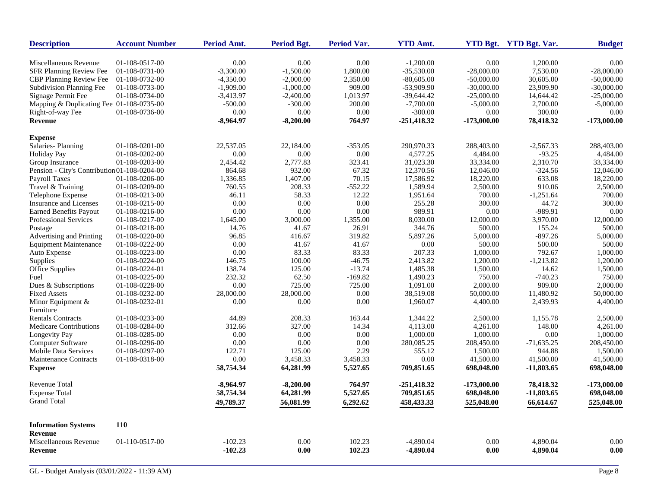| <b>Description</b>                           | <b>Account Number</b> | <b>Period Amt.</b> | <b>Period Bgt.</b> | Period Var. | <b>YTD Amt.</b> |               | YTD Bgt. YTD Bgt. Var. | <b>Budget</b> |
|----------------------------------------------|-----------------------|--------------------|--------------------|-------------|-----------------|---------------|------------------------|---------------|
| Miscellaneous Revenue                        | 01-108-0517-00        | 0.00               | 0.00               | 0.00        | $-1,200.00$     | 0.00          | 1,200.00               | 0.00          |
| SFR Planning Review Fee                      | 01-108-0731-00        | $-3,300.00$        | $-1,500.00$        | 1,800.00    | $-35,530.00$    | $-28,000.00$  | 7,530.00               | $-28,000.00$  |
| <b>CBP Planning Review Fee</b>               | 01-108-0732-00        | $-4,350.00$        | $-2,000.00$        | 2,350.00    | $-80,605.00$    | $-50,000.00$  | 30,605.00              | $-50,000.00$  |
| Subdivision Planning Fee                     | 01-108-0733-00        | $-1,909.00$        | $-1,000.00$        | 909.00      | -53,909.90      | $-30,000.00$  | 23,909.90              | $-30,000.00$  |
| Signage Permit Fee                           | 01-108-0734-00        | $-3,413.97$        | $-2,400.00$        | 1,013.97    | $-39,644.42$    | $-25,000.00$  | 14,644.42              | $-25,000.00$  |
| Mapping & Duplicating Fee 01-108-0735-00     |                       | $-500.00$          | $-300.00$          | 200.00      | $-7,700.00$     | $-5,000.00$   | 2,700.00               | $-5,000.00$   |
| Right-of-way Fee                             | 01-108-0736-00        | 0.00               | 0.00               | 0.00        | $-300.00$       | 0.00          | 300.00                 | 0.00          |
| Revenue                                      |                       | -8,964.97          | $-8,200.00$        | 764.97      | $-251,418.32$   | $-173,000.00$ | 78,418.32              | $-173,000.00$ |
| <b>Expense</b>                               |                       |                    |                    |             |                 |               |                        |               |
| Salaries-Planning                            | $01-108-0201-00$      | 22,537.05          | 22,184.00          | $-353.05$   | 290,970.33      | 288,403.00    | $-2,567.33$            | 288,403.00    |
| <b>Holiday Pay</b>                           | 01-108-0202-00        | 0.00               | 0.00               | 0.00        | 4,577.25        | 4,484.00      | $-93.25$               | 4,484.00      |
| Group Insurance                              | 01-108-0203-00        | 2,454.42           | 2,777.83           | 323.41      | 31,023.30       | 33,334.00     | 2,310.70               | 33,334.00     |
| Pension - City's Contribution 01-108-0204-00 |                       | 864.68             | 932.00             | 67.32       | 12,370.56       | 12,046.00     | $-324.56$              | 12,046.00     |
| <b>Payroll Taxes</b>                         | 01-108-0206-00        | 1,336.85           | 1,407.00           | 70.15       | 17,586.92       | 18,220.00     | 633.08                 | 18,220.00     |
| Travel & Training                            | 01-108-0209-00        | 760.55             | 208.33             | $-552.22$   | 1,589.94        | 2,500.00      | 910.06                 | 2,500.00      |
| Telephone Expense                            | 01-108-0213-00        | 46.11              | 58.33              | 12.22       | 1,951.64        | 700.00        | $-1,251.64$            | 700.00        |
| <b>Insurance and Licenses</b>                | 01-108-0215-00        | 0.00               | 0.00               | 0.00        | 255.28          | 300.00        | 44.72                  | 300.00        |
| <b>Earned Benefits Payout</b>                | 01-108-0216-00        | 0.00               | 0.00               | 0.00        | 989.91          | 0.00          | -989.91                | 0.00          |
| Professional Services                        | 01-108-0217-00        | 1,645.00           | 3,000.00           | 1,355.00    | 8.030.00        | 12,000.00     | 3,970.00               | 12,000.00     |
| Postage                                      | 01-108-0218-00        | 14.76              | 41.67              | 26.91       | 344.76          | 500.00        | 155.24                 | 500.00        |
| Advertising and Printing                     | 01-108-0220-00        | 96.85              | 416.67             | 319.82      | 5,897.26        | 5,000.00      | $-897.26$              | 5,000.00      |
| <b>Equipment Maintenance</b>                 | 01-108-0222-00        | $0.00\,$           | 41.67              | 41.67       | 0.00            | 500.00        | 500.00                 | 500.00        |
| Auto Expense                                 | 01-108-0223-00        | 0.00               | 83.33              | 83.33       | 207.33          | 1,000.00      | 792.67                 | 1,000.00      |
| Supplies                                     | 01-108-0224-00        | 146.75             | 100.00             | $-46.75$    | 2,413.82        | 1,200.00      | $-1,213.82$            | 1,200.00      |
| <b>Office Supplies</b>                       | 01-108-0224-01        | 138.74             | 125.00             | $-13.74$    | 1,485.38        | 1,500.00      | 14.62                  | 1,500.00      |
| Fuel                                         | 01-108-0225-00        | 232.32             | 62.50              | $-169.82$   | 1,490.23        | 750.00        | $-740.23$              | 750.00        |
| Dues & Subscriptions                         | 01-108-0228-00        | 0.00               | 725.00             | 725.00      | 1.091.00        | 2,000.00      | 909.00                 | 2,000.00      |
| <b>Fixed Assets</b>                          | 01-108-0232-00        | 28,000.00          | 28,000.00          | 0.00        | 38,519.08       | 50,000.00     | 11,480.92              | 50,000.00     |
| Minor Equipment &                            | 01-108-0232-01        | 0.00               | 0.00               | 0.00        | 1,960.07        | 4,400.00      | 2,439.93               | 4,400.00      |
| Furniture                                    |                       |                    |                    |             |                 |               |                        |               |
| <b>Rentals Contracts</b>                     | 01-108-0233-00        | 44.89              | 208.33             | 163.44      | 1,344.22        | 2,500.00      | 1,155.78               | 2,500.00      |
| <b>Medicare Contributions</b>                | 01-108-0284-00        | 312.66             | 327.00             | 14.34       | 4,113.00        | 4,261.00      | 148.00                 | 4,261.00      |
| Longevity Pay                                | 01-108-0285-00        | 0.00               | 0.00               | 0.00        | 1,000.00        | 1,000.00      | 0.00                   | 1,000.00      |
| <b>Computer Software</b>                     | 01-108-0296-00        | 0.00               | 0.00               | 0.00        | 280,085.25      | 208,450.00    | $-71,635.25$           | 208,450.00    |
| <b>Mobile Data Services</b>                  | 01-108-0297-00        | 122.71             | 125.00             | 2.29        | 555.12          | 1,500.00      | 944.88                 | 1,500.00      |
| <b>Maintenance Contracts</b>                 | 01-108-0318-00        | 0.00               | 3,458.33           | 3,458.33    | 0.00            | 41,500.00     | 41,500.00              | 41,500.00     |
| <b>Expense</b>                               |                       | 58,754.34          | 64,281.99          | 5,527.65    | 709,851.65      | 698,048.00    | $-11,803.65$           | 698,048.00    |
| <b>Revenue Total</b>                         |                       | $-8,964.97$        | $-8,200.00$        | 764.97      | $-251,418.32$   | $-173,000.00$ | 78,418.32              | -173,000.00   |
| <b>Expense Total</b>                         |                       | 58,754.34          | 64,281.99          | 5,527.65    | 709,851.65      | 698,048.00    | $-11,803.65$           | 698,048.00    |
| <b>Grand Total</b>                           |                       | 49,789.37          | 56,081.99          | 6,292.62    | 458,433.33      | 525,048.00    | 66,614.67              | 525,048.00    |
| <b>Information Systems</b>                   | <b>110</b>            |                    |                    |             |                 |               |                        |               |
| <b>Revenue</b>                               |                       |                    |                    |             |                 |               |                        |               |
| Miscellaneous Revenue                        | 01-110-0517-00        | $-102.23$          | 0.00               | 102.23      | $-4,890.04$     | 0.00          | 4,890.04               | 0.00          |
| <b>Revenue</b>                               |                       | $-102.23$          | 0.00               | 102.23      | -4,890.04       | 0.00          | 4,890.04               | 0.00          |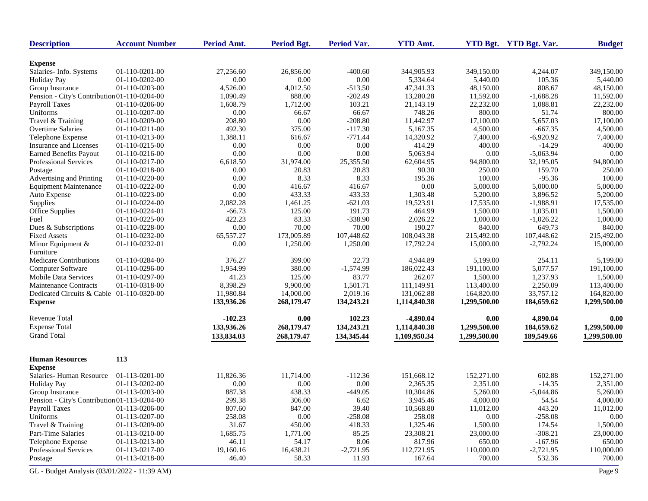| <b>Description</b>                           | <b>Account Number</b> | Period Amt. | <b>Period Bgt.</b> | Period Var. | <b>YTD Amt.</b> |              | YTD Bgt. YTD Bgt. Var. | <b>Budget</b> |
|----------------------------------------------|-----------------------|-------------|--------------------|-------------|-----------------|--------------|------------------------|---------------|
| <b>Expense</b>                               |                       |             |                    |             |                 |              |                        |               |
| Salaries- Info. Systems                      | 01-110-0201-00        | 27,256.60   | 26,856.00          | $-400.60$   | 344,905.93      | 349,150.00   | 4,244.07               | 349,150.00    |
| <b>Holiday Pay</b>                           | 01-110-0202-00        | 0.00        | $0.00\,$           | 0.00        | 5,334.64        | 5,440.00     | 105.36                 | 5,440.00      |
| Group Insurance                              | 01-110-0203-00        | 4,526.00    | 4,012.50           | $-513.50$   | 47,341.33       | 48,150.00    | 808.67                 | 48,150.00     |
| Pension - City's Contribution 01-110-0204-00 |                       | 1,090.49    | 888.00             | $-202.49$   | 13,280.28       | 11,592.00    | $-1,688.28$            | 11,592.00     |
| Payroll Taxes                                | 01-110-0206-00        | 1,608.79    | 1,712.00           | 103.21      | 21,143.19       | 22,232.00    | 1,088.81               | 22,232.00     |
| Uniforms                                     | 01-110-0207-00        | 0.00        | 66.67              | 66.67       | 748.26          | 800.00       | 51.74                  | 800.00        |
| Travel & Training                            | 01-110-0209-00        | 208.80      | 0.00               | $-208.80$   | 11,442.97       | 17,100.00    | 5,657.03               | 17,100.00     |
| Overtime Salaries                            | 01-110-0211-00        | 492.30      | 375.00             | $-117.30$   | 5,167.35        | 4,500.00     | $-667.35$              | 4,500.00      |
| Telephone Expense                            | 01-110-0213-00        | 1,388.11    | 616.67             | $-771.44$   | 14,320.92       | 7,400.00     | $-6,920.92$            | 7,400.00      |
| Insurance and Licenses                       | 01-110-0215-00        | 0.00        | 0.00               | 0.00        | 414.29          | 400.00       | $-14.29$               | 400.00        |
| Earned Benefits Payout                       | 01-110-0216-00        | 0.00        | 0.00               | 0.00        | 5,063.94        | 0.00         | $-5,063.94$            | 0.00          |
| Professional Services                        | 01-110-0217-00        | 6,618.50    | 31,974.00          | 25,355.50   | 62,604.95       | 94,800.00    | 32,195.05              | 94,800.00     |
| Postage                                      | 01-110-0218-00        | 0.00        | 20.83              | 20.83       | 90.30           | 250.00       | 159.70                 | 250.00        |
| Advertising and Printing                     | 01-110-0220-00        | 0.00        | 8.33               | 8.33        | 195.36          | 100.00       | $-95.36$               | 100.00        |
| <b>Equipment Maintenance</b>                 | 01-110-0222-00        | 0.00        | 416.67             | 416.67      | 0.00            | 5,000.00     | 5,000.00               | 5,000.00      |
| Auto Expense                                 | 01-110-0223-00        | 0.00        | 433.33             | 433.33      | 1,303.48        | 5,200.00     | 3,896.52               | 5,200.00      |
| Supplies                                     | 01-110-0224-00        | 2,082.28    | 1,461.25           | $-621.03$   | 19,523.91       | 17,535.00    | $-1,988.91$            | 17,535.00     |
| Office Supplies                              | 01-110-0224-01        | $-66.73$    | 125.00             | 191.73      | 464.99          | 1,500.00     | 1,035.01               | 1,500.00      |
| Fuel                                         | 01-110-0225-00        | 422.23      | 83.33              | $-338.90$   | 2,026.22        | 1,000.00     | $-1,026.22$            | 1,000.00      |
| Dues & Subscriptions                         | 01-110-0228-00        | 0.00        | 70.00              | 70.00       | 190.27          | 840.00       | 649.73                 | 840.00        |
| <b>Fixed Assets</b>                          | 01-110-0232-00        | 65,557.27   | 173,005.89         | 107,448.62  | 108,043.38      | 215,492.00   | 107,448.62             | 215,492.00    |
| Minor Equipment &                            | 01-110-0232-01        | 0.00        | 1,250.00           | 1,250.00    | 17,792.24       | 15,000.00    | $-2,792.24$            | 15,000.00     |
| Furniture                                    |                       |             |                    |             |                 |              |                        |               |
| Medicare Contributions                       | 01-110-0284-00        | 376.27      | 399.00             | 22.73       | 4,944.89        | 5,199.00     | 254.11                 | 5,199.00      |
| Computer Software                            | 01-110-0296-00        | 1,954.99    | 380.00             | $-1,574.99$ | 186,022.43      | 191,100.00   | 5,077.57               | 191,100.00    |
| <b>Mobile Data Services</b>                  | 01-110-0297-00        | 41.23       | 125.00             | 83.77       | 262.07          | 1,500.00     | 1,237.93               | 1,500.00      |
| <b>Maintenance Contracts</b>                 | 01-110-0318-00        | 8,398.29    | 9,900.00           | 1,501.71    | 111,149.91      | 113,400.00   | 2,250.09               | 113,400.00    |
| Dedicated Circuits & Cable 01-110-0320-00    |                       | 11,980.84   | 14,000.00          | 2,019.16    | 131,062.88      | 164,820.00   | 33,757.12              | 164,820.00    |
| <b>Expense</b>                               |                       | 133,936.26  | 268,179.47         | 134,243.21  | 1,114,840.38    | 1,299,500.00 | 184,659.62             | 1,299,500.00  |
| Revenue Total                                |                       | $-102.23$   | 0.00               | 102.23      | $-4,890.04$     | 0.00         | 4,890.04               | 0.00          |
| <b>Expense Total</b>                         |                       | 133,936.26  | 268,179.47         | 134,243.21  | 1,114,840.38    | 1,299,500.00 | 184,659.62             | 1,299,500.00  |
| <b>Grand Total</b>                           |                       | 133,834.03  | 268,179.47         | 134,345.44  | 1,109,950.34    | 1,299,500.00 | 189,549.66             | 1,299,500.00  |
| <b>Human Resources</b>                       | 113                   |             |                    |             |                 |              |                        |               |
| <b>Expense</b>                               |                       |             |                    |             |                 |              |                        |               |
| Salaries-Human Resource                      | 01-113-0201-00        | 11,826.36   | 11,714.00          | $-112.36$   | 151,668.12      | 152,271.00   | 602.88                 | 152,271.00    |
| <b>Holiday Pay</b>                           | 01-113-0202-00        | 0.00        | 0.00               | 0.00        | 2,365.35        | 2,351.00     | $-14.35$               | 2,351.00      |
| Group Insurance                              | 01-113-0203-00        | 887.38      | 438.33             | $-449.05$   | 10,304.86       | 5,260.00     | $-5,044.86$            | 5,260.00      |
| Pension - City's Contribution 01-113-0204-00 |                       | 299.38      | 306.00             | 6.62        | 3,945.46        | 4,000.00     | 54.54                  | 4,000.00      |
| Payroll Taxes                                | 01-113-0206-00        | 807.60      | 847.00             | 39.40       | 10,568.80       | 11,012.00    | 443.20                 | 11,012.00     |
| Uniforms                                     | 01-113-0207-00        | 258.08      | 0.00               | $-258.08$   | 258.08          | $0.00\,$     | $-258.08$              | $0.00\,$      |
| Travel & Training                            | 01-113-0209-00        | 31.67       | 450.00             | 418.33      | 1,325.46        | 1,500.00     | 174.54                 | 1,500.00      |
| Part-Time Salaries                           | 01-113-0210-00        | 1,685.75    | 1,771.00           | 85.25       | 23,308.21       | 23,000.00    | $-308.21$              | 23,000.00     |
| Telephone Expense                            | 01-113-0213-00        | 46.11       | 54.17              | 8.06        | 817.96          | 650.00       | $-167.96$              | 650.00        |
| Professional Services                        | 01-113-0217-00        | 19,160.16   | 16,438.21          | $-2,721.95$ | 112,721.95      | 110,000.00   | $-2,721.95$            | 110,000.00    |
| Postage                                      | 01-113-0218-00        | 46.40       | 58.33              | 11.93       | 167.64          | 700.00       | 532.36                 | 700.00        |
| GL - Budget Analysis (03/01/2022 - 11:39 AM) |                       |             |                    |             |                 |              |                        | Page 9        |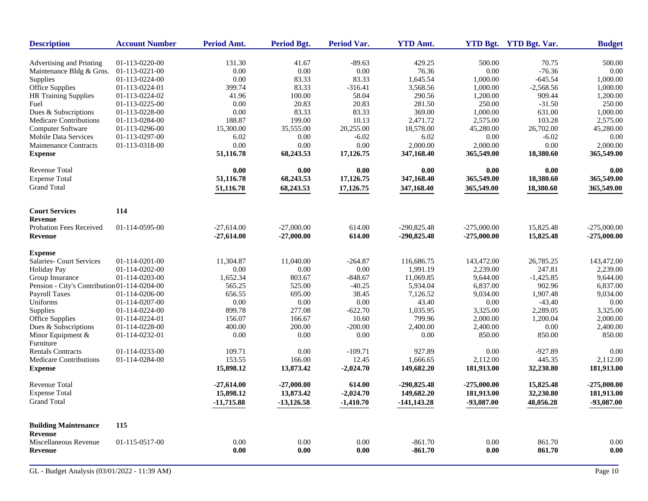|                | Period Amt.                                                                                                                                                                                                                                                                                                                       | Period Bgt.                                                                                                                                                            | Period Var.                                                                                                                                                                 | <b>YTD Amt.</b>                                                                                                                                                                                                                     |                                                                                                                                                                                                        | YTD Bgt. YTD Bgt. Var.                                                                                                                                                                                            | <b>Budget</b>                                                                                                                                                                                                                  |
|----------------|-----------------------------------------------------------------------------------------------------------------------------------------------------------------------------------------------------------------------------------------------------------------------------------------------------------------------------------|------------------------------------------------------------------------------------------------------------------------------------------------------------------------|-----------------------------------------------------------------------------------------------------------------------------------------------------------------------------|-------------------------------------------------------------------------------------------------------------------------------------------------------------------------------------------------------------------------------------|--------------------------------------------------------------------------------------------------------------------------------------------------------------------------------------------------------|-------------------------------------------------------------------------------------------------------------------------------------------------------------------------------------------------------------------|--------------------------------------------------------------------------------------------------------------------------------------------------------------------------------------------------------------------------------|
|                |                                                                                                                                                                                                                                                                                                                                   |                                                                                                                                                                        |                                                                                                                                                                             |                                                                                                                                                                                                                                     |                                                                                                                                                                                                        |                                                                                                                                                                                                                   | 500.00                                                                                                                                                                                                                         |
|                |                                                                                                                                                                                                                                                                                                                                   |                                                                                                                                                                        |                                                                                                                                                                             |                                                                                                                                                                                                                                     |                                                                                                                                                                                                        |                                                                                                                                                                                                                   | 0.00                                                                                                                                                                                                                           |
|                |                                                                                                                                                                                                                                                                                                                                   |                                                                                                                                                                        |                                                                                                                                                                             |                                                                                                                                                                                                                                     |                                                                                                                                                                                                        |                                                                                                                                                                                                                   | 1,000.00                                                                                                                                                                                                                       |
|                |                                                                                                                                                                                                                                                                                                                                   |                                                                                                                                                                        |                                                                                                                                                                             |                                                                                                                                                                                                                                     |                                                                                                                                                                                                        |                                                                                                                                                                                                                   | 1,000.00                                                                                                                                                                                                                       |
|                |                                                                                                                                                                                                                                                                                                                                   |                                                                                                                                                                        |                                                                                                                                                                             |                                                                                                                                                                                                                                     |                                                                                                                                                                                                        |                                                                                                                                                                                                                   | 1,200.00                                                                                                                                                                                                                       |
|                |                                                                                                                                                                                                                                                                                                                                   |                                                                                                                                                                        |                                                                                                                                                                             |                                                                                                                                                                                                                                     |                                                                                                                                                                                                        |                                                                                                                                                                                                                   | 250.00                                                                                                                                                                                                                         |
| 01-113-0228-00 | 0.00                                                                                                                                                                                                                                                                                                                              | 83.33                                                                                                                                                                  |                                                                                                                                                                             |                                                                                                                                                                                                                                     |                                                                                                                                                                                                        |                                                                                                                                                                                                                   | 1,000.00                                                                                                                                                                                                                       |
|                | 188.87                                                                                                                                                                                                                                                                                                                            |                                                                                                                                                                        | 10.13                                                                                                                                                                       | 2.471.72                                                                                                                                                                                                                            |                                                                                                                                                                                                        |                                                                                                                                                                                                                   | 2,575.00                                                                                                                                                                                                                       |
| 01-113-0296-00 | 15,300.00                                                                                                                                                                                                                                                                                                                         | 35,555.00                                                                                                                                                              | 20,255.00                                                                                                                                                                   | 18,578.00                                                                                                                                                                                                                           | 45,280.00                                                                                                                                                                                              | 26,702.00                                                                                                                                                                                                         | 45,280.00                                                                                                                                                                                                                      |
| 01-113-0297-00 | 6.02                                                                                                                                                                                                                                                                                                                              | 0.00                                                                                                                                                                   | $-6.02$                                                                                                                                                                     | 6.02                                                                                                                                                                                                                                | 0.00                                                                                                                                                                                                   | $-6.02$                                                                                                                                                                                                           | 0.00                                                                                                                                                                                                                           |
| 01-113-0318-00 | 0.00                                                                                                                                                                                                                                                                                                                              | 0.00                                                                                                                                                                   | 0.00                                                                                                                                                                        | 2,000.00                                                                                                                                                                                                                            | 2,000.00                                                                                                                                                                                               | 0.00                                                                                                                                                                                                              | 2,000.00                                                                                                                                                                                                                       |
|                | 51,116.78                                                                                                                                                                                                                                                                                                                         | 68,243.53                                                                                                                                                              | 17,126.75                                                                                                                                                                   | 347,168.40                                                                                                                                                                                                                          | 365,549.00                                                                                                                                                                                             | 18,380.60                                                                                                                                                                                                         | 365,549.00                                                                                                                                                                                                                     |
|                | 0.00                                                                                                                                                                                                                                                                                                                              | 0.00                                                                                                                                                                   | 0.00                                                                                                                                                                        | 0.00                                                                                                                                                                                                                                | 0.00                                                                                                                                                                                                   | 0.00                                                                                                                                                                                                              | 0.00                                                                                                                                                                                                                           |
|                | 51,116.78                                                                                                                                                                                                                                                                                                                         | 68,243.53                                                                                                                                                              | 17,126.75                                                                                                                                                                   | 347,168.40                                                                                                                                                                                                                          | 365,549.00                                                                                                                                                                                             | 18,380.60                                                                                                                                                                                                         | 365,549.00                                                                                                                                                                                                                     |
|                | 51,116.78                                                                                                                                                                                                                                                                                                                         | 68,243.53                                                                                                                                                              | 17,126.75                                                                                                                                                                   | 347,168.40                                                                                                                                                                                                                          | 365,549.00                                                                                                                                                                                             | 18,380.60                                                                                                                                                                                                         | 365,549.00                                                                                                                                                                                                                     |
|                |                                                                                                                                                                                                                                                                                                                                   |                                                                                                                                                                        |                                                                                                                                                                             |                                                                                                                                                                                                                                     |                                                                                                                                                                                                        |                                                                                                                                                                                                                   |                                                                                                                                                                                                                                |
|                |                                                                                                                                                                                                                                                                                                                                   |                                                                                                                                                                        |                                                                                                                                                                             |                                                                                                                                                                                                                                     |                                                                                                                                                                                                        |                                                                                                                                                                                                                   |                                                                                                                                                                                                                                |
|                |                                                                                                                                                                                                                                                                                                                                   |                                                                                                                                                                        |                                                                                                                                                                             |                                                                                                                                                                                                                                     |                                                                                                                                                                                                        |                                                                                                                                                                                                                   | $-275,000.00$                                                                                                                                                                                                                  |
|                | $-27,614.00$                                                                                                                                                                                                                                                                                                                      | $-27,000.00$                                                                                                                                                           | 614.00                                                                                                                                                                      | $-290,825.48$                                                                                                                                                                                                                       | $-275,000.00$                                                                                                                                                                                          | 15,825.48                                                                                                                                                                                                         | $-275,000.00$                                                                                                                                                                                                                  |
|                |                                                                                                                                                                                                                                                                                                                                   |                                                                                                                                                                        |                                                                                                                                                                             |                                                                                                                                                                                                                                     |                                                                                                                                                                                                        |                                                                                                                                                                                                                   |                                                                                                                                                                                                                                |
| 01-114-0201-00 | 11,304.87                                                                                                                                                                                                                                                                                                                         | 11,040.00                                                                                                                                                              | $-264.87$                                                                                                                                                                   | 116,686.75                                                                                                                                                                                                                          | 143,472.00                                                                                                                                                                                             | 26,785.25                                                                                                                                                                                                         | 143,472.00                                                                                                                                                                                                                     |
| 01-114-0202-00 | 0.00                                                                                                                                                                                                                                                                                                                              | 0.00                                                                                                                                                                   |                                                                                                                                                                             | 1,991.19                                                                                                                                                                                                                            | 2,239.00                                                                                                                                                                                               |                                                                                                                                                                                                                   | 2,239.00                                                                                                                                                                                                                       |
| 01-114-0203-00 | 1,652.34                                                                                                                                                                                                                                                                                                                          | 803.67                                                                                                                                                                 |                                                                                                                                                                             | 11.069.85                                                                                                                                                                                                                           | 9.644.00                                                                                                                                                                                               | $-1,425.85$                                                                                                                                                                                                       | 9.644.00                                                                                                                                                                                                                       |
|                |                                                                                                                                                                                                                                                                                                                                   |                                                                                                                                                                        |                                                                                                                                                                             |                                                                                                                                                                                                                                     |                                                                                                                                                                                                        |                                                                                                                                                                                                                   | 6,837.00                                                                                                                                                                                                                       |
|                |                                                                                                                                                                                                                                                                                                                                   |                                                                                                                                                                        |                                                                                                                                                                             |                                                                                                                                                                                                                                     |                                                                                                                                                                                                        |                                                                                                                                                                                                                   | 9,034.00                                                                                                                                                                                                                       |
|                |                                                                                                                                                                                                                                                                                                                                   |                                                                                                                                                                        |                                                                                                                                                                             |                                                                                                                                                                                                                                     |                                                                                                                                                                                                        |                                                                                                                                                                                                                   | 0.00                                                                                                                                                                                                                           |
|                |                                                                                                                                                                                                                                                                                                                                   |                                                                                                                                                                        |                                                                                                                                                                             |                                                                                                                                                                                                                                     |                                                                                                                                                                                                        |                                                                                                                                                                                                                   | 3,325.00                                                                                                                                                                                                                       |
|                |                                                                                                                                                                                                                                                                                                                                   |                                                                                                                                                                        |                                                                                                                                                                             |                                                                                                                                                                                                                                     |                                                                                                                                                                                                        |                                                                                                                                                                                                                   | 2,000.00                                                                                                                                                                                                                       |
|                |                                                                                                                                                                                                                                                                                                                                   |                                                                                                                                                                        |                                                                                                                                                                             |                                                                                                                                                                                                                                     |                                                                                                                                                                                                        |                                                                                                                                                                                                                   | 2,400.00                                                                                                                                                                                                                       |
|                |                                                                                                                                                                                                                                                                                                                                   |                                                                                                                                                                        |                                                                                                                                                                             |                                                                                                                                                                                                                                     |                                                                                                                                                                                                        |                                                                                                                                                                                                                   | 850.00                                                                                                                                                                                                                         |
| 01-114-0233-00 |                                                                                                                                                                                                                                                                                                                                   |                                                                                                                                                                        |                                                                                                                                                                             |                                                                                                                                                                                                                                     |                                                                                                                                                                                                        |                                                                                                                                                                                                                   | 0.00                                                                                                                                                                                                                           |
| 01-114-0284-00 | 153.55                                                                                                                                                                                                                                                                                                                            | 166.00                                                                                                                                                                 | 12.45                                                                                                                                                                       | 1,666.65                                                                                                                                                                                                                            | 2,112.00                                                                                                                                                                                               | 445.35                                                                                                                                                                                                            | 2,112.00                                                                                                                                                                                                                       |
|                | 15,898.12                                                                                                                                                                                                                                                                                                                         | 13,873.42                                                                                                                                                              |                                                                                                                                                                             | 149,682.20                                                                                                                                                                                                                          | 181,913.00                                                                                                                                                                                             | 32,230.80                                                                                                                                                                                                         | 181,913.00                                                                                                                                                                                                                     |
|                | $-27,614.00$                                                                                                                                                                                                                                                                                                                      | $-27,000.00$                                                                                                                                                           | 614.00                                                                                                                                                                      | $-290,825.48$                                                                                                                                                                                                                       | $-275,000.00$                                                                                                                                                                                          | 15,825.48                                                                                                                                                                                                         | $-275,000.00$                                                                                                                                                                                                                  |
|                |                                                                                                                                                                                                                                                                                                                                   |                                                                                                                                                                        |                                                                                                                                                                             |                                                                                                                                                                                                                                     |                                                                                                                                                                                                        |                                                                                                                                                                                                                   | 181,913.00                                                                                                                                                                                                                     |
|                | $-11,715.88$                                                                                                                                                                                                                                                                                                                      | $-13,126.58$                                                                                                                                                           | $-1,410.70$                                                                                                                                                                 | -141,143.28                                                                                                                                                                                                                         | $-93,087.00$                                                                                                                                                                                           | 48,056.28                                                                                                                                                                                                         | $-93,087.00$                                                                                                                                                                                                                   |
| 115            |                                                                                                                                                                                                                                                                                                                                   |                                                                                                                                                                        |                                                                                                                                                                             |                                                                                                                                                                                                                                     |                                                                                                                                                                                                        |                                                                                                                                                                                                                   |                                                                                                                                                                                                                                |
|                |                                                                                                                                                                                                                                                                                                                                   |                                                                                                                                                                        |                                                                                                                                                                             |                                                                                                                                                                                                                                     |                                                                                                                                                                                                        |                                                                                                                                                                                                                   |                                                                                                                                                                                                                                |
|                | 0.00                                                                                                                                                                                                                                                                                                                              | 0.00                                                                                                                                                                   | 0.00                                                                                                                                                                        | $-861.70$                                                                                                                                                                                                                           | 0.00                                                                                                                                                                                                   | 861.70                                                                                                                                                                                                            | 0.00<br>0.00                                                                                                                                                                                                                   |
|                | 01-113-0220-00<br>01-113-0221-00<br>01-113-0224-00<br>01-113-0224-01<br>01-113-0224-02<br>01-113-0225-00<br>01-113-0284-00<br>114<br>01-114-0595-00<br>Pension - City's Contribution 01-114-0204-00<br>01-114-0206-00<br>01-114-0207-00<br>01-114-0224-00<br>01-114-0224-01<br>01-114-0228-00<br>01-114-0232-01<br>01-115-0517-00 | 131.30<br>0.00<br>0.00<br>399.74<br>41.96<br>0.00<br>$-27.614.00$<br>565.25<br>656.55<br>$0.00\,$<br>899.78<br>156.07<br>400.00<br>0.00<br>109.71<br>15,898.12<br>0.00 | 41.67<br>0.00<br>83.33<br>83.33<br>100.00<br>20.83<br>199.00<br>$-27,000.00$<br>525.00<br>695.00<br>0.00<br>277.08<br>166.67<br>200.00<br>0.00<br>0.00<br>13,873.42<br>0.00 | $-89.63$<br>0.00<br>83.33<br>$-316.41$<br>58.04<br>20.83<br>83.33<br>614.00<br>$0.00\,$<br>$-848.67$<br>$-40.25$<br>38.45<br>$0.00\,$<br>$-622.70$<br>10.60<br>$-200.00$<br>0.00<br>$-109.71$<br>$-2,024.70$<br>$-2,024.70$<br>0.00 | 429.25<br>76.36<br>1,645.54<br>3,568.56<br>290.56<br>281.50<br>369.00<br>$-290,825.48$<br>5,934.04<br>7,126.52<br>43.40<br>1,035.95<br>799.96<br>2,400.00<br>0.00<br>927.89<br>149,682.20<br>$-861.70$ | 500.00<br>0.00<br>1,000.00<br>1,000.00<br>1,200.00<br>250.00<br>1,000.00<br>2,575.00<br>$-275,000.00$<br>6,837.00<br>9,034.00<br>0.00<br>3,325.00<br>2,000.00<br>2,400.00<br>850.00<br>0.00<br>181,913.00<br>0.00 | 70.75<br>$-76.36$<br>$-645.54$<br>$-2,568.56$<br>909.44<br>$-31.50$<br>631.00<br>103.28<br>15,825.48<br>247.81<br>902.96<br>1,907.48<br>$-43.40$<br>2,289.05<br>1,200.04<br>0.00<br>850.00<br>$-927.89$<br>32,230.80<br>861.70 |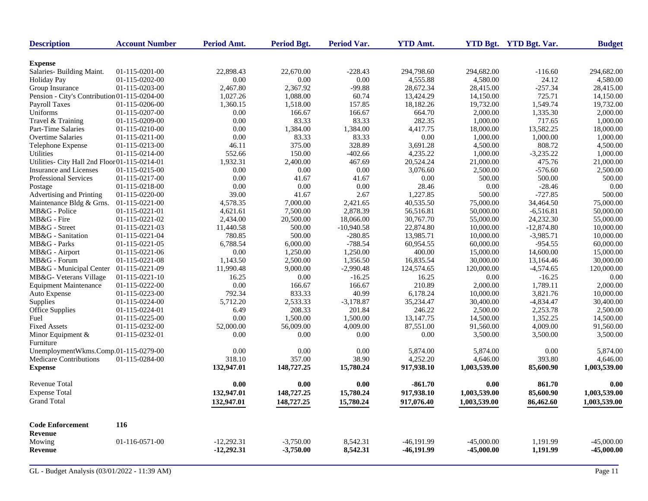| <b>Description</b>                            | <b>Account Number</b>            | Period Amt.  | Period Bgt. | Period Var.  | <b>YTD Amt.</b> |              | <b>YTD Bgt.</b> YTD Bgt. Var. | <b>Budget</b> |
|-----------------------------------------------|----------------------------------|--------------|-------------|--------------|-----------------|--------------|-------------------------------|---------------|
| <b>Expense</b>                                |                                  |              |             |              |                 |              |                               |               |
| Salaries- Building Maint.                     | 01-115-0201-00                   | 22,898.43    | 22,670.00   | $-228.43$    | 294,798.60      | 294,682.00   | $-116.60$                     | 294,682.00    |
| <b>Holiday Pay</b>                            | 01-115-0202-00                   | 0.00         | 0.00        | 0.00         | 4,555.88        | 4,580.00     | 24.12                         | 4,580.00      |
| Group Insurance                               | 01-115-0203-00                   | 2,467.80     | 2,367.92    | $-99.88$     | 28,672.34       | 28,415.00    | $-257.34$                     | 28,415.00     |
| Pension - City's Contribution 01-115-0204-00  |                                  | 1,027.26     | 1,088.00    | 60.74        | 13,424.29       | 14,150.00    | 725.71                        | 14,150.00     |
| <b>Payroll Taxes</b>                          | 01-115-0206-00                   | 1,360.15     | 1,518.00    | 157.85       | 18,182.26       | 19,732.00    | 1,549.74                      | 19,732.00     |
| Uniforms                                      | 01-115-0207-00                   | 0.00         | 166.67      | 166.67       | 664.70          | 2,000.00     | 1,335.30                      | 2,000.00      |
| Travel & Training                             | 01-115-0209-00                   | 0.00         | 83.33       | 83.33        | 282.35          | 1,000.00     | 717.65                        | 1,000.00      |
| <b>Part-Time Salaries</b>                     | 01-115-0210-00                   | 0.00         | 1,384.00    | 1,384.00     | 4,417.75        | 18,000.00    | 13,582.25                     | 18,000.00     |
| <b>Overtime Salaries</b>                      | 01-115-0211-00                   | 0.00         | 83.33       | 83.33        | 0.00            | 1,000.00     | 1,000.00                      | 1.000.00      |
| Telephone Expense                             | 01-115-0213-00                   | 46.11        | 375.00      | 328.89       | 3,691.28        | 4,500.00     | 808.72                        | 4,500.00      |
| Utilities                                     | 01-115-0214-00                   | 552.66       | 150.00      | $-402.66$    | 4,235.22        | 1,000.00     | $-3,235.22$                   | 1,000.00      |
| Utilities- City Hall 2nd Floor 01-115-0214-01 |                                  | 1,932.31     | 2,400.00    | 467.69       | 20,524.24       | 21,000.00    | 475.76                        | 21,000.00     |
| Insurance and Licenses                        | 01-115-0215-00                   | 0.00         | 0.00        | 0.00         | 3,076.60        | 2,500.00     | $-576.60$                     | 2,500.00      |
| <b>Professional Services</b>                  | 01-115-0217-00                   | 0.00         | 41.67       | 41.67        | 0.00            | 500.00       | 500.00                        | 500.00        |
|                                               | 01-115-0218-00                   | 0.00         | 0.00        | 0.00         | 28.46           | 0.00         | $-28.46$                      | 0.00          |
| Postage<br>Advertising and Printing           | 01-115-0220-00                   | 39.00        | 41.67       | 2.67         | 1.227.85        | 500.00       | $-727.85$                     | 500.00        |
| Maintenance Bldg & Grns.                      |                                  | 4,578.35     | 7,000.00    |              | 40,535.50       | 75,000.00    | 34,464.50                     | 75,000.00     |
| MB&G - Police                                 | 01-115-0221-00<br>01-115-0221-01 |              |             | 2,421.65     |                 |              |                               |               |
| MB&G - Fire                                   |                                  | 4,621.61     | 7,500.00    | 2,878.39     | 56,516.81       | 50,000.00    | $-6,516.81$                   | 50,000.00     |
| MB&G - Street                                 | 01-115-0221-02                   | 2,434.00     | 20,500.00   | 18,066.00    | 30,767.70       | 55,000.00    | 24,232.30                     | 55,000.00     |
|                                               | 01-115-0221-03                   | 11,440.58    | 500.00      | $-10,940.58$ | 22,874.80       | 10,000.00    | $-12,874.80$                  | 10,000.00     |
| MB&G - Sanitation                             | 01-115-0221-04                   | 780.85       | 500.00      | $-280.85$    | 13,985.71       | 10,000.00    | $-3,985.71$                   | 10,000.00     |
| MB&G - Parks                                  | 01-115-0221-05                   | 6,788.54     | 6,000.00    | $-788.54$    | 60,954.55       | 60,000.00    | $-954.55$                     | 60,000.00     |
| MB&G - Airport                                | 01-115-0221-06                   | 0.00         | 1,250.00    | 1,250.00     | 400.00          | 15,000.00    | 14,600.00                     | 15,000.00     |
| MB&G - Forum                                  | 01-115-0221-08                   | 1,143.50     | 2,500.00    | 1,356.50     | 16,835.54       | 30,000.00    | 13,164.46                     | 30,000.00     |
| MB&G - Municipal Center                       | 01-115-0221-09                   | 11,990.48    | 9,000.00    | $-2,990.48$  | 124,574.65      | 120,000.00   | $-4,574.65$                   | 120,000.00    |
| MB&G- Veterans Village                        | 01-115-0221-10                   | 16.25        | 0.00        | $-16.25$     | 16.25           | 0.00         | $-16.25$                      | 0.00          |
| <b>Equipment Maintenance</b>                  | 01-115-0222-00                   | 0.00         | 166.67      | 166.67       | 210.89          | 2,000.00     | 1,789.11                      | 2,000.00      |
| Auto Expense                                  | 01-115-0223-00                   | 792.34       | 833.33      | 40.99        | 6,178.24        | 10,000.00    | 3,821.76                      | 10,000.00     |
| Supplies                                      | 01-115-0224-00                   | 5,712.20     | 2,533.33    | $-3,178.87$  | 35,234.47       | 30,400.00    | $-4,834.47$                   | 30,400.00     |
| <b>Office Supplies</b>                        | 01-115-0224-01                   | 6.49         | 208.33      | 201.84       | 246.22          | 2,500.00     | 2,253.78                      | 2,500.00      |
| Fuel                                          | 01-115-0225-00                   | 0.00         | 1,500.00    | 1,500.00     | 13, 147. 75     | 14,500.00    | 1,352.25                      | 14,500.00     |
| <b>Fixed Assets</b>                           | 01-115-0232-00                   | 52,000.00    | 56,009.00   | 4,009.00     | 87,551.00       | 91,560.00    | 4,009.00                      | 91,560.00     |
| Minor Equipment &<br>Furniture                | 01-115-0232-01                   | 0.00         | 0.00        | 0.00         | 0.00            | 3,500.00     | 3,500.00                      | 3,500.00      |
| UnemploymentWkms.Comp.01-115-0279-00          |                                  | 0.00         | 0.00        | 0.00         | 5,874.00        | 5,874.00     | 0.00                          | 5,874.00      |
| Medicare Contributions                        | 01-115-0284-00                   | 318.10       | 357.00      | 38.90        | 4,252.20        | 4,646.00     | 393.80                        | 4,646.00      |
| <b>Expense</b>                                |                                  | 132,947.01   | 148,727.25  | 15,780.24    | 917,938.10      | 1,003,539.00 | 85,600.90                     | 1,003,539.00  |
| <b>Revenue Total</b>                          |                                  | 0.00         | 0.00        | 0.00         | $-861.70$       | 0.00         | 861.70                        | 0.00          |
| <b>Expense Total</b>                          |                                  | 132,947.01   | 148,727.25  | 15,780.24    | 917,938.10      | 1,003,539.00 | 85,600.90                     | 1,003,539.00  |
| <b>Grand Total</b>                            |                                  | 132,947.01   | 148,727.25  | 15,780.24    | 917,076.40      | 1,003,539.00 | 86,462.60                     | 1,003,539.00  |
| <b>Code Enforcement</b>                       | 116                              |              |             |              |                 |              |                               |               |
| <b>Revenue</b>                                |                                  |              |             |              |                 |              |                               |               |
| Mowing                                        | 01-116-0571-00                   | $-12,292.31$ | $-3,750.00$ | 8,542.31     | $-46,191.99$    | $-45,000,00$ | 1.191.99                      | $-45,000,00$  |
| <b>Revenue</b>                                |                                  | $-12,292.31$ | $-3,750.00$ | 8,542.31     | -46,191.99      | $-45,000.00$ | 1,191.99                      | $-45,000.00$  |
|                                               |                                  |              |             |              |                 |              |                               |               |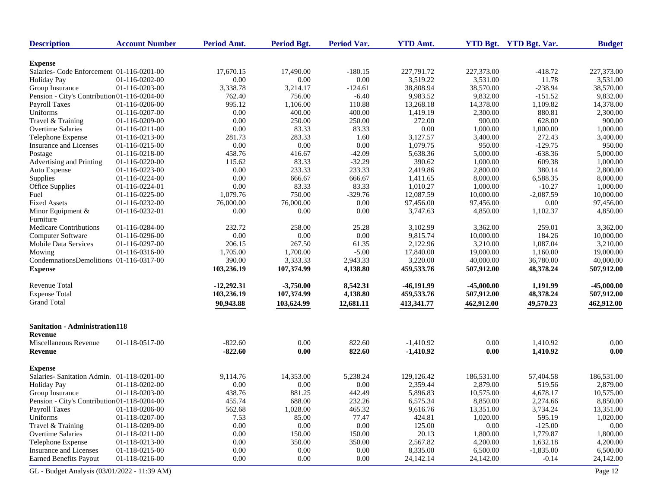| <b>Description</b>                           | <b>Account Number</b> | Period Amt.  | <b>Period Bgt.</b> | <b>Period Var.</b> | <b>YTD Amt.</b> |              | YTD Bgt. YTD Bgt. Var. | <b>Budget</b> |
|----------------------------------------------|-----------------------|--------------|--------------------|--------------------|-----------------|--------------|------------------------|---------------|
| <b>Expense</b>                               |                       |              |                    |                    |                 |              |                        |               |
| Salaries- Code Enforcement 01-116-0201-00    |                       | 17,670.15    | 17,490.00          | $-180.15$          | 227,791.72      | 227,373.00   | $-418.72$              | 227,373.00    |
| <b>Holiday Pay</b>                           | 01-116-0202-00        | 0.00         | 0.00               | 0.00               | 3,519.22        | 3,531.00     | 11.78                  | 3,531.00      |
| Group Insurance                              | 01-116-0203-00        | 3,338.78     | 3,214.17           | $-124.61$          | 38,808.94       | 38,570.00    | $-238.94$              | 38,570.00     |
| Pension - City's Contribution 01-116-0204-00 |                       | 762.40       | 756.00             | $-6.40$            | 9,983.52        | 9,832.00     | $-151.52$              | 9,832.00      |
| Payroll Taxes                                | 01-116-0206-00        | 995.12       | 1,106.00           | 110.88             | 13,268.18       | 14,378.00    | 1,109.82               | 14,378.00     |
| Uniforms                                     | 01-116-0207-00        | 0.00         | 400.00             | 400.00             | 1,419.19        | 2,300.00     | 880.81                 | 2,300.00      |
| Travel & Training                            | 01-116-0209-00        | 0.00         | 250.00             | 250.00             | 272.00          | 900.00       | 628.00                 | 900.00        |
| Overtime Salaries                            | 01-116-0211-00        | 0.00         | 83.33              | 83.33              | 0.00            | 1,000.00     | 1,000.00               | 1,000.00      |
| Telephone Expense                            | 01-116-0213-00        | 281.73       | 283.33             | 1.60               | 3,127.57        | 3,400.00     | 272.43                 | 3,400.00      |
| Insurance and Licenses                       | 01-116-0215-00        | 0.00         | 0.00               | 0.00               | 1,079.75        | 950.00       | $-129.75$              | 950.00        |
| Postage                                      | 01-116-0218-00        | 458.76       | 416.67             | $-42.09$           | 5,638.36        | 5,000.00     | $-638.36$              | 5,000.00      |
| Advertising and Printing                     | 01-116-0220-00        | 115.62       | 83.33              | $-32.29$           | 390.62          | 1,000.00     | 609.38                 | 1,000.00      |
| Auto Expense                                 | 01-116-0223-00        | 0.00         | 233.33             | 233.33             | 2,419.86        | 2,800.00     | 380.14                 | 2,800.00      |
| Supplies                                     | 01-116-0224-00        | 0.00         | 666.67             | 666.67             | 1,411.65        | 8,000.00     | 6,588.35               | 8,000.00      |
| Office Supplies                              | 01-116-0224-01        | 0.00         | 83.33              | 83.33              | 1,010.27        | 1,000.00     | $-10.27$               | 1,000.00      |
| Fuel                                         | 01-116-0225-00        | 1,079.76     | 750.00             | $-329.76$          | 12,087.59       | 10,000.00    | $-2,087.59$            | 10,000.00     |
| <b>Fixed Assets</b>                          | 01-116-0232-00        | 76,000.00    | 76,000.00          | 0.00               | 97,456.00       | 97,456.00    | 0.00                   | 97,456.00     |
| Minor Equipment &<br>Furniture               | 01-116-0232-01        | 0.00         | 0.00               | 0.00               | 3,747.63        | 4,850.00     | 1,102.37               | 4,850.00      |
| Medicare Contributions                       | 01-116-0284-00        | 232.72       | 258.00             | 25.28              | 3,102.99        | 3,362.00     | 259.01                 | 3,362.00      |
| Computer Software                            | 01-116-0296-00        | 0.00         | 0.00               | 0.00               | 9,815.74        | 10,000.00    | 184.26                 | 10,000.00     |
| Mobile Data Services                         | 01-116-0297-00        | 206.15       | 267.50             | 61.35              | 2,122.96        | 3,210.00     | 1,087.04               | 3.210.00      |
| Mowing                                       | 01-116-0316-00        | 1,705.00     | 1,700.00           | $-5.00$            | 17,840.00       | 19,000.00    | 1,160.00               | 19,000.00     |
| CondemnationsDemolitions 01-116-0317-00      |                       | 390.00       | 3,333.33           | 2,943.33           | 3,220.00        | 40,000.00    | 36,780.00              | 40,000.00     |
| <b>Expense</b>                               |                       | 103,236.19   | 107,374.99         | 4,138.80           | 459,533.76      | 507,912.00   | 48,378.24              | 507,912.00    |
| <b>Revenue Total</b>                         |                       | $-12,292.31$ | $-3,750.00$        | 8,542.31           | $-46,191.99$    | $-45,000.00$ | 1,191.99               | $-45,000.00$  |
| <b>Expense Total</b>                         |                       | 103,236.19   | 107,374.99         | 4,138.80           | 459,533.76      | 507,912.00   | 48,378.24              | 507,912.00    |
| <b>Grand Total</b>                           |                       | 90,943.88    | 103,624.99         | 12,681.11          | 413,341.77      | 462,912.00   | 49,570.23              | 462,912.00    |
| <b>Sanitation - Administration118</b>        |                       |              |                    |                    |                 |              |                        |               |
| Revenue                                      |                       |              |                    |                    |                 |              |                        |               |
| Miscellaneous Revenue                        | 01-118-0517-00        | $-822.60$    | 0.00               | 822.60             | $-1,410.92$     | 0.00         | 1,410.92               | 0.00          |
| Revenue                                      |                       | $-822.60$    | 0.00               | 822.60             | $-1,410.92$     | 0.00         | 1,410.92               | 0.00          |
| <b>Expense</b>                               |                       |              |                    |                    |                 |              |                        |               |
| Salaries-Sanitation Admin. 01-118-0201-00    |                       | 9,114.76     | 14,353.00          | 5,238.24           | 129,126.42      | 186,531.00   | 57,404.58              | 186,531.00    |
| <b>Holiday Pay</b>                           | 01-118-0202-00        | 0.00         | 0.00               | 0.00               | 2,359.44        | 2,879.00     | 519.56                 | 2,879.00      |
| Group Insurance                              | 01-118-0203-00        | 438.76       | 881.25             | 442.49             | 5,896.83        | 10,575.00    | 4,678.17               | 10,575.00     |
| Pension - City's Contribution 01-118-0204-00 |                       | 455.74       | 688.00             | 232.26             | 6,575.34        | 8,850.00     | 2,274.66               | 8,850.00      |
| Payroll Taxes                                | 01-118-0206-00        | 562.68       | 1,028.00           | 465.32             | 9,616.76        | 13,351.00    | 3,734.24               | 13,351.00     |
| Uniforms                                     | 01-118-0207-00        | 7.53         | 85.00              | 77.47              | 424.81          | 1,020.00     | 595.19                 | 1,020.00      |
| Travel & Training                            | 01-118-0209-00        | 0.00         | 0.00               | $0.00\,$           | 125.00          | 0.00         | $-125.00$              | 0.00          |
| Overtime Salaries                            | 01-118-0211-00        | 0.00         | 150.00             | 150.00             | 20.13           | 1,800.00     | 1,779.87               | 1,800.00      |
| Telephone Expense                            | 01-118-0213-00        | 0.00         | 350.00             | 350.00             | 2,567.82        | 4,200.00     | 1,632.18               | 4,200.00      |
| Insurance and Licenses                       | 01-118-0215-00        | 0.00         | 0.00               | 0.00               | 8,335.00        | 6,500.00     | $-1,835.00$            | 6,500.00      |
| <b>Earned Benefits Payout</b>                | 01-118-0216-00        | 0.00         | 0.00               | 0.00               | 24,142.14       | 24,142.00    | $-0.14$                | 24,142.00     |
| GL - Budget Analysis (03/01/2022 - 11:39 AM) |                       |              |                    |                    |                 |              |                        | Page 12       |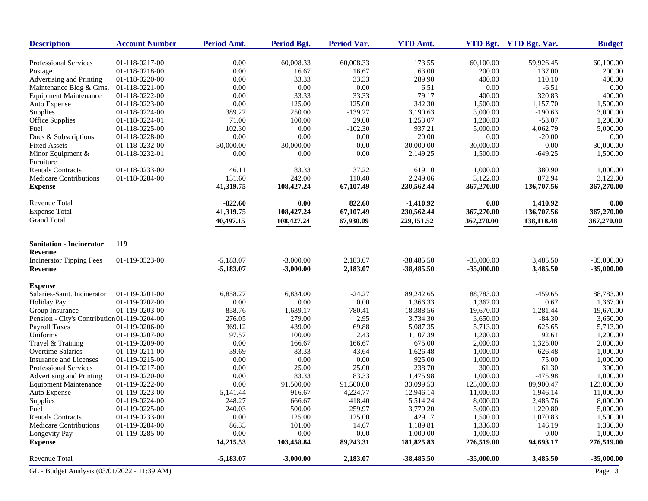| <b>Description</b>                           | <b>Account Number</b>            | Period Amt.        | <b>Period Bgt.</b> | Period Var.           | <b>YTD Amt.</b>       |                       | YTD Bgt. YTD Bgt. Var.  | <b>Budget</b>         |
|----------------------------------------------|----------------------------------|--------------------|--------------------|-----------------------|-----------------------|-----------------------|-------------------------|-----------------------|
| Professional Services                        | 01-118-0217-00                   | 0.00               | 60,008.33          | 60,008.33             | 173.55                | 60,100.00             | 59,926.45               | 60,100.00             |
| Postage                                      | 01-118-0218-00                   | 0.00               | 16.67              | 16.67                 | 63.00                 | 200.00                | 137.00                  | 200.00                |
| Advertising and Printing                     | 01-118-0220-00                   | 0.00               | 33.33              | 33.33                 | 289.90                | 400.00                | 110.10                  | 400.00                |
| Maintenance Bldg & Grns.                     | 01-118-0221-00                   | 0.00               | 0.00               | 0.00                  | 6.51                  | 0.00                  | $-6.51$                 | 0.00                  |
| <b>Equipment Maintenance</b>                 | 01-118-0222-00                   | 0.00               | 33.33              | 33.33                 | 79.17                 | 400.00                | 320.83                  | 400.00                |
| Auto Expense                                 | 01-118-0223-00                   | 0.00               | 125.00             | 125.00                | 342.30                | 1,500.00              | 1,157.70                | 1,500.00              |
| Supplies                                     | 01-118-0224-00                   | 389.27             | 250.00             | $-139.27$             | 3,190.63              | 3,000.00              | $-190.63$               | 3,000.00              |
| Office Supplies                              | 01-118-0224-01                   | 71.00              | 100.00             | 29.00                 | 1,253.07              | 1,200.00              | $-53.07$                | 1,200.00              |
| Fuel                                         | 01-118-0225-00                   | 102.30             | 0.00               | $-102.30$             | 937.21                | 5,000.00              | 4,062.79                | 5,000.00              |
| Dues & Subscriptions                         | 01-118-0228-00                   | 0.00               | 0.00               | 0.00                  | 20.00                 | 0.00                  | $-20.00$                | 0.00                  |
| <b>Fixed Assets</b>                          | 01-118-0232-00                   | 30,000.00          | 30,000.00          | 0.00                  | 30,000.00             | 30,000.00             | 0.00                    | 30,000.00             |
| Minor Equipment &<br>Furniture               | 01-118-0232-01                   | 0.00               | 0.00               | 0.00                  | 2,149.25              | 1,500.00              | $-649.25$               | 1,500.00              |
| <b>Rentals Contracts</b>                     | 01-118-0233-00                   | 46.11              | 83.33              | 37.22                 | 619.10                | 1,000.00              | 380.90                  | 1,000.00              |
| Medicare Contributions                       | 01-118-0284-00                   | 131.60             | 242.00             | 110.40                | 2,249.06              | 3,122.00              | 872.94                  | 3,122.00              |
| <b>Expense</b>                               |                                  | 41,319.75          | 108,427.24         | 67,107.49             | 230,562.44            | 367,270.00            | 136,707.56              | 367,270.00            |
| Revenue Total                                |                                  | $-822.60$          | 0.00               | 822.60                | $-1,410.92$           | 0.00                  | 1,410.92                | 0.00                  |
| <b>Expense Total</b>                         |                                  | 41,319.75          | 108,427.24         | 67,107.49             | 230,562.44            | 367,270.00            | 136,707.56              | 367,270.00            |
| <b>Grand Total</b>                           |                                  | 40,497.15          | 108,427.24         | 67,930.09             | 229,151.52            | 367,270.00            | 138,118.48              | 367,270.00            |
| <b>Sanitation - Incinerator</b><br>Revenue   | 119                              |                    |                    |                       |                       |                       |                         |                       |
| <b>Incinerator Tipping Fees</b>              | 01-119-0523-00                   | $-5,183.07$        | $-3,000.00$        | 2,183.07              | $-38,485.50$          | $-35,000.00$          | 3,485.50                | $-35,000,00$          |
| Revenue                                      |                                  | $-5,183.07$        | $-3,000.00$        | 2,183.07              | $-38,485.50$          | $-35,000.00$          | 3,485.50                | $-35,000.00$          |
| <b>Expense</b>                               |                                  |                    |                    |                       |                       |                       |                         |                       |
| Salaries-Sanit. Incinerator                  | 01-119-0201-00                   | 6,858.27           | 6,834.00           | $-24.27$              | 89,242.65             | 88,783.00             | $-459.65$               | 88,783.00             |
| <b>Holiday Pay</b>                           | 01-119-0202-00                   | 0.00               | $0.00\,$           | $0.00\,$              | 1,366.33              | 1,367.00              | 0.67                    | 1,367.00              |
| Group Insurance                              | 01-119-0203-00                   | 858.76             | 1,639.17           | 780.41                | 18,388.56             | 19,670.00             | 1,281.44                | 19,670.00             |
| Pension - City's Contribution 01-119-0204-00 |                                  | 276.05             | 279.00             | 2.95                  | 3,734.30              | 3,650.00              | $-84.30$                | 3,650.00              |
| Payroll Taxes                                | 01-119-0206-00                   | 369.12             | 439.00             | 69.88                 | 5,087.35              | 5,713.00              | 625.65                  | 5,713.00              |
| Uniforms                                     | 01-119-0207-00                   | 97.57              | 100.00             | 2.43                  | 1,107.39              | 1,200.00              | 92.61                   | 1,200.00              |
| Travel & Training                            | 01-119-0209-00                   | 0.00               | 166.67             | 166.67                | 675.00                | 2,000.00              | 1,325.00                | 2,000.00              |
| <b>Overtime Salaries</b>                     | 01-119-0211-00                   | 39.69              | 83.33              | 43.64                 | 1,626.48              | 1,000.00              | $-626.48$               | 1,000.00              |
| Insurance and Licenses                       | 01-119-0215-00                   | 0.00               | 0.00               | 0.00                  | 925.00                | 1,000.00              | 75.00                   | 1,000.00              |
| Professional Services                        | 01-119-0217-00                   | 0.00               | 25.00              | 25.00                 | 238.70                | 300.00                | 61.30                   | 300.00                |
| Advertising and Printing                     | 01-119-0220-00                   | 0.00               | 83.33              | 83.33                 | 1,475.98              | 1,000.00              | $-475.98$               | 1,000.00              |
| <b>Equipment Maintenance</b>                 | 01-119-0222-00                   | 0.00               | 91,500.00          | 91,500.00             | 33,099.53             | 123,000.00            | 89,900.47               | 123,000.00            |
| Auto Expense<br>Supplies                     | 01-119-0223-00<br>01-119-0224-00 | 5,141.44<br>248.27 | 916.67<br>666.67   | $-4,224.77$<br>418.40 | 12,946.14<br>5,514.24 | 11,000.00<br>8,000.00 | $-1,946.14$<br>2,485.76 | 11,000.00<br>8,000.00 |
| Fuel                                         | 01-119-0225-00                   | 240.03             | 500.00             | 259.97                | 3,779.20              | 5,000.00              | 1,220.80                | 5,000.00              |
| <b>Rentals Contracts</b>                     | 01-119-0233-00                   | 0.00               | 125.00             | 125.00                | 429.17                | 1,500.00              | 1,070.83                | 1,500.00              |
| Medicare Contributions                       | 01-119-0284-00                   | 86.33              | 101.00             | 14.67                 | 1,189.81              | 1,336.00              | 146.19                  | 1,336.00              |
| Longevity Pay                                | 01-119-0285-00                   | 0.00               | 0.00               | $0.00\,$              | 1,000.00              | 1,000.00              | 0.00                    | 1,000.00              |
| <b>Expense</b>                               |                                  | 14,215.53          | 103,458.84         | 89,243.31             | 181,825.83            | 276,519.00            | 94,693.17               | 276,519.00            |
| Revenue Total                                |                                  | $-5,183.07$        | $-3,000.00$        | 2,183.07              | $-38,485.50$          | $-35,000.00$          | 3,485.50                | $-35,000.00$          |
| GL - Budget Analysis (03/01/2022 - 11:39 AM) |                                  |                    |                    |                       |                       |                       |                         | Page 13               |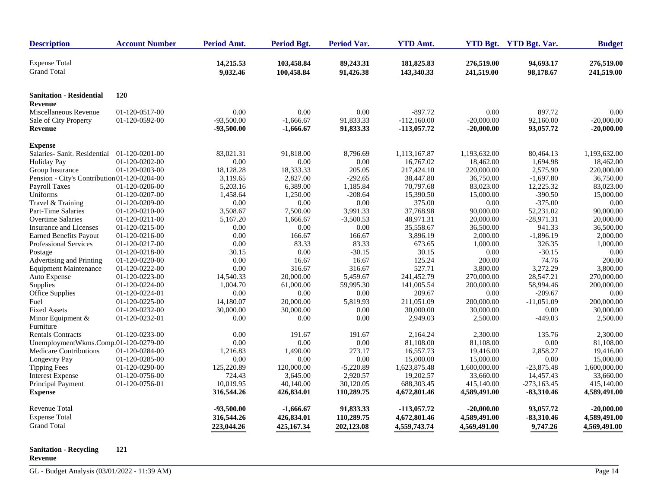| <b>Description</b>                           | <b>Account Number</b> | Period Amt.           | <b>Period Bgt.</b>       | <b>Period Var.</b>     | <b>YTD Amt.</b>          |                          | YTD Bgt. YTD Bgt. Var. | <b>Budget</b>            |
|----------------------------------------------|-----------------------|-----------------------|--------------------------|------------------------|--------------------------|--------------------------|------------------------|--------------------------|
| <b>Expense Total</b><br><b>Grand Total</b>   |                       | 14,215.53<br>9,032.46 | 103,458.84<br>100,458.84 | 89,243.31<br>91,426.38 | 181,825.83<br>143,340.33 | 276,519.00<br>241,519.00 | 94,693.17<br>98,178.67 | 276,519.00<br>241,519.00 |
| <b>Sanitation - Residential</b>              | <b>120</b>            |                       |                          |                        |                          |                          |                        |                          |
| Revenue                                      |                       |                       |                          |                        |                          |                          |                        |                          |
| Miscellaneous Revenue                        | 01-120-0517-00        | 0.00                  | 0.00                     | 0.00                   | $-897.72$                | 0.00                     | 897.72                 | 0.00                     |
| Sale of City Property                        | 01-120-0592-00        | $-93,500.00$          | $-1,666.67$              | 91,833.33              | $-112,160.00$            | $-20,000.00$             | 92,160.00              | $-20,000.00$             |
| <b>Revenue</b>                               |                       | $-93,500.00$          | $-1,666.67$              | 91,833.33              | $-113,057.72$            | $-20,000.00$             | 93,057.72              | $-20,000.00$             |
| <b>Expense</b>                               |                       |                       |                          |                        |                          |                          |                        |                          |
| Salaries- Sanit. Residential                 | 01-120-0201-00        | 83,021.31             | 91,818.00                | 8,796.69               | 1,113,167.87             | 1,193,632.00             | 80,464.13              | 1,193,632.00             |
| <b>Holiday Pay</b>                           | 01-120-0202-00        | 0.00                  | 0.00                     | 0.00                   | 16,767.02                | 18,462.00                | 1,694.98               | 18,462.00                |
| Group Insurance                              | 01-120-0203-00        | 18,128.28             | 18,333.33                | 205.05                 | 217,424.10               | 220,000.00               | 2,575.90               | 220,000.00               |
| Pension - City's Contribution 01-120-0204-00 |                       | 3,119.65              | 2,827.00                 | $-292.65$              | 38,447.80                | 36,750.00                | $-1,697.80$            | 36,750.00                |
| Payroll Taxes                                | 01-120-0206-00        | 5,203.16              | 6,389.00                 | 1,185.84               | 70,797.68                | 83,023.00                | 12,225.32              | 83,023.00                |
| Uniforms                                     | 01-120-0207-00        | 1,458.64              | 1,250.00                 | $-208.64$              | 15,390.50                | 15,000.00                | $-390.50$              | 15,000.00                |
| Travel & Training                            | 01-120-0209-00        | 0.00                  | 0.00                     | 0.00                   | 375.00                   | 0.00                     | $-375.00$              | 0.00                     |
| Part-Time Salaries                           | 01-120-0210-00        | 3,508.67              | 7,500.00                 | 3,991.33               | 37.768.98                | 90,000.00                | 52,231.02              | 90,000.00                |
| <b>Overtime Salaries</b>                     | 01-120-0211-00        | 5,167.20              | 1,666.67                 | $-3,500.53$            | 48,971.31                | 20,000.00                | $-28,971.31$           | 20,000.00                |
| Insurance and Licenses                       | 01-120-0215-00        | 0.00                  | 0.00                     | 0.00                   | 35,558.67                | 36,500.00                | 941.33                 | 36,500.00                |
| <b>Earned Benefits Payout</b>                | 01-120-0216-00        | 0.00                  | 166.67                   | 166.67                 | 3,896.19                 | 2,000.00                 | $-1,896.19$            | 2,000.00                 |
| Professional Services                        | 01-120-0217-00        | 0.00                  | 83.33                    | 83.33                  | 673.65                   | 1,000.00                 | 326.35                 | 1,000.00                 |
| Postage                                      | 01-120-0218-00        | 30.15                 | 0.00                     | $-30.15$               | 30.15                    | 0.00                     | $-30.15$               | 0.00                     |
| Advertising and Printing                     | 01-120-0220-00        | 0.00                  | 16.67                    | 16.67                  | 125.24                   | 200.00                   | 74.76                  | 200.00                   |
| <b>Equipment Maintenance</b>                 | 01-120-0222-00        | 0.00                  | 316.67                   | 316.67                 | 527.71                   | 3,800.00                 | 3,272.29               | 3,800.00                 |
| Auto Expense                                 | 01-120-0223-00        | 14,540.33             | 20,000.00                | 5,459.67               | 241,452.79               | 270,000.00               | 28,547.21              | 270,000.00               |
| Supplies                                     | 01-120-0224-00        | 1,004.70              | 61,000.00                | 59,995.30              | 141,005.54               | 200,000.00               | 58,994.46              | 200,000.00               |
| Office Supplies                              | 01-120-0224-01        | 0.00                  | 0.00                     | 0.00                   | 209.67                   | 0.00                     | $-209.67$              | 0.00                     |
| Fuel                                         | 01-120-0225-00        | 14,180.07             | 20,000.00                | 5,819.93               | 211,051.09               | 200,000.00               | $-11,051.09$           | 200,000.00               |
| <b>Fixed Assets</b>                          | 01-120-0232-00        | 30,000.00             | 30,000.00                | 0.00                   | 30,000.00                | 30,000.00                | 0.00                   | 30,000.00                |
| Minor Equipment &                            | 01-120-0232-01        | 0.00                  | 0.00                     | 0.00                   | 2,949.03                 | 2,500.00                 | $-449.03$              | 2,500.00                 |
| Furniture                                    |                       |                       |                          |                        |                          |                          |                        |                          |
| <b>Rentals Contracts</b>                     | 01-120-0233-00        | 0.00                  | 191.67                   | 191.67                 | 2,164.24                 | 2,300.00                 | 135.76                 | 2,300.00                 |
| UnemploymentWkms.Comp.01-120-0279-00         |                       | 0.00                  | 0.00                     | 0.00                   | 81,108.00                | 81,108.00                | 0.00                   | 81,108.00                |
| Medicare Contributions                       | 01-120-0284-00        | 1,216.83              | 1,490.00                 | 273.17                 | 16,557.73                | 19,416.00                | 2,858.27               | 19,416.00                |
| Longevity Pay                                | 01-120-0285-00        | 0.00                  | 0.00                     | 0.00                   | 15,000.00                | 15,000.00                | 0.00                   | 15,000.00                |
| <b>Tipping Fees</b>                          | 01-120-0290-00        | 125,220.89            | 120,000.00               | $-5,220.89$            | 1,623,875.48             | 1,600,000.00             | $-23,875.48$           | 1,600,000.00             |
| <b>Interest Expense</b>                      | 01-120-0756-00        | 724.43                | 3,645.00                 | 2,920.57               | 19,202.57                | 33,660.00                | 14,457.43              | 33,660.00                |
| Principal Payment                            | 01-120-0756-01        | 10,019.95             | 40,140.00                | 30,120.05              | 688,303.45               | 415,140.00               | $-273,163.45$          | 415,140.00               |
| <b>Expense</b>                               |                       | 316,544.26            | 426,834.01               | 110,289.75             | 4,672,801.46             | 4,589,491.00             | $-83,310.46$           | 4,589,491.00             |
| <b>Revenue Total</b>                         |                       | $-93,500.00$          | $-1,666.67$              | 91,833.33              | -113,057.72              | $-20,000.00$             | 93,057.72              | $-20,000.00$             |
| <b>Expense Total</b>                         |                       | 316,544.26            | 426,834.01               | 110,289.75             | 4,672,801.46             | 4,589,491.00             | $-83,310.46$           | 4,589,491.00             |
| <b>Grand Total</b>                           |                       |                       |                          |                        |                          |                          |                        |                          |
|                                              |                       | 223,044.26            | 425,167.34               | 202,123.08             | 4,559,743.74             | 4,569,491.00             | 9,747.26               | 4,569,491.00             |

#### **Sanitation - Recycling 121 Revenue**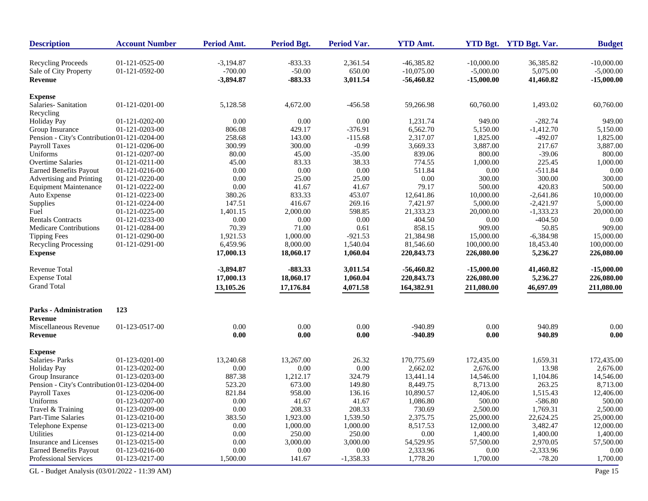| <b>Description</b>                           | <b>Account Number</b> | Period Amt. | <b>Period Bgt.</b> | Period Var. | <b>YTD Amt.</b> |              | YTD Bgt. YTD Bgt. Var. | <b>Budget</b> |
|----------------------------------------------|-----------------------|-------------|--------------------|-------------|-----------------|--------------|------------------------|---------------|
| <b>Recycling Proceeds</b>                    | 01-121-0525-00        | $-3,194.87$ | $-833.33$          | 2,361.54    | $-46,385.82$    | $-10,000.00$ | 36,385.82              | $-10,000.00$  |
| Sale of City Property                        | 01-121-0592-00        | $-700.00$   | $-50.00$           | 650.00      | $-10,075.00$    | $-5,000.00$  | 5,075.00               | $-5,000.00$   |
| Revenue                                      |                       | $-3,894.87$ | $-883.33$          | 3,011.54    | $-56,460.82$    | $-15,000.00$ | 41,460.82              | $-15,000.00$  |
| <b>Expense</b>                               |                       |             |                    |             |                 |              |                        |               |
| Salaries- Sanitation                         | 01-121-0201-00        | 5,128.58    | 4,672.00           | $-456.58$   | 59,266.98       | 60,760.00    | 1,493.02               | 60,760.00     |
| Recycling                                    |                       |             |                    |             |                 |              |                        |               |
| <b>Holiday Pay</b>                           | 01-121-0202-00        | 0.00        | 0.00               | $0.00\,$    | 1,231.74        | 949.00       | $-282.74$              | 949.00        |
| Group Insurance                              | 01-121-0203-00        | 806.08      | 429.17             | $-376.91$   | 6,562.70        | 5,150.00     | $-1,412.70$            | 5,150.00      |
| Pension - City's Contribution 01-121-0204-00 |                       | 258.68      | 143.00             | $-115.68$   | 2,317.07        | 1,825.00     | $-492.07$              | 1,825.00      |
| Payroll Taxes                                | 01-121-0206-00        | 300.99      | 300.00             | $-0.99$     | 3,669.33        | 3,887.00     | 217.67                 | 3,887.00      |
| Uniforms                                     | 01-121-0207-00        | 80.00       | 45.00              | $-35.00$    | 839.06          | 800.00       | $-39.06$               | 800.00        |
| <b>Overtime Salaries</b>                     | 01-121-0211-00        | 45.00       | 83.33              | 38.33       | 774.55          | 1,000.00     | 225.45                 | 1,000.00      |
| <b>Earned Benefits Payout</b>                | 01-121-0216-00        | 0.00        | 0.00               | $0.00\,$    | 511.84          | $0.00\,$     | $-511.84$              | 0.00          |
| Advertising and Printing                     | 01-121-0220-00        | 0.00        | 25.00              | 25.00       | 0.00            | 300.00       | 300.00                 | 300.00        |
| <b>Equipment Maintenance</b>                 | 01-121-0222-00        | 0.00        | 41.67              | 41.67       | 79.17           | 500.00       | 420.83                 | 500.00        |
| Auto Expense                                 | 01-121-0223-00        | 380.26      | 833.33             | 453.07      | 12,641.86       | 10,000.00    | $-2,641.86$            | 10,000.00     |
| Supplies                                     | 01-121-0224-00        | 147.51      | 416.67             | 269.16      | 7,421.97        | 5,000.00     | $-2,421.97$            | 5,000.00      |
| Fuel                                         | 01-121-0225-00        | 1,401.15    | 2,000.00           | 598.85      | 21,333.23       | 20,000.00    | $-1,333.23$            | 20,000.00     |
| <b>Rentals Contracts</b>                     | 01-121-0233-00        | 0.00        | 0.00               | 0.00        | 404.50          | 0.00         | $-404.50$              | 0.00          |
| <b>Medicare Contributions</b>                | 01-121-0284-00        | 70.39       | 71.00              | 0.61        | 858.15          | 909.00       | 50.85                  | 909.00        |
|                                              |                       |             |                    |             |                 | 15,000.00    |                        |               |
| <b>Tipping Fees</b>                          | 01-121-0290-00        | 1,921.53    | 1,000.00           | $-921.53$   | 21,384.98       |              | $-6,384.98$            | 15,000.00     |
| <b>Recycling Processing</b>                  | 01-121-0291-00        | 6,459.96    | 8,000.00           | 1,540.04    | 81,546.60       | 100,000.00   | 18,453.40              | 100,000.00    |
| <b>Expense</b>                               |                       | 17,000.13   | 18,060.17          | 1,060.04    | 220,843.73      | 226,080.00   | 5,236.27               | 226,080.00    |
| <b>Revenue Total</b>                         |                       | $-3,894.87$ | $-883.33$          | 3,011.54    | $-56,460.82$    | $-15,000.00$ | 41,460.82              | $-15,000.00$  |
| <b>Expense Total</b>                         |                       | 17,000.13   | 18,060.17          | 1,060.04    | 220,843.73      | 226,080.00   | 5,236.27               | 226,080.00    |
| <b>Grand Total</b>                           |                       | 13,105.26   | 17,176.84          | 4,071.58    | 164,382.91      | 211,080.00   | 46,697.09              | 211,080.00    |
| <b>Parks - Administration</b>                | 123                   |             |                    |             |                 |              |                        |               |
| Revenue                                      |                       |             |                    |             |                 |              |                        |               |
| Miscellaneous Revenue                        | 01-123-0517-00        | 0.00        | 0.00               | 0.00        | $-940.89$       | 0.00         | 940.89                 | 0.00          |
| <b>Revenue</b>                               |                       | 0.00        | 0.00               | 0.00        | $-940.89$       | 0.00         | 940.89                 | 0.00          |
|                                              |                       |             |                    |             |                 |              |                        |               |
| <b>Expense</b>                               |                       |             |                    |             |                 |              |                        |               |
| Salaries-Parks                               | 01-123-0201-00        | 13,240.68   | 13,267.00          | 26.32       | 170,775.69      | 172,435.00   | 1,659.31               | 172,435.00    |
| <b>Holiday Pay</b>                           | 01-123-0202-00        | 0.00        | 0.00               | 0.00        | 2,662.02        | 2,676.00     | 13.98                  | 2,676.00      |
| Group Insurance                              | 01-123-0203-00        | 887.38      | 1,212.17           | 324.79      | 13,441.14       | 14,546.00    | 1,104.86               | 14,546.00     |
| Pension - City's Contribution 01-123-0204-00 |                       | 523.20      | 673.00             | 149.80      | 8,449.75        | 8,713.00     | 263.25                 | 8,713.00      |
| <b>Payroll Taxes</b>                         | 01-123-0206-00        | 821.84      | 958.00             | 136.16      | 10,890.57       | 12,406.00    | 1,515.43               | 12,406.00     |
| Uniforms                                     | 01-123-0207-00        | 0.00        | 41.67              | 41.67       | 1,086.80        | 500.00       | $-586.80$              | 500.00        |
| Travel & Training                            | 01-123-0209-00        | 0.00        | 208.33             | 208.33      | 730.69          | 2,500.00     | 1,769.31               | 2,500.00      |
| Part-Time Salaries                           | 01-123-0210-00        | 383.50      | 1,923.00           | 1,539.50    | 2,375.75        | 25,000.00    | 22,624.25              | 25,000.00     |
| Telephone Expense                            | 01-123-0213-00        | 0.00        | 1,000.00           | 1,000.00    | 8,517.53        | 12,000.00    | 3,482.47               | 12,000.00     |
| Utilities                                    | 01-123-0214-00        | 0.00        | 250.00             | 250.00      | 0.00            | 1,400.00     | 1,400.00               | 1,400.00      |
| Insurance and Licenses                       | 01-123-0215-00        | 0.00        | 3,000.00           | 3,000.00    | 54,529.95       | 57,500.00    | 2,970.05               | 57,500.00     |
|                                              |                       |             |                    |             |                 |              |                        |               |
| <b>Earned Benefits Payout</b>                | 01-123-0216-00        | 0.00        | 0.00               | $0.00\,$    | 2,333.96        | $0.00\,$     | $-2,333.96$            | 0.00          |
| Professional Services                        | 01-123-0217-00        | 1,500.00    | 141.67             | $-1,358.33$ | 1,778.20        | 1,700.00     | $-78.20$               | 1,700.00      |
| GL - Budget Analysis (03/01/2022 - 11:39 AM) |                       |             |                    |             |                 |              |                        | Page 15       |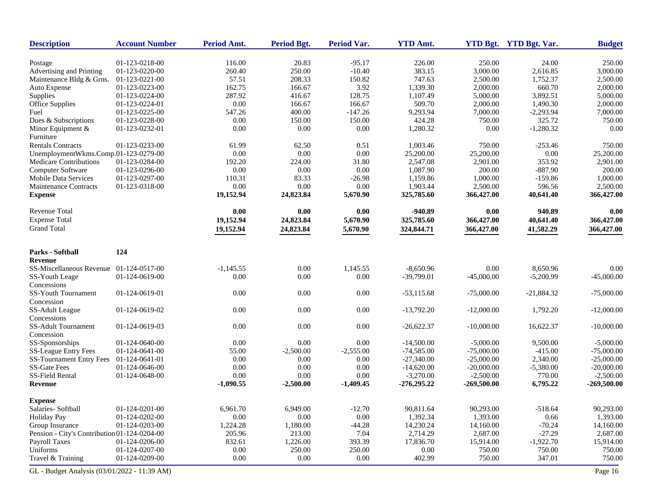| Period Amt.<br><b>Period Var.</b><br><b>YTD Amt.</b><br>YTD Bgt. YTD Bgt. Var.<br><b>Description</b><br><b>Account Number</b><br><b>Period Bgt.</b> | <b>Budget</b> |
|-----------------------------------------------------------------------------------------------------------------------------------------------------|---------------|
| 01-123-0218-00<br>116.00<br>20.83<br>$-95.17$<br>226.00<br>250.00<br>24.00<br>Postage                                                               | 250.00        |
| Advertising and Printing<br>01-123-0220-00<br>260.40<br>250.00<br>$-10.40$<br>383.15<br>3,000.00<br>2,616.85                                        | 3,000.00      |
| 57.51<br>208.33<br>150.82<br>747.63<br>2,500.00<br>1,752.37<br>Maintenance Bldg & Grns.<br>01-123-0221-00                                           | 2,500.00      |
| 3.92<br>1,339.30<br>Auto Expense<br>01-123-0223-00<br>162.75<br>166.67<br>2,000.00<br>660.70                                                        | 2,000.00      |
| 01-123-0224-00<br>287.92<br>416.67<br>128.75<br>1,107.49<br>5,000.00<br>3,892.51<br>Supplies                                                        | 5,000.00      |
| Office Supplies<br>01-123-0224-01<br>0.00<br>509.70<br>2,000.00<br>166.67<br>166.67<br>1,490.30                                                     | 2,000.00      |
| 9,293.94<br>Fuel<br>01-123-0225-00<br>547.26<br>400.00<br>$-147.26$<br>7,000.00<br>$-2,293.94$                                                      | 7,000.00      |
| 01-123-0228-00<br>0.00<br>150.00<br>150.00<br>424.28<br>750.00<br>325.72<br>Dues & Subscriptions                                                    | 750.00        |
| 01-123-0232-01<br>0.00<br>$0.00\,$<br>$0.00\,$<br>1,280.32<br>$-1,280.32$<br>Minor Equipment &<br>0.00                                              | 0.00          |
| Furniture                                                                                                                                           |               |
| <b>Rentals Contracts</b><br>0.51<br>1,003.46<br>01-123-0233-00<br>61.99<br>62.50<br>750.00<br>$-253.46$                                             | 750.00        |
| 0.00<br>$0.00\,$<br>$0.00\,$<br>$0.00\,$<br>UnemploymentWkms.Comp.01-123-0279-00<br>25,200.00<br>25,200.00                                          | 25,200.00     |
| Medicare Contributions<br>01-123-0284-00<br>192.20<br>224.00<br>31.80<br>2,547.08<br>2,901.00<br>353.92                                             | 2,901.00      |
| 0.00<br>Computer Software<br>0.00<br>0.00<br>1,087.90<br>200.00<br>$-887.90$<br>01-123-0296-00                                                      | 200.00        |
| Mobile Data Services<br>01-123-0297-00<br>110.31<br>83.33<br>1,159.86<br>1,000.00<br>$-159.86$<br>$-26.98$                                          | 1,000.00      |
| 0.00<br>$0.00\,$<br>2,500.00<br><b>Maintenance Contracts</b><br>01-123-0318-00<br>0.00<br>1,903.44<br>596.56                                        | 2,500.00      |
| <b>Expense</b><br>19,152.94<br>24,823.84<br>5,670.90<br>325,785.60<br>366,427.00<br>40,641.40                                                       | 366,427.00    |
|                                                                                                                                                     |               |
| <b>Revenue Total</b><br>0.00<br>0.00<br>$-940.89$<br>0.00<br>940.89<br>0.00                                                                         | 0.00          |
| <b>Expense Total</b><br>19,152.94<br>24,823.84<br>5,670.90<br>325,785.60<br>366,427.00<br>40,641.40                                                 | 366,427.00    |
| <b>Grand Total</b>                                                                                                                                  |               |
| 19,152.94<br>24,823.84<br>5,670.90<br>324,844.71<br>366,427.00<br>41,582.29                                                                         | 366,427.00    |
| 124<br>Parks - Softball                                                                                                                             |               |
| Revenue                                                                                                                                             |               |
| 0.00<br>SS-Miscellaneous Revenue 01-124-0517-00<br>$-1.145.55$<br>1,145.55<br>$-8,650.96$<br>0.00<br>8,650.96                                       | 0.00          |
| 0.00<br>$0.00\,$<br>SS-Youth Leage<br>01-124-0619-00<br>0.00<br>$-39,799.01$<br>$-45,000.00$<br>$-5,200.99$                                         | $-45,000.00$  |
| Concessions                                                                                                                                         |               |
| 0.00<br>$0.00\,$<br>$0.00\,$<br><b>SS-Youth Tournament</b><br>01-124-0619-01<br>$-53,115.68$<br>$-75,000.00$<br>$-21,884.32$                        | $-75,000.00$  |
| Concession                                                                                                                                          |               |
| 0.00<br>$0.00\,$<br>$0.00\,$<br>$-13,792.20$<br>1,792.20<br>SS-Adult League<br>01-124-0619-02<br>$-12,000.00$                                       | $-12,000.00$  |
| Concessions                                                                                                                                         |               |
| SS-Adult Tournament<br>0.00<br>0.00<br>$0.00\,$<br>01-124-0619-03<br>$-26,622.37$<br>$-10,000.00$<br>16,622.37                                      | $-10,000.00$  |
| Concession                                                                                                                                          |               |
| SS-Sponsorships<br>0.00<br>01-124-0640-00<br>0.00<br>0.00<br>$-14,500.00$<br>$-5,000.00$<br>9,500.00                                                | $-5,000.00$   |
| <b>SS-League Entry Fees</b><br>$-74,585.00$<br>01-124-0641-00<br>55.00<br>$-2,500.00$<br>$-2,555.00$<br>$-75,000.00$<br>$-415.00$                   | $-75,000.00$  |
| <b>SS-Tournament Entry Fees</b><br>2,340.00<br>01-124-0641-01<br>0.00<br>0.00<br>0.00<br>$-27,340.00$<br>$-25,000.00$                               | $-25,000.00$  |
| <b>SS-Gate Fees</b><br>01-124-0646-00<br>0.00<br>0.00<br>0.00<br>$-14,620.00$<br>$-20,000.00$<br>$-5,380.00$                                        | $-20,000.00$  |
| 0.00<br>SS-Field Rental<br>01-124-0648-00<br>0.00<br>$0.00\,$<br>$-3,270.00$<br>$-2,500.00$<br>770.00                                               | $-2,500.00$   |
| 6,795.22<br>Revenue<br>$-1,090.55$<br>$-2,500.00$<br>$-1,409.45$<br>$-276,295.22$<br>$-269,500.00$                                                  | $-269,500.00$ |
|                                                                                                                                                     |               |
| <b>Expense</b>                                                                                                                                      |               |
| Salaries-Softball<br>01-124-0201-00<br>6,961.70<br>6,949.00<br>$-12.70$<br>90,811.64<br>90,293.00<br>$-518.64$                                      | 90,293.00     |
| 0.00<br>1,392.34<br>1,393.00<br><b>Holiday Pay</b><br>01-124-0202-00<br>0.00<br>0.00<br>0.66                                                        | 1,393.00      |
| Group Insurance<br>01-124-0203-00<br>1,224.28<br>1,180.00<br>$-44.28$<br>14,230.24<br>14,160.00<br>$-70.24$                                         | 14,160.00     |
| Pension - City's Contribution 01-124-0204-00<br>205.96<br>213.00<br>7.04<br>2,714.29<br>2,687.00<br>$-27.29$                                        | 2,687.00      |
| Payroll Taxes<br>01-124-0206-00<br>832.61<br>1,226.00<br>393.39<br>17,836.70<br>15,914.00<br>$-1,922.70$                                            | 15,914.00     |
| Uniforms<br>250.00<br>$0.00\,$<br>01-124-0207-00<br>0.00<br>250.00<br>750.00<br>750.00                                                              | 750.00        |
| 0.00<br>Travel & Training<br>01-124-0209-00<br>0.00<br>0.00<br>402.99<br>750.00<br>347.01                                                           | 750.00        |
| GL - Budget Analysis (03/01/2022 - 11:39 AM)                                                                                                        | Page 16       |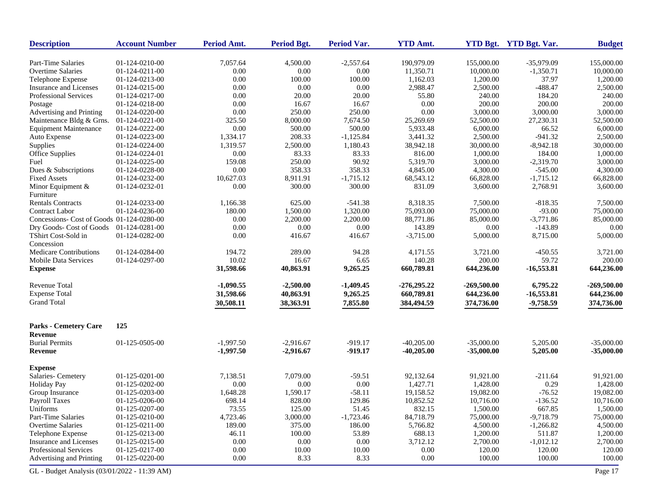| <b>Description</b>                           | <b>Account Number</b> | Period Amt. | <b>Period Bgt.</b> | Period Var. | <b>YTD Amt.</b> |               | YTD Bgt. YTD Bgt. Var. | <b>Budget</b> |
|----------------------------------------------|-----------------------|-------------|--------------------|-------------|-----------------|---------------|------------------------|---------------|
| Part-Time Salaries                           | 01-124-0210-00        | 7,057.64    | 4,500.00           | $-2,557.64$ | 190,979.09      | 155,000.00    | $-35,979.09$           | 155,000.00    |
| Overtime Salaries                            | 01-124-0211-00        | 0.00        | 0.00               | $0.00\,$    | 11,350.71       | 10,000.00     | $-1,350.71$            | 10,000.00     |
| Telephone Expense                            | 01-124-0213-00        | 0.00        | 100.00             | 100.00      | 1,162.03        | 1,200.00      | 37.97                  | 1,200.00      |
| Insurance and Licenses                       | 01-124-0215-00        | 0.00        | 0.00               | 0.00        | 2,988.47        | 2,500.00      | $-488.47$              | 2,500.00      |
| Professional Services                        | 01-124-0217-00        | 0.00        | 20.00              | 20.00       | 55.80           | 240.00        | 184.20                 | 240.00        |
| Postage                                      | 01-124-0218-00        | 0.00        | 16.67              | 16.67       | 0.00            | 200.00        | 200.00                 | 200.00        |
| Advertising and Printing                     | 01-124-0220-00        | 0.00        | 250.00             | 250.00      | 0.00            | 3,000.00      | 3,000.00               | 3,000.00      |
| Maintenance Bldg & Grns.                     | 01-124-0221-00        | 325.50      | 8,000.00           | 7,674.50    | 25,269.69       | 52,500.00     | 27,230.31              | 52,500.00     |
| <b>Equipment Maintenance</b>                 | 01-124-0222-00        | 0.00        | 500.00             | 500.00      | 5,933.48        | 6,000.00      | 66.52                  | 6,000.00      |
| Auto Expense                                 | 01-124-0223-00        | 1,334.17    | 208.33             | $-1,125.84$ | 3.441.32        | 2,500.00      | $-941.32$              | 2,500.00      |
| Supplies                                     | 01-124-0224-00        | 1,319.57    | 2,500.00           | 1,180.43    | 38,942.18       | 30,000.00     | $-8,942.18$            | 30,000.00     |
| Office Supplies                              | 01-124-0224-01        | 0.00        | 83.33              | 83.33       | 816.00          | 1,000.00      | 184.00                 | 1,000.00      |
| Fuel                                         | 01-124-0225-00        | 159.08      | 250.00             | 90.92       | 5,319.70        | 3,000.00      | $-2,319.70$            | 3,000.00      |
| Dues & Subscriptions                         | 01-124-0228-00        | 0.00        | 358.33             | 358.33      | 4,845.00        | 4,300.00      | $-545.00$              | 4,300.00      |
| <b>Fixed Assets</b>                          | 01-124-0232-00        | 10,627.03   | 8,911.91           | $-1,715.12$ | 68,543.12       | 66,828.00     | $-1,715.12$            | 66,828.00     |
| Minor Equipment &<br>Furniture               | 01-124-0232-01        | 0.00        | 300.00             | 300.00      | 831.09          | 3,600.00      | 2,768.91               | 3,600.00      |
| <b>Rentals Contracts</b>                     | 01-124-0233-00        | 1,166.38    | 625.00             | $-541.38$   | 8,318.35        | 7.500.00      | $-818.35$              | 7,500.00      |
| <b>Contract Labor</b>                        | 01-124-0236-00        | 180.00      | 1,500.00           | 1,320.00    | 75,093.00       | 75,000.00     | $-93.00$               | 75,000.00     |
| Concessions- Cost of Goods 01-124-0280-00    |                       | 0.00        | 2,200.00           | 2,200.00    | 88,771.86       | 85,000.00     | $-3,771.86$            | 85,000.00     |
| Dry Goods- Cost of Goods                     | 01-124-0281-00        | 0.00        | 0.00               | 0.00        | 143.89          | 0.00          | $-143.89$              | 0.00          |
| TShirt Cost-Sold in<br>Concession            | 01-124-0282-00        | 0.00        | 416.67             | 416.67      | $-3,715.00$     | 5,000.00      | 8,715.00               | 5,000.00      |
| Medicare Contributions                       | 01-124-0284-00        | 194.72      | 289.00             | 94.28       | 4,171.55        | 3,721.00      | $-450.55$              | 3,721.00      |
| <b>Mobile Data Services</b>                  | 01-124-0297-00        | 10.02       | 16.67              | 6.65        | 140.28          | 200.00        | 59.72                  | 200.00        |
| <b>Expense</b>                               |                       | 31,598.66   | 40,863.91          | 9,265.25    | 660,789.81      | 644,236.00    | $-16,553.81$           | 644,236.00    |
| <b>Revenue Total</b>                         |                       | $-1,090.55$ | $-2,500.00$        | $-1,409.45$ | $-276,295.22$   | $-269,500.00$ | 6,795.22               | $-269,500.00$ |
| <b>Expense Total</b>                         |                       | 31,598.66   | 40,863.91          | 9,265.25    | 660,789.81      | 644,236.00    | $-16,553.81$           | 644,236.00    |
| <b>Grand Total</b>                           |                       | 30,508.11   | 38,363.91          | 7,855.80    | 384,494.59      | 374,736.00    | $-9,758.59$            | 374,736.00    |
| <b>Parks - Cemetery Care</b>                 | 125                   |             |                    |             |                 |               |                        |               |
| Revenue                                      |                       |             |                    |             |                 |               |                        |               |
| <b>Burial Permits</b>                        | 01-125-0505-00        | $-1,997.50$ | $-2,916.67$        | $-919.17$   | $-40,205.00$    | $-35,000.00$  | 5,205.00               | $-35,000.00$  |
| <b>Revenue</b>                               |                       | $-1,997.50$ | $-2,916.67$        | $-919.17$   | $-40,205.00$    | $-35,000.00$  | 5,205.00               | $-35,000.00$  |
| <b>Expense</b>                               |                       |             |                    |             |                 |               |                        |               |
| Salaries- Cemetery                           | 01-125-0201-00        | 7,138.51    | 7,079.00           | $-59.51$    | 92,132.64       | 91,921.00     | $-211.64$              | 91,921.00     |
| <b>Holiday Pay</b>                           | 01-125-0202-00        | 0.00        | 0.00               | 0.00        | 1,427.71        | 1,428.00      | 0.29                   | 1,428.00      |
| Group Insurance                              | 01-125-0203-00        | 1,648.28    | 1,590.17           | $-58.11$    | 19,158.52       | 19,082.00     | $-76.52$               | 19,082.00     |
| <b>Payroll Taxes</b>                         | 01-125-0206-00        | 698.14      | 828.00             | 129.86      | 10,852.52       | 10,716.00     | $-136.52$              | 10,716.00     |
| Uniforms                                     | 01-125-0207-00        | 73.55       | 125.00             | 51.45       | 832.15          | 1,500.00      | 667.85                 | 1,500.00      |
| Part-Time Salaries                           | 01-125-0210-00        | 4,723.46    | 3,000.00           | $-1,723.46$ | 84,718.79       | 75,000.00     | $-9,718.79$            | 75,000.00     |
| <b>Overtime Salaries</b>                     | 01-125-0211-00        | 189.00      | 375.00             | 186.00      | 5,766.82        | 4,500.00      | $-1,266.82$            | 4,500.00      |
| Telephone Expense                            | 01-125-0213-00        | 46.11       | 100.00             | 53.89       | 688.13          | 1,200.00      | 511.87                 | 1,200.00      |
| Insurance and Licenses                       | 01-125-0215-00        | 0.00        | 0.00               | 0.00        | 3,712.12        | 2,700.00      | $-1,012.12$            | 2,700.00      |
| <b>Professional Services</b>                 | 01-125-0217-00        | 0.00        | 10.00              | 10.00       | 0.00            | 120.00        | 120.00                 | 120.00        |
| Advertising and Printing                     | 01-125-0220-00        | 0.00        | 8.33               | 8.33        | 0.00            | 100.00        | 100.00                 | 100.00        |
| GL - Budget Analysis (03/01/2022 - 11:39 AM) |                       |             |                    |             |                 |               |                        | Page 17       |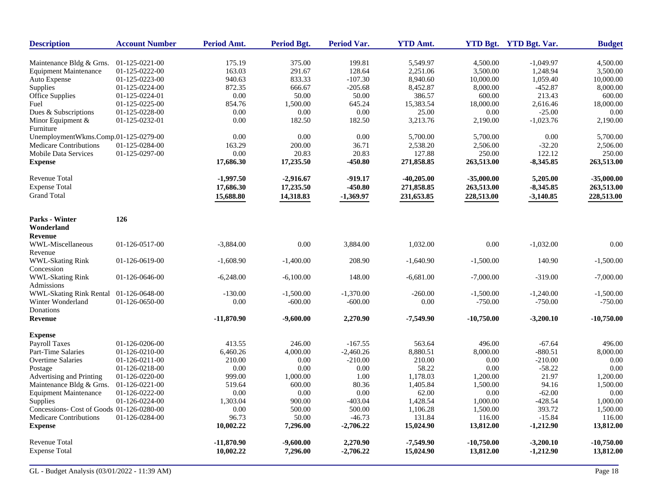| <b>Description</b>                        | <b>Account Number</b> | <b>Period Amt.</b> | Period Bgt. | <b>Period Var.</b> | <b>YTD Amt.</b> |              | YTD Bgt. YTD Bgt. Var. | <b>Budget</b> |
|-------------------------------------------|-----------------------|--------------------|-------------|--------------------|-----------------|--------------|------------------------|---------------|
| Maintenance Bldg & Grns.                  | 01-125-0221-00        | 175.19             | 375.00      | 199.81             | 5,549.97        | 4,500.00     | $-1,049.97$            | 4,500.00      |
| <b>Equipment Maintenance</b>              | 01-125-0222-00        | 163.03             | 291.67      | 128.64             | 2,251.06        | 3,500.00     | 1,248.94               | 3,500.00      |
| Auto Expense                              | 01-125-0223-00        | 940.63             | 833.33      | $-107.30$          | 8,940.60        | 10,000.00    | 1,059.40               | 10,000.00     |
| Supplies                                  | 01-125-0224-00        | 872.35             | 666.67      | $-205.68$          | 8,452.87        | 8,000.00     | $-452.87$              | 8,000.00      |
| Office Supplies                           | 01-125-0224-01        | 0.00               | 50.00       | 50.00              | 386.57          | 600.00       | 213.43                 | 600.00        |
| Fuel                                      | 01-125-0225-00        | 854.76             | 1,500.00    | 645.24             | 15,383.54       | 18,000.00    | 2,616.46               | 18,000.00     |
| Dues & Subscriptions                      | 01-125-0228-00        | 0.00               | 0.00        | $0.00\,$           | 25.00           | 0.00         | $-25.00$               | 0.00          |
| Minor Equipment $&$                       | 01-125-0232-01        | 0.00               | 182.50      | 182.50             | 3,213.76        | 2,190.00     | $-1,023.76$            | 2,190.00      |
| Furniture                                 |                       |                    |             |                    |                 |              |                        |               |
| UnemploymentWkms.Comp.01-125-0279-00      |                       | 0.00               | 0.00        | 0.00               | 5,700.00        | 5,700.00     | 0.00                   | 5,700.00      |
| <b>Medicare Contributions</b>             | 01-125-0284-00        | 163.29             | 200.00      | 36.71              | 2,538.20        | 2,506.00     | $-32.20$               | 2,506.00      |
| Mobile Data Services                      | 01-125-0297-00        | 0.00               | 20.83       | 20.83              | 127.88          | 250.00       | 122.12                 | 250.00        |
| <b>Expense</b>                            |                       | 17,686.30          | 17,235.50   | $-450.80$          | 271,858.85      | 263,513.00   | $-8,345.85$            | 263,513.00    |
| Revenue Total                             |                       | $-1,997.50$        | $-2,916.67$ | $-919.17$          | $-40,205.00$    | $-35,000.00$ | 5,205.00               | $-35,000.00$  |
| <b>Expense Total</b>                      |                       | 17,686.30          | 17,235.50   | $-450.80$          | 271,858.85      | 263,513.00   | $-8,345.85$            | 263,513.00    |
| <b>Grand Total</b>                        |                       | 15,688.80          | 14,318.83   | $-1,369.97$        | 231,653.85      | 228,513.00   | $-3,140.85$            | 228,513.00    |
|                                           |                       |                    |             |                    |                 |              |                        |               |
| Parks - Winter                            | 126                   |                    |             |                    |                 |              |                        |               |
| Wonderland                                |                       |                    |             |                    |                 |              |                        |               |
| <b>Revenue</b>                            |                       |                    |             |                    |                 |              |                        |               |
| WWL-Miscellaneous                         | 01-126-0517-00        | $-3,884.00$        | 0.00        | 3,884.00           | 1,032.00        | 0.00         | $-1,032.00$            | 0.00          |
| Revenue                                   |                       |                    |             |                    |                 |              |                        |               |
| WWL-Skating Rink                          | 01-126-0619-00        | $-1,608.90$        | $-1,400.00$ | 208.90             | $-1,640.90$     | $-1,500.00$  | 140.90                 | $-1,500.00$   |
| Concession                                |                       |                    |             |                    |                 |              |                        |               |
| <b>WWL-Skating Rink</b>                   | 01-126-0646-00        | $-6,248.00$        | $-6,100.00$ | 148.00             | $-6,681.00$     | $-7,000.00$  | $-319.00$              | $-7,000.00$   |
| Admissions                                |                       |                    |             |                    |                 |              |                        |               |
| WWL-Skating Rink Rental                   | 01-126-0648-00        | $-130.00$          | $-1,500.00$ | $-1,370.00$        | $-260.00$       | $-1,500.00$  | $-1,240.00$            | $-1,500.00$   |
| Winter Wonderland                         | 01-126-0650-00        | 0.00               | $-600.00$   | $-600.00$          | 0.00            | $-750.00$    | $-750.00$              | $-750.00$     |
| Donations                                 |                       |                    |             |                    |                 |              |                        |               |
| <b>Revenue</b>                            |                       | $-11,870.90$       | $-9,600.00$ | 2,270.90           | $-7,549.90$     | $-10,750.00$ | $-3,200.10$            | $-10,750.00$  |
| <b>Expense</b>                            |                       |                    |             |                    |                 |              |                        |               |
| Payroll Taxes                             | 01-126-0206-00        | 413.55             | 246.00      | $-167.55$          | 563.64          | 496.00       | $-67.64$               | 496.00        |
| Part-Time Salaries                        | 01-126-0210-00        | 6,460.26           | 4,000.00    | $-2,460.26$        | 8,880.51        | 8,000.00     | $-880.51$              | 8,000.00      |
| Overtime Salaries                         | 01-126-0211-00        | 210.00             | 0.00        | $-210.00$          | 210.00          | 0.00         | $-210.00$              | 0.00          |
| Postage                                   | 01-126-0218-00        | 0.00               | 0.00        | 0.00               | 58.22           | 0.00         | $-58.22$               | 0.00          |
| Advertising and Printing                  | 01-126-0220-00        | 999.00             | 1,000.00    | 1.00               | 1,178.03        | 1,200.00     | 21.97                  | 1,200.00      |
| Maintenance Bldg & Grns.                  | 01-126-0221-00        | 519.64             | 600.00      | 80.36              | 1,405.84        | 1,500.00     | 94.16                  | 1,500.00      |
| <b>Equipment Maintenance</b>              | 01-126-0222-00        | 0.00               | 0.00        | 0.00               | 62.00           | 0.00         | $-62.00$               | 0.00          |
| Supplies                                  | 01-126-0224-00        | 1,303.04           | 900.00      | $-403.04$          | 1,428.54        | 1,000.00     | $-428.54$              | 1,000.00      |
| Concessions- Cost of Goods 01-126-0280-00 |                       | 0.00               | 500.00      | 500.00             | 1,106.28        | 1,500.00     | 393.72                 | 1,500.00      |
| Medicare Contributions                    | 01-126-0284-00        | 96.73              | 50.00       | $-46.73$           | 131.84          | 116.00       | $-15.84$               | 116.00        |
| <b>Expense</b>                            |                       | 10,002.22          | 7,296.00    | $-2,706.22$        | 15,024.90       | 13,812.00    | $-1,212.90$            | 13,812.00     |
| <b>Revenue Total</b>                      |                       | $-11,870.90$       | $-9,600.00$ | 2,270.90           | $-7,549.90$     | $-10,750.00$ | $-3,200.10$            | $-10,750.00$  |
| <b>Expense Total</b>                      |                       | 10,002.22          | 7,296.00    | $-2,706.22$        | 15,024.90       | 13,812.00    | $-1,212.90$            | 13,812.00     |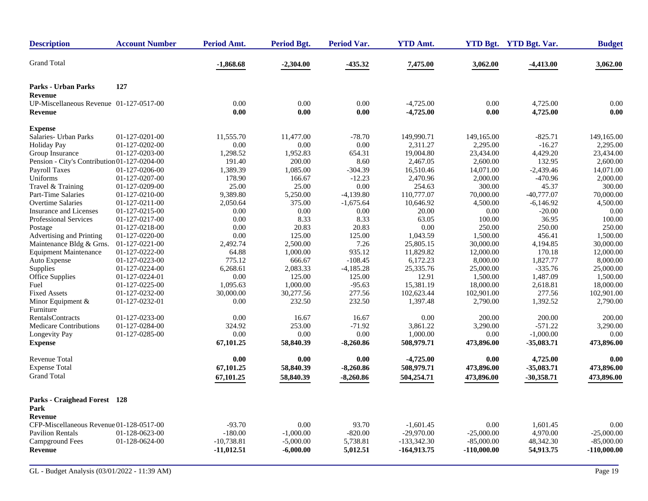| <b>Description</b>                              | <b>Account Number</b> | <b>Period Amt.</b>           | <b>Period Bgt.</b>         | <b>Period Var.</b> | <b>YTD Amt.</b> |                               | YTD Bgt. YTD Bgt. Var. | <b>Budget</b>               |
|-------------------------------------------------|-----------------------|------------------------------|----------------------------|--------------------|-----------------|-------------------------------|------------------------|-----------------------------|
| <b>Grand Total</b>                              |                       | $-1,868.68$                  | $-2,304.00$                | $-435.32$          | 7,475.00        | 3,062.00                      | $-4,413.00$            | 3,062.00                    |
| <b>Parks - Urban Parks</b>                      | 127                   |                              |                            |                    |                 |                               |                        |                             |
| <b>Revenue</b>                                  |                       |                              |                            |                    |                 |                               |                        |                             |
| UP-Miscellaneous Revenue 01-127-0517-00         |                       | 0.00                         | 0.00                       | 0.00               | $-4,725.00$     | 0.00                          | 4,725.00               | 0.00                        |
| <b>Revenue</b>                                  |                       | 0.00                         | 0.00                       | 0.00               | $-4,725.00$     | 0.00                          | 4,725.00               | 0.00                        |
| <b>Expense</b>                                  |                       |                              |                            |                    |                 |                               |                        |                             |
| Salaries- Urban Parks                           | 01-127-0201-00        | 11,555.70                    | 11,477.00                  | $-78.70$           | 149,990.71      | 149,165.00                    | $-825.71$              | 149,165.00                  |
| Holiday Pay                                     | 01-127-0202-00        | 0.00                         | 0.00                       | 0.00               | 2,311.27        | 2,295.00                      | $-16.27$               | 2,295.00                    |
| Group Insurance                                 | 01-127-0203-00        | 1,298.52                     | 1,952.83                   | 654.31             | 19,004.80       | 23,434.00                     | 4,429.20               | 23,434.00                   |
| Pension - City's Contribution 01-127-0204-00    |                       | 191.40                       | 200.00                     | 8.60               | 2,467.05        | 2,600.00                      | 132.95                 | 2,600.00                    |
| Payroll Taxes                                   | 01-127-0206-00        | 1,389.39                     | 1,085.00                   | $-304.39$          | 16,510.46       | 14,071.00                     | $-2,439.46$            | 14,071.00                   |
| Uniforms                                        | 01-127-0207-00        | 178.90                       | 166.67                     | $-12.23$           | 2,470.96        | 2,000.00                      | $-470.96$              | 2,000.00                    |
| Travel & Training                               | 01-127-0209-00        | 25.00                        | 25.00                      | 0.00               | 254.63          | 300.00                        | 45.37                  | 300.00                      |
| Part-Time Salaries                              | 01-127-0210-00        | 9,389.80                     | 5,250.00                   | $-4,139.80$        | 110,777.07      | 70,000.00                     | $-40,777.07$           | 70,000.00                   |
| <b>Overtime Salaries</b>                        | 01-127-0211-00        | 2,050.64                     | 375.00                     | $-1,675.64$        | 10,646.92       | 4,500.00                      | $-6,146.92$            | 4,500.00                    |
| Insurance and Licenses                          | 01-127-0215-00        | 0.00                         | 0.00                       | 0.00               | 20.00           | 0.00                          | $-20.00$               | 0.00                        |
| <b>Professional Services</b>                    | 01-127-0217-00        | 0.00                         | 8.33                       | 8.33               | 63.05           | 100.00                        | 36.95                  | 100.00                      |
| Postage                                         | 01-127-0218-00        | 0.00                         | 20.83                      | 20.83              | 0.00            | 250.00                        | 250.00                 | 250.00                      |
| Advertising and Printing                        | 01-127-0220-00        | 0.00                         | 125.00                     | 125.00             | 1,043.59        | 1,500.00                      | 456.41                 | 1,500.00                    |
| Maintenance Bldg & Grns.                        | 01-127-0221-00        | 2,492.74                     | 2,500.00                   | 7.26               | 25,805.15       | 30,000.00                     | 4,194.85               | 30,000.00                   |
| <b>Equipment Maintenance</b>                    | 01-127-0222-00        | 64.88                        | 1,000.00                   | 935.12             | 11,829.82       | 12,000.00                     | 170.18                 | 12,000.00                   |
| Auto Expense                                    | 01-127-0223-00        | 775.12                       | 666.67                     | $-108.45$          | 6,172.23        | 8,000.00                      | 1,827.77               | 8,000.00                    |
| Supplies                                        | 01-127-0224-00        | 6,268.61                     | 2,083.33                   | $-4,185.28$        | 25,335.76       | 25,000.00                     | $-335.76$              | 25,000.00                   |
| Office Supplies                                 | 01-127-0224-01        | 0.00                         | 125.00                     | 125.00             | 12.91           | 1,500.00                      | 1,487.09               | 1,500.00                    |
| Fuel                                            | 01-127-0225-00        | 1,095.63                     | 1,000.00                   | $-95.63$           | 15,381.19       | 18,000.00                     | 2,618.81               | 18,000.00                   |
| <b>Fixed Assets</b>                             | 01-127-0232-00        | 30,000.00                    | 30,277.56                  | 277.56             | 102,623.44      | 102,901.00                    | 277.56                 | 102.901.00                  |
| Minor Equipment &<br>Furniture                  | 01-127-0232-01        | 0.00                         | 232.50                     | 232.50             | 1,397.48        | 2,790.00                      | 1,392.52               | 2,790.00                    |
| RentalsContracts                                | 01-127-0233-00        | 0.00                         | 16.67                      | 16.67              | 0.00            | 200.00                        | 200.00                 | 200.00                      |
| <b>Medicare Contributions</b>                   | 01-127-0284-00        | 324.92                       | 253.00                     | $-71.92$           | 3,861.22        | 3,290.00                      | $-571.22$              | 3,290.00                    |
| Longevity Pay                                   | 01-127-0285-00        | 0.00                         | 0.00                       | 0.00               | 1,000.00        | 0.00                          | $-1,000.00$            | 0.00                        |
| <b>Expense</b>                                  |                       | 67,101.25                    | 58,840.39                  | $-8,260.86$        | 508,979.71      | 473,896.00                    | $-35,083.71$           | 473,896.00                  |
| <b>Revenue Total</b>                            |                       | 0.00                         | 0.00                       | 0.00               | $-4,725.00$     | 0.00                          | 4,725.00               | 0.00                        |
| <b>Expense Total</b>                            |                       | 67,101.25                    | 58,840.39                  | $-8,260.86$        | 508,979.71      | 473,896.00                    | $-35,083.71$           | 473,896.00                  |
| <b>Grand Total</b>                              |                       | 67,101.25                    | 58,840.39                  | $-8,260.86$        | 504,254.71      | 473,896.00                    | $-30,358.71$           | 473,896.00                  |
| Parks - Craighead Forest 128<br>Park<br>Revenue |                       |                              |                            |                    |                 |                               |                        |                             |
|                                                 |                       |                              |                            |                    |                 |                               |                        |                             |
| CFP-Miscellaneous Revenue 01-128-0517-00        |                       | $-93.70$                     | 0.00                       | 93.70              | $-1,601.45$     | 0.00                          | 1,601.45               | 0.00                        |
| <b>Pavilion Rentals</b>                         | 01-128-0623-00        | $-180.00$                    | $-1,000.00$                | $-820.00$          | $-29,970.00$    | $-25,000,00$                  | 4,970.00               | $-25,000,00$                |
| <b>Campground Fees</b><br><b>Revenue</b>        | 01-128-0624-00        | $-10,738.81$<br>$-11,012.51$ | $-5,000.00$<br>$-6,000.00$ | 5,738.81           | $-133,342.30$   | $-85,000.00$<br>$-110,000.00$ | 48,342.30<br>54,913.75 | $-85,000.00$<br>-110,000.00 |
|                                                 |                       |                              |                            | 5,012.51           | $-164,913.75$   |                               |                        |                             |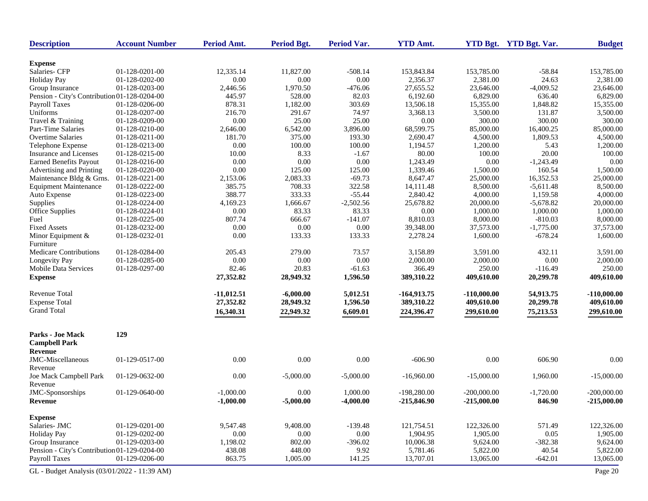| <b>Description</b>                           | <b>Account Number</b> | Period Amt.  | <b>Period Bgt.</b> | Period Var. | <b>YTD Amt.</b>      |                      | YTD Bgt. YTD Bgt. Var. | <b>Budget</b>        |
|----------------------------------------------|-----------------------|--------------|--------------------|-------------|----------------------|----------------------|------------------------|----------------------|
|                                              |                       |              |                    |             |                      |                      |                        |                      |
| <b>Expense</b><br>Salaries- CFP              | 01-128-0201-00        | 12,335.14    | 11,827.00          | $-508.14$   | 153,843.84           | 153,785.00           | $-58.84$               | 153,785.00           |
| <b>Holiday Pay</b>                           | 01-128-0202-00        | 0.00         | 0.00               | 0.00        | 2,356.37             | 2,381.00             | 24.63                  | 2,381.00             |
| Group Insurance                              | 01-128-0203-00        | 2,446.56     | 1,970.50           | $-476.06$   | 27,655.52            | 23,646.00            | $-4,009.52$            | 23,646.00            |
| Pension - City's Contribution 01-128-0204-00 |                       | 445.97       | 528.00             | 82.03       | 6,192.60             | 6,829.00             | 636.40                 | 6,829.00             |
| <b>Payroll Taxes</b>                         | 01-128-0206-00        | 878.31       | 1,182.00           | 303.69      | 13,506.18            | 15,355.00            | 1,848.82               | 15,355.00            |
| Uniforms                                     | 01-128-0207-00        | 216.70       | 291.67             | 74.97       | 3,368.13             | 3,500.00             | 131.87                 | 3,500.00             |
| Travel & Training                            | 01-128-0209-00        | 0.00         | 25.00              | 25.00       | 0.00                 | 300.00               | 300.00                 | 300.00               |
| Part-Time Salaries                           | 01-128-0210-00        | 2,646.00     | 6,542.00           | 3,896.00    | 68,599.75            | 85,000.00            | 16,400.25              | 85,000.00            |
| <b>Overtime Salaries</b>                     | 01-128-0211-00        | 181.70       | 375.00             | 193.30      |                      |                      |                        |                      |
|                                              | 01-128-0213-00        | 0.00         | 100.00             | 100.00      | 2,690.47<br>1,194.57 | 4,500.00<br>1,200.00 | 1,809.53<br>5.43       | 4,500.00<br>1,200.00 |
| Telephone Expense<br>Insurance and Licenses  |                       |              |                    |             |                      | 100.00               |                        | 100.00               |
|                                              | 01-128-0215-00        | 10.00        | 8.33               | $-1.67$     | 80.00                |                      | 20.00                  |                      |
| <b>Earned Benefits Payout</b>                | 01-128-0216-00        | 0.00         | 0.00               | 0.00        | 1,243.49             | 0.00                 | $-1,243.49$            | 0.00                 |
| Advertising and Printing                     | 01-128-0220-00        | 0.00         | 125.00             | 125.00      | 1,339.46             | 1,500.00             | 160.54                 | 1,500.00             |
| Maintenance Bldg & Grns.                     | 01-128-0221-00        | 2,153.06     | 2,083.33           | $-69.73$    | 8,647.47             | 25,000.00            | 16,352.53              | 25,000.00            |
| <b>Equipment Maintenance</b>                 | 01-128-0222-00        | 385.75       | 708.33             | 322.58      | 14,111.48            | 8,500.00             | $-5,611.48$            | 8,500.00             |
| Auto Expense                                 | 01-128-0223-00        | 388.77       | 333.33             | $-55.44$    | 2,840.42             | 4,000.00             | 1,159.58               | 4,000.00             |
| Supplies                                     | 01-128-0224-00        | 4,169.23     | 1,666.67           | $-2,502.56$ | 25,678.82            | 20,000.00            | $-5,678.82$            | 20,000.00            |
| Office Supplies                              | 01-128-0224-01        | 0.00         | 83.33              | 83.33       | 0.00                 | 1,000.00             | 1,000.00               | 1,000.00             |
| Fuel                                         | 01-128-0225-00        | 807.74       | 666.67             | $-141.07$   | 8,810.03             | 8,000.00             | $-810.03$              | 8,000.00             |
| <b>Fixed Assets</b>                          | 01-128-0232-00        | 0.00         | 0.00               | 0.00        | 39,348.00            | 37,573.00            | $-1,775.00$            | 37,573.00            |
| Minor Equipment &<br>Furniture               | 01-128-0232-01        | 0.00         | 133.33             | 133.33      | 2,278.24             | 1,600.00             | $-678.24$              | 1,600.00             |
| <b>Medicare Contributions</b>                | 01-128-0284-00        | 205.43       | 279.00             | 73.57       | 3,158.89             | 3.591.00             | 432.11                 | 3,591.00             |
| Longevity Pay                                | 01-128-0285-00        | 0.00         | 0.00               | 0.00        | 2,000.00             | 2,000.00             | 0.00                   | 2,000.00             |
| <b>Mobile Data Services</b>                  | 01-128-0297-00        | 82.46        | 20.83              | $-61.63$    | 366.49               | 250.00               | $-116.49$              | 250.00               |
| <b>Expense</b>                               |                       | 27,352.82    | 28,949.32          | 1,596.50    | 389,310.22           | 409,610.00           | 20,299.78              | 409,610.00           |
| <b>Revenue Total</b>                         |                       | $-11,012.51$ | $-6,000.00$        | 5,012.51    | $-164,913.75$        | $-110,000.00$        | 54,913.75              | $-110,000.00$        |
| <b>Expense Total</b>                         |                       | 27,352.82    | 28,949.32          | 1,596.50    | 389,310.22           | 409,610.00           | 20,299.78              | 409,610.00           |
| <b>Grand Total</b>                           |                       | 16,340.31    | 22,949.32          | 6,609.01    | 224,396.47           | 299,610.00           | 75,213.53              | 299,610.00           |
| <b>Parks - Joe Mack</b>                      | 129                   |              |                    |             |                      |                      |                        |                      |
| <b>Campbell Park</b>                         |                       |              |                    |             |                      |                      |                        |                      |
| Revenue                                      |                       |              |                    |             |                      |                      |                        |                      |
| JMC-Miscellaneous<br>Revenue                 | 01-129-0517-00        | 0.00         | 0.00               | 0.00        | $-606.90$            | 0.00                 | 606.90                 | 0.00                 |
| Joe Mack Campbell Park<br>Revenue            | 01-129-0632-00        | 0.00         | $-5,000.00$        | $-5,000.00$ | $-16,960.00$         | $-15,000.00$         | 1,960.00               | $-15,000.00$         |
| JMC-Sponsorships                             | 01-129-0640-00        | $-1,000.00$  | 0.00               | 1,000.00    | $-198,280.00$        | $-200,000.00$        | $-1,720.00$            | $-200,000.00$        |
| Revenue                                      |                       | $-1,000.00$  | $-5,000.00$        | $-4,000.00$ | $-215,846.90$        | $-215,000.00$        | 846.90                 | $-215,000.00$        |
| <b>Expense</b>                               |                       |              |                    |             |                      |                      |                        |                      |
| Salaries- JMC                                | 01-129-0201-00        | 9,547.48     | 9,408.00           | $-139.48$   | 121,754.51           | 122,326.00           | 571.49                 | 122,326.00           |
| <b>Holiday Pay</b>                           | 01-129-0202-00        | $0.00\,$     | $0.00\,$           | 0.00        | 1,904.95             | 1,905.00             | 0.05                   | 1,905.00             |
| Group Insurance                              | 01-129-0203-00        | 1,198.02     | 802.00             | $-396.02$   | 10,006.38            | 9,624.00             | $-382.38$              | 9,624.00             |
| Pension - City's Contribution 01-129-0204-00 |                       | 438.08       | 448.00             | 9.92        | 5,781.46             | 5,822.00             | 40.54                  | 5,822.00             |
| <b>Payroll Taxes</b>                         | 01-129-0206-00        | 863.75       | 1,005.00           | 141.25      | 13,707.01            | 13,065.00            | $-642.01$              | 13,065.00            |
| GL - Budget Analysis (03/01/2022 - 11:39 AM) |                       |              |                    |             |                      |                      |                        | Page 20              |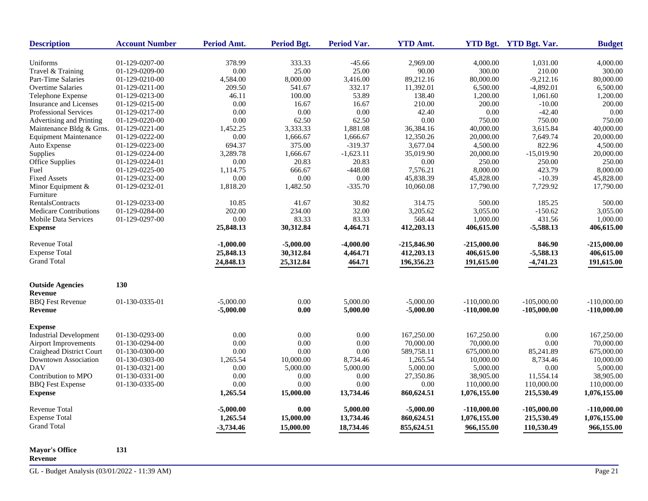| <b>Description</b>            | <b>Account Number</b> | Period Amt. | Period Bgt. | <b>Period Var.</b> | <b>YTD Amt.</b> |               | YTD Bgt. YTD Bgt. Var. | <b>Budget</b> |
|-------------------------------|-----------------------|-------------|-------------|--------------------|-----------------|---------------|------------------------|---------------|
| Uniforms                      | 01-129-0207-00        | 378.99      | 333.33      | $-45.66$           | 2,969.00        | 4,000.00      | 1,031.00               | 4,000.00      |
| Travel & Training             | 01-129-0209-00        | 0.00        | 25.00       | 25.00              | 90.00           | 300.00        | 210.00                 | 300.00        |
| Part-Time Salaries            | 01-129-0210-00        | 4,584.00    | 8,000.00    | 3,416.00           | 89,212.16       | 80,000.00     | $-9,212.16$            | 80,000.00     |
| Overtime Salaries             | 01-129-0211-00        | 209.50      | 541.67      | 332.17             | 11,392.01       | 6,500.00      | $-4,892.01$            | 6,500.00      |
| Telephone Expense             | 01-129-0213-00        | 46.11       | 100.00      | 53.89              | 138.40          | 1,200.00      | 1,061.60               | 1,200.00      |
| <b>Insurance and Licenses</b> | 01-129-0215-00        | 0.00        | 16.67       | 16.67              | 210.00          | 200.00        | $-10.00$               | 200.00        |
| Professional Services         | 01-129-0217-00        | 0.00        | 0.00        | $0.00\,$           | 42.40           | 0.00          | $-42.40$               | 0.00          |
| Advertising and Printing      | 01-129-0220-00        | 0.00        | 62.50       | 62.50              | 0.00            | 750.00        | 750.00                 | 750.00        |
| Maintenance Bldg & Grns.      | 01-129-0221-00        | 1,452.25    | 3,333.33    | 1,881.08           | 36,384.16       | 40,000.00     | 3,615.84               | 40,000.00     |
| <b>Equipment Maintenance</b>  | 01-129-0222-00        | 0.00        | 1,666.67    | 1,666.67           | 12,350.26       | 20,000.00     | 7,649.74               | 20,000.00     |
| Auto Expense                  | 01-129-0223-00        | 694.37      | 375.00      | $-319.37$          | 3,677.04        | 4,500.00      | 822.96                 | 4,500.00      |
| Supplies                      | 01-129-0224-00        | 3,289.78    | 1,666.67    | $-1,623.11$        | 35,019.90       | 20,000.00     | $-15,019.90$           | 20,000.00     |
| Office Supplies               | 01-129-0224-01        | 0.00        | 20.83       | 20.83              | 0.00            | 250.00        | 250.00                 | 250.00        |
| Fuel                          | 01-129-0225-00        | 1,114.75    | 666.67      | $-448.08$          | 7,576.21        | 8,000.00      | 423.79                 | 8,000.00      |
| <b>Fixed Assets</b>           | 01-129-0232-00        | 0.00        | 0.00        | $0.00\,$           | 45,838.39       | 45,828.00     | $-10.39$               | 45,828.00     |
| Minor Equipment $&$           | 01-129-0232-01        | 1,818.20    | 1,482.50    | $-335.70$          | 10,060.08       | 17,790.00     | 7,729.92               | 17,790.00     |
| Furniture                     |                       |             |             |                    |                 |               |                        |               |
| <b>RentalsContracts</b>       | 01-129-0233-00        | 10.85       | 41.67       | 30.82              | 314.75          | 500.00        | 185.25                 | 500.00        |
| <b>Medicare Contributions</b> | 01-129-0284-00        | 202.00      | 234.00      | 32.00              | 3,205.62        | 3,055.00      | $-150.62$              | 3,055.00      |
| <b>Mobile Data Services</b>   | 01-129-0297-00        | 0.00        | 83.33       | 83.33              | 568.44          | 1,000.00      | 431.56                 | 1.000.00      |
| <b>Expense</b>                |                       | 25,848.13   | 30,312.84   | 4,464.71           | 412,203.13      | 406,615.00    | $-5,588.13$            | 406,615.00    |
| Revenue Total                 |                       | $-1,000.00$ | $-5,000.00$ | $-4,000.00$        | $-215,846.90$   | $-215,000.00$ | 846.90                 | $-215,000.00$ |
| <b>Expense Total</b>          |                       | 25,848.13   | 30,312.84   | 4,464.71           | 412,203.13      | 406,615.00    | $-5,588.13$            | 406,615.00    |
| <b>Grand Total</b>            |                       |             |             |                    |                 |               |                        |               |
|                               |                       | 24,848.13   | 25,312.84   | 464.71             | 196,356.23      | 191,615.00    | $-4,741.23$            | 191,615.00    |
| <b>Outside Agencies</b>       | 130                   |             |             |                    |                 |               |                        |               |
| <b>Revenue</b>                |                       |             |             |                    |                 |               |                        |               |
| <b>BBQ</b> Fest Revenue       | 01-130-0335-01        | $-5,000.00$ | 0.00        | 5,000.00           | $-5,000.00$     | $-110,000.00$ | $-105,000.00$          | $-110,000.00$ |
| Revenue                       |                       | $-5,000.00$ | 0.00        | 5,000.00           | $-5,000.00$     | $-110,000.00$ | $-105,000.00$          | $-110,000.00$ |
| <b>Expense</b>                |                       |             |             |                    |                 |               |                        |               |
| <b>Industrial Development</b> | 01-130-0293-00        | 0.00        | 0.00        | 0.00               | 167,250.00      | 167,250.00    | 0.00                   | 167,250.00    |
| <b>Airport Improvements</b>   | 01-130-0294-00        | 0.00        | 0.00        | 0.00               | 70,000.00       | 70,000.00     | 0.00                   | 70,000.00     |
| Craighead District Court      | 01-130-0300-00        | 0.00        | 0.00        | 0.00               | 589,758.11      | 675,000.00    | 85,241.89              | 675,000.00    |
| Downtown Association          | 01-130-0303-00        | 1,265.54    | 10,000.00   | 8,734.46           | 1,265.54        | 10,000.00     | 8,734.46               | 10,000.00     |
| <b>DAV</b>                    | 01-130-0321-00        | 0.00        | 5,000.00    | 5,000.00           | 5,000.00        | 5,000.00      | 0.00                   | 5,000.00      |
| Contribution to MPO           | 01-130-0331-00        | 0.00        | 0.00        | $0.00\,$           | 27,350.86       | 38,905.00     | 11,554.14              | 38,905.00     |
| <b>BBQ</b> Fest Expense       | 01-130-0335-00        | 0.00        | 0.00        | 0.00               | 0.00            | 110,000.00    | 110,000.00             | 110,000.00    |
| <b>Expense</b>                |                       | 1,265.54    | 15,000.00   | 13,734.46          | 860,624.51      | 1,076,155.00  | 215,530.49             | 1,076,155.00  |
| <b>Revenue Total</b>          |                       | $-5,000.00$ | 0.00        | 5,000.00           | $-5,000.00$     | $-110,000.00$ | $-105,000.00$          | $-110,000.00$ |
| <b>Expense Total</b>          |                       | 1,265.54    | 15,000.00   | 13,734.46          | 860,624.51      | 1,076,155.00  | 215,530.49             | 1,076,155.00  |
| <b>Grand Total</b>            |                       |             | 15,000.00   | 18,734.46          | 855,624.51      |               | 110,530.49             |               |
|                               |                       | $-3,734.46$ |             |                    |                 | 966,155.00    |                        | 966,155.00    |

**Mayor's Office 131 Revenue**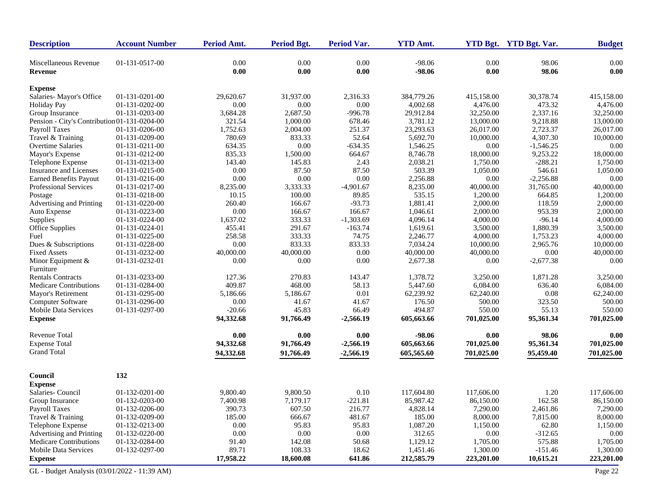| <b>Description</b>                           | <b>Account Number</b> | Period Amt.      | <b>Period Bgt.</b> | <b>Period Var.</b> | <b>YTD Amt.</b>      |                  | YTD Bgt. YTD Bgt. Var. | <b>Budget</b> |
|----------------------------------------------|-----------------------|------------------|--------------------|--------------------|----------------------|------------------|------------------------|---------------|
| Miscellaneous Revenue<br>Revenue             | 01-131-0517-00        | 0.00<br>$0.00\,$ | 0.00<br>0.00       | 0.00<br>0.00       | $-98.06$<br>$-98.06$ | 0.00<br>$0.00\,$ | 98.06<br>98.06         | 0.00<br>0.00  |
| <b>Expense</b>                               |                       |                  |                    |                    |                      |                  |                        |               |
| Salaries-Mayor's Office                      | 01-131-0201-00        | 29,620.67        | 31,937.00          | 2,316.33           | 384,779.26           | 415,158.00       | 30,378.74              | 415,158.00    |
| <b>Holiday Pay</b>                           | 01-131-0202-00        | $0.00\,$         | $0.00\,$           | 0.00               | 4,002.68             | 4,476.00         | 473.32                 | 4,476.00      |
| Group Insurance                              | 01-131-0203-00        | 3,684.28         | 2,687.50           | $-996.78$          | 29,912.84            | 32,250.00        | 2,337.16               | 32,250.00     |
| Pension - City's Contribution 01-131-0204-00 |                       | 321.54           | 1,000.00           | 678.46             | 3,781.12             | 13,000.00        | 9,218.88               | 13,000.00     |
| <b>Payroll Taxes</b>                         | 01-131-0206-00        | 1,752.63         | 2,004.00           | 251.37             | 23,293.63            | 26,017.00        | 2,723.37               | 26,017.00     |
| Travel & Training                            | 01-131-0209-00        | 780.69           | 833.33             | 52.64              | 5,692.70             | 10,000.00        | 4,307.30               | 10,000.00     |
| <b>Overtime Salaries</b>                     | 01-131-0211-00        | 634.35           | 0.00               | $-634.35$          | 1,546.25             | 0.00             | $-1,546.25$            | 0.00          |
| Mayor's Expense                              | 01-131-0212-00        | 835.33           | 1,500.00           | 664.67             | 8,746.78             | 18,000.00        | 9,253.22               | 18,000.00     |
| Telephone Expense                            | 01-131-0213-00        | 143.40           | 145.83             | 2.43               | 2,038.21             | 1,750.00         | $-288.21$              | 1,750.00      |
| Insurance and Licenses                       | 01-131-0215-00        | 0.00             | 87.50              | 87.50              | 503.39               | 1,050.00         | 546.61                 | 1,050.00      |
| <b>Earned Benefits Payout</b>                | 01-131-0216-00        | 0.00             | 0.00               | 0.00               | 2,256.88             | 0.00             | $-2,256.88$            | 0.00          |
| Professional Services                        | 01-131-0217-00        | 8,235.00         | 3,333.33           | $-4,901.67$        | 8,235.00             | 40,000.00        | 31,765.00              | 40,000.00     |
| Postage                                      | 01-131-0218-00        | 10.15            | 100.00             | 89.85              | 535.15               | 1,200.00         | 664.85                 | 1,200.00      |
| Advertising and Printing                     | 01-131-0220-00        | 260.40           | 166.67             | $-93.73$           | 1,881.41             | 2,000.00         | 118.59                 | 2,000.00      |
| Auto Expense                                 | 01-131-0223-00        | 0.00             | 166.67             | 166.67             | 1,046.61             | 2,000.00         | 953.39                 | 2,000.00      |
| Supplies                                     | 01-131-0224-00        | 1,637.02         | 333.33             | $-1,303.69$        | 4,096.14             | 4,000.00         | $-96.14$               | 4,000.00      |
| Office Supplies                              | 01-131-0224-01        | 455.41           | 291.67             | $-163.74$          | 1,619.61             | 3,500.00         | 1,880.39               | 3,500.00      |
| Fuel                                         | 01-131-0225-00        | 258.58           | 333.33             | 74.75              | 2,246.77             | 4,000.00         | 1,753.23               | 4,000.00      |
| Dues & Subscriptions                         | 01-131-0228-00        | 0.00             | 833.33             | 833.33             | 7,034.24             | 10,000.00        | 2,965.76               | 10,000.00     |
| <b>Fixed Assets</b>                          | 01-131-0232-00        | 40,000.00        | 40,000.00          | 0.00               | 40,000.00            | 40,000.00        | 0.00                   | 40,000.00     |
| Minor Equipment &                            | 01-131-0232-01        | 0.00             | 0.00               | 0.00               | 2,677.38             | 0.00             | $-2,677.38$            | 0.00          |
| Furniture                                    |                       |                  |                    |                    |                      |                  |                        |               |
| <b>Rentals Contracts</b>                     | 01-131-0233-00        | 127.36           | 270.83             | 143.47             | 1,378.72             | 3,250.00         | 1,871.28               | 3,250.00      |
| <b>Medicare Contributions</b>                | 01-131-0284-00        | 409.87           | 468.00             | 58.13              | 5,447.60             | 6,084.00         | 636.40                 | 6,084.00      |
| Mayor's Retirement                           | 01-131-0295-00        | 5,186.66         | 5,186.67           | 0.01               | 62,239.92            | 62,240.00        | 0.08                   | 62,240.00     |
| Computer Software                            | 01-131-0296-00        | 0.00             | 41.67              | 41.67              | 176.50               | 500.00           | 323.50                 | 500.00        |
| <b>Mobile Data Services</b>                  | 01-131-0297-00        | $-20.66$         | 45.83              | 66.49              | 494.87               | 550.00           | 55.13                  | 550.00        |
| <b>Expense</b>                               |                       | 94,332.68        | 91,766.49          | $-2,566.19$        | 605,663.66           | 701,025.00       | 95,361.34              | 701,025.00    |
| <b>Revenue Total</b>                         |                       | 0.00             | 0.00               | 0.00               | $-98.06$             | 0.00             | 98.06                  | 0.00          |
| <b>Expense Total</b>                         |                       | 94,332.68        | 91,766.49          | $-2,566.19$        | 605,663.66           | 701,025.00       | 95,361.34              | 701,025.00    |
| <b>Grand Total</b>                           |                       | 94,332.68        | 91,766.49          | $-2,566.19$        | 605,565.60           | 701,025.00       | 95,459.40              | 701,025.00    |
|                                              |                       |                  |                    |                    |                      |                  |                        |               |
| Council                                      | 132                   |                  |                    |                    |                      |                  |                        |               |
| <b>Expense</b>                               |                       |                  |                    |                    |                      |                  |                        |               |
| Salaries- Council                            | 01-132-0201-00        | 9,800.40         | 9,800.50           | 0.10               | 117,604.80           | 117,606.00       | 1.20                   | 117,606.00    |
| Group Insurance                              | 01-132-0203-00        | 7,400.98         | 7,179.17           | $-221.81$          | 85,987.42            | 86,150.00        | 162.58                 | 86,150.00     |
| <b>Payroll Taxes</b>                         | 01-132-0206-00        | 390.73           | 607.50             | 216.77             | 4,828.14             | 7,290.00         | 2,461.86               | 7,290.00      |
| Travel & Training                            | 01-132-0209-00        | 185.00           | 666.67             | 481.67             | 185.00               | 8,000.00         | 7,815.00               | 8,000.00      |
| Telephone Expense                            | 01-132-0213-00        | $0.00\,$         | 95.83              | 95.83              | 1,087.20             | 1,150.00         | 62.80                  | 1,150.00      |
| Advertising and Printing                     | 01-132-0220-00        | 0.00             | 0.00               | 0.00               | 312.65               | 0.00             | $-312.65$              | 0.00          |
| <b>Medicare Contributions</b>                | 01-132-0284-00        | 91.40            | 142.08             | 50.68              | 1,129.12             | 1,705.00         | 575.88                 | 1,705.00      |
| <b>Mobile Data Services</b>                  | 01-132-0297-00        | 89.71            | 108.33             | 18.62              | 1,451.46             | 1,300.00         | $-151.46$              | 1,300.00      |
| <b>Expense</b>                               |                       | 17,958.22        | 18,600.08          | 641.86             | 212,585.79           | 223,201.00       | 10,615.21              | 223,201.00    |
|                                              |                       |                  |                    |                    |                      |                  |                        |               |
| GL - Budget Analysis (03/01/2022 - 11:39 AM) |                       |                  |                    |                    |                      |                  |                        | Page 22       |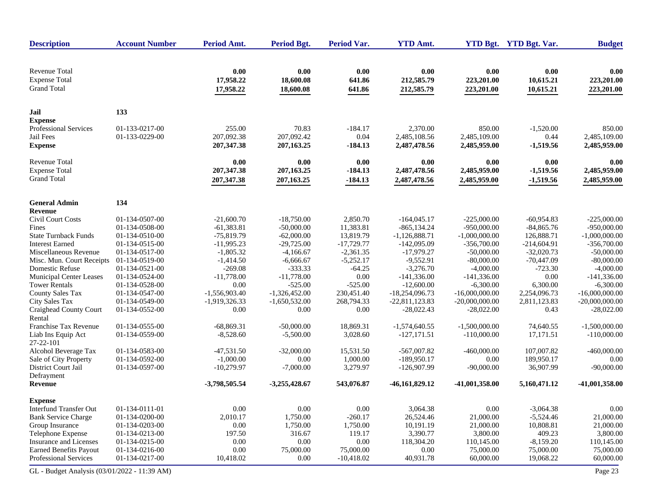| <b>Description</b>                                                 | <b>Account Number</b> | Period Amt.                    | <b>Period Bgt.</b>             | <b>Period Var.</b>       | <b>YTD Amt.</b>                  |                                  | YTD Bgt. YTD Bgt. Var.         | <b>Budget</b>                    |
|--------------------------------------------------------------------|-----------------------|--------------------------------|--------------------------------|--------------------------|----------------------------------|----------------------------------|--------------------------------|----------------------------------|
| <b>Revenue Total</b><br><b>Expense Total</b><br><b>Grand Total</b> |                       | 0.00<br>17,958.22<br>17,958.22 | 0.00<br>18,600.08<br>18,600.08 | 0.00<br>641.86<br>641.86 | 0.00<br>212,585.79<br>212,585.79 | 0.00<br>223,201.00<br>223,201.00 | 0.00<br>10,615.21<br>10,615.21 | 0.00<br>223,201.00<br>223,201.00 |
| Jail                                                               | 133                   |                                |                                |                          |                                  |                                  |                                |                                  |
| <b>Expense</b>                                                     |                       |                                |                                |                          |                                  |                                  |                                |                                  |
| Professional Services                                              | 01-133-0217-00        | 255.00                         | 70.83                          | $-184.17$                | 2,370.00                         | 850.00                           | $-1,520.00$                    | 850.00                           |
| Jail Fees                                                          | 01-133-0229-00        | 207,092.38                     | 207,092.42                     | 0.04                     | 2,485,108.56                     | 2,485,109.00                     | 0.44                           | 2,485,109.00                     |
| <b>Expense</b>                                                     |                       | 207, 347. 38                   | 207,163.25                     | $-184.13$                | 2,487,478.56                     | 2,485,959.00                     | $-1,519.56$                    | 2,485,959.00                     |
| <b>Revenue Total</b>                                               |                       | 0.00                           | 0.00                           | 0.00                     | 0.00                             | 0.00                             | 0.00                           | 0.00                             |
| <b>Expense Total</b>                                               |                       | 207, 347. 38                   | 207,163.25                     | $-184.13$                | 2,487,478.56                     | 2,485,959.00                     | $-1,519.56$                    | 2,485,959.00                     |
| <b>Grand Total</b>                                                 |                       | 207, 347. 38                   | 207,163.25                     | $-184.13$                | 2,487,478.56                     | 2,485,959.00                     | $-1,519.56$                    | 2,485,959.00                     |
| <b>General Admin</b>                                               | 134                   |                                |                                |                          |                                  |                                  |                                |                                  |
| Revenue                                                            |                       |                                |                                |                          |                                  |                                  |                                |                                  |
| Civil Court Costs                                                  | 01-134-0507-00        | $-21,600.70$                   | $-18,750.00$                   | 2,850.70                 | $-164,045.17$                    | $-225,000.00$                    | $-60,954.83$                   | $-225,000.00$                    |
| Fines                                                              | 01-134-0508-00        | $-61,383.81$                   | $-50,000.00$                   | 11,383.81                | $-865, 134.24$                   | $-950,000.00$                    | $-84,865.76$                   | $-950,000.00$                    |
| <b>State Turnback Funds</b>                                        | 01-134-0510-00        | $-75,819.79$                   | $-62,000.00$                   | 13,819.79                | $-1,126,888.71$                  | $-1,000,000.00$                  | 126,888.71                     | $-1,000,000.00$                  |
| <b>Interest Earned</b>                                             | 01-134-0515-00        | $-11,995.23$                   | $-29,725.00$                   | $-17,729.77$             | $-142,095.09$                    | $-356,700.00$                    | $-214,604.91$                  | $-356,700.00$                    |
| Miscellaneous Revenue                                              | 01-134-0517-00        | $-1,805.32$                    | $-4,166.67$                    | $-2,361.35$              | $-17,979.27$                     | $-50,000.00$                     | $-32,020.73$                   | $-50,000.00$                     |
| Misc. Mun. Court Receipts                                          | 01-134-0519-00        | $-1,414.50$                    | $-6,666.67$                    | $-5,252.17$              | $-9,552.91$                      | $-80,000.00$                     | $-70,447.09$                   | $-80,000.00$                     |
| <b>Domestic Refuse</b>                                             | 01-134-0521-00        | $-269.08$                      | $-333.33$                      | $-64.25$                 | $-3,276.70$                      | $-4,000.00$                      | $-723.30$                      | $-4,000.00$                      |
| Municipal Center Leases                                            | 01-134-0524-00        | $-11,778.00$                   | $-11,778.00$                   | $0.00\,$                 | $-141,336.00$                    | $-141,336.00$                    | 0.00                           | $-141,336.00$                    |
| <b>Tower Rentals</b>                                               | 01-134-0528-00        | 0.00                           | $-525.00$                      | $-525.00$                | $-12,600.00$                     | $-6,300.00$                      | 6,300.00                       | $-6,300.00$                      |
| <b>County Sales Tax</b>                                            | 01-134-0547-00        | $-1,556,903.40$                | $-1,326,452.00$                | 230,451.40               | $-18,254,096.73$                 | $-16,000,000.00$                 | 2,254,096.73                   | $-16,000,000.00$                 |
| City Sales Tax                                                     | 01-134-0549-00        | $-1,919,326.33$                | $-1,650,532.00$                | 268,794.33               | $-22,811,123.83$                 | $-20,000,000.00$                 | 2,811,123.83                   | $-20,000,000.00$                 |
| Craighead County Court<br>Rental                                   | 01-134-0552-00        | 0.00                           | 0.00                           | 0.00                     | $-28,022.43$                     | $-28,022.00$                     | 0.43                           | $-28,022.00$                     |
| Franchise Tax Revenue                                              | 01-134-0555-00        | $-68,869.31$                   | $-50,000.00$                   | 18,869.31                | $-1,574,640.55$                  | $-1,500,000.00$                  | 74,640.55                      | $-1,500,000.00$                  |
| Liab Ins Equip Act<br>27-22-101                                    | 01-134-0559-00        | $-8,528.60$                    | $-5,500.00$                    | 3,028.60                 | $-127,171.51$                    | $-110,000.00$                    | 17,171.51                      | $-110,000.00$                    |
| Alcohol Beverage Tax                                               | 01-134-0583-00        | $-47,531.50$                   | $-32,000.00$                   | 15,531.50                | $-567,007.82$                    | $-460,000.00$                    | 107,007.82                     | $-460,000.00$                    |
| Sale of City Property                                              | 01-134-0592-00        | $-1,000.00$                    | 0.00                           | 1,000.00                 | $-189,950.17$                    | 0.00                             | 189,950.17                     | 0.00                             |
| <b>District Court Jail</b>                                         | 01-134-0597-00        | $-10,279.97$                   | $-7,000.00$                    | 3,279.97                 | $-126,907.99$                    | $-90,000.00$                     | 36,907.99                      | $-90,000.00$                     |
| Defrayment                                                         |                       |                                |                                |                          |                                  |                                  |                                |                                  |
| Revenue                                                            |                       | -3,798,505.54                  | $-3,255,428.67$                | 543,076.87               | -46,161,829.12                   | $-41,001,358.00$                 | 5,160,471.12                   | -41,001,358.00                   |
| <b>Expense</b>                                                     |                       |                                |                                |                          |                                  |                                  |                                |                                  |
| <b>Interfund Transfer Out</b>                                      | 01-134-0111-01        | 0.00                           | 0.00                           | $0.00\,$                 | 3,064.38                         | $0.00\,$                         | $-3,064.38$                    | $0.00\,$                         |
| <b>Bank Service Charge</b>                                         | 01-134-0200-00        | 2,010.17                       | 1,750.00                       | $-260.17$                | 26,524.46                        | 21,000.00                        | $-5,524.46$                    | 21,000.00                        |
| Group Insurance                                                    | 01-134-0203-00        | 0.00                           | 1,750.00                       | 1,750.00                 | 10,191.19                        | 21,000.00                        | 10,808.81                      | 21,000.00                        |
| Telephone Expense                                                  | 01-134-0213-00        | 197.50                         | 316.67                         | 119.17                   | 3,390.77                         | 3,800.00                         | 409.23                         | 3,800.00                         |
| Insurance and Licenses                                             | 01-134-0215-00        | 0.00                           | 0.00                           | $0.00\,$                 | 118,304.20                       | 110,145.00                       | $-8,159.20$                    | 110,145.00                       |
| <b>Earned Benefits Payout</b>                                      | 01-134-0216-00        | 0.00                           | 75,000.00                      | 75,000.00                | 0.00                             | 75,000.00                        | 75,000.00                      | 75,000.00                        |
| Professional Services                                              | 01-134-0217-00        | 10,418.02                      | 0.00                           | $-10,418.02$             | 40,931.78                        | 60,000.00                        | 19,068.22                      | 60,000.00                        |
| GL - Budget Analysis (03/01/2022 - 11:39 AM)                       |                       |                                |                                |                          |                                  |                                  |                                | Page 23                          |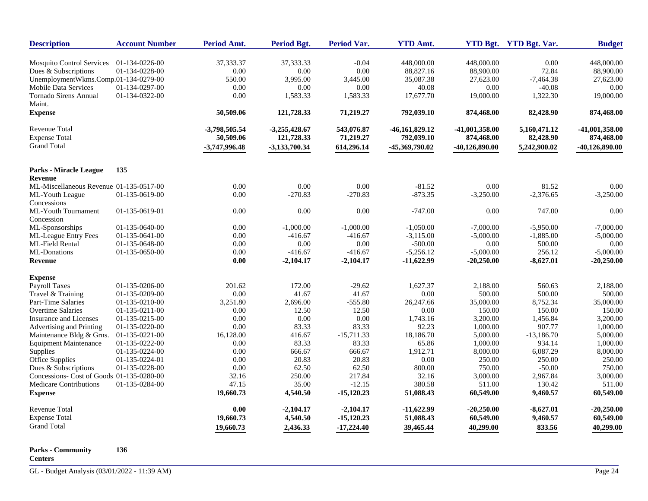| <b>Description</b>                        | <b>Account Number</b> | Period Amt.   | <b>Period Bgt.</b> | <b>Period Var.</b> | <b>YTD Amt.</b> |                  | YTD Bgt. YTD Bgt. Var. | <b>Budget</b>    |
|-------------------------------------------|-----------------------|---------------|--------------------|--------------------|-----------------|------------------|------------------------|------------------|
| Mosquito Control Services                 | 01-134-0226-00        | 37, 333. 37   | 37,333.33          | $-0.04$            | 448,000.00      | 448,000.00       | 0.00                   | 448,000.00       |
| Dues & Subscriptions                      | 01-134-0228-00        | 0.00          | 0.00               | 0.00               | 88,827.16       | 88,900.00        | 72.84                  | 88,900.00        |
| UnemploymentWkms.Comp.01-134-0279-00      |                       | 550.00        | 3,995.00           | 3,445.00           | 35,087.38       | 27,623.00        | $-7,464.38$            | 27,623.00        |
| <b>Mobile Data Services</b>               | 01-134-0297-00        | 0.00          | 0.00               | 0.00               | 40.08           | 0.00             | $-40.08$               | 0.00             |
| <b>Tornado Sirens Annual</b><br>Maint.    | 01-134-0322-00        | 0.00          | 1,583.33           | 1,583.33           | 17,677.70       | 19,000.00        | 1,322.30               | 19,000.00        |
| <b>Expense</b>                            |                       | 50,509.06     | 121,728.33         | 71,219.27          | 792,039.10      | 874,468.00       | 82,428.90              | 874,468.00       |
| Revenue Total                             |                       | -3,798,505.54 | $-3,255,428.67$    | 543,076.87         | -46,161,829.12  | -41,001,358.00   | 5,160,471.12           | -41,001,358.00   |
| <b>Expense Total</b>                      |                       | 50,509.06     | 121,728.33         | 71,219.27          | 792,039.10      | 874,468.00       | 82,428.90              | 874,468.00       |
| <b>Grand Total</b>                        |                       | -3,747,996.48 | $-3,133,700.34$    | 614,296.14         | -45,369,790.02  | $-40,126,890.00$ | 5,242,900.02           | $-40,126,890.00$ |
| <b>Parks - Miracle League</b>             | 135                   |               |                    |                    |                 |                  |                        |                  |
| Revenue                                   |                       |               |                    |                    |                 |                  |                        |                  |
| ML-Miscellaneous Revenue 01-135-0517-00   |                       | 0.00          | 0.00               | 0.00               | $-81.52$        | 0.00             | 81.52                  | 0.00             |
| ML-Youth League                           | 01-135-0619-00        | 0.00          | $-270.83$          | $-270.83$          | $-873.35$       | $-3,250.00$      | $-2,376.65$            | $-3,250.00$      |
| Concessions                               |                       |               |                    |                    |                 |                  |                        |                  |
| ML-Youth Tournament                       | 01-135-0619-01        | $0.00\,$      | 0.00               | 0.00               | $-747.00$       | $0.00\,$         | 747.00                 | 0.00             |
| Concession                                |                       |               |                    |                    |                 |                  |                        |                  |
| ML-Sponsorships                           | 01-135-0640-00        | 0.00          | $-1,000.00$        | $-1,000.00$        | $-1,050.00$     | $-7,000.00$      | $-5,950.00$            | $-7,000.00$      |
| ML-League Entry Fees                      | 01-135-0641-00        | 0.00          | $-416.67$          | $-416.67$          | $-3,115.00$     | $-5,000.00$      | $-1,885.00$            | $-5,000.00$      |
| <b>ML-Field Rental</b>                    | 01-135-0648-00        | 0.00          | 0.00               | 0.00               | $-500.00$       | 0.00             | 500.00                 | 0.00             |
| ML-Donations                              | 01-135-0650-00        | 0.00          | $-416.67$          | $-416.67$          | $-5,256.12$     | $-5,000.00$      | 256.12                 | $-5,000.00$      |
| Revenue                                   |                       | $0.00\,$      | $-2,104.17$        | $-2,104.17$        | $-11,622.99$    | $-20,250.00$     | $-8,627.01$            | $-20,250.00$     |
| <b>Expense</b>                            |                       |               |                    |                    |                 |                  |                        |                  |
| <b>Payroll Taxes</b>                      | 01-135-0206-00        | 201.62        | 172.00             | $-29.62$           | 1,627.37        | 2,188.00         | 560.63                 | 2,188.00         |
| Travel & Training                         | 01-135-0209-00        | 0.00          | 41.67              | 41.67              | 0.00            | 500.00           | 500.00                 | 500.00           |
| Part-Time Salaries                        | 01-135-0210-00        | 3,251.80      | 2,696.00           | $-555.80$          | 26,247.66       | 35,000.00        | 8,752.34               | 35,000.00        |
| <b>Overtime Salaries</b>                  | 01-135-0211-00        | $0.00\,$      | 12.50              | 12.50              | 0.00            | 150.00           | 150.00                 | 150.00           |
| <b>Insurance and Licenses</b>             | 01-135-0215-00        | 0.00          | 0.00               | 0.00               | 1,743.16        | 3,200.00         | 1,456.84               | 3,200.00         |
| Advertising and Printing                  | 01-135-0220-00        | 0.00          | 83.33              | 83.33              | 92.23           | 1,000.00         | 907.77                 | 1,000.00         |
| Maintenance Bldg & Grns.                  | 01-135-0221-00        | 16,128.00     | 416.67             | $-15,711.33$       | 18,186.70       | 5,000.00         | $-13,186.70$           | 5,000.00         |
| <b>Equipment Maintenance</b>              | 01-135-0222-00        | 0.00          | 83.33              | 83.33              | 65.86           | 1,000.00         | 934.14                 | 1,000.00         |
| Supplies                                  | 01-135-0224-00        | $0.00\,$      | 666.67             | 666.67             | 1,912.71        | 8,000.00         | 6,087.29               | 8,000.00         |
| Office Supplies                           | 01-135-0224-01        | 0.00          | 20.83              | 20.83              | 0.00            | 250.00           | 250.00                 | 250.00           |
| Dues & Subscriptions                      | 01-135-0228-00        | $0.00\,$      | 62.50              | 62.50              | 800.00          | 750.00           | $-50.00$               | 750.00           |
| Concessions- Cost of Goods 01-135-0280-00 |                       | 32.16         | 250.00             | 217.84             | 32.16           | 3,000.00         | 2,967.84               | 3,000.00         |
| Medicare Contributions                    | 01-135-0284-00        | 47.15         | 35.00              | $-12.15$           | 380.58          | 511.00           | 130.42                 | 511.00           |
| <b>Expense</b>                            |                       | 19,660.73     | 4,540.50           | $-15,120.23$       | 51,088.43       | 60,549.00        | 9,460.57               | 60,549.00        |
| <b>Revenue Total</b>                      |                       | 0.00          | $-2,104.17$        | $-2,104.17$        | $-11,622.99$    | $-20,250.00$     | $-8,627.01$            | $-20,250.00$     |
| <b>Expense Total</b>                      |                       | 19,660.73     | 4,540.50           | $-15,120.23$       | 51,088.43       | 60,549.00        | 9,460.57               | 60,549.00        |
| <b>Grand Total</b>                        |                       | 19,660.73     | 2,436.33           | $-17,224.40$       | 39,465.44       | 40,299.00        | 833.56                 | 40,299.00        |

#### **Parks - Community 136**

**Centers**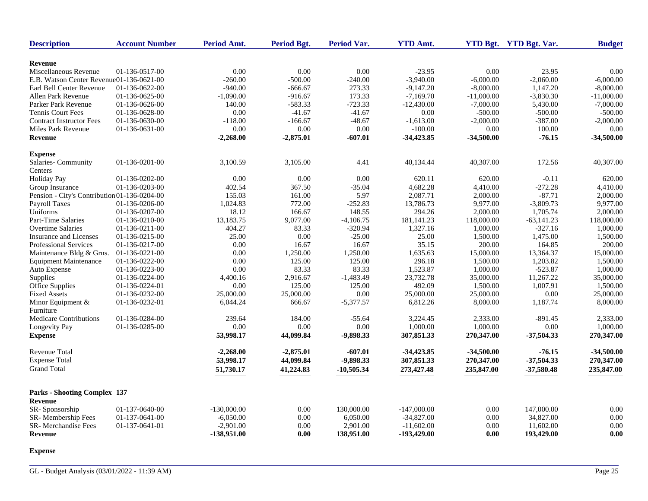| <b>Description</b>                           | <b>Account Number</b>            | <b>Period Amt.</b> | Period Bgt. | <b>Period Var.</b> | <b>YTD Amt.</b> |              | YTD Bgt. YTD Bgt. Var. | <b>Budget</b>        |
|----------------------------------------------|----------------------------------|--------------------|-------------|--------------------|-----------------|--------------|------------------------|----------------------|
| Revenue                                      |                                  |                    |             |                    |                 |              |                        |                      |
| Miscellaneous Revenue                        | 01-136-0517-00                   | 0.00               | 0.00        | 0.00               | $-23.95$        | 0.00         | 23.95                  | 0.00                 |
| E.B. Watson Center Revenue01-136-0621-00     |                                  | $-260.00$          | $-500.00$   | $-240.00$          | $-3,940.00$     | $-6,000.00$  | $-2,060.00$            | $-6,000.00$          |
| Earl Bell Center Revenue                     | 01-136-0622-00                   | $-940.00$          | $-666.67$   | 273.33             | $-9,147.20$     | $-8,000.00$  | 1,147.20               | $-8,000.00$          |
| Allen Park Revenue                           | 01-136-0625-00                   | $-1,090.00$        | $-916.67$   | 173.33             | $-7,169.70$     | $-11,000.00$ | $-3,830.30$            | $-11,000.00$         |
| Parker Park Revenue                          | 01-136-0626-00                   | 140.00             | $-583.33$   | $-723.33$          | $-12,430.00$    | $-7,000.00$  | 5,430.00               | $-7,000.00$          |
| <b>Tennis Court Fees</b>                     | 01-136-0628-00                   | 0.00               | $-41.67$    | $-41.67$           | 0.00            | $-500.00$    | $-500.00$              | $-500.00$            |
| <b>Contract Instructor Fees</b>              | 01-136-0630-00                   | $-118.00$          | $-166.67$   | $-48.67$           | $-1,613.00$     | $-2,000.00$  | $-387.00$              | $-2,000.00$          |
| Miles Park Revenue                           | 01-136-0631-00                   | $0.00\,$           | 0.00        | $0.00\,$           | $-100.00$       | 0.00         | 100.00                 | 0.00                 |
|                                              |                                  |                    |             |                    |                 |              |                        |                      |
| Revenue                                      |                                  | $-2,268.00$        | $-2,875.01$ | $-607.01$          | $-34,423.85$    | $-34,500.00$ | $-76.15$               | $-34,500.00$         |
| <b>Expense</b>                               |                                  |                    |             |                    |                 |              |                        |                      |
| Salaries-Community                           | 01-136-0201-00                   | 3,100.59           | 3,105.00    | 4.41               | 40,134.44       | 40,307.00    | 172.56                 | 40,307.00            |
| Centers<br><b>Holiday Pay</b>                | 01-136-0202-00                   | 0.00               | 0.00        | 0.00               | 620.11          | 620.00       | $-0.11$                | 620.00               |
|                                              | 01-136-0203-00                   | 402.54             | 367.50      |                    | 4,682.28        | 4,410.00     | $-272.28$              |                      |
| Group Insurance                              |                                  | 155.03             | 161.00      | $-35.04$<br>5.97   | 2,087.71        | 2,000.00     | $-87.71$               | 4,410.00<br>2,000.00 |
| Pension - City's Contribution 01-136-0204-00 |                                  |                    | 772.00      | $-252.83$          | 13,786.73       | 9,977.00     | $-3,809.73$            |                      |
| <b>Payroll Taxes</b><br>Uniforms             | 01-136-0206-00<br>01-136-0207-00 | 1,024.83<br>18.12  | 166.67      | 148.55             | 294.26          | 2,000.00     | 1,705.74               | 9,977.00<br>2,000.00 |
|                                              |                                  |                    |             |                    |                 |              |                        |                      |
| Part-Time Salaries                           | 01-136-0210-00                   | 13,183.75          | 9,077.00    | $-4,106.75$        | 181, 141. 23    | 118,000.00   | $-63,141.23$           | 118,000.00           |
| <b>Overtime Salaries</b>                     | 01-136-0211-00                   | 404.27             | 83.33       | $-320.94$          | 1,327.16        | 1,000.00     | $-327.16$              | 1,000.00             |
| Insurance and Licenses                       | 01-136-0215-00                   | 25.00              | 0.00        | $-25.00$           | 25.00           | 1,500.00     | 1,475.00               | 1,500.00             |
| <b>Professional Services</b>                 | 01-136-0217-00                   | 0.00               | 16.67       | 16.67              | 35.15           | 200.00       | 164.85                 | 200.00               |
| Maintenance Bldg & Grns.                     | 01-136-0221-00                   | 0.00               | 1,250.00    | 1,250.00           | 1,635.63        | 15,000.00    | 13,364.37              | 15,000.00            |
| <b>Equipment Maintenance</b>                 | 01-136-0222-00                   | 0.00               | 125.00      | 125.00             | 296.18          | 1,500.00     | 1,203.82               | 1,500.00             |
| Auto Expense                                 | 01-136-0223-00                   | 0.00               | 83.33       | 83.33              | 1,523.87        | 1,000.00     | $-523.87$              | 1,000.00             |
| Supplies                                     | 01-136-0224-00                   | 4,400.16           | 2,916.67    | $-1,483.49$        | 23,732.78       | 35,000.00    | 11,267.22              | 35,000.00            |
| Office Supplies                              | 01-136-0224-01                   | 0.00               | 125.00      | 125.00             | 492.09          | 1,500.00     | 1,007.91               | 1,500.00             |
| <b>Fixed Assets</b>                          | 01-136-0232-00                   | 25,000.00          | 25,000.00   | 0.00               | 25,000.00       | 25,000.00    | 0.00                   | 25,000.00            |
| Minor Equipment &<br>Furniture               | 01-136-0232-01                   | 6,044.24           | 666.67      | $-5,377.57$        | 6,812.26        | 8,000.00     | 1,187.74               | 8,000.00             |
| <b>Medicare Contributions</b>                | 01-136-0284-00                   | 239.64             | 184.00      | $-55.64$           | 3,224.45        | 2,333.00     | $-891.45$              | 2,333.00             |
| Longevity Pay                                | 01-136-0285-00                   | 0.00               | 0.00        | 0.00               | 1,000.00        | 1,000.00     | 0.00                   | 1,000.00             |
| <b>Expense</b>                               |                                  | 53,998.17          | 44,099.84   | -9,898.33          | 307,851.33      | 270,347.00   | $-37,504.33$           | 270,347.00           |
| Revenue Total                                |                                  | $-2,268.00$        | $-2,875.01$ | $-607.01$          | $-34,423.85$    | $-34,500.00$ | $-76.15$               | $-34,500.00$         |
| <b>Expense Total</b>                         |                                  | 53,998.17          | 44,099.84   | -9,898.33          | 307,851.33      | 270,347.00   | $-37,504.33$           | 270,347.00           |
| <b>Grand Total</b>                           |                                  | 51,730.17          | 41,224.83   | $-10,505.34$       | 273,427.48      | 235,847.00   | $-37,580.48$           | 235,847.00           |
|                                              |                                  |                    |             |                    |                 |              |                        |                      |
| <b>Parks - Shooting Complex 137</b>          |                                  |                    |             |                    |                 |              |                        |                      |
| Revenue                                      |                                  |                    |             |                    |                 |              |                        |                      |
| SR-Sponsorship                               | 01-137-0640-00                   | $-130,000,00$      | 0.00        | 130,000.00         | $-147,000.00$   | 0.00         | 147,000.00             | 0.00                 |
| SR-Membership Fees                           | 01-137-0641-00                   | $-6,050.00$        | 0.00        | 6,050.00           | $-34,827.00$    | 0.00         | 34,827.00              | 0.00                 |
| SR-Merchandise Fees                          | 01-137-0641-01                   | $-2,901.00$        | 0.00        | 2,901.00           | $-11,602.00$    | 0.00         | 11,602.00              | 0.00                 |
| Revenue                                      |                                  | -138,951.00        | 0.00        | 138,951.00         | -193,429.00     | 0.00         | 193,429.00             | 0.00                 |
|                                              |                                  |                    |             |                    |                 |              |                        |                      |

**Expense**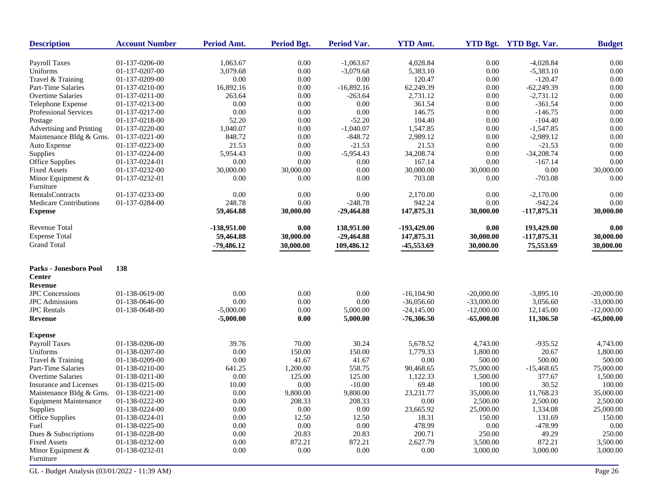| <b>Description</b>               | <b>Account Number</b> | Period Amt.  | <b>Period Bgt.</b> | Period Var.  | <b>YTD Amt.</b> |              | YTD Bgt. YTD Bgt. Var. | <b>Budget</b> |
|----------------------------------|-----------------------|--------------|--------------------|--------------|-----------------|--------------|------------------------|---------------|
| <b>Payroll Taxes</b>             | 01-137-0206-00        | 1,063.67     | 0.00               | $-1,063.67$  | 4,028.84        | 0.00         | $-4,028.84$            | 0.00          |
| Uniforms                         | 01-137-0207-00        | 3,079.68     | 0.00               | $-3,079.68$  | 5,383.10        | 0.00         | $-5,383.10$            | 0.00          |
| Travel & Training                | 01-137-0209-00        | 0.00         | 0.00               | 0.00         | 120.47          | 0.00         | $-120.47$              | 0.00          |
| Part-Time Salaries               | 01-137-0210-00        | 16,892.16    | 0.00               | $-16,892.16$ | 62,249.39       | $0.00\,$     | $-62,249.39$           | 0.00          |
| <b>Overtime Salaries</b>         | 01-137-0211-00        | 263.64       | 0.00               | $-263.64$    | 2,731.12        | 0.00         | $-2,731.12$            | 0.00          |
| Telephone Expense                | 01-137-0213-00        | 0.00         | 0.00               | 0.00         | 361.54          | 0.00         | $-361.54$              | 0.00          |
| Professional Services            | 01-137-0217-00        | 0.00         | 0.00               | 0.00         | 146.75          | 0.00         | $-146.75$              | 0.00          |
| Postage                          | 01-137-0218-00        | 52.20        | 0.00               | $-52.20$     | 104.40          | 0.00         | $-104.40$              | 0.00          |
| Advertising and Printing         | 01-137-0220-00        | 1,040.07     | 0.00               | $-1,040.07$  | 1,547.85        | 0.00         | $-1,547.85$            | 0.00          |
| Maintenance Bldg & Grns.         | 01-137-0221-00        | 848.72       | 0.00               | $-848.72$    | 2,989.12        | 0.00         | $-2,989.12$            | 0.00          |
| Auto Expense                     | 01-137-0223-00        | 21.53        | 0.00               | $-21.53$     | 21.53           | 0.00         | $-21.53$               | 0.00          |
| Supplies                         | 01-137-0224-00        | 5,954.43     | 0.00               | $-5,954.43$  | 34,208.74       | 0.00         | $-34,208.74$           | 0.00          |
| Office Supplies                  | 01-137-0224-01        | 0.00         | 0.00               | 0.00         | 167.14          | 0.00         | $-167.14$              | 0.00          |
| <b>Fixed Assets</b>              | 01-137-0232-00        | 30,000.00    | 30,000.00          | 0.00         | 30,000.00       | 30,000.00    | 0.00                   | 30,000.00     |
| Minor Equipment &<br>Furniture   | 01-137-0232-01        | 0.00         | 0.00               | 0.00         | 703.08          | 0.00         | $-703.08$              | 0.00          |
| <b>RentalsContracts</b>          | 01-137-0233-00        | 0.00         | 0.00               | 0.00         | 2,170.00        | 0.00         | $-2,170.00$            | 0.00          |
| <b>Medicare Contributions</b>    | 01-137-0284-00        | 248.78       | 0.00               | $-248.78$    | 942.24          | 0.00         | $-942.24$              | 0.00          |
| <b>Expense</b>                   |                       | 59,464.88    | 30,000.00          | $-29,464.88$ | 147,875.31      | 30,000.00    | $-117,875.31$          | 30,000.00     |
| Revenue Total                    |                       | -138,951.00  | 0.00               | 138,951.00   | -193,429.00     | 0.00         | 193,429.00             | 0.00          |
| <b>Expense Total</b>             |                       | 59,464.88    | 30,000.00          | $-29,464.88$ | 147,875.31      | 30,000.00    | $-117,875.31$          | 30,000.00     |
| <b>Grand Total</b>               |                       | $-79,486.12$ | 30,000.00          | 109,486.12   | -45,553.69      | 30,000.00    | 75,553.69              | 30,000.00     |
| Parks - Jonesboro Pool           | 138                   |              |                    |              |                 |              |                        |               |
| <b>Center</b><br><b>Revenue</b>  |                       |              |                    |              |                 |              |                        |               |
| <b>JPC</b> Concessions           | 01-138-0619-00        | 0.00         | 0.00               | 0.00         | $-16, 104.90$   | $-20,000.00$ | $-3,895.10$            | $-20,000.00$  |
| <b>JPC</b> Admissions            | 01-138-0646-00        | 0.00         | 0.00               | 0.00         | $-36,056.60$    | $-33,000.00$ | 3,056.60               | $-33,000.00$  |
| <b>JPC</b> Rentals               | 01-138-0648-00        | $-5,000.00$  | 0.00               | 5,000.00     | $-24,145.00$    | $-12,000.00$ | 12,145.00              | $-12,000.00$  |
| Revenue                          |                       | $-5,000.00$  | 0.00               | 5,000.00     | $-76,306.50$    | $-65,000.00$ | 11,306.50              | $-65,000.00$  |
| <b>Expense</b>                   |                       |              |                    |              |                 |              |                        |               |
| <b>Payroll Taxes</b>             | 01-138-0206-00        | 39.76        | 70.00              | 30.24        | 5,678.52        | 4,743.00     | $-935.52$              | 4,743.00      |
| Uniforms                         | 01-138-0207-00        | 0.00         | 150.00             | 150.00       | 1,779.33        | 1,800.00     | 20.67                  | 1,800.00      |
| Travel & Training                | 01-138-0209-00        | 0.00         | 41.67              | 41.67        | 0.00            | 500.00       | 500.00                 | 500.00        |
| Part-Time Salaries               | 01-138-0210-00        | 641.25       | 1,200.00           | 558.75       | 90,468.65       | 75,000.00    | $-15,468.65$           | 75,000.00     |
| <b>Overtime Salaries</b>         | 01-138-0211-00        | 0.00         | 125.00             | 125.00       | 1,122.33        | 1,500.00     | 377.67                 | 1,500.00      |
| Insurance and Licenses           | 01-138-0215-00        | 10.00        | 0.00               | $-10.00$     | 69.48           | 100.00       | 30.52                  | 100.00        |
| Maintenance Bldg & Grns.         | 01-138-0221-00        | 0.00         | 9,800.00           | 9,800.00     | 23,231.77       | 35,000.00    | 11,768.23              | 35,000.00     |
| Equipment Maintenance            | 01-138-0222-00        | 0.00         | 208.33             | 208.33       | 0.00            | 2,500.00     | 2,500.00               | 2,500.00      |
| Supplies                         | 01-138-0224-00        | 0.00         | 0.00               | 0.00         | 23,665.92       | 25,000.00    | 1,334.08               | 25,000.00     |
| Office Supplies                  | 01-138-0224-01        | 0.00         | 12.50              | 12.50        | 18.31           | 150.00       | 131.69                 | 150.00        |
| Fuel                             | 01-138-0225-00        | 0.00         | 0.00               | 0.00         | 478.99          | 0.00         | -478.99                | 0.00          |
| Dues & Subscriptions             | 01-138-0228-00        | 0.00         | 20.83              | 20.83        | 200.71          | 250.00       | 49.29                  | 250.00        |
| <b>Fixed Assets</b>              | 01-138-0232-00        | 0.00         | 872.21             | 872.21       | 2,627.79        | 3,500.00     | 872.21                 | 3,500.00      |
| Minor Equipment $&$<br>Furniture | 01-138-0232-01        | 0.00         | 0.00               | 0.00         | 0.00            | 3,000.00     | 3,000.00               | 3,000.00      |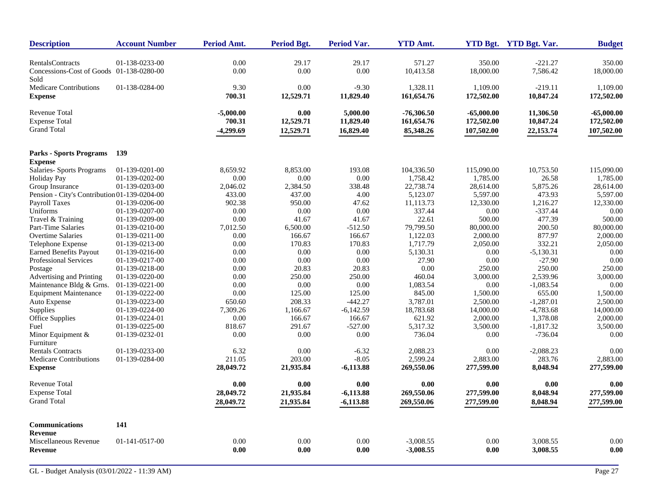| <b>Description</b>                               | <b>Account Number</b> | <b>Period Amt.</b> | <b>Period Bgt.</b> | Period Var. | <b>YTD Amt.</b> |              | YTD Bgt. YTD Bgt. Var. | <b>Budget</b> |
|--------------------------------------------------|-----------------------|--------------------|--------------------|-------------|-----------------|--------------|------------------------|---------------|
| <b>RentalsContracts</b>                          | 01-138-0233-00        | 0.00               | 29.17              | 29.17       | 571.27          | 350.00       | $-221.27$              | 350.00        |
| Concessions-Cost of Goods 01-138-0280-00<br>Sold |                       | $0.00\,$           | 0.00               | 0.00        | 10,413.58       | 18,000.00    | 7,586.42               | 18,000.00     |
| <b>Medicare Contributions</b>                    | 01-138-0284-00        | 9.30               | 0.00               | $-9.30$     | 1,328.11        | 1,109.00     | $-219.11$              | 1,109.00      |
| <b>Expense</b>                                   |                       | 700.31             | 12,529.71          | 11,829.40   | 161,654.76      | 172,502.00   | 10,847.24              | 172,502.00    |
| Revenue Total                                    |                       | $-5,000.00$        | 0.00               | 5,000.00    | $-76,306.50$    | $-65,000.00$ | 11,306.50              | $-65,000.00$  |
| <b>Expense Total</b>                             |                       | 700.31             | 12,529.71          | 11,829.40   | 161,654.76      | 172,502.00   | 10,847.24              | 172,502.00    |
| <b>Grand Total</b>                               |                       | $-4,299.69$        | 12,529.71          | 16,829.40   | 85,348.26       | 107,502.00   | 22,153.74              | 107,502.00    |
| <b>Parks - Sports Programs</b>                   | 139                   |                    |                    |             |                 |              |                        |               |
| <b>Expense</b>                                   |                       |                    |                    |             |                 |              |                        |               |
| <b>Salaries- Sports Programs</b>                 | 01-139-0201-00        | 8,659.92           | 8,853.00           | 193.08      | 104,336.50      | 115,090.00   | 10,753.50              | 115,090.00    |
| Holiday Pay                                      | 01-139-0202-00        | 0.00               | 0.00               | 0.00        | 1,758.42        | 1,785.00     | 26.58                  | 1,785.00      |
| Group Insurance                                  | 01-139-0203-00        | 2,046.02           | 2,384.50           | 338.48      | 22,738.74       | 28,614.00    | 5,875.26               | 28,614.00     |
| Pension - City's Contribution 01-139-0204-00     |                       | 433.00             | 437.00             | 4.00        | 5,123.07        | 5,597.00     | 473.93                 | 5,597.00      |
| <b>Payroll Taxes</b>                             | 01-139-0206-00        | 902.38             | 950.00             | 47.62       | 11,113.73       | 12,330.00    | 1,216.27               | 12,330.00     |
| Uniforms                                         | 01-139-0207-00        | 0.00               | 0.00               | 0.00        | 337.44          | 0.00         | $-337.44$              | 0.00          |
| Travel & Training                                | 01-139-0209-00        | 0.00               | 41.67              | 41.67       | 22.61           | 500.00       | 477.39                 | 500.00        |
| <b>Part-Time Salaries</b>                        | 01-139-0210-00        | 7,012.50           | 6,500.00           | $-512.50$   | 79,799.50       | 80,000.00    | 200.50                 | 80,000.00     |
| <b>Overtime Salaries</b>                         | 01-139-0211-00        | 0.00               | 166.67             | 166.67      | 1,122.03        | 2,000.00     | 877.97                 | 2,000.00      |
| Telephone Expense                                | 01-139-0213-00        | 0.00               | 170.83             | 170.83      | 1,717.79        | 2,050.00     | 332.21                 | 2,050.00      |
| <b>Earned Benefits Payout</b>                    | 01-139-0216-00        | 0.00               | 0.00               | 0.00        | 5,130.31        | 0.00         | $-5,130.31$            | 0.00          |
| Professional Services                            | 01-139-0217-00        | 0.00               | 0.00               | 0.00        | 27.90           | 0.00         | $-27.90$               | 0.00          |
| Postage                                          | 01-139-0218-00        | 0.00               | 20.83              | 20.83       | 0.00            | 250.00       | 250.00                 | 250.00        |
| Advertising and Printing                         | 01-139-0220-00        | 0.00               | 250.00             | 250.00      | 460.04          | 3,000.00     | 2,539.96               | 3,000.00      |
| Maintenance Bldg & Grns.                         | 01-139-0221-00        | 0.00               | 0.00               | 0.00        | 1,083.54        | 0.00         | $-1,083.54$            | 0.00          |
| <b>Equipment Maintenance</b>                     | 01-139-0222-00        | 0.00               | 125.00             | 125.00      | 845.00          | 1,500.00     | 655.00                 | 1,500.00      |
| Auto Expense                                     | 01-139-0223-00        | 650.60             | 208.33             | $-442.27$   | 3,787.01        | 2,500.00     | $-1,287.01$            | 2,500.00      |
| Supplies                                         | 01-139-0224-00        | 7,309.26           | 1,166.67           | $-6,142.59$ | 18,783.68       | 14,000.00    | $-4,783.68$            | 14,000.00     |
| Office Supplies                                  | 01-139-0224-01        | 0.00               | 166.67             | 166.67      | 621.92          | 2,000.00     | 1,378.08               | 2,000.00      |
| Fuel                                             | 01-139-0225-00        | 818.67             | 291.67             | $-527.00$   | 5,317.32        | 3,500.00     | $-1,817.32$            | 3,500.00      |
| Minor Equipment $&$<br>Furniture                 | 01-139-0232-01        | 0.00               | 0.00               | 0.00        | 736.04          | 0.00         | $-736.04$              | 0.00          |
| <b>Rentals Contracts</b>                         | 01-139-0233-00        | 6.32               | 0.00               | $-6.32$     | 2,088.23        | 0.00         | $-2,088.23$            | 0.00          |
| <b>Medicare Contributions</b>                    | 01-139-0284-00        | 211.05             | 203.00             | $-8.05$     | 2.599.24        | 2.883.00     | 283.76                 | 2,883.00      |
| <b>Expense</b>                                   |                       | 28,049.72          | 21,935.84          | $-6,113.88$ | 269,550.06      | 277,599.00   | 8,048.94               | 277,599.00    |
| <b>Revenue Total</b>                             |                       | 0.00               | 0.00               | 0.00        | 0.00            | 0.00         | 0.00                   | 0.00          |
| <b>Expense Total</b>                             |                       | 28,049.72          | 21,935.84          | $-6,113.88$ | 269,550.06      | 277,599.00   | 8,048.94               | 277,599.00    |
| <b>Grand Total</b>                               |                       | 28,049.72          | 21,935.84          | $-6,113.88$ | 269,550.06      | 277,599.00   | 8,048.94               | 277,599.00    |
| <b>Communications</b>                            | 141                   |                    |                    |             |                 |              |                        |               |
| <b>Revenue</b>                                   |                       |                    |                    |             |                 |              |                        |               |
| Miscellaneous Revenue                            | 01-141-0517-00        | 0.00               | 0.00               | 0.00        | $-3,008.55$     | 0.00         | 3,008.55               | 0.00          |
| <b>Revenue</b>                                   |                       | 0.00               | 0.00               | 0.00        | $-3,008.55$     | 0.00         | 3,008.55               | 0.00          |
|                                                  |                       |                    |                    |             |                 |              |                        |               |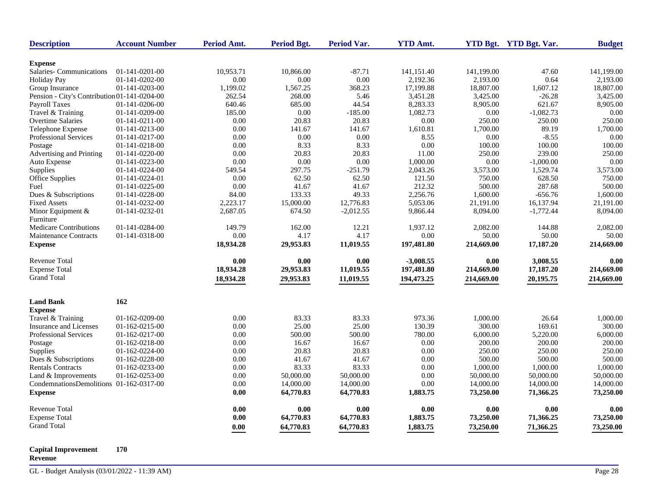| <b>Description</b>                           | <b>Account Number</b> | Period Amt. | <b>Period Bgt.</b> | <b>Period Var.</b> | <b>YTD Amt.</b> |            | YTD Bgt. YTD Bgt. Var. | <b>Budget</b> |
|----------------------------------------------|-----------------------|-------------|--------------------|--------------------|-----------------|------------|------------------------|---------------|
| <b>Expense</b>                               |                       |             |                    |                    |                 |            |                        |               |
| Salaries-Communications                      | 01-141-0201-00        | 10,953.71   | 10,866.00          | $-87.71$           | 141,151.40      | 141,199.00 | 47.60                  | 141,199.00    |
| <b>Holiday Pay</b>                           | 01-141-0202-00        | $0.00\,$    | 0.00               | 0.00               | 2,192.36        | 2,193.00   | 0.64                   | 2,193.00      |
| Group Insurance                              | 01-141-0203-00        | 1,199.02    | 1,567.25           | 368.23             | 17,199.88       | 18,807.00  | 1,607.12               | 18,807.00     |
| Pension - City's Contribution 01-141-0204-00 |                       | 262.54      | 268.00             | 5.46               | 3,451.28        | 3,425.00   | $-26.28$               | 3,425.00      |
| <b>Payroll Taxes</b>                         | 01-141-0206-00        | 640.46      | 685.00             | 44.54              | 8,283.33        | 8,905.00   | 621.67                 | 8,905.00      |
| Travel & Training                            | 01-141-0209-00        | 185.00      | 0.00               | $-185.00$          | 1,082.73        | 0.00       | $-1,082.73$            | 0.00          |
| <b>Overtime Salaries</b>                     | $01-141-0211-00$      | 0.00        | 20.83              | 20.83              | 0.00            | 250.00     | 250.00                 | 250.00        |
| Telephone Expense                            | 01-141-0213-00        | 0.00        | 141.67             | 141.67             | 1,610.81        | 1,700.00   | 89.19                  | 1,700.00      |
| Professional Services                        | 01-141-0217-00        | 0.00        | 0.00               | $0.00\,$           | 8.55            | 0.00       | $-8.55$                | 0.00          |
| Postage                                      | 01-141-0218-00        | 0.00        | 8.33               | 8.33               | 0.00            | 100.00     | 100.00                 | 100.00        |
| Advertising and Printing                     | 01-141-0220-00        | 0.00        | 20.83              | 20.83              | 11.00           | 250.00     | 239.00                 | 250.00        |
| Auto Expense                                 | 01-141-0223-00        | 0.00        | 0.00               | 0.00               | 1,000.00        | 0.00       | $-1,000.00$            | 0.00          |
| Supplies                                     | 01-141-0224-00        | 549.54      | 297.75             | $-251.79$          | 2,043.26        | 3,573.00   | 1,529.74               | 3,573.00      |
| Office Supplies                              | 01-141-0224-01        | 0.00        | 62.50              | 62.50              | 121.50          | 750.00     | 628.50                 | 750.00        |
| Fuel                                         | 01-141-0225-00        | 0.00        | 41.67              | 41.67              | 212.32          | 500.00     | 287.68                 | 500.00        |
| Dues & Subscriptions                         | 01-141-0228-00        | 84.00       | 133.33             | 49.33              | 2,256.76        | 1,600.00   | $-656.76$              | 1,600.00      |
| <b>Fixed Assets</b>                          | 01-141-0232-00        | 2,223.17    | 15,000.00          | 12,776.83          | 5,053.06        | 21,191.00  | 16,137.94              | 21,191.00     |
| Minor Equipment &<br>Furniture               | 01-141-0232-01        | 2,687.05    | 674.50             | $-2,012.55$        | 9,866.44        | 8,094.00   | $-1,772.44$            | 8,094.00      |
| <b>Medicare Contributions</b>                | 01-141-0284-00        | 149.79      | 162.00             | 12.21              | 1,937.12        | 2,082.00   | 144.88                 | 2,082.00      |
| <b>Maintenance Contracts</b>                 | 01-141-0318-00        | 0.00        | 4.17               | 4.17               | 0.00            | 50.00      | 50.00                  | 50.00         |
| <b>Expense</b>                               |                       | 18,934.28   | 29,953.83          | 11,019.55          | 197,481.80      | 214,669.00 | 17,187.20              | 214,669.00    |
| <b>Revenue Total</b>                         |                       | 0.00        | 0.00               | 0.00               | $-3,008.55$     | 0.00       | 3,008.55               | 0.00          |
| <b>Expense Total</b>                         |                       | 18,934.28   | 29,953.83          | 11,019.55          | 197,481.80      | 214,669.00 | 17,187.20              | 214,669.00    |
| <b>Grand Total</b>                           |                       | 18,934.28   | 29,953.83          | 11,019.55          | 194,473.25      | 214,669.00 | 20,195.75              | 214,669.00    |
| <b>Land Bank</b>                             | 162                   |             |                    |                    |                 |            |                        |               |
| <b>Expense</b>                               |                       |             |                    |                    |                 |            |                        |               |
| Travel & Training                            | 01-162-0209-00        | 0.00        | 83.33              | 83.33              | 973.36          | 1,000.00   | 26.64                  | 1,000.00      |
| Insurance and Licenses                       | 01-162-0215-00        | 0.00        | 25.00              | 25.00              | 130.39          | 300.00     | 169.61                 | 300.00        |
| Professional Services                        | 01-162-0217-00        | 0.00        | 500.00             | 500.00             | 780.00          | 6,000.00   | 5,220.00               | 6,000.00      |
| Postage                                      | 01-162-0218-00        | 0.00        | 16.67              | 16.67              | 0.00            | 200.00     | 200.00                 | 200.00        |
| Supplies                                     | 01-162-0224-00        | 0.00        | 20.83              | 20.83              | 0.00            | 250.00     | 250.00                 | 250.00        |
| Dues & Subscriptions                         | 01-162-0228-00        | 0.00        | 41.67              | 41.67              | 0.00            | 500.00     | 500.00                 | 500.00        |
| <b>Rentals Contracts</b>                     | 01-162-0233-00        | 0.00        | 83.33              | 83.33              | 0.00            | 1,000.00   | 1,000.00               | 1,000.00      |
| Land & Improvements                          | 01-162-0253-00        | $0.00\,$    | 50,000.00          | 50,000.00          | 0.00            | 50,000.00  | 50,000.00              | 50,000.00     |
| CondemnationsDemolitions 01-162-0317-00      |                       | 0.00        | 14,000.00          | 14,000.00          | 0.00            | 14,000.00  | 14,000.00              | 14,000.00     |
| <b>Expense</b>                               |                       | 0.00        | 64,770.83          | 64,770.83          | 1,883.75        | 73,250.00  | 71,366.25              | 73,250.00     |
| <b>Revenue Total</b>                         |                       | $0.00\,$    | 0.00               | 0.00               | 0.00            | 0.00       | 0.00                   | 0.00          |
| <b>Expense Total</b>                         |                       | 0.00        | 64,770.83          | 64,770.83          | 1,883.75        | 73,250.00  | 71,366.25              | 73,250.00     |
| <b>Grand Total</b>                           |                       | 0.00        | 64,770.83          | 64,770.83          | 1,883.75        | 73,250.00  | 71,366.25              | 73,250.00     |

#### **Capital Improvement 170**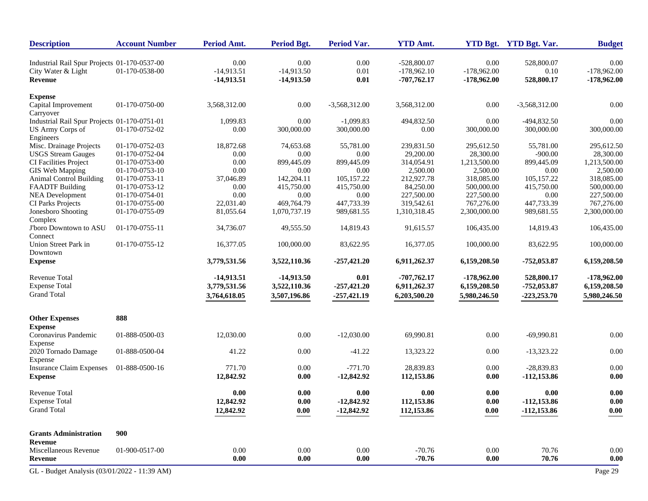| <b>Description</b>                           | <b>Account Number</b> | Period Amt.  | Period Bgt.  | <b>Period Var.</b> | <b>YTD Amt.</b> |               | YTD Bgt. YTD Bgt. Var. | <b>Budget</b> |
|----------------------------------------------|-----------------------|--------------|--------------|--------------------|-----------------|---------------|------------------------|---------------|
| Industrial Rail Spur Projects 01-170-0537-00 |                       | 0.00         | 0.00         | 0.00               | $-528,800.07$   | 0.00          | 528,800.07             | 0.00          |
| City Water & Light                           | 01-170-0538-00        | $-14,913.51$ | $-14,913.50$ | 0.01               | $-178,962.10$   | $-178,962.00$ | 0.10                   | $-178,962.00$ |
| Revenue                                      |                       | $-14,913.51$ | $-14,913.50$ | $0.01\,$           | $-707,762.17$   | $-178,962.00$ | 528,800.17             | $-178,962.00$ |
| <b>Expense</b>                               |                       |              |              |                    |                 |               |                        |               |
| Capital Improvement<br>Carryover             | 01-170-0750-00        | 3,568,312.00 | 0.00         | $-3,568,312.00$    | 3,568,312.00    | 0.00          | $-3,568,312.00$        | $0.00\,$      |
| Industrial Rail Spur Projects 01-170-0751-01 |                       | 1,099.83     | 0.00         | $-1,099.83$        | 494,832.50      | 0.00          | -494,832.50            | 0.00          |
| US Army Corps of                             | 01-170-0752-02        | 0.00         | 300,000.00   | 300,000.00         | 0.00            | 300,000.00    | 300,000.00             | 300,000.00    |
| Engineers                                    |                       |              |              |                    |                 |               |                        |               |
| Misc. Drainage Projects                      | 01-170-0752-03        | 18,872.68    | 74,653.68    | 55,781.00          | 239,831.50      | 295,612.50    | 55,781.00              | 295,612.50    |
| <b>USGS</b> Stream Gauges                    | 01-170-0752-04        | 0.00         | 0.00         | 0.00               | 29,200.00       | 28,300.00     | $-900.00$              | 28,300.00     |
| CI Facilities Project                        | 01-170-0753-00        | 0.00         | 899,445.09   | 899,445.09         | 314,054.91      | 1,213,500.00  | 899,445.09             | 1,213,500.00  |
| GIS Web Mapping                              | 01-170-0753-10        | 0.00         | 0.00         | 0.00               | 2,500.00        | 2,500.00      | 0.00                   | 2,500.00      |
| <b>Animal Control Building</b>               | 01-170-0753-11        | 37,046.89    | 142,204.11   | 105,157.22         | 212,927.78      | 318,085.00    | 105,157.22             | 318,085.00    |
| <b>FAADTF Building</b>                       | 01-170-0753-12        | 0.00         | 415,750.00   | 415,750.00         | 84,250.00       | 500,000.00    | 415,750.00             | 500,000.00    |
| <b>NEA Development</b>                       | 01-170-0754-01        | 0.00         | 0.00         | 0.00               | 227,500.00      | 227,500.00    | 0.00                   | 227,500.00    |
| CI Parks Projects                            | 01-170-0755-00        | 22,031.40    | 469,764.79   | 447,733.39         | 319,542.61      | 767,276.00    | 447,733.39             | 767,276.00    |
| Jonesboro Shooting                           | 01-170-0755-09        | 81,055.64    | 1,070,737.19 | 989,681.55         | 1,310,318.45    | 2,300,000.00  | 989,681.55             | 2,300,000.00  |
| Complex                                      |                       |              |              |                    |                 |               |                        |               |
| J'boro Downtown to ASU                       | 01-170-0755-11        | 34,736.07    | 49,555.50    | 14,819.43          | 91,615.57       | 106,435.00    | 14,819.43              | 106,435.00    |
| Connect                                      |                       |              |              |                    |                 |               |                        |               |
| Union Street Park in<br>Downtown             | 01-170-0755-12        | 16,377.05    | 100,000.00   | 83,622.95          | 16,377.05       | 100,000.00    | 83,622.95              | 100,000.00    |
| <b>Expense</b>                               |                       | 3,779,531.56 | 3,522,110.36 | $-257,421.20$      | 6,911,262.37    | 6,159,208.50  | $-752,053.87$          | 6,159,208.50  |
| Revenue Total                                |                       | $-14,913.51$ | $-14,913.50$ | 0.01               | $-707,762.17$   | $-178,962.00$ | 528,800.17             | $-178,962.00$ |
| <b>Expense Total</b>                         |                       | 3,779,531.56 | 3,522,110.36 | $-257,421.20$      | 6,911,262.37    | 6,159,208.50  | $-752,053.87$          | 6,159,208.50  |
| <b>Grand Total</b>                           |                       | 3,764,618.05 | 3,507,196.86 | $-257,421.19$      | 6,203,500.20    | 5,980,246.50  | $-223,253.70$          | 5,980,246.50  |
| <b>Other Expenses</b>                        | 888                   |              |              |                    |                 |               |                        |               |
| <b>Expense</b>                               |                       |              |              |                    |                 |               |                        |               |
| Coronavirus Pandemic<br>Expense              | 01-888-0500-03        | 12,030.00    | 0.00         | $-12,030.00$       | 69,990.81       | $0.00\,$      | $-69,990.81$           | $0.00\,$      |
| 2020 Tornado Damage<br>Expense               | 01-888-0500-04        | 41.22        | 0.00         | $-41.22$           | 13,323.22       | 0.00          | $-13,323.22$           | $0.00\,$      |
| <b>Insurance Claim Expenses</b>              | 01-888-0500-16        | 771.70       | 0.00         | $-771.70$          | 28,839.83       | 0.00          | $-28.839.83$           | 0.00          |
| <b>Expense</b>                               |                       | 12,842.92    | 0.00         | $-12,842.92$       | 112,153.86      | 0.00          | $-112,153.86$          | 0.00          |
| <b>Revenue Total</b>                         |                       | 0.00         | 0.00         | 0.00               | 0.00            | 0.00          | 0.00                   | 0.00          |
| <b>Expense Total</b>                         |                       | 12,842.92    | 0.00         | $-12,842.92$       | 112,153.86      | 0.00          | $-112,153.86$          | 0.00          |
| <b>Grand Total</b>                           |                       |              |              |                    | 112,153.86      |               |                        |               |
|                                              |                       | 12,842.92    | 0.00         | $-12,842.92$       |                 | 0.00          | $-112,153.86$          | 0.00          |
| <b>Grants Administration</b>                 | 900                   |              |              |                    |                 |               |                        |               |
| Revenue                                      |                       |              |              |                    |                 |               |                        |               |
| Miscellaneous Revenue                        | 01-900-0517-00        | 0.00         | 0.00         | 0.00               | $-70.76$        | 0.00          | 70.76                  | 0.00          |
| Revenue                                      |                       | 0.00         | 0.00         | 0.00               | $-70.76$        | 0.00          | 70.76                  | 0.00          |
| GL - Budget Analysis (03/01/2022 - 11:39 AM) |                       |              |              |                    |                 |               |                        | Page 29       |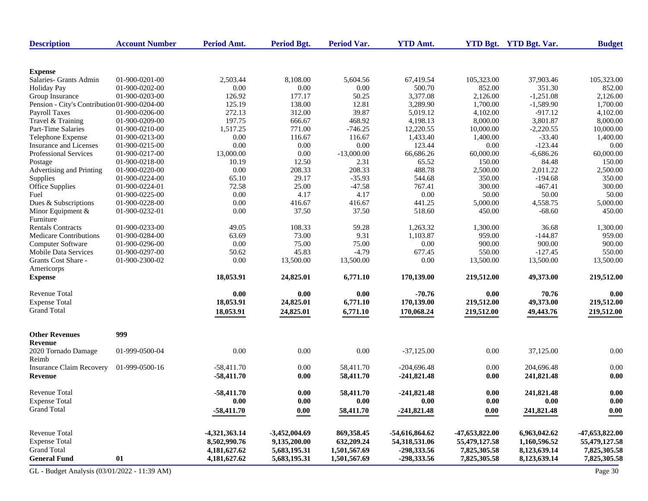| <b>Description</b>                           | <b>Account Number</b> | Period Amt.     | <b>Period Bgt.</b> | <b>Period Var.</b> | <b>YTD Amt.</b> |                | YTD Bgt. YTD Bgt. Var. | <b>Budget</b>  |
|----------------------------------------------|-----------------------|-----------------|--------------------|--------------------|-----------------|----------------|------------------------|----------------|
| <b>Expense</b>                               |                       |                 |                    |                    |                 |                |                        |                |
| Salaries- Grants Admin                       | 01-900-0201-00        | 2,503.44        | 8,108.00           | 5,604.56           | 67,419.54       | 105,323.00     | 37,903.46              | 105,323.00     |
| <b>Holiday Pay</b>                           | 01-900-0202-00        | 0.00            | 0.00               | 0.00               | 500.70          | 852.00         | 351.30                 | 852.00         |
| Group Insurance                              | 01-900-0203-00        | 126.92          | 177.17             | 50.25              | 3,377.08        | 2.126.00       | $-1,251.08$            | 2,126.00       |
| Pension - City's Contribution 01-900-0204-00 |                       | 125.19          | 138.00             | 12.81              | 3,289.90        | 1,700.00       | $-1,589.90$            | 1,700.00       |
| <b>Payroll Taxes</b>                         | 01-900-0206-00        | 272.13          | 312.00             | 39.87              | 5,019.12        | 4,102.00       | $-917.12$              | 4,102.00       |
| Travel & Training                            | 01-900-0209-00        | 197.75          | 666.67             | 468.92             | 4,198.13        | 8,000.00       | 3,801.87               | 8,000.00       |
| Part-Time Salaries                           | 01-900-0210-00        | 1,517.25        | 771.00             | $-746.25$          | 12,220.55       | 10,000.00      | $-2,220.55$            | 10,000.00      |
| Telephone Expense                            | 01-900-0213-00        | 0.00            | 116.67             | 116.67             | 1,433.40        | 1,400.00       | $-33.40$               | 1,400.00       |
| Insurance and Licenses                       | 01-900-0215-00        | 0.00            | 0.00               | 0.00               | 123.44          | 0.00           | $-123.44$              | 0.00           |
| <b>Professional Services</b>                 | 01-900-0217-00        | 13,000.00       | 0.00               | $-13,000.00$       | 66,686.26       | 60,000.00      | $-6,686.26$            | 60,000.00      |
| Postage                                      | 01-900-0218-00        | 10.19           | 12.50              | 2.31               | 65.52           | 150.00         | 84.48                  | 150.00         |
| Advertising and Printing                     | 01-900-0220-00        | 0.00            | 208.33             | 208.33             | 488.78          | 2,500.00       | 2,011.22               | 2,500.00       |
| Supplies                                     | 01-900-0224-00        | 65.10           | 29.17              | $-35.93$           | 544.68          | 350.00         | $-194.68$              | 350.00         |
| Office Supplies                              | 01-900-0224-01        | 72.58           | 25.00              | $-47.58$           | 767.41          | 300.00         | $-467.41$              | 300.00         |
| Fuel                                         | 01-900-0225-00        | 0.00            | 4.17               | 4.17               | 0.00            | 50.00          | 50.00                  | 50.00          |
| Dues & Subscriptions                         | 01-900-0228-00        | 0.00            | 416.67             | 416.67             | 441.25          | 5,000.00       | 4,558.75               | 5,000.00       |
| Minor Equipment $\&$                         | 01-900-0232-01        | 0.00            | 37.50              | 37.50              | 518.60          | 450.00         | $-68.60$               | 450.00         |
| Furniture                                    |                       |                 |                    |                    |                 |                |                        |                |
| <b>Rentals Contracts</b>                     | 01-900-0233-00        | 49.05           | 108.33             | 59.28              | 1,263.32        | 1,300.00       | 36.68                  | 1,300.00       |
| Medicare Contributions                       | 01-900-0284-00        | 63.69           | 73.00              | 9.31               | 1,103.87        | 959.00         | $-144.87$              | 959.00         |
| <b>Computer Software</b>                     | 01-900-0296-00        | 0.00            | 75.00              | 75.00              | 0.00            | 900.00         | 900.00                 | 900.00         |
| <b>Mobile Data Services</b>                  | 01-900-0297-00        | 50.62           | 45.83              | $-4.79$            | 677.45          | 550.00         | $-127.45$              | 550.00         |
| Grants Cost Share -                          | 01-900-2300-02        | 0.00            | 13,500.00          | 13,500.00          | 0.00            | 13,500.00      | 13,500.00              | 13,500.00      |
| Americorps                                   |                       |                 |                    |                    |                 |                |                        |                |
| <b>Expense</b>                               |                       | 18,053.91       | 24,825.01          | 6,771.10           | 170,139.00      | 219,512.00     | 49,373.00              | 219,512.00     |
| Revenue Total                                |                       | 0.00            | 0.00               | 0.00               | $-70.76$        | 0.00           | 70.76                  | 0.00           |
| <b>Expense Total</b>                         |                       | 18,053.91       | 24,825.01          | 6,771.10           | 170,139.00      | 219,512.00     | 49,373.00              | 219,512.00     |
| <b>Grand Total</b>                           |                       | 18,053.91       | 24,825.01          | 6,771.10           | 170,068.24      | 219,512.00     | 49,443.76              | 219,512.00     |
| <b>Other Revenues</b>                        | 999                   |                 |                    |                    |                 |                |                        |                |
| Revenue                                      |                       |                 |                    |                    |                 |                |                        |                |
| 2020 Tornado Damage<br>Reimb                 | 01-999-0500-04        | 0.00            | 0.00               | 0.00               | $-37,125.00$    | $0.00\,$       | 37,125.00              | 0.00           |
| <b>Insurance Claim Recovery</b>              | 01-999-0500-16        | $-58,411.70$    | 0.00               | 58,411.70          | $-204,696.48$   | 0.00           | 204,696.48             | 0.00           |
| Revenue                                      |                       | $-58,411,70$    | 0.00               | 58,411.70          | $-241,821.48$   | 0.00           | 241,821.48             | 0.00           |
| <b>Revenue Total</b>                         |                       | $-58,411.70$    | 0.00               | 58,411.70          | $-241,821.48$   | 0.00           | 241,821.48             | 0.00           |
| <b>Expense Total</b>                         |                       | 0.00            | 0.00               | 0.00               | 0.00            | 0.00           | 0.00                   | 0.00           |
| <b>Grand Total</b>                           |                       | $-58,411.70$    | 0.00               | 58,411.70          | $-241,821.48$   | 0.00           | 241,821.48             | 0.00           |
|                                              |                       |                 |                    |                    |                 |                |                        |                |
| Revenue Total                                |                       | $-4,321,363.14$ | $-3,452,004.69$    | 869,358.45         | -54,616,864.62  | -47,653,822.00 | 6,963,042.62           | -47,653,822.00 |
| <b>Expense Total</b>                         |                       | 8,502,990.76    | 9,135,200.00       | 632,209.24         | 54,318,531.06   | 55,479,127.58  | 1,160,596.52           | 55,479,127.58  |
| <b>Grand Total</b>                           |                       | 4,181,627.62    | 5,683,195.31       | 1,501,567.69       | -298,333.56     | 7,825,305.58   | 8,123,639.14           | 7,825,305.58   |
| <b>General Fund</b>                          | 01                    | 4,181,627.62    | 5,683,195.31       | 1,501,567.69       | -298,333.56     | 7,825,305.58   | 8,123,639.14           | 7,825,305.58   |
| GL - Budget Analysis (03/01/2022 - 11:39 AM) |                       |                 |                    |                    |                 |                |                        | Page 30        |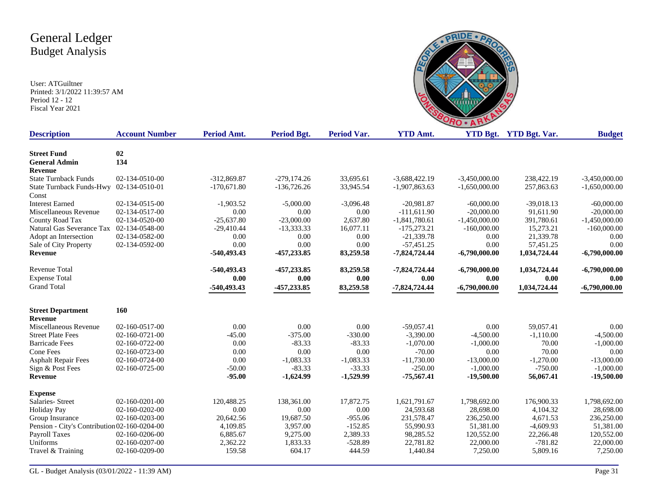

| <b>Description</b>                           | <b>Account Number</b> | <b>Period Amt.</b> | Period Bgt.   | <b>Period Var.</b> | <b>YTD Amt.</b> |                 | <b>YTD Bgt.</b> YTD Bgt. Var. | <b>Budget</b>   |
|----------------------------------------------|-----------------------|--------------------|---------------|--------------------|-----------------|-----------------|-------------------------------|-----------------|
| <b>Street Fund</b>                           | 02                    |                    |               |                    |                 |                 |                               |                 |
| <b>General Admin</b>                         | 134                   |                    |               |                    |                 |                 |                               |                 |
| <b>Revenue</b>                               |                       |                    |               |                    |                 |                 |                               |                 |
| <b>State Turnback Funds</b>                  | 02-134-0510-00        | -312,869.87        | $-279,174.26$ | 33,695.61          | $-3,688,422.19$ | $-3,450,000.00$ | 238,422.19                    | $-3,450,000.00$ |
| State Turnback Funds-Hwy 02-134-0510-01      |                       | $-170,671.80$      | $-136,726.26$ | 33,945.54          | $-1,907,863.63$ | $-1,650,000.00$ | 257,863.63                    | $-1,650,000.00$ |
| Const                                        |                       |                    |               |                    |                 |                 |                               |                 |
| <b>Interest Earned</b>                       | 02-134-0515-00        | $-1,903.52$        | $-5,000.00$   | $-3,096.48$        | $-20,981.87$    | $-60,000,00$    | $-39,018.13$                  | $-60,000.00$    |
| Miscellaneous Revenue                        | 02-134-0517-00        | 0.00               | 0.00          | 0.00               | $-111,611.90$   | $-20,000.00$    | 91,611.90                     | $-20,000.00$    |
| County Road Tax                              | 02-134-0520-00        | $-25,637.80$       | $-23,000.00$  | 2,637.80           | $-1,841,780.61$ | $-1,450,000.00$ | 391,780.61                    | $-1,450,000.00$ |
| Natural Gas Severance Tax 02-134-0548-00     |                       | $-29,410.44$       | $-13,333.33$  | 16,077.11          | $-175,273.21$   | $-160,000.00$   | 15,273.21                     | $-160,000.00$   |
| Adopt an Intersection                        | 02-134-0582-00        | 0.00               | 0.00          | 0.00               | $-21,339.78$    | 0.00            | 21,339.78                     | 0.00            |
| Sale of City Property                        | 02-134-0592-00        | 0.00               | 0.00          | 0.00               | $-57,451.25$    | 0.00            | 57,451.25                     | 0.00            |
| Revenue                                      |                       | $-540,493.43$      | -457,233.85   | 83,259.58          | $-7,824,724.44$ | $-6,790,000.00$ | 1,034,724.44                  | $-6,790,000.00$ |
| <b>Revenue Total</b>                         |                       | $-540,493.43$      | -457,233.85   | 83,259.58          | $-7,824,724.44$ | $-6,790,000.00$ | 1,034,724.44                  | $-6,790,000.00$ |
| <b>Expense Total</b>                         |                       | 0.00               | 0.00          | 0.00               | 0.00            | 0.00            | 0.00                          | 0.00            |
| <b>Grand Total</b>                           |                       | -540,493.43        | -457,233.85   | 83,259.58          | $-7,824,724.44$ | $-6,790,000.00$ | 1,034,724.44                  | $-6,790,000.00$ |
| <b>Street Department</b>                     | 160                   |                    |               |                    |                 |                 |                               |                 |
| Revenue                                      |                       |                    |               |                    |                 |                 |                               |                 |
| Miscellaneous Revenue                        | 02-160-0517-00        | 0.00               | 0.00          | 0.00               | $-59,057.41$    | 0.00            | 59,057.41                     | 0.00            |
| <b>Street Plate Fees</b>                     | 02-160-0721-00        | $-45.00$           | $-375.00$     | $-330.00$          | $-3,390.00$     | $-4,500.00$     | $-1,110.00$                   | $-4,500.00$     |
| <b>Barricade Fees</b>                        | 02-160-0722-00        | 0.00               | $-83.33$      | $-83.33$           | $-1,070.00$     | $-1,000.00$     | 70.00                         | $-1,000.00$     |
| Cone Fees                                    | 02-160-0723-00        | 0.00               | 0.00          | 0.00               | $-70.00$        | 0.00            | 70.00                         | 0.00            |
| <b>Asphalt Repair Fees</b>                   | 02-160-0724-00        | 0.00               | $-1,083.33$   | $-1,083.33$        | $-11,730.00$    | $-13,000.00$    | $-1,270.00$                   | $-13,000.00$    |
| Sign & Post Fees                             | 02-160-0725-00        | $-50.00$           | $-83.33$      | $-33.33$           | $-250.00$       | $-1,000.00$     | $-750.00$                     | $-1,000.00$     |
| Revenue                                      |                       | $-95.00$           | $-1,624.99$   | $-1,529.99$        | $-75,567.41$    | $-19,500.00$    | 56,067.41                     | $-19,500.00$    |
| <b>Expense</b>                               |                       |                    |               |                    |                 |                 |                               |                 |
| Salaries- Street                             | 02-160-0201-00        | 120,488.25         | 138,361.00    | 17,872.75          | 1,621,791.67    | 1,798,692.00    | 176,900.33                    | 1,798,692.00    |
| <b>Holiday Pay</b>                           | 02-160-0202-00        | 0.00               | 0.00          | 0.00               | 24,593.68       | 28,698.00       | 4,104.32                      | 28,698.00       |
| Group Insurance                              | 02-160-0203-00        | 20,642.56          | 19,687.50     | $-955.06$          | 231,578.47      | 236,250.00      | 4,671.53                      | 236,250.00      |
| Pension - City's Contribution 02-160-0204-00 |                       | 4,109.85           | 3,957.00      | $-152.85$          | 55,990.93       | 51,381.00       | $-4,609.93$                   | 51,381.00       |
| <b>Payroll Taxes</b>                         | 02-160-0206-00        | 6,885.67           | 9,275.00      | 2,389.33           | 98,285.52       | 120,552.00      | 22,266.48                     | 120,552.00      |
| Uniforms                                     | 02-160-0207-00        | 2,362.22           | 1,833.33      | $-528.89$          | 22,781.82       | 22,000.00       | $-781.82$                     | 22,000.00       |
| Travel & Training                            | 02-160-0209-00        | 159.58             | 604.17        | 444.59             | 1,440.84        | 7,250.00        | 5,809.16                      | 7,250.00        |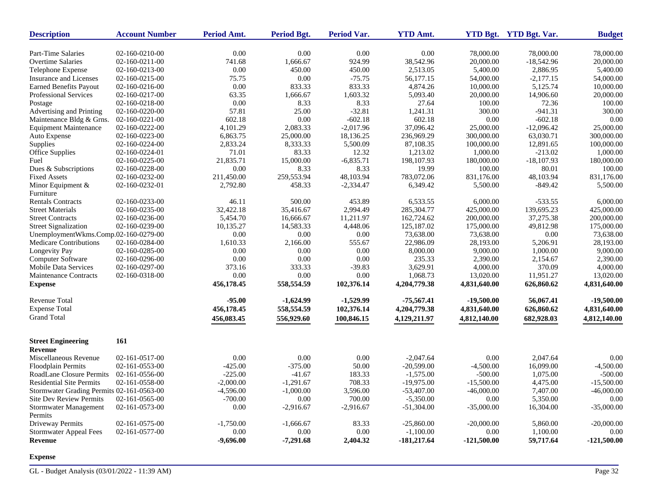| 0.00<br>0.00<br>0.00<br>Part-Time Salaries<br>02-160-0210-00<br>0.00<br>78,000.00<br>78,000.00<br>02-160-0211-00<br>924.99<br>38,542.96<br>20,000.00<br>$-18,542.96$<br><b>Overtime Salaries</b><br>741.68<br>1,666.67<br>2,886.95<br>Telephone Expense<br>02-160-0213-00<br>0.00<br>450.00<br>450.00<br>2,513.05<br>5,400.00<br><b>Insurance and Licenses</b><br>0.00<br>$-75.75$<br>56,177.15<br>$-2,177.15$<br>02-160-0215-00<br>75.75<br>54,000.00 | 78,000.00<br>20,000.00<br>5,400.00<br>54,000.00<br>10,000.00<br>20,000.00<br>100.00 |
|--------------------------------------------------------------------------------------------------------------------------------------------------------------------------------------------------------------------------------------------------------------------------------------------------------------------------------------------------------------------------------------------------------------------------------------------------------|-------------------------------------------------------------------------------------|
|                                                                                                                                                                                                                                                                                                                                                                                                                                                        |                                                                                     |
|                                                                                                                                                                                                                                                                                                                                                                                                                                                        |                                                                                     |
|                                                                                                                                                                                                                                                                                                                                                                                                                                                        |                                                                                     |
|                                                                                                                                                                                                                                                                                                                                                                                                                                                        |                                                                                     |
| 0.00<br>833.33<br>833.33<br>5,125.74<br><b>Earned Benefits Payout</b><br>02-160-0216-00<br>4,874.26<br>10,000.00                                                                                                                                                                                                                                                                                                                                       |                                                                                     |
| 1,603.32<br>Professional Services<br>02-160-0217-00<br>63.35<br>1,666.67<br>5,093.40<br>20,000.00<br>14,906.60                                                                                                                                                                                                                                                                                                                                         |                                                                                     |
| 02-160-0218-00<br>0.00<br>8.33<br>8.33<br>27.64<br>100.00<br>72.36<br>Postage                                                                                                                                                                                                                                                                                                                                                                          |                                                                                     |
| Advertising and Printing<br>02-160-0220-00<br>57.81<br>25.00<br>$-32.81$<br>1,241.31<br>300.00<br>$-941.31$                                                                                                                                                                                                                                                                                                                                            | 300.00                                                                              |
| Maintenance Bldg & Grns.<br>602.18<br>0.00<br>$-602.18$<br>602.18<br>0.00<br>$-602.18$<br>02-160-0221-00                                                                                                                                                                                                                                                                                                                                               | 0.00                                                                                |
| 2,083.33<br>$-2,017.96$<br>37,096.42<br>25,000.00<br>$-12,096.42$<br><b>Equipment Maintenance</b><br>02-160-0222-00<br>4,101.29                                                                                                                                                                                                                                                                                                                        | 25,000.00                                                                           |
| 63,030.71<br>Auto Expense<br>02-160-0223-00<br>6,863.75<br>25,000.00<br>18,136.25<br>236,969.29<br>300,000.00                                                                                                                                                                                                                                                                                                                                          | 300,000.00                                                                          |
| Supplies<br>02-160-0224-00<br>2,833.24<br>8,333.33<br>5,500.09<br>87.108.35<br>100,000.00<br>12,891.65                                                                                                                                                                                                                                                                                                                                                 | 100,000.00                                                                          |
| 83.33<br>12.32<br>$-213.02$<br>Office Supplies<br>02-160-0224-01<br>71.01<br>1,213.02<br>1,000.00                                                                                                                                                                                                                                                                                                                                                      | 1,000.00                                                                            |
| $-6,835.71$<br>198,107.93<br>$-18,107.93$<br>Fuel<br>02-160-0225-00<br>21,835.71<br>15,000.00<br>180,000.00                                                                                                                                                                                                                                                                                                                                            | 180,000.00                                                                          |
| 80.01<br>02-160-0228-00<br>0.00<br>8.33<br>8.33<br>19.99<br>100.00<br>Dues & Subscriptions                                                                                                                                                                                                                                                                                                                                                             | 100.00                                                                              |
| 259,553.94<br>48,103.94<br>783,072.06<br>48,103.94<br><b>Fixed Assets</b><br>02-160-0232-00<br>211,450.00<br>831,176.00                                                                                                                                                                                                                                                                                                                                | 831,176.00                                                                          |
| 02-160-0232-01<br>2,792.80<br>458.33<br>$-2,334.47$<br>6,349.42<br>5,500.00<br>$-849.42$<br>Minor Equipment &                                                                                                                                                                                                                                                                                                                                          | 5,500.00                                                                            |
| Furniture                                                                                                                                                                                                                                                                                                                                                                                                                                              |                                                                                     |
| <b>Rentals Contracts</b><br>02-160-0233-00<br>46.11<br>500.00<br>453.89<br>6,533.55<br>6,000.00<br>$-533.55$                                                                                                                                                                                                                                                                                                                                           | 6,000.00                                                                            |
| <b>Street Materials</b><br>02-160-0235-00<br>32,422.18<br>35,416.67<br>2,994.49<br>285,304.77<br>425,000.00<br>139.695.23                                                                                                                                                                                                                                                                                                                              | 425,000.00                                                                          |
| 5,454.70<br>162,724.62<br>37,275.38<br><b>Street Contracts</b><br>02-160-0236-00<br>16,666.67<br>11,211.97<br>200,000.00                                                                                                                                                                                                                                                                                                                               | 200,000.00                                                                          |
| 02-160-0239-00<br>4,448.06<br>125,187.02<br>49,812.98<br><b>Street Signalization</b><br>10,135.27<br>14,583.33<br>175,000.00                                                                                                                                                                                                                                                                                                                           | 175,000.00                                                                          |
| UnemploymentWkms.Comp.02-160-0279-00<br>0.00<br>0.00<br>0.00<br>73,638.00<br>0.00<br>73,638.00                                                                                                                                                                                                                                                                                                                                                         | 73,638.00                                                                           |
| Medicare Contributions<br>1,610.33<br>2,166.00<br>555.67<br>22,986.09<br>02-160-0284-00<br>28,193.00<br>5,206.91                                                                                                                                                                                                                                                                                                                                       | 28,193.00                                                                           |
| Longevity Pay<br>02-160-0285-00<br>0.00<br>0.00<br>0.00<br>8,000.00<br>9,000.00<br>1,000.00                                                                                                                                                                                                                                                                                                                                                            | 9,000.00                                                                            |
| <b>Computer Software</b><br>02-160-0296-00<br>0.00<br>0.00<br>0.00<br>235.33<br>2,390.00<br>2,154.67                                                                                                                                                                                                                                                                                                                                                   | 2,390.00                                                                            |
| <b>Mobile Data Services</b><br>373.16<br>$-39.83$<br>3,629.91<br>370.09<br>02-160-0297-00<br>333.33<br>4,000.00                                                                                                                                                                                                                                                                                                                                        | 4,000.00                                                                            |
| 0.00<br>0.00<br>0.00<br>1,068.73<br>11,951.27<br>Maintenance Contracts<br>02-160-0318-00<br>13,020.00                                                                                                                                                                                                                                                                                                                                                  | 13,020.00                                                                           |
| 558,554.59<br><b>Expense</b><br>456,178.45<br>102,376.14<br>4,204,779.38<br>4,831,640.00<br>626,860.62                                                                                                                                                                                                                                                                                                                                                 | 4,831,640.00                                                                        |
|                                                                                                                                                                                                                                                                                                                                                                                                                                                        |                                                                                     |
| <b>Revenue Total</b><br>$-95.00$<br>$-1,624.99$<br>$-1,529.99$<br>$-75,567.41$<br>$-19,500.00$<br>56,067.41                                                                                                                                                                                                                                                                                                                                            | $-19,500.00$                                                                        |
| <b>Expense Total</b><br>456,178.45<br>558,554.59<br>102,376.14<br>4,204,779.38<br>4,831,640.00<br>626,860.62                                                                                                                                                                                                                                                                                                                                           | 4,831,640.00                                                                        |
| <b>Grand Total</b><br>100,846.15<br>682,928.03<br>456,083.45<br>556,929.60<br>4,129,211.97<br>4,812,140.00                                                                                                                                                                                                                                                                                                                                             | 4,812,140.00                                                                        |
| 161<br><b>Street Engineering</b>                                                                                                                                                                                                                                                                                                                                                                                                                       |                                                                                     |
| <b>Revenue</b>                                                                                                                                                                                                                                                                                                                                                                                                                                         |                                                                                     |
| Miscellaneous Revenue<br>02-161-0517-00<br>0.00<br>0.00<br>0.00<br>$-2,047.64$<br>0.00<br>2,047.64                                                                                                                                                                                                                                                                                                                                                     | 0.00                                                                                |
| 50.00<br>Floodplain Permits<br>$-425.00$<br>$-375.00$<br>$-20,599.00$<br>$-4,500.00$<br>16,099.00<br>02-161-0553-00                                                                                                                                                                                                                                                                                                                                    | $-4,500.00$                                                                         |
| $-225.00$<br>183.33<br>RoadLane Closure Permits<br>02-161-0556-00<br>$-41.67$<br>$-1,575.00$<br>$-500.00$<br>1,075.00                                                                                                                                                                                                                                                                                                                                  | $-500.00$                                                                           |
| <b>Residential Site Permits</b><br>02-161-0558-00<br>$-2,000.00$<br>$-1,291.67$<br>708.33<br>$-19,975.00$<br>$-15,500.00$<br>4,475.00                                                                                                                                                                                                                                                                                                                  | $-15,500.00$                                                                        |
| Stormwater Grading Permits 02-161-0563-00<br>$-1,000.00$<br>3,596.00<br>7,407.00<br>-4,596.00<br>$-53,407.00$<br>$-46,000.00$                                                                                                                                                                                                                                                                                                                          | $-46,000.00$                                                                        |
| $-700.00$<br>700.00<br><b>Site Dev Review Permits</b><br>02-161-0565-00<br>0.00<br>$-5,350.00$<br>0.00<br>5,350.00                                                                                                                                                                                                                                                                                                                                     | 0.00                                                                                |
| 02-161-0573-00<br>0.00<br>$-2,916.67$<br>$-35,000.00$<br>16,304.00<br>Stormwater Management<br>$-2,916.67$<br>$-51,304.00$                                                                                                                                                                                                                                                                                                                             | $-35,000.00$                                                                        |
| Permits                                                                                                                                                                                                                                                                                                                                                                                                                                                |                                                                                     |
| Driveway Permits<br>02-161-0575-00<br>$-1,750.00$<br>$-1,666.67$<br>83.33<br>$-25,860.00$<br>$-20,000.00$<br>5,860.00                                                                                                                                                                                                                                                                                                                                  | $-20,000.00$                                                                        |
| 0.00<br><b>Stormwater Appeal Fees</b><br>02-161-0577-00<br>0.00<br>0.00<br>$-1,100.00$<br>0.00<br>1,100.00                                                                                                                                                                                                                                                                                                                                             | 0.00                                                                                |
| <b>Revenue</b><br>$-9,696.00$<br>$-7,291.68$<br>2,404.32<br>$-181,217.64$<br>-121,500.00<br>59,717.64                                                                                                                                                                                                                                                                                                                                                  | -121,500.00                                                                         |

**Expense**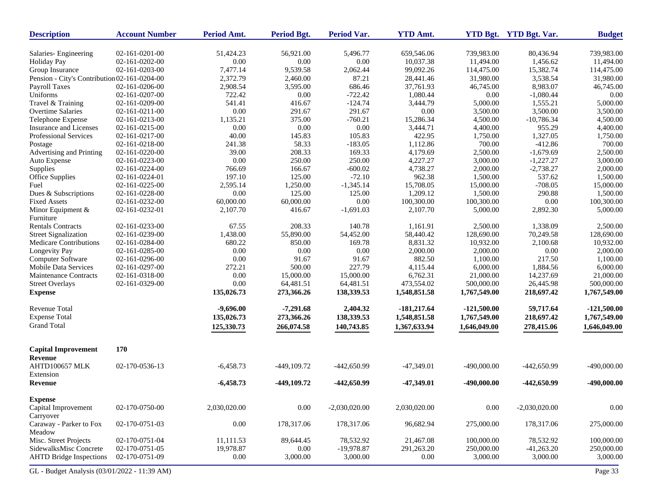| <b>Description</b>                             | <b>Account Number</b> | Period Amt.  | <b>Period Bgt.</b> | Period Var.     | <b>YTD Amt.</b> |               | YTD Bgt. YTD Bgt. Var. | <b>Budget</b> |
|------------------------------------------------|-----------------------|--------------|--------------------|-----------------|-----------------|---------------|------------------------|---------------|
| Salaries-Engineering                           | 02-161-0201-00        | 51,424.23    | 56,921.00          | 5,496.77        | 659,546.06      | 739,983.00    | 80,436.94              | 739,983.00    |
| <b>Holiday Pay</b>                             | 02-161-0202-00        | 0.00         | 0.00               | 0.00            | 10,037.38       | 11,494.00     | 1,456.62               | 11,494.00     |
| Group Insurance                                | 02-161-0203-00        | 7,477.14     | 9,539.58           | 2,062.44        | 99,092.26       | 114,475.00    | 15,382.74              | 114,475.00    |
| Pension - City's Contribution 02-161-0204-00   |                       | 2,372.79     | 2,460.00           | 87.21           | 28,441.46       | 31,980.00     | 3,538.54               | 31,980.00     |
| Payroll Taxes                                  | 02-161-0206-00        | 2,908.54     | 3,595.00           | 686.46          | 37,761.93       | 46,745.00     | 8,983.07               | 46,745.00     |
| Uniforms                                       | 02-161-0207-00        | 722.42       | 0.00               | $-722.42$       | 1,080.44        | 0.00          | $-1,080.44$            | 0.00          |
| Travel & Training                              | 02-161-0209-00        | 541.41       | 416.67             | $-124.74$       | 3,444.79        | 5,000.00      | 1,555.21               | 5,000.00      |
| Overtime Salaries                              | 02-161-0211-00        | 0.00         | 291.67             | 291.67          | 0.00            | 3,500.00      | 3,500.00               | 3,500.00      |
| Telephone Expense                              | 02-161-0213-00        | 1,135.21     | 375.00             | $-760.21$       | 15,286.34       | 4,500.00      | $-10,786.34$           | 4,500.00      |
| Insurance and Licenses                         | 02-161-0215-00        | 0.00         | 0.00               | 0.00            | 3,444.71        | 4,400.00      | 955.29                 | 4,400.00      |
| Professional Services                          | 02-161-0217-00        | 40.00        | 145.83             | 105.83          | 422.95          | 1,750.00      | 1,327.05               | 1,750.00      |
| Postage                                        | 02-161-0218-00        | 241.38       | 58.33              | $-183.05$       | 1,112.86        | 700.00        | $-412.86$              | 700.00        |
| Advertising and Printing                       | 02-161-0220-00        | 39.00        | 208.33             | 169.33          | 4,179.69        | 2,500.00      | $-1,679.69$            | 2,500.00      |
| Auto Expense                                   | 02-161-0223-00        | $0.00\,$     | 250.00             | 250.00          | 4,227.27        | 3,000.00      | $-1,227.27$            | 3,000.00      |
| Supplies                                       | 02-161-0224-00        | 766.69       | 166.67             | $-600.02$       | 4,738.27        | 2,000.00      | $-2,738.27$            | 2,000.00      |
| <b>Office Supplies</b>                         | 02-161-0224-01        | 197.10       | 125.00             | $-72.10$        | 962.38          | 1,500.00      | 537.62                 | 1,500.00      |
| Fuel                                           | 02-161-0225-00        | 2,595.14     | 1,250.00           | $-1,345.14$     | 15,708.05       | 15,000.00     | $-708.05$              | 15,000.00     |
| Dues & Subscriptions                           | 02-161-0228-00        | 0.00         | 125.00             | 125.00          | 1,209.12        | 1,500.00      | 290.88                 | 1,500.00      |
| <b>Fixed Assets</b>                            | 02-161-0232-00        | 60,000.00    | 60,000.00          | 0.00            | 100,300.00      | 100,300.00    | 0.00                   | 100,300.00    |
| Minor Equipment &                              | 02-161-0232-01        | 2,107.70     | 416.67             | $-1,691.03$     | 2,107.70        | 5,000.00      | 2,892.30               | 5,000.00      |
| Furniture                                      |                       |              |                    |                 |                 |               |                        |               |
| <b>Rentals Contracts</b>                       | 02-161-0233-00        | 67.55        | 208.33             | 140.78          | 1.161.91        | 2,500.00      | 1,338.09               | 2,500.00      |
| <b>Street Signalization</b>                    | 02-161-0239-00        | 1,438.00     | 55,890.00          | 54,452.00       | 58,440.42       | 128,690.00    | 70,249.58              | 128,690.00    |
| Medicare Contributions                         | 02-161-0284-00        | 680.22       | 850.00             | 169.78          | 8,831.32        | 10,932.00     | 2,100.68               | 10,932.00     |
| Longevity Pay                                  | 02-161-0285-00        | 0.00         | 0.00               | 0.00            | 2,000.00        | 2,000.00      | 0.00                   | 2,000.00      |
| <b>Computer Software</b>                       | 02-161-0296-00        | 0.00         | 91.67              | 91.67           | 882.50          | 1,100.00      | 217.50                 | 1,100.00      |
| <b>Mobile Data Services</b>                    | 02-161-0297-00        | 272.21       | 500.00             | 227.79          | 4,115.44        | 6,000.00      | 1,884.56               | 6,000.00      |
| <b>Maintenance Contracts</b>                   | 02-161-0318-00        | 0.00         | 15,000.00          | 15,000.00       | 6,762.31        | 21,000.00     | 14,237.69              | 21,000.00     |
| <b>Street Overlays</b>                         | 02-161-0329-00        | 0.00         | 64,481.51          | 64,481.51       | 473,554.02      | 500,000.00    | 26,445.98              | 500,000.00    |
| <b>Expense</b>                                 |                       | 135,026.73   | 273,366.26         | 138,339.53      | 1,548,851.58    | 1,767,549.00  | 218,697.42             | 1,767,549.00  |
| Revenue Total                                  |                       | $-9,696.00$  | $-7,291.68$        | 2,404.32        | $-181,217.64$   | $-121,500.00$ | 59,717.64              | $-121,500.00$ |
| <b>Expense Total</b>                           |                       | 135,026.73   | 273,366.26         | 138,339.53      | 1,548,851.58    | 1,767,549.00  | 218,697.42             | 1,767,549.00  |
| <b>Grand Total</b>                             |                       |              |                    |                 |                 |               |                        |               |
|                                                |                       | 125,330.73   | 266,074.58         | 140,743.85      | 1,367,633.94    | 1,646,049.00  | 278,415.06             | 1,646,049.00  |
| <b>Capital Improvement</b><br>Revenue          | 170                   |              |                    |                 |                 |               |                        |               |
| AHTD100657 MLK<br>Extension                    | 02-170-0536-13        | $-6,458.73$  | -449.109.72        | -442,650.99     | -47,349.01      | $-490,000.00$ | -442,650.99            | $-490,000.00$ |
| <b>Revenue</b>                                 |                       | $-6,458.73$  | -449,109.72        | -442,650.99     | $-47,349.01$    | $-490,000.00$ | -442,650.99            | -490,000.00   |
| <b>Expense</b>                                 |                       |              |                    |                 |                 |               |                        |               |
| Capital Improvement                            | 02-170-0750-00        | 2,030,020.00 | 0.00               | $-2,030,020.00$ | 2,030,020.00    | $0.00\,$      | $-2,030,020.00$        | $0.00\,$      |
| Carryover<br>Caraway - Parker to Fox<br>Meadow | 02-170-0751-03        | $0.00\,$     | 178,317.06         | 178,317.06      | 96,682.94       | 275,000.00    | 178,317.06             | 275,000.00    |
| Misc. Street Projects                          | 02-170-0751-04        | 11,111.53    | 89,644.45          | 78,532.92       | 21,467.08       | 100,000.00    | 78,532.92              | 100,000.00    |
| SidewalksMisc Concrete                         | 02-170-0751-05        | 19,978.87    | 0.00               | -19,978.87      | 291,263.20      | 250,000.00    | $-41,263.20$           | 250,000.00    |
| <b>AHTD Bridge Inspections</b>                 | 02-170-0751-09        | $0.00\,$     | 3,000.00           | 3,000.00        | 0.00            | 3,000.00      | 3,000.00               | 3,000.00      |
|                                                |                       |              |                    |                 |                 |               |                        |               |
| GL - Budget Analysis (03/01/2022 - 11:39 AM)   |                       |              |                    |                 |                 |               |                        | Page 33       |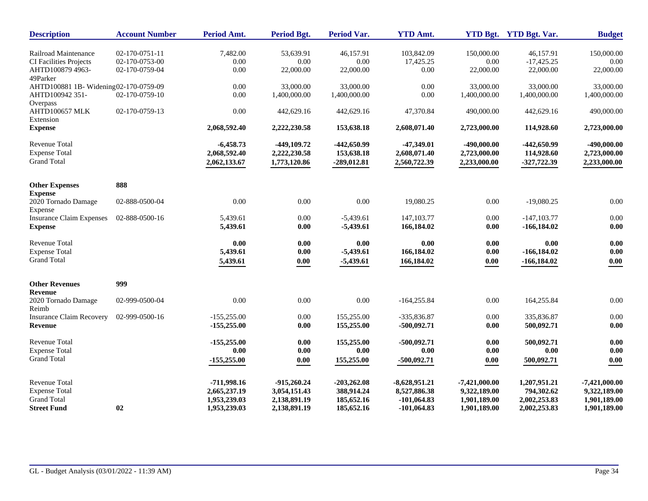| <b>Description</b>                    | <b>Account Number</b> | Period Amt.   | <b>Period Bgt.</b> | <b>Period Var.</b> | <b>YTD Amt.</b> |                 | YTD Bgt. YTD Bgt. Var. | <b>Budget</b>   |
|---------------------------------------|-----------------------|---------------|--------------------|--------------------|-----------------|-----------------|------------------------|-----------------|
| Railroad Maintenance                  | 02-170-0751-11        | 7,482.00      | 53,639.91          | 46,157.91          | 103,842.09      | 150,000.00      | 46,157.91              | 150,000.00      |
| <b>CI Facilities Projects</b>         | 02-170-0753-00        | 0.00          | 0.00               | 0.00               | 17,425.25       | 0.00            | $-17,425.25$           | 0.00            |
| AHTD100879 4963-                      | 02-170-0759-04        | 0.00          | 22,000.00          | 22,000.00          | 0.00            | 22,000.00       | 22,000.00              | 22,000.00       |
| 49Parker                              |                       |               |                    |                    |                 |                 |                        |                 |
| AHTD100881 1B- Widening02-170-0759-09 |                       | $0.00\,$      | 33,000.00          | 33,000.00          | 0.00            | 33,000.00       | 33,000.00              | 33,000.00       |
| AHTD100942 351-                       | 02-170-0759-10        | $0.00\,$      | 1,400,000.00       | 1,400,000.00       | 0.00            | 1,400,000.00    | 1,400,000.00           | 1,400,000.00    |
| Overpass                              |                       |               |                    |                    |                 |                 |                        |                 |
| AHTD100657 MLK                        | 02-170-0759-13        | 0.00          | 442,629.16         | 442,629.16         | 47,370.84       | 490,000.00      | 442,629.16             | 490,000.00      |
| Extension                             |                       |               |                    |                    |                 |                 |                        |                 |
| <b>Expense</b>                        |                       | 2,068,592.40  | 2,222,230.58       | 153,638.18         | 2,608,071.40    | 2,723,000.00    | 114,928.60             | 2,723,000.00    |
| <b>Revenue Total</b>                  |                       | $-6,458.73$   | -449,109.72        | -442,650.99        | -47,349.01      | -490,000.00     | -442,650.99            | -490,000.00     |
| <b>Expense Total</b>                  |                       | 2,068,592.40  | 2,222,230.58       | 153,638.18         | 2,608,071.40    | 2,723,000.00    | 114,928.60             | 2,723,000.00    |
| <b>Grand Total</b>                    |                       | 2,062,133.67  | 1,773,120.86       | $-289,012.81$      | 2,560,722.39    | 2,233,000.00    | -327,722.39            | 2,233,000.00    |
|                                       |                       |               |                    |                    |                 |                 |                        |                 |
| <b>Other Expenses</b>                 | 888                   |               |                    |                    |                 |                 |                        |                 |
| <b>Expense</b>                        |                       |               |                    |                    |                 |                 |                        |                 |
| 2020 Tornado Damage                   | 02-888-0500-04        | 0.00          | 0.00               | 0.00               | 19,080.25       | 0.00            | $-19,080.25$           | 0.00            |
| Expense                               |                       |               |                    |                    |                 |                 |                        |                 |
| <b>Insurance Claim Expenses</b>       | 02-888-0500-16        | 5,439.61      | 0.00               | $-5,439.61$        | 147, 103. 77    | 0.00            | $-147, 103.77$         | 0.00            |
| <b>Expense</b>                        |                       | 5,439.61      | 0.00               | $-5,439.61$        | 166,184.02      | 0.00            | $-166, 184.02$         | 0.00            |
| Revenue Total                         |                       | 0.00          | 0.00               | 0.00               | 0.00            | 0.00            | 0.00                   | 0.00            |
| <b>Expense Total</b>                  |                       | 5,439.61      | 0.00               | $-5,439.61$        | 166,184.02      | 0.00            | $-166, 184.02$         | 0.00            |
| <b>Grand Total</b>                    |                       | 5,439.61      | $0.00\,$           | $-5,439.61$        | 166,184.02      | $0.00\,$        | $-166,184.02$          | 0.00            |
|                                       |                       |               |                    |                    |                 |                 |                        |                 |
| <b>Other Revenues</b>                 | 999                   |               |                    |                    |                 |                 |                        |                 |
| Revenue                               |                       |               |                    |                    |                 |                 |                        |                 |
| 2020 Tornado Damage                   | 02-999-0500-04        | 0.00          | 0.00               | 0.00               | $-164,255.84$   | 0.00            | 164,255.84             | 0.00            |
| Reimb                                 |                       |               |                    |                    |                 |                 |                        |                 |
| <b>Insurance Claim Recovery</b>       | 02-999-0500-16        | $-155,255.00$ | 0.00               | 155,255.00         | -335,836.87     | 0.00            | 335,836.87             | 0.00            |
| <b>Revenue</b>                        |                       | $-155,255.00$ | 0.00               | 155,255.00         | -500,092.71     | 0.00            | 500,092.71             | 0.00            |
| <b>Revenue Total</b>                  |                       | $-155,255.00$ | 0.00               | 155,255.00         | $-500,092.71$   | 0.00            | 500.092.71             | 0.00            |
| <b>Expense Total</b>                  |                       | 0.00          | 0.00               | 0.00               | 0.00            | 0.00            | $0.00\,$               | 0.00            |
| <b>Grand Total</b>                    |                       | $-155,255.00$ | 0.00               | 155,255.00         | $-500,092.71$   | $0.00\,$        | 500,092.71             | 0.00            |
|                                       |                       |               |                    |                    |                 |                 |                        |                 |
| <b>Revenue Total</b>                  |                       | -711,998.16   | $-915,260.24$      | $-203,262.08$      | $-8,628,951.21$ | $-7,421,000.00$ | 1,207,951.21           | $-7,421,000.00$ |
| <b>Expense Total</b>                  |                       | 2,665,237.19  | 3,054,151.43       | 388,914.24         | 8,527,886.38    | 9,322,189.00    | 794,302.62             | 9,322,189.00    |
| <b>Grand Total</b>                    |                       | 1,953,239.03  | 2,138,891.19       | 185,652.16         | $-101,064.83$   | 1,901,189.00    | 2,002,253.83           | 1,901,189.00    |
| <b>Street Fund</b>                    | 02                    | 1,953,239.03  | 2,138,891.19       | 185,652.16         | $-101,064.83$   | 1,901,189.00    | 2,002,253.83           | 1,901,189.00    |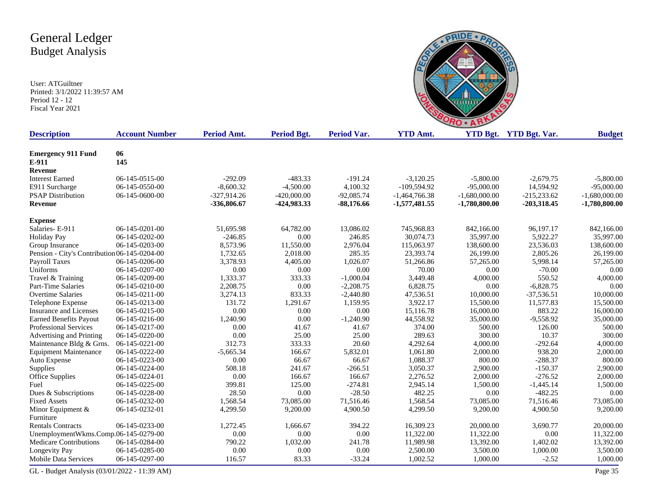User: ATGuiltner Printed: 3/1/2022 11:39:57 AM Period 12 - 12 Fiscal Year 2021



| <b>Description</b>                           | <b>Account Number</b> | Period Amt.   | <b>Period Bgt.</b> | <b>Period Var.</b> | <b>YTD Amt.</b> |                 | YTD Bgt. YTD Bgt. Var. | <b>Budget</b>   |
|----------------------------------------------|-----------------------|---------------|--------------------|--------------------|-----------------|-----------------|------------------------|-----------------|
|                                              |                       |               |                    |                    |                 |                 |                        |                 |
| <b>Emergency 911 Fund</b>                    | 06                    |               |                    |                    |                 |                 |                        |                 |
| E-911                                        | 145                   |               |                    |                    |                 |                 |                        |                 |
| Revenue                                      |                       |               |                    |                    |                 |                 |                        |                 |
| <b>Interest Earned</b>                       | 06-145-0515-00        | $-292.09$     | $-483.33$          | $-191.24$          | $-3,120.25$     | $-5,800.00$     | $-2,679.75$            | $-5,800.00$     |
| E911 Surcharge                               | 06-145-0550-00        | $-8,600.32$   | $-4,500.00$        | 4,100.32           | $-109,594.92$   | $-95,000.00$    | 14,594.92              | $-95,000.00$    |
| <b>PSAP Distribution</b>                     | 06-145-0600-00        | $-327,914.26$ | $-420,000.00$      | $-92,085.74$       | $-1,464,766.38$ | $-1,680,000.00$ | $-215,233.62$          | $-1,680,000.00$ |
| Revenue                                      |                       | -336,806.67   | -424,983.33        | $-88,176.66$       | $-1,577,481.55$ | $-1,780,800.00$ | $-203,318.45$          | $-1,780,800.00$ |
| <b>Expense</b>                               |                       |               |                    |                    |                 |                 |                        |                 |
| Salaries-E-911                               | 06-145-0201-00        | 51,695.98     | 64,782.00          | 13,086.02          | 745,968.83      | 842,166.00      | 96,197.17              | 842,166.00      |
| <b>Holiday Pay</b>                           | 06-145-0202-00        | $-246.85$     | 0.00               | 246.85             | 30.074.73       | 35,997.00       | 5,922.27               | 35,997.00       |
| Group Insurance                              | 06-145-0203-00        | 8,573.96      | 11,550.00          | 2,976.04           | 115,063.97      | 138,600.00      | 23,536.03              | 138,600.00      |
| Pension - City's Contribution 06-145-0204-00 |                       | 1,732.65      | 2,018.00           | 285.35             | 23,393.74       | 26,199.00       | 2,805.26               | 26,199.00       |
| Payroll Taxes                                | 06-145-0206-00        | 3,378.93      | 4,405.00           | 1,026.07           | 51,266.86       | 57,265.00       | 5,998.14               | 57,265.00       |
| Uniforms                                     | 06-145-0207-00        | 0.00          | $0.00\,$           | 0.00               | 70.00           | 0.00            | $-70.00$               | 0.00            |
| Travel & Training                            | 06-145-0209-00        | 1,333.37      | 333.33             | $-1,000.04$        | 3,449.48        | 4,000.00        | 550.52                 | 4,000.00        |
| Part-Time Salaries                           | 06-145-0210-00        | 2,208.75      | 0.00               | $-2,208.75$        | 6,828.75        | 0.00            | $-6,828.75$            | 0.00            |
| <b>Overtime Salaries</b>                     | 06-145-0211-00        | 3,274.13      | 833.33             | $-2,440.80$        | 47,536.51       | 10,000.00       | $-37,536.51$           | 10,000.00       |
| Telephone Expense                            | 06-145-0213-00        | 131.72        | 1,291.67           | 1,159.95           | 3,922.17        | 15,500.00       | 11,577.83              | 15,500.00       |
| <b>Insurance and Licenses</b>                | 06-145-0215-00        | 0.00          | 0.00               | 0.00               | 15,116.78       | 16,000.00       | 883.22                 | 16,000.00       |
| <b>Earned Benefits Payout</b>                | 06-145-0216-00        | 1,240.90      | 0.00               | $-1,240.90$        | 44,558.92       | 35,000.00       | $-9,558.92$            | 35,000.00       |
| Professional Services                        | 06-145-0217-00        | 0.00          | 41.67              | 41.67              | 374.00          | 500.00          | 126.00                 | 500.00          |
| Advertising and Printing                     | 06-145-0220-00        | 0.00          | 25.00              | 25.00              | 289.63          | 300.00          | 10.37                  | 300.00          |
| Maintenance Bldg & Grns                      | 06-145-0221-00        | 312.73        | 333.33             | 20.60              | 4,292.64        | 4,000.00        | $-292.64$              | 4,000.00        |
| <b>Equipment Maintenance</b>                 | 06-145-0222-00        | $-5,665.34$   | 166.67             | 5,832.01           | 1,061.80        | 2,000.00        | 938.20                 | 2,000.00        |
| Auto Expense                                 | 06-145-0223-00        | 0.00          | 66.67              | 66.67              | 1,088.37        | 800.00          | $-288.37$              | 800.00          |
| Supplies                                     | 06-145-0224-00        | 508.18        | 241.67             | $-266.51$          | 3,050.37        | 2,900.00        | $-150.37$              | 2,900.00        |
| <b>Office Supplies</b>                       | 06-145-0224-01        | 0.00          | 166.67             | 166.67             | 2,276.52        | 2,000.00        | $-276.52$              | 2,000.00        |
| Fuel                                         | 06-145-0225-00        | 399.81        | 125.00             | $-274.81$          | 2,945.14        | 1,500.00        | $-1,445.14$            | 1,500.00        |
| Dues & Subscriptions                         | 06-145-0228-00        | 28.50         | 0.00               | $-28.50$           | 482.25          | 0.00            | $-482.25$              | 0.00            |
| <b>Fixed Assets</b>                          | 06-145-0232-00        | 1,568.54      | 73,085.00          | 71,516.46          | 1,568.54        | 73,085.00       | 71,516.46              | 73,085.00       |
| Minor Equipment &                            | 06-145-0232-01        | 4,299.50      | 9,200.00           | 4,900.50           | 4,299.50        | 9,200.00        | 4,900.50               | 9,200.00        |
| Furniture                                    |                       |               |                    |                    |                 |                 |                        |                 |
| <b>Rentals Contracts</b>                     | 06-145-0233-00        | 1,272.45      | 1,666.67           | 394.22             | 16,309.23       | 20,000.00       | 3,690.77               | 20,000.00       |
| UnemploymentWkms.Comp.06-145-0279-00         |                       | 0.00          | 0.00               | 0.00               | 11,322.00       | 11,322.00       | 0.00                   | 11,322.00       |
| <b>Medicare Contributions</b>                | 06-145-0284-00        | 790.22        | 1,032.00           | 241.78             | 11,989.98       | 13,392.00       | 1,402.02               | 13,392.00       |
| Longevity Pay                                | 06-145-0285-00        | 0.00          | 0.00               | 0.00               | 2,500.00        | 3,500.00        | 1,000.00               | 3,500.00        |
| <b>Mobile Data Services</b>                  | 06-145-0297-00        | 116.57        | 83.33              | $-33.24$           | 1,002.52        | 1,000.00        | $-2.52$                | 1,000.00        |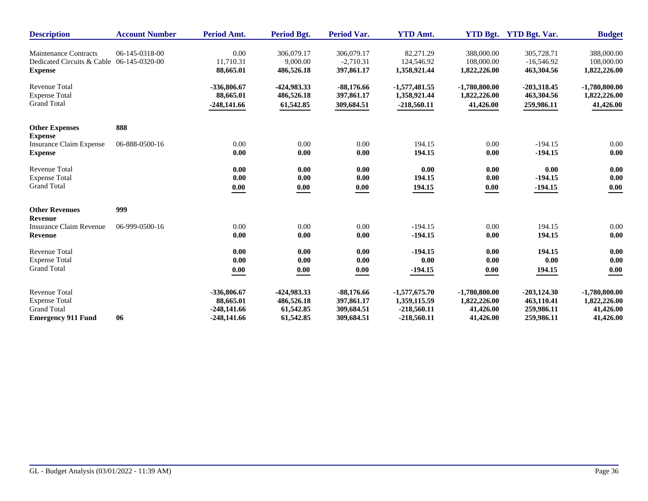| <b>Description</b>                                                 | <b>Account Number</b> | Period Amt.   | Period Bgt.  | <b>Period Var.</b> | <b>YTD Amt.</b>        |                 | YTD Bgt. YTD Bgt. Var. | <b>Budget</b>   |
|--------------------------------------------------------------------|-----------------------|---------------|--------------|--------------------|------------------------|-----------------|------------------------|-----------------|
| <b>Maintenance Contracts</b>                                       | 06-145-0318-00        | 0.00          | 306,079.17   | 306,079.17         | 82,271.29              | 388,000.00      | 305,728.71             | 388,000.00      |
| Dedicated Circuits & Cable 06-145-0320-00                          |                       | 11,710.31     | 9,000.00     | $-2,710.31$        | 124,546.92             | 108,000.00      | $-16,546.92$           | 108,000.00      |
| <b>Expense</b>                                                     |                       | 88,665.01     | 486,526.18   | 397,861.17         | 1,358,921.44           | 1,822,226.00    | 463,304.56             | 1,822,226.00    |
| <b>Revenue Total</b>                                               |                       | -336,806.67   | -424,983.33  | $-88,176.66$       | $-1,577,481.55$        | $-1,780,800.00$ | $-203,318.45$          | $-1,780,800.00$ |
| <b>Expense Total</b>                                               |                       | 88,665.01     | 486,526.18   | 397,861.17         | 1,358,921.44           | 1,822,226.00    | 463,304.56             | 1,822,226.00    |
| <b>Grand Total</b>                                                 |                       | $-248,141.66$ | 61,542.85    | 309,684.51         | $-218,560.11$          | 41,426.00       | 259,986.11             | 41,426.00       |
| <b>Other Expenses</b>                                              | 888                   |               |              |                    |                        |                 |                        |                 |
| <b>Expense</b><br><b>Insurance Claim Expense</b><br><b>Expense</b> | 06-888-0500-16        | 0.00<br>0.00  | 0.00<br>0.00 | 0.00<br>0.00       | 194.15<br>194.15       | 0.00<br>0.00    | $-194.15$<br>$-194.15$ | 0.00<br>0.00    |
| <b>Revenue Total</b>                                               |                       | 0.00          | 0.00         | 0.00               | 0.00                   | 0.00            | 0.00                   | 0.00            |
| <b>Expense Total</b>                                               |                       | 0.00          | 0.00         | 0.00               | 194.15                 | 0.00            | $-194.15$              | 0.00            |
| <b>Grand Total</b>                                                 |                       | 0.00          | 0.00         | 0.00               | 194.15                 | 0.00            | $-194.15$              | 0.00            |
| <b>Other Revenues</b>                                              | 999                   |               |              |                    |                        |                 |                        |                 |
| <b>Revenue</b><br>Insurance Claim Revenue<br><b>Revenue</b>        | 06-999-0500-16        | 0.00<br>0.00  | 0.00<br>0.00 | 0.00<br>0.00       | $-194.15$<br>$-194.15$ | 0.00<br>0.00    | 194.15<br>194.15       | 0.00<br>0.00    |
| <b>Revenue Total</b>                                               |                       | 0.00          | 0.00         | 0.00               | $-194.15$              | 0.00            | 194.15                 | 0.00            |
| <b>Expense Total</b>                                               |                       | 0.00          | 0.00         | 0.00               | 0.00                   | 0.00            | 0.00                   | 0.00            |
| <b>Grand Total</b>                                                 |                       | 0.00          | 0.00         | 0.00               | $-194.15$              | 0.00            | 194.15                 | 0.00            |
| <b>Revenue Total</b>                                               | 06                    | -336,806.67   | -424,983.33  | $-88,176.66$       | $-1,577,675.70$        | $-1,780,800.00$ | $-203, 124.30$         | $-1,780,800.00$ |
| <b>Expense Total</b>                                               |                       | 88,665.01     | 486,526.18   | 397,861.17         | 1,359,115.59           | 1,822,226.00    | 463,110.41             | 1,822,226.00    |
| <b>Grand Total</b>                                                 |                       | $-248,141.66$ | 61,542.85    | 309,684.51         | $-218,560.11$          | 41,426.00       | 259,986.11             | 41,426.00       |
| <b>Emergency 911 Fund</b>                                          |                       | $-248,141.66$ | 61,542.85    | 309,684.51         | $-218,560.11$          | 41,426.00       | 259,986.11             | 41,426.00       |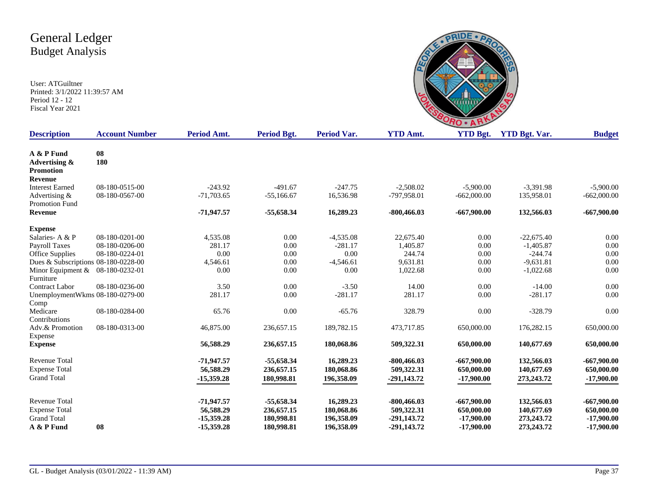

| <b>Description</b>                              | <b>Account Number</b> | Period Amt.  | Period Bgt.  | Period Var. | <b>YTD Amt.</b> | <b>YTD Bgt.</b> | <b>YTD Bgt. Var.</b> | <b>Budget</b> |
|-------------------------------------------------|-----------------------|--------------|--------------|-------------|-----------------|-----------------|----------------------|---------------|
| A & P Fund<br>Advertising &<br><b>Promotion</b> | 08<br>180             |              |              |             |                 |                 |                      |               |
| Revenue                                         |                       |              |              |             |                 |                 |                      |               |
| <b>Interest Earned</b>                          | 08-180-0515-00        | $-243.92$    | $-491.67$    | $-247.75$   | $-2,508.02$     | $-5,900.00$     | $-3,391.98$          | $-5,900.00$   |
| Advertising &<br>Promotion Fund                 | 08-180-0567-00        | $-71,703.65$ | $-55,166.67$ | 16,536.98   | -797,958.01     | $-662,000.00$   | 135,958.01           | $-662,000.00$ |
| Revenue                                         |                       | $-71,947.57$ | -55,658.34   | 16,289.23   | $-800,466.03$   | $-667,900.00$   | 132,566.03           | $-667,900.00$ |
| <b>Expense</b>                                  |                       |              |              |             |                 |                 |                      |               |
| Salaries-A & P                                  | 08-180-0201-00        | 4,535.08     | 0.00         | $-4,535.08$ | 22,675.40       | 0.00            | $-22,675.40$         | 0.00          |
| Payroll Taxes                                   | 08-180-0206-00        | 281.17       | 0.00         | $-281.17$   | 1,405.87        | 0.00            | $-1,405.87$          | 0.00          |
| Office Supplies                                 | 08-180-0224-01        | 0.00         | 0.00         | 0.00        | 244.74          | 0.00            | $-244.74$            | 0.00          |
| Dues & Subscriptions 08-180-0228-00             |                       | 4,546.61     | 0.00         | $-4,546.61$ | 9,631.81        | 0.00            | $-9,631.81$          | 0.00          |
| Minor Equipment & 08-180-0232-01<br>Furniture   |                       | 0.00         | 0.00         | 0.00        | 1,022.68        | 0.00            | $-1,022.68$          | 0.00          |
| <b>Contract Labor</b>                           | 08-180-0236-00        | 3.50         | 0.00         | $-3.50$     | 14.00           | 0.00            | $-14.00$             | 0.00          |
| UnemploymentWkms 08-180-0279-00<br>Comp         |                       | 281.17       | 0.00         | $-281.17$   | 281.17          | 0.00            | $-281.17$            | 0.00          |
| Medicare<br>Contributions                       | 08-180-0284-00        | 65.76        | 0.00         | $-65.76$    | 328.79          | 0.00            | $-328.79$            | 0.00          |
| Adv.& Promotion<br>Expense                      | 08-180-0313-00        | 46,875.00    | 236,657.15   | 189,782.15  | 473,717.85      | 650,000.00      | 176,282.15           | 650,000.00    |
| <b>Expense</b>                                  |                       | 56,588.29    | 236,657.15   | 180,068.86  | 509,322.31      | 650,000.00      | 140,677.69           | 650,000.00    |
| <b>Revenue Total</b>                            |                       | $-71,947.57$ | $-55,658.34$ | 16,289.23   | $-800,466.03$   | $-667,900.00$   | 132,566.03           | $-667,900.00$ |
| <b>Expense Total</b>                            |                       | 56,588.29    | 236,657.15   | 180,068.86  | 509,322.31      | 650,000.00      | 140,677.69           | 650,000.00    |
| <b>Grand Total</b>                              |                       | $-15,359.28$ | 180,998.81   | 196,358.09  | $-291,143.72$   | $-17,900.00$    | 273,243.72           | $-17,900.00$  |
| <b>Revenue Total</b>                            |                       | $-71,947.57$ | $-55,658.34$ | 16,289.23   | $-800,466.03$   | $-667,900.00$   | 132,566.03           | $-667,900.00$ |
| <b>Expense Total</b>                            |                       | 56,588.29    | 236,657.15   | 180,068.86  | 509,322.31      | 650,000.00      | 140,677.69           | 650,000.00    |
| <b>Grand Total</b>                              |                       | $-15,359.28$ | 180,998.81   | 196,358.09  | $-291,143.72$   | $-17,900.00$    | 273,243.72           | $-17,900.00$  |
| A & P Fund                                      | 08                    | $-15.359.28$ | 180,998.81   | 196,358.09  | -291.143.72     | $-17,900.00$    | 273,243.72           | $-17,900.00$  |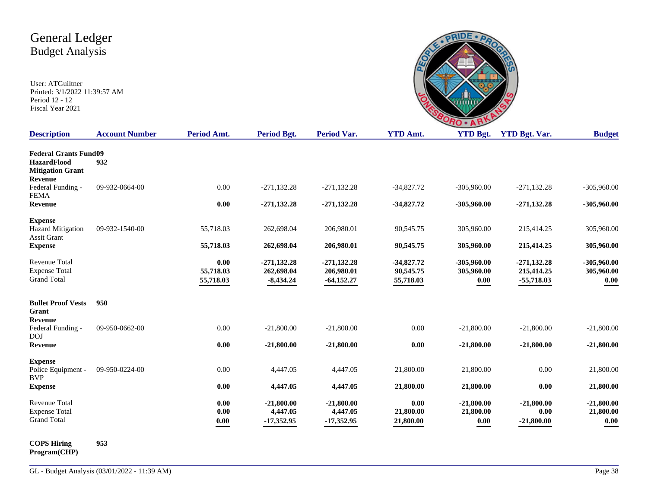User: ATGuiltner Printed: 3/1/2022 11:39:57 AM Period 12 - 12 Fiscal Year 2021

| $A_{m+1}$ | $VTD$ D <sub>ot</sub> | VTD D |
|-----------|-----------------------|-------|

| <b>Description</b>                                                                       | <b>Account Number</b> | Period Amt.                    | <b>Period Bgt.</b>                          | <b>Period Var.</b>                            | <b>YTD Amt.</b>                        | <b>YTD Bgt.</b>                     | <b>YTD Bgt. Var.</b>                          | <b>Budget</b>                       |
|------------------------------------------------------------------------------------------|-----------------------|--------------------------------|---------------------------------------------|-----------------------------------------------|----------------------------------------|-------------------------------------|-----------------------------------------------|-------------------------------------|
| <b>Federal Grants Fund09</b><br><b>HazardFlood</b><br><b>Mitigation Grant</b><br>Revenue | 932                   |                                |                                             |                                               |                                        |                                     |                                               |                                     |
| Federal Funding -<br><b>FEMA</b>                                                         | 09-932-0664-00        | 0.00                           | $-271, 132.28$                              | $-271, 132.28$                                | $-34,827.72$                           | $-305,960.00$                       | $-271, 132.28$                                | $-305,960.00$                       |
| <b>Revenue</b>                                                                           |                       | 0.00                           | $-271, 132.28$                              | $-271, 132.28$                                | $-34,827.72$                           | $-305,960.00$                       | $-271, 132.28$                                | -305,960.00                         |
| <b>Expense</b><br><b>Hazard Mitigation</b><br><b>Assit Grant</b>                         | 09-932-1540-00        | 55,718.03                      | 262,698.04                                  | 206,980.01                                    | 90,545.75                              | 305,960.00                          | 215,414.25                                    | 305,960.00                          |
| <b>Expense</b>                                                                           |                       | 55,718.03                      | 262,698.04                                  | 206,980.01                                    | 90,545.75                              | 305,960.00                          | 215,414.25                                    | 305,960.00                          |
| <b>Revenue Total</b><br><b>Expense Total</b><br><b>Grand Total</b>                       |                       | 0.00<br>55,718.03<br>55,718.03 | $-271, 132.28$<br>262,698.04<br>$-8,434.24$ | $-271, 132, 28$<br>206,980.01<br>$-64,152.27$ | $-34,827.72$<br>90,545.75<br>55,718.03 | $-305,960.00$<br>305,960.00<br>0.00 | $-271, 132, 28$<br>215,414.25<br>$-55,718.03$ | $-305,960.00$<br>305,960.00<br>0.00 |
| <b>Bullet Proof Vests</b><br>Grant<br>Revenue                                            | 950                   |                                |                                             |                                               |                                        |                                     |                                               |                                     |
| Federal Funding -<br><b>DOJ</b>                                                          | 09-950-0662-00        | 0.00                           | $-21,800.00$                                | $-21,800.00$                                  | 0.00                                   | $-21,800.00$                        | $-21,800.00$                                  | $-21,800.00$                        |
| <b>Revenue</b>                                                                           |                       | 0.00                           | $-21,800.00$                                | $-21,800.00$                                  | 0.00                                   | $-21,800.00$                        | $-21,800.00$                                  | $-21,800.00$                        |
| <b>Expense</b><br>Police Equipment -<br><b>BVP</b>                                       | 09-950-0224-00        | 0.00                           | 4,447.05                                    | 4,447.05                                      | 21,800.00                              | 21,800.00                           | 0.00                                          | 21,800.00                           |
| <b>Expense</b>                                                                           |                       | 0.00                           | 4,447.05                                    | 4,447.05                                      | 21,800.00                              | 21,800.00                           | 0.00                                          | 21,800.00                           |
| <b>Revenue Total</b><br><b>Expense Total</b><br><b>Grand Total</b>                       |                       | 0.00<br>0.00<br>0.00           | $-21,800.00$<br>4,447.05<br>$-17,352.95$    | $-21,800.00$<br>4,447.05<br>$-17,352.95$      | 0.00<br>21,800.00<br>21,800.00         | $-21,800.00$<br>21,800.00<br>0.00   | $-21,800.00$<br>0.00<br>$-21,800.00$          | $-21,800.00$<br>21,800.00<br>0.00   |
| <b>COPS Hiring</b>                                                                       | 953                   |                                |                                             |                                               |                                        |                                     |                                               |                                     |

**Program(CHP)**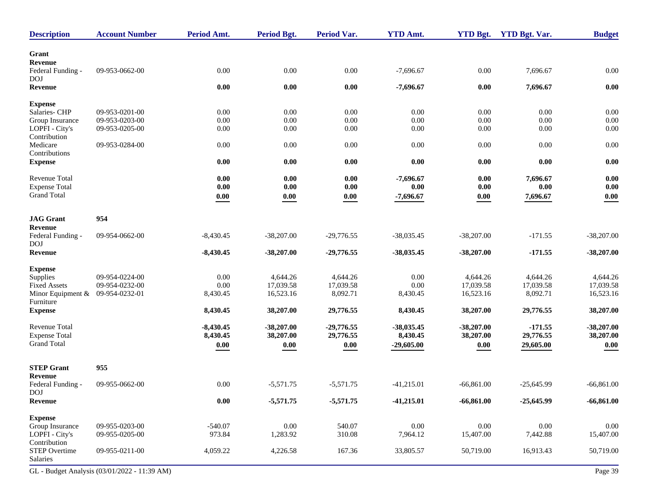| Grant<br>Revenue<br>0.00<br>0.00<br>0.00<br>0.00<br>0.00<br>09-953-0662-00<br>$-7,696.67$<br>7,696.67<br>Federal Funding -<br><b>DOJ</b><br>$0.00\,$<br>$0.00\,$<br>$0.00\,$<br>$-7,696.67$<br>0.00<br>7,696.67<br>$0.00\,$<br>Revenue<br><b>Expense</b><br>09-953-0201-00<br>0.00<br>0.00<br>0.00<br>0.00<br>$0.00\,$<br>Salaries- CHP<br>0.00<br>0.00<br>09-953-0203-00<br>0.00<br>0.00<br>0.00<br>0.00<br>0.00<br>0.00<br>0.00<br>Group Insurance<br>LOPFI - City's<br>0.00<br>0.00<br>0.00<br>09-953-0205-00<br>0.00<br>0.00<br>0.00<br>0.00<br>Contribution<br>0.00<br>0.00<br>0.00<br>0.00<br>0.00<br>0.00<br>0.00<br>Medicare<br>09-953-0284-00<br>Contributions<br>$0.00\,$<br>0.00<br>0.00<br>0.00<br>0.00<br>0.00<br>0.00<br><b>Expense</b><br><b>Revenue Total</b><br>0.00<br>0.00<br>0.00<br>$-7,696.67$<br>0.00<br>7,696.67<br>0.00<br><b>Expense Total</b><br>0.00<br>0.00<br>0.00<br>0.00<br>0.00<br>0.00<br>0.00<br><b>Grand Total</b><br>0.00<br>0.00<br>0.00<br>$-7,696.67$<br>0.00<br>0.00<br>7,696.67<br><b>JAG</b> Grant<br>954<br>Revenue<br>$-171.55$<br>Federal Funding -<br>09-954-0662-00<br>$-8,430.45$<br>$-38,207.00$<br>$-29,776.55$<br>$-38,035.45$<br>$-38,207.00$<br>$-38,207.00$<br><b>DOJ</b><br>$-171.55$<br>Revenue<br>$-8,430.45$<br>$-38,207.00$<br>$-29,776.55$<br>$-38,035.45$<br>$-38,207.00$<br>$-38,207.00$<br><b>Expense</b><br>09-954-0224-00<br>0.00<br>4,644.26<br>4,644.26<br>0.00<br>4,644.26<br>4,644.26<br>Supplies<br>4,644.26<br>0.00<br>17,039.58<br>09-954-0232-00<br>17,039.58<br>0.00<br>17,039.58<br>17,039.58<br>17,039.58<br><b>Fixed Assets</b><br>Minor Equipment &<br>09-954-0232-01<br>16,523.16<br>8,092.71<br>8,092.71<br>16,523.16<br>8,430.45<br>8,430.45<br>16,523.16<br>Furniture<br>8,430.45<br>38,207.00<br>29,776.55<br>38,207.00<br>8,430.45<br>38,207.00<br>29,776.55<br><b>Expense</b><br>Revenue Total<br>$-8,430.45$<br>$-38,207.00$<br>$-29,776.55$<br>$-38,035.45$<br>$-38,207.00$<br>$-171.55$<br>$-38,207.00$<br>8,430.45<br>29,776.55<br>8,430.45<br>29,776.55<br><b>Expense Total</b><br>38,207.00<br>38,207.00<br><b>Grand Total</b><br>$0.00\,$<br>$0.00\,$<br>$0.00\,$<br>$-29,605.00$<br>$\boldsymbol{0.00}$<br>29,605.00<br>0.00<br><b>STEP Grant</b><br>955<br>Revenue<br>0.00<br>Federal Funding -<br>09-955-0662-00<br>$-5,571.75$<br>$-5,571.75$<br>$-41,215.01$<br>$-66,861.00$<br>$-25,645.99$<br>$-66,861.00$<br><b>DOJ</b><br>$\boldsymbol{0.00}$<br>$-5,571.75$<br>$-5,571.75$<br>$-66,861.00$<br>$-25,645.99$<br>Revenue<br>$-41,215.01$<br><b>Expense</b><br>09-955-0203-00<br>$-540.07$<br>0.00<br>540.07<br>$0.00\,$<br>$0.00\,$<br>$0.00\,$<br>Group Insurance<br>0.00<br>973.84<br>310.08<br>LOPFI - City's<br>09-955-0205-00<br>1,283.92<br>7,964.12<br>15,407.00<br>7,442.88<br>15,407.00<br>Contribution<br>167.36<br><b>STEP Overtime</b><br>4,059.22<br>4,226.58<br>33,805.57<br>50,719.00<br>16,913.43<br>50,719.00<br>09-955-0211-00<br>Salaries<br>GL - Budget Analysis (03/01/2022 - 11:39 AM) | <b>Description</b> | <b>Account Number</b> | Period Amt. | Period Bgt. | Period Var. | <b>YTD Amt.</b> | <b>YTD Bgt.</b> | <b>YTD Bgt. Var.</b> | <b>Budget</b> |
|------------------------------------------------------------------------------------------------------------------------------------------------------------------------------------------------------------------------------------------------------------------------------------------------------------------------------------------------------------------------------------------------------------------------------------------------------------------------------------------------------------------------------------------------------------------------------------------------------------------------------------------------------------------------------------------------------------------------------------------------------------------------------------------------------------------------------------------------------------------------------------------------------------------------------------------------------------------------------------------------------------------------------------------------------------------------------------------------------------------------------------------------------------------------------------------------------------------------------------------------------------------------------------------------------------------------------------------------------------------------------------------------------------------------------------------------------------------------------------------------------------------------------------------------------------------------------------------------------------------------------------------------------------------------------------------------------------------------------------------------------------------------------------------------------------------------------------------------------------------------------------------------------------------------------------------------------------------------------------------------------------------------------------------------------------------------------------------------------------------------------------------------------------------------------------------------------------------------------------------------------------------------------------------------------------------------------------------------------------------------------------------------------------------------------------------------------------------------------------------------------------------------------------------------------------------------------------------------------------------------------------------------------------------------------------------------------------------------------------------------------------------------------------------------------------------------------------------------------------------------------------------------------------------------------------------------------------------------------------------------------------------|--------------------|-----------------------|-------------|-------------|-------------|-----------------|-----------------|----------------------|---------------|
|                                                                                                                                                                                                                                                                                                                                                                                                                                                                                                                                                                                                                                                                                                                                                                                                                                                                                                                                                                                                                                                                                                                                                                                                                                                                                                                                                                                                                                                                                                                                                                                                                                                                                                                                                                                                                                                                                                                                                                                                                                                                                                                                                                                                                                                                                                                                                                                                                                                                                                                                                                                                                                                                                                                                                                                                                                                                                                                                                                                                                  |                    |                       |             |             |             |                 |                 |                      |               |
| 38,207.00                                                                                                                                                                                                                                                                                                                                                                                                                                                                                                                                                                                                                                                                                                                                                                                                                                                                                                                                                                                                                                                                                                                                                                                                                                                                                                                                                                                                                                                                                                                                                                                                                                                                                                                                                                                                                                                                                                                                                                                                                                                                                                                                                                                                                                                                                                                                                                                                                                                                                                                                                                                                                                                                                                                                                                                                                                                                                                                                                                                                        |                    |                       |             |             |             |                 |                 |                      |               |
|                                                                                                                                                                                                                                                                                                                                                                                                                                                                                                                                                                                                                                                                                                                                                                                                                                                                                                                                                                                                                                                                                                                                                                                                                                                                                                                                                                                                                                                                                                                                                                                                                                                                                                                                                                                                                                                                                                                                                                                                                                                                                                                                                                                                                                                                                                                                                                                                                                                                                                                                                                                                                                                                                                                                                                                                                                                                                                                                                                                                                  |                    |                       |             |             |             |                 |                 |                      |               |
|                                                                                                                                                                                                                                                                                                                                                                                                                                                                                                                                                                                                                                                                                                                                                                                                                                                                                                                                                                                                                                                                                                                                                                                                                                                                                                                                                                                                                                                                                                                                                                                                                                                                                                                                                                                                                                                                                                                                                                                                                                                                                                                                                                                                                                                                                                                                                                                                                                                                                                                                                                                                                                                                                                                                                                                                                                                                                                                                                                                                                  |                    |                       |             |             |             |                 |                 |                      |               |
|                                                                                                                                                                                                                                                                                                                                                                                                                                                                                                                                                                                                                                                                                                                                                                                                                                                                                                                                                                                                                                                                                                                                                                                                                                                                                                                                                                                                                                                                                                                                                                                                                                                                                                                                                                                                                                                                                                                                                                                                                                                                                                                                                                                                                                                                                                                                                                                                                                                                                                                                                                                                                                                                                                                                                                                                                                                                                                                                                                                                                  |                    |                       |             |             |             |                 |                 |                      |               |
|                                                                                                                                                                                                                                                                                                                                                                                                                                                                                                                                                                                                                                                                                                                                                                                                                                                                                                                                                                                                                                                                                                                                                                                                                                                                                                                                                                                                                                                                                                                                                                                                                                                                                                                                                                                                                                                                                                                                                                                                                                                                                                                                                                                                                                                                                                                                                                                                                                                                                                                                                                                                                                                                                                                                                                                                                                                                                                                                                                                                                  |                    |                       |             |             |             |                 |                 |                      |               |
|                                                                                                                                                                                                                                                                                                                                                                                                                                                                                                                                                                                                                                                                                                                                                                                                                                                                                                                                                                                                                                                                                                                                                                                                                                                                                                                                                                                                                                                                                                                                                                                                                                                                                                                                                                                                                                                                                                                                                                                                                                                                                                                                                                                                                                                                                                                                                                                                                                                                                                                                                                                                                                                                                                                                                                                                                                                                                                                                                                                                                  |                    |                       |             |             |             |                 |                 |                      |               |
|                                                                                                                                                                                                                                                                                                                                                                                                                                                                                                                                                                                                                                                                                                                                                                                                                                                                                                                                                                                                                                                                                                                                                                                                                                                                                                                                                                                                                                                                                                                                                                                                                                                                                                                                                                                                                                                                                                                                                                                                                                                                                                                                                                                                                                                                                                                                                                                                                                                                                                                                                                                                                                                                                                                                                                                                                                                                                                                                                                                                                  |                    |                       |             |             |             |                 |                 |                      |               |
|                                                                                                                                                                                                                                                                                                                                                                                                                                                                                                                                                                                                                                                                                                                                                                                                                                                                                                                                                                                                                                                                                                                                                                                                                                                                                                                                                                                                                                                                                                                                                                                                                                                                                                                                                                                                                                                                                                                                                                                                                                                                                                                                                                                                                                                                                                                                                                                                                                                                                                                                                                                                                                                                                                                                                                                                                                                                                                                                                                                                                  |                    |                       |             |             |             |                 |                 |                      |               |
|                                                                                                                                                                                                                                                                                                                                                                                                                                                                                                                                                                                                                                                                                                                                                                                                                                                                                                                                                                                                                                                                                                                                                                                                                                                                                                                                                                                                                                                                                                                                                                                                                                                                                                                                                                                                                                                                                                                                                                                                                                                                                                                                                                                                                                                                                                                                                                                                                                                                                                                                                                                                                                                                                                                                                                                                                                                                                                                                                                                                                  |                    |                       |             |             |             |                 |                 |                      |               |
| $-66,861.00$<br>Page 39                                                                                                                                                                                                                                                                                                                                                                                                                                                                                                                                                                                                                                                                                                                                                                                                                                                                                                                                                                                                                                                                                                                                                                                                                                                                                                                                                                                                                                                                                                                                                                                                                                                                                                                                                                                                                                                                                                                                                                                                                                                                                                                                                                                                                                                                                                                                                                                                                                                                                                                                                                                                                                                                                                                                                                                                                                                                                                                                                                                          |                    |                       |             |             |             |                 |                 |                      |               |
|                                                                                                                                                                                                                                                                                                                                                                                                                                                                                                                                                                                                                                                                                                                                                                                                                                                                                                                                                                                                                                                                                                                                                                                                                                                                                                                                                                                                                                                                                                                                                                                                                                                                                                                                                                                                                                                                                                                                                                                                                                                                                                                                                                                                                                                                                                                                                                                                                                                                                                                                                                                                                                                                                                                                                                                                                                                                                                                                                                                                                  |                    |                       |             |             |             |                 |                 |                      |               |
|                                                                                                                                                                                                                                                                                                                                                                                                                                                                                                                                                                                                                                                                                                                                                                                                                                                                                                                                                                                                                                                                                                                                                                                                                                                                                                                                                                                                                                                                                                                                                                                                                                                                                                                                                                                                                                                                                                                                                                                                                                                                                                                                                                                                                                                                                                                                                                                                                                                                                                                                                                                                                                                                                                                                                                                                                                                                                                                                                                                                                  |                    |                       |             |             |             |                 |                 |                      |               |
|                                                                                                                                                                                                                                                                                                                                                                                                                                                                                                                                                                                                                                                                                                                                                                                                                                                                                                                                                                                                                                                                                                                                                                                                                                                                                                                                                                                                                                                                                                                                                                                                                                                                                                                                                                                                                                                                                                                                                                                                                                                                                                                                                                                                                                                                                                                                                                                                                                                                                                                                                                                                                                                                                                                                                                                                                                                                                                                                                                                                                  |                    |                       |             |             |             |                 |                 |                      |               |
|                                                                                                                                                                                                                                                                                                                                                                                                                                                                                                                                                                                                                                                                                                                                                                                                                                                                                                                                                                                                                                                                                                                                                                                                                                                                                                                                                                                                                                                                                                                                                                                                                                                                                                                                                                                                                                                                                                                                                                                                                                                                                                                                                                                                                                                                                                                                                                                                                                                                                                                                                                                                                                                                                                                                                                                                                                                                                                                                                                                                                  |                    |                       |             |             |             |                 |                 |                      |               |
|                                                                                                                                                                                                                                                                                                                                                                                                                                                                                                                                                                                                                                                                                                                                                                                                                                                                                                                                                                                                                                                                                                                                                                                                                                                                                                                                                                                                                                                                                                                                                                                                                                                                                                                                                                                                                                                                                                                                                                                                                                                                                                                                                                                                                                                                                                                                                                                                                                                                                                                                                                                                                                                                                                                                                                                                                                                                                                                                                                                                                  |                    |                       |             |             |             |                 |                 |                      |               |
|                                                                                                                                                                                                                                                                                                                                                                                                                                                                                                                                                                                                                                                                                                                                                                                                                                                                                                                                                                                                                                                                                                                                                                                                                                                                                                                                                                                                                                                                                                                                                                                                                                                                                                                                                                                                                                                                                                                                                                                                                                                                                                                                                                                                                                                                                                                                                                                                                                                                                                                                                                                                                                                                                                                                                                                                                                                                                                                                                                                                                  |                    |                       |             |             |             |                 |                 |                      |               |
|                                                                                                                                                                                                                                                                                                                                                                                                                                                                                                                                                                                                                                                                                                                                                                                                                                                                                                                                                                                                                                                                                                                                                                                                                                                                                                                                                                                                                                                                                                                                                                                                                                                                                                                                                                                                                                                                                                                                                                                                                                                                                                                                                                                                                                                                                                                                                                                                                                                                                                                                                                                                                                                                                                                                                                                                                                                                                                                                                                                                                  |                    |                       |             |             |             |                 |                 |                      |               |
|                                                                                                                                                                                                                                                                                                                                                                                                                                                                                                                                                                                                                                                                                                                                                                                                                                                                                                                                                                                                                                                                                                                                                                                                                                                                                                                                                                                                                                                                                                                                                                                                                                                                                                                                                                                                                                                                                                                                                                                                                                                                                                                                                                                                                                                                                                                                                                                                                                                                                                                                                                                                                                                                                                                                                                                                                                                                                                                                                                                                                  |                    |                       |             |             |             |                 |                 |                      |               |
|                                                                                                                                                                                                                                                                                                                                                                                                                                                                                                                                                                                                                                                                                                                                                                                                                                                                                                                                                                                                                                                                                                                                                                                                                                                                                                                                                                                                                                                                                                                                                                                                                                                                                                                                                                                                                                                                                                                                                                                                                                                                                                                                                                                                                                                                                                                                                                                                                                                                                                                                                                                                                                                                                                                                                                                                                                                                                                                                                                                                                  |                    |                       |             |             |             |                 |                 |                      |               |
|                                                                                                                                                                                                                                                                                                                                                                                                                                                                                                                                                                                                                                                                                                                                                                                                                                                                                                                                                                                                                                                                                                                                                                                                                                                                                                                                                                                                                                                                                                                                                                                                                                                                                                                                                                                                                                                                                                                                                                                                                                                                                                                                                                                                                                                                                                                                                                                                                                                                                                                                                                                                                                                                                                                                                                                                                                                                                                                                                                                                                  |                    |                       |             |             |             |                 |                 |                      |               |
|                                                                                                                                                                                                                                                                                                                                                                                                                                                                                                                                                                                                                                                                                                                                                                                                                                                                                                                                                                                                                                                                                                                                                                                                                                                                                                                                                                                                                                                                                                                                                                                                                                                                                                                                                                                                                                                                                                                                                                                                                                                                                                                                                                                                                                                                                                                                                                                                                                                                                                                                                                                                                                                                                                                                                                                                                                                                                                                                                                                                                  |                    |                       |             |             |             |                 |                 |                      |               |
|                                                                                                                                                                                                                                                                                                                                                                                                                                                                                                                                                                                                                                                                                                                                                                                                                                                                                                                                                                                                                                                                                                                                                                                                                                                                                                                                                                                                                                                                                                                                                                                                                                                                                                                                                                                                                                                                                                                                                                                                                                                                                                                                                                                                                                                                                                                                                                                                                                                                                                                                                                                                                                                                                                                                                                                                                                                                                                                                                                                                                  |                    |                       |             |             |             |                 |                 |                      |               |
|                                                                                                                                                                                                                                                                                                                                                                                                                                                                                                                                                                                                                                                                                                                                                                                                                                                                                                                                                                                                                                                                                                                                                                                                                                                                                                                                                                                                                                                                                                                                                                                                                                                                                                                                                                                                                                                                                                                                                                                                                                                                                                                                                                                                                                                                                                                                                                                                                                                                                                                                                                                                                                                                                                                                                                                                                                                                                                                                                                                                                  |                    |                       |             |             |             |                 |                 |                      |               |
|                                                                                                                                                                                                                                                                                                                                                                                                                                                                                                                                                                                                                                                                                                                                                                                                                                                                                                                                                                                                                                                                                                                                                                                                                                                                                                                                                                                                                                                                                                                                                                                                                                                                                                                                                                                                                                                                                                                                                                                                                                                                                                                                                                                                                                                                                                                                                                                                                                                                                                                                                                                                                                                                                                                                                                                                                                                                                                                                                                                                                  |                    |                       |             |             |             |                 |                 |                      |               |
|                                                                                                                                                                                                                                                                                                                                                                                                                                                                                                                                                                                                                                                                                                                                                                                                                                                                                                                                                                                                                                                                                                                                                                                                                                                                                                                                                                                                                                                                                                                                                                                                                                                                                                                                                                                                                                                                                                                                                                                                                                                                                                                                                                                                                                                                                                                                                                                                                                                                                                                                                                                                                                                                                                                                                                                                                                                                                                                                                                                                                  |                    |                       |             |             |             |                 |                 |                      |               |
|                                                                                                                                                                                                                                                                                                                                                                                                                                                                                                                                                                                                                                                                                                                                                                                                                                                                                                                                                                                                                                                                                                                                                                                                                                                                                                                                                                                                                                                                                                                                                                                                                                                                                                                                                                                                                                                                                                                                                                                                                                                                                                                                                                                                                                                                                                                                                                                                                                                                                                                                                                                                                                                                                                                                                                                                                                                                                                                                                                                                                  |                    |                       |             |             |             |                 |                 |                      |               |
|                                                                                                                                                                                                                                                                                                                                                                                                                                                                                                                                                                                                                                                                                                                                                                                                                                                                                                                                                                                                                                                                                                                                                                                                                                                                                                                                                                                                                                                                                                                                                                                                                                                                                                                                                                                                                                                                                                                                                                                                                                                                                                                                                                                                                                                                                                                                                                                                                                                                                                                                                                                                                                                                                                                                                                                                                                                                                                                                                                                                                  |                    |                       |             |             |             |                 |                 |                      |               |
|                                                                                                                                                                                                                                                                                                                                                                                                                                                                                                                                                                                                                                                                                                                                                                                                                                                                                                                                                                                                                                                                                                                                                                                                                                                                                                                                                                                                                                                                                                                                                                                                                                                                                                                                                                                                                                                                                                                                                                                                                                                                                                                                                                                                                                                                                                                                                                                                                                                                                                                                                                                                                                                                                                                                                                                                                                                                                                                                                                                                                  |                    |                       |             |             |             |                 |                 |                      |               |
|                                                                                                                                                                                                                                                                                                                                                                                                                                                                                                                                                                                                                                                                                                                                                                                                                                                                                                                                                                                                                                                                                                                                                                                                                                                                                                                                                                                                                                                                                                                                                                                                                                                                                                                                                                                                                                                                                                                                                                                                                                                                                                                                                                                                                                                                                                                                                                                                                                                                                                                                                                                                                                                                                                                                                                                                                                                                                                                                                                                                                  |                    |                       |             |             |             |                 |                 |                      |               |
|                                                                                                                                                                                                                                                                                                                                                                                                                                                                                                                                                                                                                                                                                                                                                                                                                                                                                                                                                                                                                                                                                                                                                                                                                                                                                                                                                                                                                                                                                                                                                                                                                                                                                                                                                                                                                                                                                                                                                                                                                                                                                                                                                                                                                                                                                                                                                                                                                                                                                                                                                                                                                                                                                                                                                                                                                                                                                                                                                                                                                  |                    |                       |             |             |             |                 |                 |                      |               |
|                                                                                                                                                                                                                                                                                                                                                                                                                                                                                                                                                                                                                                                                                                                                                                                                                                                                                                                                                                                                                                                                                                                                                                                                                                                                                                                                                                                                                                                                                                                                                                                                                                                                                                                                                                                                                                                                                                                                                                                                                                                                                                                                                                                                                                                                                                                                                                                                                                                                                                                                                                                                                                                                                                                                                                                                                                                                                                                                                                                                                  |                    |                       |             |             |             |                 |                 |                      |               |
|                                                                                                                                                                                                                                                                                                                                                                                                                                                                                                                                                                                                                                                                                                                                                                                                                                                                                                                                                                                                                                                                                                                                                                                                                                                                                                                                                                                                                                                                                                                                                                                                                                                                                                                                                                                                                                                                                                                                                                                                                                                                                                                                                                                                                                                                                                                                                                                                                                                                                                                                                                                                                                                                                                                                                                                                                                                                                                                                                                                                                  |                    |                       |             |             |             |                 |                 |                      |               |
|                                                                                                                                                                                                                                                                                                                                                                                                                                                                                                                                                                                                                                                                                                                                                                                                                                                                                                                                                                                                                                                                                                                                                                                                                                                                                                                                                                                                                                                                                                                                                                                                                                                                                                                                                                                                                                                                                                                                                                                                                                                                                                                                                                                                                                                                                                                                                                                                                                                                                                                                                                                                                                                                                                                                                                                                                                                                                                                                                                                                                  |                    |                       |             |             |             |                 |                 |                      |               |
|                                                                                                                                                                                                                                                                                                                                                                                                                                                                                                                                                                                                                                                                                                                                                                                                                                                                                                                                                                                                                                                                                                                                                                                                                                                                                                                                                                                                                                                                                                                                                                                                                                                                                                                                                                                                                                                                                                                                                                                                                                                                                                                                                                                                                                                                                                                                                                                                                                                                                                                                                                                                                                                                                                                                                                                                                                                                                                                                                                                                                  |                    |                       |             |             |             |                 |                 |                      |               |
|                                                                                                                                                                                                                                                                                                                                                                                                                                                                                                                                                                                                                                                                                                                                                                                                                                                                                                                                                                                                                                                                                                                                                                                                                                                                                                                                                                                                                                                                                                                                                                                                                                                                                                                                                                                                                                                                                                                                                                                                                                                                                                                                                                                                                                                                                                                                                                                                                                                                                                                                                                                                                                                                                                                                                                                                                                                                                                                                                                                                                  |                    |                       |             |             |             |                 |                 |                      |               |
|                                                                                                                                                                                                                                                                                                                                                                                                                                                                                                                                                                                                                                                                                                                                                                                                                                                                                                                                                                                                                                                                                                                                                                                                                                                                                                                                                                                                                                                                                                                                                                                                                                                                                                                                                                                                                                                                                                                                                                                                                                                                                                                                                                                                                                                                                                                                                                                                                                                                                                                                                                                                                                                                                                                                                                                                                                                                                                                                                                                                                  |                    |                       |             |             |             |                 |                 |                      |               |
|                                                                                                                                                                                                                                                                                                                                                                                                                                                                                                                                                                                                                                                                                                                                                                                                                                                                                                                                                                                                                                                                                                                                                                                                                                                                                                                                                                                                                                                                                                                                                                                                                                                                                                                                                                                                                                                                                                                                                                                                                                                                                                                                                                                                                                                                                                                                                                                                                                                                                                                                                                                                                                                                                                                                                                                                                                                                                                                                                                                                                  |                    |                       |             |             |             |                 |                 |                      |               |
|                                                                                                                                                                                                                                                                                                                                                                                                                                                                                                                                                                                                                                                                                                                                                                                                                                                                                                                                                                                                                                                                                                                                                                                                                                                                                                                                                                                                                                                                                                                                                                                                                                                                                                                                                                                                                                                                                                                                                                                                                                                                                                                                                                                                                                                                                                                                                                                                                                                                                                                                                                                                                                                                                                                                                                                                                                                                                                                                                                                                                  |                    |                       |             |             |             |                 |                 |                      |               |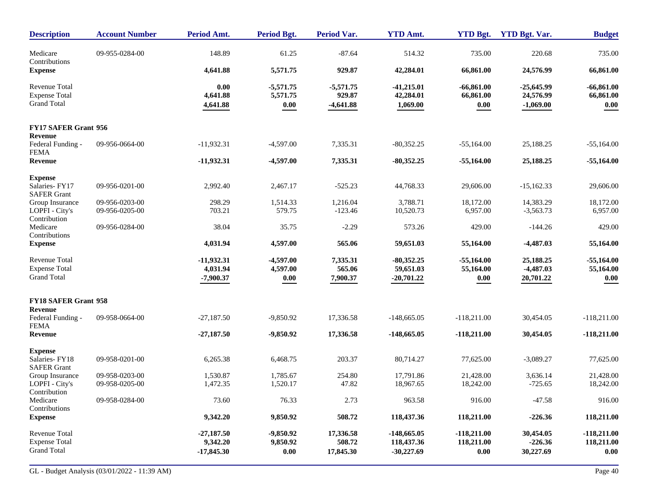| <b>Description</b>                                                 | <b>Account Number</b>            | Period Amt.                              | Period Bgt.                     | <b>Period Var.</b>                   | <b>YTD Amt.</b>                             | <b>YTD Bgt.</b>                       | <b>YTD Bgt. Var.</b>                     | <b>Budget</b>                       |
|--------------------------------------------------------------------|----------------------------------|------------------------------------------|---------------------------------|--------------------------------------|---------------------------------------------|---------------------------------------|------------------------------------------|-------------------------------------|
| Medicare<br>Contributions                                          | 09-955-0284-00                   | 148.89                                   | 61.25                           | $-87.64$                             | 514.32                                      | 735.00                                | 220.68                                   | 735.00                              |
| <b>Expense</b>                                                     |                                  | 4,641.88                                 | 5,571.75                        | 929.87                               | 42,284.01                                   | 66,861.00                             | 24,576.99                                | 66,861.00                           |
| <b>Revenue Total</b><br><b>Expense Total</b><br><b>Grand Total</b> |                                  | 0.00<br>4,641.88<br>4,641.88             | $-5,571.75$<br>5,571.75<br>0.00 | $-5,571.75$<br>929.87<br>$-4,641.88$ | $-41,215.01$<br>42,284.01<br>1,069.00       | $-66,861.00$<br>66,861.00<br>$0.00\,$ | $-25,645.99$<br>24,576.99<br>$-1,069.00$ | $-66,861.00$<br>66,861.00<br>0.00   |
| FY17 SAFER Grant 956                                               |                                  |                                          |                                 |                                      |                                             |                                       |                                          |                                     |
| Revenue<br>Federal Funding -<br><b>FEMA</b>                        | 09-956-0664-00                   | $-11,932.31$                             | $-4,597.00$                     | 7,335.31                             | $-80,352.25$                                | $-55,164.00$                          | 25,188.25                                | $-55,164.00$                        |
| Revenue                                                            |                                  | $-11,932.31$                             | $-4,597.00$                     | 7,335.31                             | $-80,352.25$                                | $-55,164.00$                          | 25,188.25                                | $-55,164.00$                        |
| <b>Expense</b><br>Salaries-FY17<br><b>SAFER Grant</b>              | 09-956-0201-00                   | 2,992.40                                 | 2,467.17                        | $-525.23$                            | 44,768.33                                   | 29,606.00                             | $-15,162.33$                             | 29,606.00                           |
| Group Insurance<br>LOPFI - City's<br>Contribution                  | 09-956-0203-00<br>09-956-0205-00 | 298.29<br>703.21                         | 1,514.33<br>579.75              | 1,216.04<br>$-123.46$                | 3,788.71<br>10,520.73                       | 18,172.00<br>6,957.00                 | 14,383.29<br>$-3,563.73$                 | 18,172.00<br>6,957.00               |
| Medicare<br>Contributions                                          | 09-956-0284-00                   | 38.04                                    | 35.75                           | $-2.29$                              | 573.26                                      | 429.00                                | $-144.26$                                | 429.00                              |
| <b>Expense</b>                                                     |                                  | 4,031.94                                 | 4,597.00                        | 565.06                               | 59,651.03                                   | 55,164.00                             | $-4,487.03$                              | 55,164.00                           |
| <b>Revenue Total</b><br><b>Expense Total</b><br><b>Grand Total</b> |                                  | $-11,932.31$<br>4,031.94<br>$-7,900.37$  | $-4,597.00$<br>4,597.00<br>0.00 | 7,335.31<br>565.06<br>7,900.37       | $-80,352.25$<br>59,651.03<br>$-20,701.22$   | $-55,164.00$<br>55,164.00<br>0.00     | 25,188.25<br>$-4,487.03$<br>20,701.22    | $-55,164.00$<br>55,164.00<br>0.00   |
| <b>FY18 SAFER Grant 958</b>                                        |                                  |                                          |                                 |                                      |                                             |                                       |                                          |                                     |
| Revenue<br>Federal Funding -<br><b>FEMA</b>                        | 09-958-0664-00                   | $-27,187.50$                             | $-9,850.92$                     | 17,336.58                            | $-148,665.05$                               | $-118,211.00$                         | 30,454.05                                | $-118,211.00$                       |
| <b>Revenue</b>                                                     |                                  | $-27,187.50$                             | $-9,850.92$                     | 17,336.58                            | $-148,665.05$                               | $-118,211.00$                         | 30,454.05                                | $-118,211.00$                       |
| <b>Expense</b><br>Salaries-FY18<br><b>SAFER Grant</b>              | 09-958-0201-00                   | 6,265.38                                 | 6,468.75                        | 203.37                               | 80,714.27                                   | 77,625.00                             | $-3,089.27$                              | 77,625.00                           |
| Group Insurance<br>LOPFI - City's<br>Contribution                  | 09-958-0203-00<br>09-958-0205-00 | 1,530.87<br>1,472.35                     | 1,785.67<br>1,520.17            | 254.80<br>47.82                      | 17,791.86<br>18,967.65                      | 21,428.00<br>18,242.00                | 3,636.14<br>$-725.65$                    | 21,428.00<br>18,242.00              |
| Medicare<br>Contributions                                          | 09-958-0284-00                   | 73.60                                    | 76.33                           | 2.73                                 | 963.58                                      | 916.00                                | $-47.58$                                 | 916.00                              |
| <b>Expense</b>                                                     |                                  | 9,342.20                                 | 9,850.92                        | 508.72                               | 118,437.36                                  | 118,211.00                            | $-226.36$                                | 118,211.00                          |
| Revenue Total<br><b>Expense Total</b><br><b>Grand Total</b>        |                                  | $-27,187.50$<br>9,342.20<br>$-17,845.30$ | $-9,850.92$<br>9,850.92<br>0.00 | 17,336.58<br>508.72<br>17,845.30     | $-148,665.05$<br>118,437.36<br>$-30,227.69$ | $-118,211.00$<br>118,211.00<br>0.00   | 30,454.05<br>$-226.36$<br>30,227.69      | $-118,211.00$<br>118,211.00<br>0.00 |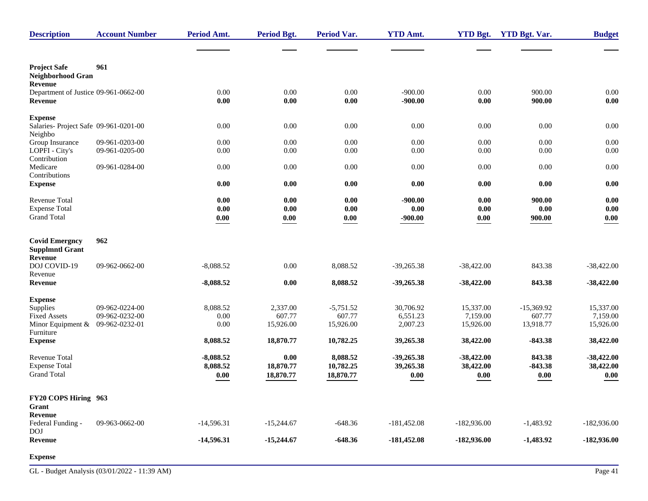| <b>Description</b>                                                     | <b>Account Number</b>                              | <b>Period Amt.</b>                  | <b>Period Bgt.</b>              | <b>Period Var.</b>                 | <b>YTD Amt.</b>                       | <b>YTD Bgt.</b>                    | <b>YTD Bgt. Var.</b>                       | <b>Budget</b>                       |
|------------------------------------------------------------------------|----------------------------------------------------|-------------------------------------|---------------------------------|------------------------------------|---------------------------------------|------------------------------------|--------------------------------------------|-------------------------------------|
|                                                                        |                                                    |                                     |                                 |                                    |                                       |                                    |                                            |                                     |
| <b>Project Safe</b><br>Neighborhood Gran<br>Revenue                    | 961                                                |                                     |                                 |                                    |                                       |                                    |                                            |                                     |
| Department of Justice 09-961-0662-00<br>Revenue                        |                                                    | 0.00<br>0.00                        | 0.00<br>0.00                    | 0.00<br>0.00                       | $-900.00$<br>$-900.00$                | 0.00<br>0.00                       | 900.00<br>900.00                           | $0.00\,$<br>0.00                    |
| <b>Expense</b><br>Salaries- Project Safe 09-961-0201-00<br>Neighbo     |                                                    | 0.00                                | 0.00                            | 0.00                               | 0.00                                  | 0.00                               | 0.00                                       | 0.00                                |
| Group Insurance<br>LOPFI - City's<br>Contribution                      | 09-961-0203-00<br>09-961-0205-00                   | 0.00<br>0.00                        | 0.00<br>0.00                    | 0.00<br>0.00                       | $0.00\,$<br>0.00                      | 0.00<br>0.00                       | 0.00<br>0.00                               | 0.00<br>0.00                        |
| Medicare<br>Contributions                                              | 09-961-0284-00                                     | $0.00\,$                            | 0.00                            | 0.00                               | $0.00\,$                              | 0.00                               | 0.00                                       | 0.00                                |
| <b>Expense</b>                                                         |                                                    | 0.00                                | 0.00                            | 0.00                               | 0.00                                  | 0.00                               | 0.00                                       | $0.00\,$                            |
| Revenue Total<br><b>Expense Total</b><br><b>Grand Total</b>            |                                                    | 0.00<br>0.00<br>$0.00\,$            | $0.00\,$<br>0.00<br>$0.00\,$    | 0.00<br>0.00<br>$0.00\,$           | $-900.00$<br>$0.00\,$<br>$-900.00$    | 0.00<br>$0.00\,$<br>0.00           | 900.00<br>$0.00\,$<br>900.00               | 0.00<br>0.00<br>$\boldsymbol{0.00}$ |
| <b>Covid Emergncy</b><br><b>Supplmntl Grant</b>                        | 962                                                |                                     |                                 |                                    |                                       |                                    |                                            |                                     |
| Revenue<br>DOJ COVID-19<br>Revenue                                     | 09-962-0662-00                                     | $-8,088.52$                         | $0.00\,$                        | 8,088.52                           | $-39,265.38$                          | $-38,422.00$                       | 843.38                                     | $-38,422.00$                        |
| Revenue                                                                |                                                    | $-8,088.52$                         | 0.00                            | 8,088.52                           | $-39,265.38$                          | $-38,422.00$                       | 843.38                                     | $-38,422.00$                        |
| <b>Expense</b><br>Supplies<br><b>Fixed Assets</b><br>Minor Equipment & | 09-962-0224-00<br>09-962-0232-00<br>09-962-0232-01 | 8,088.52<br>0.00<br>0.00            | 2,337.00<br>607.77<br>15,926.00 | $-5,751.52$<br>607.77<br>15,926.00 | 30,706.92<br>6,551.23<br>2,007.23     | 15,337.00<br>7,159.00<br>15,926.00 | $-15,369.92$<br>607.77<br>13,918.77        | 15,337.00<br>7,159.00<br>15,926.00  |
| Furniture<br><b>Expense</b>                                            |                                                    | 8,088.52                            | 18,870.77                       | 10,782.25                          | 39,265.38                             | 38,422.00                          | $-843.38$                                  | 38,422.00                           |
| <b>Revenue Total</b><br><b>Expense Total</b><br><b>Grand Total</b>     |                                                    | $-8,088.52$<br>8,088.52<br>$0.00\,$ | 0.00<br>18,870.77<br>18,870.77  | 8,088.52<br>10,782.25<br>18,870.77 | $-39,265.38$<br>39,265.38<br>$0.00\,$ | $-38,422.00$<br>38,422.00<br>0.00  | 843.38<br>$-843.38$<br>$\boldsymbol{0.00}$ | $-38,422.00$<br>38,422.00<br>0.00   |
| FY20 COPS Hiring 963<br>Grant                                          |                                                    |                                     |                                 |                                    |                                       |                                    |                                            |                                     |
| Revenue<br>Federal Funding -<br><b>DOJ</b>                             | 09-963-0662-00                                     | $-14,596.31$                        | $-15,244.67$                    | $-648.36$                          | $-181,452.08$                         | $-182,936.00$                      | $-1,483.92$                                | $-182,936.00$                       |
| Revenue                                                                |                                                    | $-14,596.31$                        | $-15,244.67$                    | $-648.36$                          | $-181,452.08$                         | $-182,936.00$                      | $-1,483.92$                                | $-182,936.00$                       |
| <b>Expense</b>                                                         |                                                    |                                     |                                 |                                    |                                       |                                    |                                            |                                     |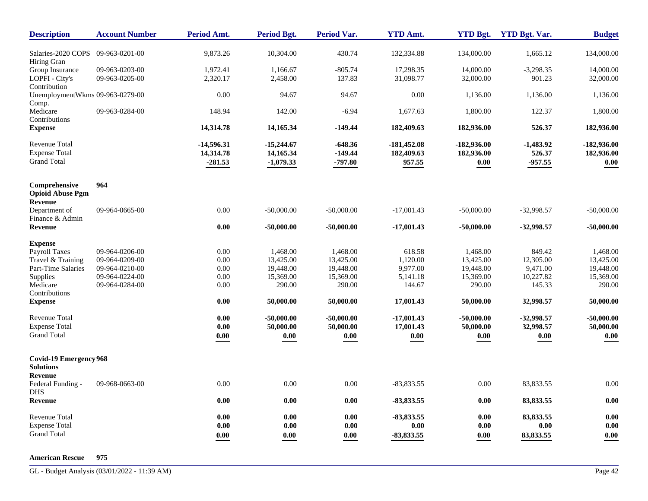| <b>Description</b>                                                 | <b>Account Number</b>            | <b>Period Amt.</b>                     | <b>Period Bgt.</b>                       | <b>Period Var.</b>                               | <b>YTD Amt.</b>                                  | <b>YTD Bgt.</b>                         | <b>YTD Bgt. Var.</b>               | <b>Budget</b>                       |
|--------------------------------------------------------------------|----------------------------------|----------------------------------------|------------------------------------------|--------------------------------------------------|--------------------------------------------------|-----------------------------------------|------------------------------------|-------------------------------------|
| Salaries-2020 COPS<br>Hiring Gran                                  | 09-963-0201-00                   | 9,873.26                               | 10,304.00                                | 430.74                                           | 132,334.88                                       | 134,000.00                              | 1,665.12                           | 134,000.00                          |
| Group Insurance<br>LOPFI - City's                                  | 09-963-0203-00<br>09-963-0205-00 | 1,972.41<br>2,320.17                   | 1.166.67<br>2,458.00                     | $-805.74$<br>137.83                              | 17.298.35<br>31,098.77                           | 14,000.00<br>32,000.00                  | $-3,298.35$<br>901.23              | 14,000.00<br>32,000.00              |
| Contribution<br>UnemploymentWkms 09-963-0279-00<br>Comp.           |                                  | 0.00                                   | 94.67                                    | 94.67                                            | 0.00                                             | 1,136.00                                | 1,136.00                           | 1,136.00                            |
| Medicare<br>Contributions                                          | 09-963-0284-00                   | 148.94                                 | 142.00                                   | $-6.94$                                          | 1.677.63                                         | 1,800.00                                | 122.37                             | 1,800.00                            |
| <b>Expense</b>                                                     |                                  | 14,314.78                              | 14,165.34                                | $-149.44$                                        | 182,409.63                                       | 182,936.00                              | 526.37                             | 182,936.00                          |
| <b>Revenue Total</b><br><b>Expense Total</b><br><b>Grand Total</b> |                                  | $-14,596.31$<br>14,314.78<br>$-281.53$ | $-15,244.67$<br>14,165.34<br>$-1,079.33$ | $-648.36$<br>$-149.44$<br>$-797.80$              | -181,452.08<br>182,409.63<br>957.55              | $-182,936.00$<br>182,936.00<br>$0.00\,$ | $-1,483.92$<br>526.37<br>$-957.55$ | $-182,936.00$<br>182,936.00<br>0.00 |
| Comprehensive<br><b>Opioid Abuse Pgm</b><br><b>Revenue</b>         | 964                              |                                        |                                          |                                                  |                                                  |                                         |                                    |                                     |
| Department of<br>Finance & Admin                                   | 09-964-0665-00                   | 0.00                                   | $-50,000.00$                             | $-50,000.00$                                     | $-17,001.43$                                     | $-50,000.00$                            | $-32,998.57$                       | $-50,000.00$                        |
| Revenue                                                            |                                  | $\boldsymbol{0.00}$                    | $-50,000.00$                             | $-50,000.00$                                     | $-17,001.43$                                     | $-50,000.00$                            | $-32,998.57$                       | $-50,000.00$                        |
| <b>Expense</b><br><b>Payroll Taxes</b>                             | 09-964-0206-00                   | 0.00                                   | 1,468.00                                 | 1,468.00                                         | 618.58                                           | 1,468.00                                | 849.42                             | 1,468.00                            |
| Travel & Training<br>Part-Time Salaries                            | 09-964-0209-00<br>09-964-0210-00 | 0.00<br>0.00                           | 13,425.00<br>19,448.00                   | 13,425.00<br>19,448.00                           | 1,120.00<br>9,977.00                             | 13,425.00<br>19,448.00                  | 12,305.00<br>9,471.00              | 13,425.00<br>19,448.00              |
| Supplies<br>Medicare<br>Contributions                              | 09-964-0224-00<br>09-964-0284-00 | $0.00\,$<br>0.00                       | 15,369.00<br>290.00                      | 15,369.00<br>290.00                              | 5,141.18<br>144.67                               | 15,369.00<br>290.00                     | 10,227.82<br>145.33                | 15,369.00<br>290.00                 |
| <b>Expense</b>                                                     |                                  | 0.00                                   | 50,000.00                                | 50,000.00                                        | 17,001.43                                        | 50,000.00                               | 32,998.57                          | 50,000.00                           |
| <b>Revenue Total</b><br><b>Expense Total</b><br><b>Grand Total</b> |                                  | 0.00<br>$\boldsymbol{0.00}$<br>0.00    | $-50,000,00$<br>50,000.00<br>$0.00\,$    | $-50,000,00$<br>50,000.00<br>$\boldsymbol{0.00}$ | $-17,001.43$<br>17,001.43<br>$\boldsymbol{0.00}$ | $-50,000.00$<br>50,000.00<br>0.00       | $-32,998.57$<br>32,998.57<br>0.00  | $-50,000.00$<br>50,000.00<br>0.00   |
| <b>Covid-19 Emergency 968</b><br><b>Solutions</b>                  |                                  |                                        |                                          |                                                  |                                                  |                                         |                                    |                                     |
| Revenue<br>Federal Funding -<br><b>DHS</b>                         | 09-968-0663-00                   | 0.00                                   | 0.00                                     | 0.00                                             | $-83,833.55$                                     | 0.00                                    | 83,833.55                          | 0.00                                |
| Revenue                                                            |                                  | 0.00                                   | 0.00                                     | 0.00                                             | $-83,833.55$                                     | 0.00                                    | 83,833.55                          | 0.00                                |
| <b>Revenue Total</b><br><b>Expense Total</b><br><b>Grand Total</b> |                                  | 0.00<br>0.00<br>0.00                   | 0.00<br>0.00<br>0.00                     | 0.00<br>0.00<br>0.00                             | $-83,833.55$<br>0.00<br>$-83,833.55$             | 0.00<br>0.00<br>0.00                    | 83,833.55<br>0.00<br>83,833.55     | $0.00\,$<br>0.00<br>0.00            |

#### **American Rescue 975**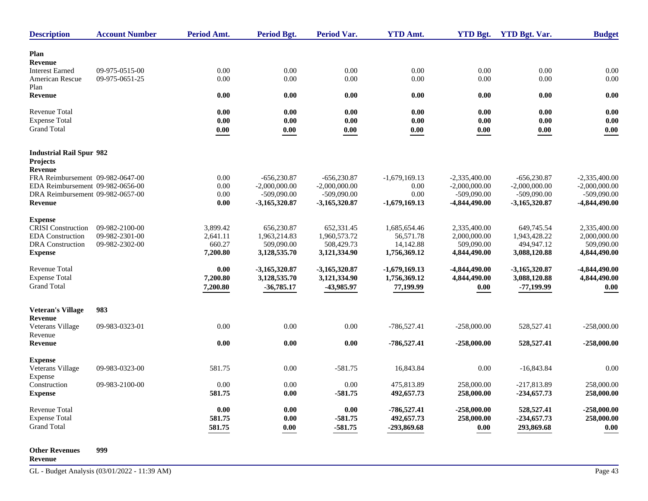| <b>Description</b>               | <b>Account Number</b> | <b>Period Amt.</b> | Period Bgt.     | <b>Period Var.</b> | <b>YTD Amt.</b> | <b>YTD Bgt.</b> | <b>YTD Bgt. Var.</b> | <b>Budget</b>   |
|----------------------------------|-----------------------|--------------------|-----------------|--------------------|-----------------|-----------------|----------------------|-----------------|
| Plan                             |                       |                    |                 |                    |                 |                 |                      |                 |
| <b>Revenue</b>                   |                       |                    |                 |                    |                 |                 |                      |                 |
| <b>Interest Earned</b>           | 09-975-0515-00        | 0.00               | 0.00            | 0.00               | 0.00            | 0.00            | 0.00                 | 0.00            |
| American Rescue                  | 09-975-0651-25        | 0.00               | 0.00            | 0.00               | 0.00            | 0.00            | 0.00                 | 0.00            |
| Plan                             |                       |                    |                 |                    |                 |                 |                      |                 |
| <b>Revenue</b>                   |                       | 0.00               | 0.00            | 0.00               | 0.00            | 0.00            | 0.00                 | 0.00            |
| <b>Revenue Total</b>             |                       | 0.00               | 0.00            | 0.00               | 0.00            | 0.00            | 0.00                 | 0.00            |
| <b>Expense Total</b>             |                       | 0.00               | 0.00            | 0.00               | 0.00            | 0.00            | 0.00                 | 0.00            |
| <b>Grand Total</b>               |                       | 0.00               | 0.00            | 0.00               | 0.00            | 0.00            | 0.00                 | 0.00            |
| <b>Industrial Rail Spur 982</b>  |                       |                    |                 |                    |                 |                 |                      |                 |
| <b>Projects</b>                  |                       |                    |                 |                    |                 |                 |                      |                 |
| Revenue                          |                       |                    |                 |                    |                 |                 |                      |                 |
| FRA Reimbursement 09-982-0647-00 |                       | 0.00               | $-656,230.87$   | $-656,230.87$      | $-1,679,169.13$ | $-2,335,400.00$ | $-656,230.87$        | $-2,335,400.00$ |
| EDA Reimbursement 09-982-0656-00 |                       | 0.00               | $-2,000,000.00$ | $-2,000,000.00$    | 0.00            | $-2,000,000.00$ | $-2,000,000.00$      | $-2,000,000.00$ |
| DRA Reimbursement 09-982-0657-00 |                       | 0.00               | $-509,090.00$   | $-509,090.00$      | 0.00            | $-509.090.00$   | $-509,090.00$        | $-509,090,00$   |
| <b>Revenue</b>                   |                       | 0.00               | $-3,165,320.87$ | $-3,165,320.87$    | $-1,679,169.13$ | -4,844,490.00   | $-3,165,320.87$      | -4,844,490.00   |
|                                  |                       |                    |                 |                    |                 |                 |                      |                 |
| <b>Expense</b>                   |                       |                    |                 |                    |                 |                 |                      |                 |
| <b>CRISI</b> Construction        | 09-982-2100-00        | 3,899.42           | 656,230.87      | 652,331.45         | 1,685,654.46    | 2.335.400.00    | 649,745.54           | 2.335.400.00    |
| <b>EDA</b> Construction          | 09-982-2301-00        | 2,641.11           | 1,963,214.83    | 1,960,573.72       | 56,571.78       | 2,000,000.00    | 1,943,428.22         | 2,000,000.00    |
| <b>DRA</b> Construction          | 09-982-2302-00        | 660.27             | 509,090.00      | 508,429.73         | 14,142.88       | 509,090.00      | 494,947.12           | 509,090.00      |
| <b>Expense</b>                   |                       | 7,200.80           | 3,128,535.70    | 3,121,334.90       | 1,756,369.12    | 4,844,490.00    | 3,088,120.88         | 4,844,490.00    |
| Revenue Total                    |                       | 0.00               | $-3,165,320.87$ | $-3,165,320.87$    | $-1,679,169.13$ | -4,844,490.00   | $-3,165,320.87$      | -4,844,490.00   |
| <b>Expense Total</b>             |                       | 7,200.80           | 3,128,535.70    | 3,121,334.90       | 1,756,369.12    | 4,844,490.00    | 3,088,120.88         | 4,844,490.00    |
| <b>Grand Total</b>               |                       | 7,200.80           | $-36,785.17$    | -43,985.97         | 77,199.99       | 0.00            | $-77,199.99$         | 0.00            |
|                                  |                       |                    |                 |                    |                 |                 |                      |                 |
| <b>Veteran's Village</b>         | 983                   |                    |                 |                    |                 |                 |                      |                 |
| Revenue                          |                       |                    |                 |                    |                 |                 |                      |                 |
| Veterans Village                 | 09-983-0323-01        | 0.00               | 0.00            | 0.00               | $-786,527.41$   | $-258,000.00$   | 528,527.41           | $-258,000.00$   |
| Revenue<br>Revenue               |                       | 0.00               | 0.00            | 0.00               | $-786,527.41$   | $-258,000.00$   | 528,527.41           | $-258,000.00$   |
|                                  |                       |                    |                 |                    |                 |                 |                      |                 |
| <b>Expense</b>                   |                       |                    |                 |                    |                 |                 |                      |                 |
| Veterans Village                 | 09-983-0323-00        | 581.75             | 0.00            | $-581.75$          | 16,843.84       | 0.00            | $-16,843.84$         | 0.00            |
| Expense                          |                       |                    |                 |                    |                 |                 |                      |                 |
| Construction                     | 09-983-2100-00        | 0.00               | 0.00            | 0.00               | 475.813.89      | 258,000.00      | -217.813.89          | 258,000.00      |
| <b>Expense</b>                   |                       | 581.75             | 0.00            | $-581.75$          | 492,657.73      | 258,000.00      | $-234,657.73$        | 258,000.00      |
| <b>Revenue Total</b>             |                       | 0.00               | 0.00            | 0.00               | $-786,527.41$   | $-258,000.00$   | 528,527.41           | $-258,000.00$   |
| <b>Expense Total</b>             |                       | 581.75             | 0.00            | $-581.75$          | 492,657.73      | 258,000.00      | $-234,657.73$        | 258,000.00      |
| <b>Grand Total</b>               |                       |                    | $0.00\,$        | $-581.75$          | -293,869.68     |                 | 293,869.68           | 0.00            |
|                                  |                       | 581.75             |                 |                    |                 | 0.00            |                      |                 |

**Other Revenues 999**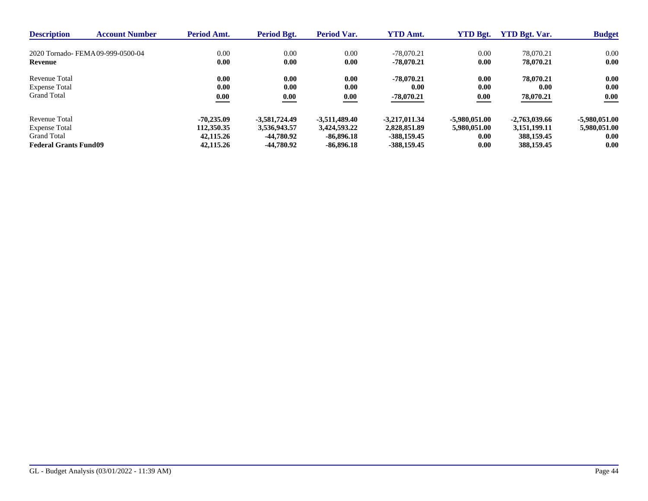| <b>Description</b>           | <b>Account Number</b>             | <b>Period Amt.</b> | Period Bgt.     | Period Var.     | <b>YTD Amt.</b> | <b>YTD Bgt.</b> | <b>YTD Bgt. Var.</b> | <b>Budget</b> |
|------------------------------|-----------------------------------|--------------------|-----------------|-----------------|-----------------|-----------------|----------------------|---------------|
|                              | 2020 Tornado- FEMA 09-999-0500-04 | 0.00               | 0.00            | 0.00            | $-78,070.21$    | 0.00            | 78,070.21            | 0.00          |
| Revenue                      |                                   | 0.00               | 0.00            | 0.00            | $-78.070.21$    | 0.00            | 78,070.21            | 0.00          |
| Revenue Total                |                                   | 0.00               | 0.00            | 0.00            | $-78.070.21$    | 0.00            | 78,070.21            | 0.00          |
| <b>Expense Total</b>         |                                   | 0.00               | 0.00            | 0.00            | 0.00            | 0.00            | 0.00                 | 0.00          |
| <b>Grand Total</b>           |                                   | 0.00               | 0.00            | 0.00            | $-78,070.21$    | 0.00            | 78,070.21            | 0.00          |
| Revenue Total                |                                   | $-70.235.09$       | $-3.581.724.49$ | $-3.511.489.40$ | $-3,217,011.34$ | $-5.980.051.00$ | $-2.763.039.66$      | -5,980,051.00 |
| <b>Expense Total</b>         |                                   | 112,350.35         | 3.536.943.57    | 3.424.593.22    | 2,828,851.89    | 5,980,051,00    | 3,151,199.11         | 5,980,051.00  |
| <b>Grand Total</b>           |                                   | 42,115.26          | -44.780.92      | $-86.896.18$    | $-388.159.45$   | 0.00            | 388,159.45           | 0.00          |
| <b>Federal Grants Fund09</b> |                                   | 42,115.26          | -44.780.92      | $-86.896.18$    | $-388.159.45$   | 0.00            | 388,159.45           | 0.00          |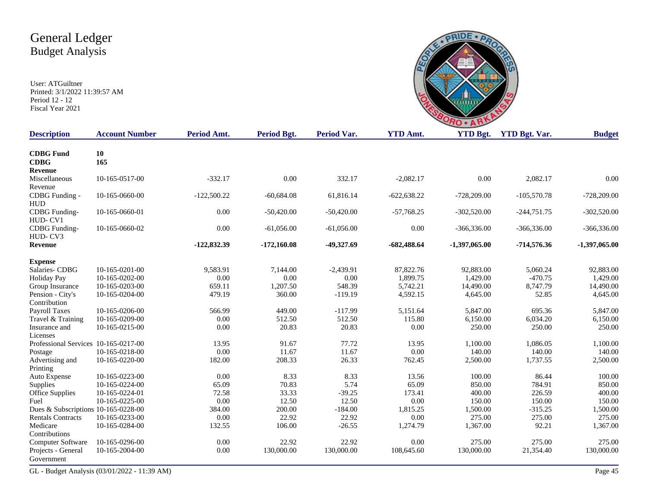User: ATGuiltner Printed: 3/1/2022 11:39:57 AM Period 12 - 12 Fiscal Year 2021



| <b>Description</b>                   | <b>Account Number</b> | Period Amt.   | Period Bgt.   | <b>Period Var.</b> | <b>YTD Amt.</b> | <b>YTD Bgt.</b> | <b>YTD Bgt. Var.</b> | <b>Budget</b>   |
|--------------------------------------|-----------------------|---------------|---------------|--------------------|-----------------|-----------------|----------------------|-----------------|
| <b>CDBG</b> Fund                     | 10                    |               |               |                    |                 |                 |                      |                 |
| <b>CDBG</b>                          | 165                   |               |               |                    |                 |                 |                      |                 |
| Revenue                              |                       |               |               |                    |                 |                 |                      |                 |
| Miscellaneous                        | 10-165-0517-00        | $-332.17$     | 0.00          | 332.17             | $-2,082.17$     | 0.00            | 2,082.17             | 0.00            |
| Revenue                              |                       |               |               |                    |                 |                 |                      |                 |
| CDBG Funding -                       | 10-165-0660-00        | $-122,500.22$ | $-60,684.08$  | 61,816.14          | $-622,638.22$   | $-728,209.00$   | $-105,570.78$        | $-728,209.00$   |
| <b>HUD</b>                           |                       |               |               |                    |                 |                 |                      |                 |
| <b>CDBG</b> Funding-                 | 10-165-0660-01        | 0.00          | $-50,420.00$  | $-50,420.00$       | $-57,768.25$    | $-302,520.00$   | $-244,751.75$        | $-302,520.00$   |
| HUD-CV1                              |                       |               |               |                    |                 |                 |                      |                 |
| <b>CDBG</b> Funding-                 | 10-165-0660-02        | 0.00          | $-61,056.00$  | $-61,056.00$       | 0.00            | $-366,336.00$   | $-366,336.00$        | $-366,336.00$   |
| HUD-CV3                              |                       |               |               |                    |                 |                 |                      |                 |
| Revenue                              |                       | $-122,832.39$ | $-172,160.08$ | $-49,327.69$       | $-682,488.64$   | $-1,397,065.00$ | $-714,576.36$        | $-1,397,065.00$ |
| <b>Expense</b>                       |                       |               |               |                    |                 |                 |                      |                 |
| Salaries-CDBG                        | 10-165-0201-00        | 9.583.91      | 7.144.00      | $-2.439.91$        | 87,822.76       | 92,883.00       | 5,060.24             | 92,883.00       |
| <b>Holiday Pay</b>                   | 10-165-0202-00        | 0.00          | 0.00          | 0.00               | 1,899.75        | 1,429.00        | $-470.75$            | 1,429.00        |
| Group Insurance                      | 10-165-0203-00        | 659.11        | 1,207.50      | 548.39             | 5,742.21        | 14,490.00       | 8,747.79             | 14,490.00       |
| Pension - City's                     | 10-165-0204-00        | 479.19        | 360.00        | $-119.19$          | 4,592.15        | 4,645.00        | 52.85                | 4,645.00        |
| Contribution                         |                       |               |               |                    |                 |                 |                      |                 |
| <b>Payroll Taxes</b>                 | 10-165-0206-00        | 566.99        | 449.00        | $-117.99$          | 5,151.64        | 5,847.00        | 695.36               | 5,847.00        |
| Travel & Training                    | 10-165-0209-00        | 0.00          | 512.50        | 512.50             | 115.80          | 6,150.00        | 6,034.20             | 6,150.00        |
| Insurance and                        | 10-165-0215-00        | 0.00          | 20.83         | 20.83              | 0.00            | 250.00          | 250.00               | 250.00          |
| Licenses                             |                       |               |               |                    |                 |                 |                      |                 |
| Professional Services 10-165-0217-00 |                       | 13.95         | 91.67         | 77.72              | 13.95           | 1,100.00        | 1,086.05             | 1,100.00        |
| Postage                              | 10-165-0218-00        | 0.00          | 11.67         | 11.67              | 0.00            | 140.00          | 140.00               | 140.00          |
| Advertising and                      | 10-165-0220-00        | 182.00        | 208.33        | 26.33              | 762.45          | 2,500.00        | 1,737.55             | 2,500.00        |
| Printing                             |                       |               |               |                    |                 |                 |                      |                 |
| Auto Expense                         | 10-165-0223-00        | 0.00          | 8.33          | 8.33               | 13.56           | 100.00          | 86.44                | 100.00          |
| Supplies                             | 10-165-0224-00        | 65.09         | 70.83         | 5.74               | 65.09           | 850.00          | 784.91               | 850.00          |
| <b>Office Supplies</b>               | 10-165-0224-01        | 72.58         | 33.33         | $-39.25$           | 173.41          | 400.00          | 226.59               | 400.00          |
| Fuel                                 | 10-165-0225-00        | 0.00          | 12.50         | 12.50              | $0.00\,$        | 150.00          | 150.00               | 150.00          |
| Dues & Subscriptions 10-165-0228-00  |                       | 384.00        | 200.00        | $-184.00$          | 1,815.25        | 1,500.00        | $-315.25$            | 1,500.00        |
| <b>Rentals Contracts</b>             | 10-165-0233-00        | 0.00          | 22.92         | 22.92              | 0.00            | 275.00          | 275.00               | 275.00          |
| Medicare<br>Contributions            | 10-165-0284-00        | 132.55        | 106.00        | $-26.55$           | 1,274.79        | 1,367.00        | 92.21                | 1,367.00        |
| Computer Software                    | 10-165-0296-00        | 0.00          | 22.92         | 22.92              | 0.00            | 275.00          | 275.00               | 275.00          |
| Projects - General                   | 10-165-2004-00        | 0.00          | 130,000.00    | 130,000.00         | 108,645.60      | 130,000.00      | 21,354.40            | 130,000.00      |
| Government                           |                       |               |               |                    |                 |                 |                      |                 |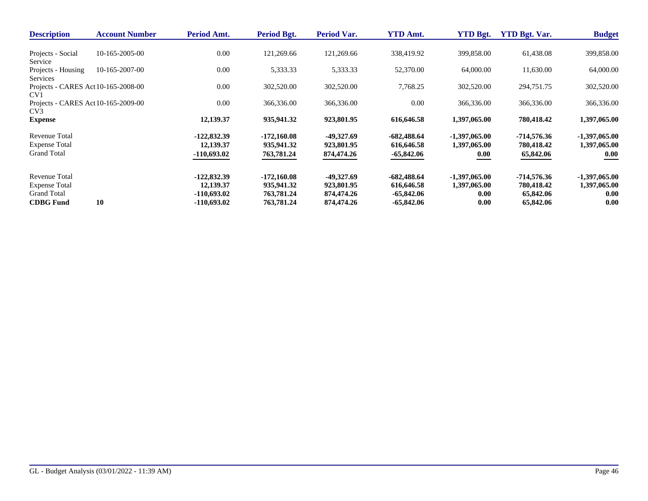| <b>Description</b>                  | <b>Account Number</b> | Period Amt.   | Period Bgt.   | Period Var. | <b>YTD Amt.</b> | <b>YTD Bgt.</b> | <b>YTD Bgt. Var.</b> | <b>Budget</b>   |
|-------------------------------------|-----------------------|---------------|---------------|-------------|-----------------|-----------------|----------------------|-----------------|
|                                     |                       |               |               |             |                 |                 |                      |                 |
| Projects - Social                   | $10-165-2005-00$      | 0.00          | 121,269.66    | 121,269.66  | 338,419.92      | 399,858.00      | 61,438.08            | 399,858.00      |
| Service                             |                       |               |               |             |                 |                 |                      |                 |
| Projects - Housing                  | $10-165-2007-00$      | 0.00          | 5,333.33      | 5,333.33    | 52,370.00       | 64,000.00       | 11,630.00            | 64,000.00       |
| Services                            |                       |               |               |             |                 |                 |                      |                 |
| Projects - CARES Act 10-165-2008-00 |                       | 0.00          | 302,520.00    | 302,520.00  | 7,768.25        | 302,520.00      | 294,751.75           | 302,520.00      |
| CV <sub>1</sub>                     |                       |               |               |             |                 |                 |                      |                 |
| Projects - CARES Act 10-165-2009-00 |                       | 0.00          | 366,336.00    | 366,336.00  | 0.00            | 366,336.00      | 366,336.00           | 366,336.00      |
| CV <sub>3</sub>                     |                       |               |               |             |                 |                 |                      |                 |
| <b>Expense</b>                      |                       | 12,139.37     | 935,941.32    | 923,801.95  | 616,646.58      | 1,397,065.00    | 780,418.42           | 1,397,065.00    |
| Revenue Total                       |                       | $-122,832.39$ | $-172,160.08$ | -49,327.69  | $-682,488.64$   | $-1,397,065.00$ | -714,576.36          | $-1,397,065.00$ |
| <b>Expense Total</b>                |                       | 12,139.37     | 935,941.32    | 923,801.95  | 616,646.58      | 1,397,065.00    | 780,418.42           | 1,397,065.00    |
| <b>Grand Total</b>                  |                       | $-110,693.02$ | 763,781.24    | 874,474.26  | $-65,842.06$    | 0.00            | 65,842.06            | 0.00            |
|                                     |                       |               |               |             |                 |                 |                      |                 |
| <b>Revenue Total</b>                |                       | $-122.832.39$ | $-172,160.08$ | -49,327.69  | $-682,488.64$   | $-1,397,065.00$ | $-714,576.36$        | $-1,397,065.00$ |
| <b>Expense Total</b>                |                       | 12,139.37     | 935,941.32    | 923,801.95  | 616,646.58      | 1,397,065.00    | 780,418.42           | 1,397,065.00    |
| Grand Total                         |                       | $-110,693.02$ | 763,781.24    | 874,474.26  | $-65,842.06$    | 0.00            | 65,842.06            | 0.00            |
| <b>CDBG</b> Fund                    | 10                    | -110,693.02   | 763,781.24    | 874,474.26  | -65,842.06      | 0.00            | 65,842.06            | 0.00            |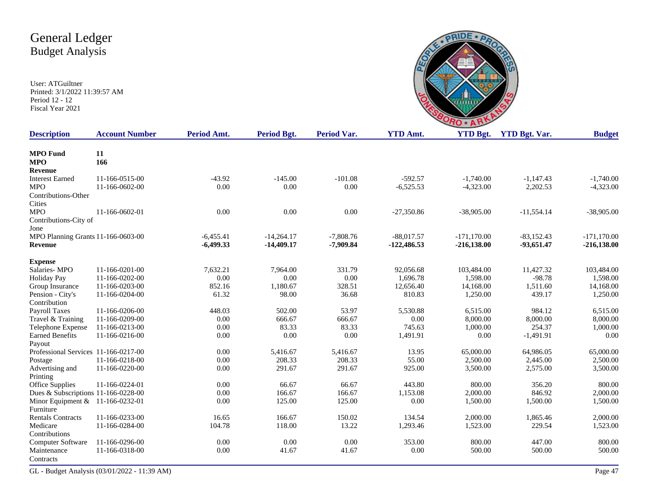User: ATGuiltner Printed: 3/1/2022 11:39:57 AM Period 12 - 12 Fiscal Year 2021



| <b>Description</b>                   | <b>Account Number</b> | Period Amt. | Period Bgt.  | <b>Period Var.</b> | <b>YTD Amt.</b> | <b>YTD Bgt.</b> | <b>YTD Bgt. Var.</b> | <b>Budget</b> |
|--------------------------------------|-----------------------|-------------|--------------|--------------------|-----------------|-----------------|----------------------|---------------|
|                                      |                       |             |              |                    |                 |                 |                      |               |
| <b>MPO</b> Fund                      | 11                    |             |              |                    |                 |                 |                      |               |
| <b>MPO</b>                           | 166                   |             |              |                    |                 |                 |                      |               |
| Revenue                              |                       |             |              |                    |                 |                 |                      |               |
| <b>Interest Earned</b>               | 11-166-0515-00        | $-43.92$    | $-145.00$    | $-101.08$          | $-592.57$       | $-1,740.00$     | $-1,147.43$          | $-1,740.00$   |
| <b>MPO</b>                           | 11-166-0602-00        | 0.00        | 0.00         | 0.00               | $-6,525.53$     | $-4,323.00$     | 2,202.53             | $-4,323.00$   |
| Contributions-Other                  |                       |             |              |                    |                 |                 |                      |               |
| Cities                               |                       |             |              |                    |                 |                 |                      |               |
| <b>MPO</b>                           | 11-166-0602-01        | 0.00        | 0.00         | 0.00               | $-27,350.86$    | $-38,905.00$    | $-11,554.14$         | $-38,905.00$  |
| Contributions-City of                |                       |             |              |                    |                 |                 |                      |               |
| Jone                                 |                       |             |              |                    |                 |                 |                      |               |
| MPO Planning Grants 11-166-0603-00   |                       | $-6,455.41$ | $-14,264.17$ | $-7,808.76$        | $-88,017.57$    | $-171, 170.00$  | $-83,152.43$         | $-171,170.00$ |
| Revenue                              |                       | $-6,499.33$ | $-14,409.17$ | $-7,909.84$        | $-122,486.53$   | $-216,138.00$   | $-93,651.47$         | $-216,138.00$ |
| <b>Expense</b>                       |                       |             |              |                    |                 |                 |                      |               |
| Salaries-MPO                         | 11-166-0201-00        | 7,632.21    | 7,964.00     | 331.79             | 92,056.68       | 103,484.00      | 11,427.32            | 103,484.00    |
| <b>Holiday Pay</b>                   | 11-166-0202-00        | 0.00        | 0.00         | 0.00               | 1,696.78        | 1,598.00        | $-98.78$             | 1,598.00      |
| Group Insurance                      | 11-166-0203-00        | 852.16      | 1,180.67     | 328.51             | 12,656.40       | 14,168.00       | 1,511.60             | 14,168.00     |
| Pension - City's                     | 11-166-0204-00        | 61.32       | 98.00        | 36.68              | 810.83          | 1,250.00        | 439.17               | 1,250.00      |
| Contribution                         |                       |             |              |                    |                 |                 |                      |               |
| Payroll Taxes                        | 11-166-0206-00        | 448.03      | 502.00       | 53.97              | 5,530.88        | 6,515.00        | 984.12               | 6,515.00      |
| Travel & Training                    | 11-166-0209-00        | 0.00        | 666.67       | 666.67             | 0.00            | 8,000.00        | 8,000.00             | 8,000.00      |
| Telephone Expense                    | 11-166-0213-00        | 0.00        | 83.33        | 83.33              | 745.63          | 1,000.00        | 254.37               | 1,000.00      |
| <b>Earned Benefits</b>               | 11-166-0216-00        | 0.00        | 0.00         | 0.00               | 1,491.91        | 0.00            | $-1,491.91$          | 0.00          |
| Payout                               |                       |             |              |                    |                 |                 |                      |               |
| Professional Services 11-166-0217-00 |                       | 0.00        | 5,416.67     | 5,416.67           | 13.95           | 65,000.00       | 64,986.05            | 65,000.00     |
| Postage                              | 11-166-0218-00        | 0.00        | 208.33       | 208.33             | 55.00           | 2,500.00        | 2,445.00             | 2,500.00      |
| Advertising and                      | 11-166-0220-00        | 0.00        | 291.67       | 291.67             | 925.00          | 3,500.00        | 2,575.00             | 3,500.00      |
| Printing                             |                       |             |              |                    |                 |                 |                      |               |
| Office Supplies                      | 11-166-0224-01        | 0.00        | 66.67        | 66.67              | 443.80          | 800.00          | 356.20               | 800.00        |
| Dues & Subscriptions 11-166-0228-00  |                       | 0.00        | 166.67       | 166.67             | 1,153.08        | 2,000.00        | 846.92               | 2,000.00      |
| Minor Equipment $&$                  | 11-166-0232-01        | 0.00        | 125.00       | 125.00             | 0.00            | 1,500.00        | 1,500.00             | 1,500.00      |
| Furniture                            |                       |             |              |                    |                 |                 |                      |               |
| <b>Rentals Contracts</b>             | 11-166-0233-00        | 16.65       | 166.67       | 150.02             | 134.54          | 2,000.00        | 1,865.46             | 2,000.00      |
| Medicare                             | 11-166-0284-00        | 104.78      | 118.00       | 13.22              | 1,293.46        | 1,523.00        | 229.54               | 1,523.00      |
| Contributions                        |                       |             |              |                    |                 |                 |                      |               |
| Computer Software                    | 11-166-0296-00        | 0.00        | 0.00         | 0.00               | 353.00          | 800.00          | 447.00               | 800.00        |
| Maintenance                          | 11-166-0318-00        | 0.00        | 41.67        | 41.67              | 0.00            | 500.00          | 500.00               | 500.00        |
| Contracts                            |                       |             |              |                    |                 |                 |                      |               |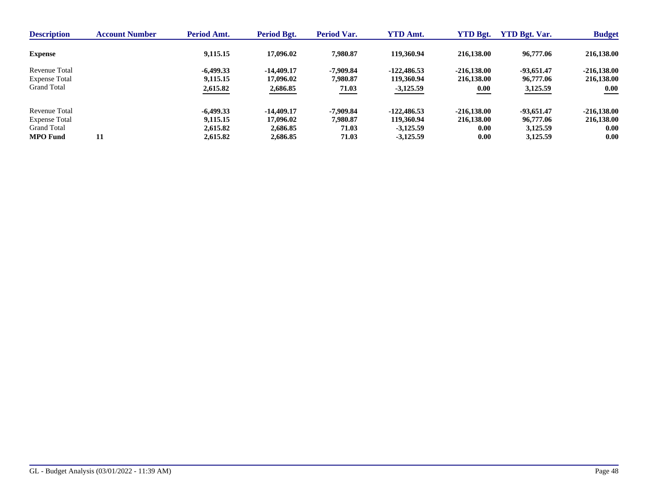| <b>Description</b>   | <b>Account Number</b> | <b>Period Amt.</b> | Period Bgt.  | Period Var. | <b>YTD Amt.</b> | <b>YTD Bgt.</b> | <b>YTD Bgt. Var.</b> | <b>Budget</b> |
|----------------------|-----------------------|--------------------|--------------|-------------|-----------------|-----------------|----------------------|---------------|
| <b>Expense</b>       |                       | 9,115.15           | 17,096.02    | 7.980.87    | 119.360.94      | 216.138.00      | 96,777.06            | 216,138.00    |
| Revenue Total        |                       | $-6.499.33$        | $-14.409.17$ | -7.909.84   | $-122.486.53$   | $-216,138,00$   | $-93,651.47$         | $-216,138.00$ |
| <b>Expense Total</b> |                       | 9,115.15           | 17,096.02    | 7.980.87    | 119,360.94      | 216,138.00      | 96,777.06            | 216,138.00    |
| <b>Grand Total</b>   |                       | 2,615.82           | 2,686.85     | 71.03       | $-3,125.59$     | 0.00            | 3,125.59             | 0.00          |
| Revenue Total        |                       | $-6.499.33$        | $-14.409.17$ | -7.909.84   | $-122.486.53$   | $-216,138,00$   | $-93,651.47$         | $-216.138.00$ |
| <b>Expense Total</b> |                       | 9,115.15           | 17,096.02    | 7,980.87    | 119,360.94      | 216,138.00      | 96,777.06            | 216,138.00    |
| Grand Total          |                       | 2,615.82           | 2.686.85     | 71.03       | $-3,125.59$     | 0.00            | 3.125.59             | 0.00          |
| <b>MPO</b> Fund      | 11                    | 2,615.82           | 2,686.85     | 71.03       | $-3,125.59$     | 0.00            | 3,125.59             | 0.00          |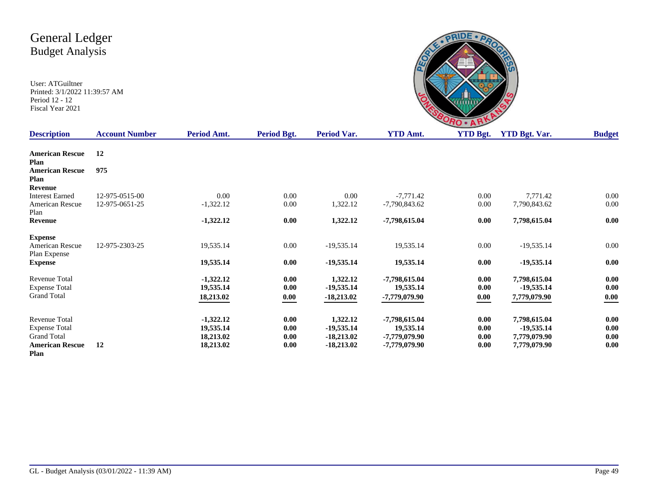

| <b>Description</b>             | <b>Account Number</b> | Period Amt. | Period Bgt. | <b>Period Var.</b> | <b>YTD Amt.</b> | <b>YTD Bgt.</b> | <b>YTD Bgt. Var.</b> | <b>Budget</b> |
|--------------------------------|-----------------------|-------------|-------------|--------------------|-----------------|-----------------|----------------------|---------------|
| <b>American Rescue</b><br>Plan | 12                    |             |             |                    |                 |                 |                      |               |
| <b>American Rescue</b>         | 975                   |             |             |                    |                 |                 |                      |               |
| Plan                           |                       |             |             |                    |                 |                 |                      |               |
| <b>Revenue</b>                 |                       |             |             |                    |                 |                 |                      |               |
| <b>Interest Earned</b>         | 12-975-0515-00        | 0.00        | 0.00        | 0.00               | $-7,771.42$     | 0.00            | 7,771.42             | 0.00          |
| American Rescue                | 12-975-0651-25        | $-1,322.12$ | 0.00        | 1,322.12           | $-7,790,843.62$ | 0.00            | 7,790,843.62         | 0.00          |
| Plan<br>Revenue                |                       | $-1,322.12$ | 0.00        | 1,322.12           | -7,798,615.04   | 0.00            | 7,798,615.04         | 0.00          |
|                                |                       |             |             |                    |                 |                 |                      |               |
| <b>Expense</b>                 |                       |             |             |                    |                 |                 |                      |               |
| American Rescue                | 12-975-2303-25        | 19,535.14   | 0.00        | $-19,535.14$       | 19,535.14       | 0.00            | $-19,535.14$         | 0.00          |
| Plan Expense                   |                       |             |             |                    |                 |                 |                      |               |
| <b>Expense</b>                 |                       | 19,535.14   | 0.00        | $-19,535.14$       | 19,535.14       | 0.00            | $-19,535.14$         | 0.00          |
| Revenue Total                  |                       | $-1,322.12$ | 0.00        | 1,322.12           | -7,798,615.04   | 0.00            | 7,798,615.04         | 0.00          |
| <b>Expense Total</b>           |                       | 19,535.14   | 0.00        | $-19,535.14$       | 19,535.14       | 0.00            | $-19,535.14$         | 0.00          |
| <b>Grand Total</b>             |                       | 18,213.02   | 0.00        | $-18,213.02$       | -7,779,079.90   | 0.00            | 7,779,079.90         | 0.00          |
|                                |                       |             |             |                    |                 |                 |                      |               |
| Revenue Total                  |                       | $-1,322.12$ | 0.00        | 1,322.12           | -7,798,615.04   | 0.00            | 7,798,615.04         | 0.00          |
| <b>Expense Total</b>           |                       | 19,535.14   | 0.00        | $-19,535.14$       | 19,535.14       | 0.00            | $-19,535.14$         | 0.00          |
| <b>Grand Total</b>             |                       | 18,213.02   | 0.00        | $-18,213.02$       | -7,779,079.90   | 0.00            | 7,779,079.90         | 0.00          |
| <b>American Rescue</b>         | 12                    | 18,213.02   | 0.00        | $-18,213.02$       | -7,779,079.90   | 0.00            | 7,779,079.90         | 0.00          |
| Plan                           |                       |             |             |                    |                 |                 |                      |               |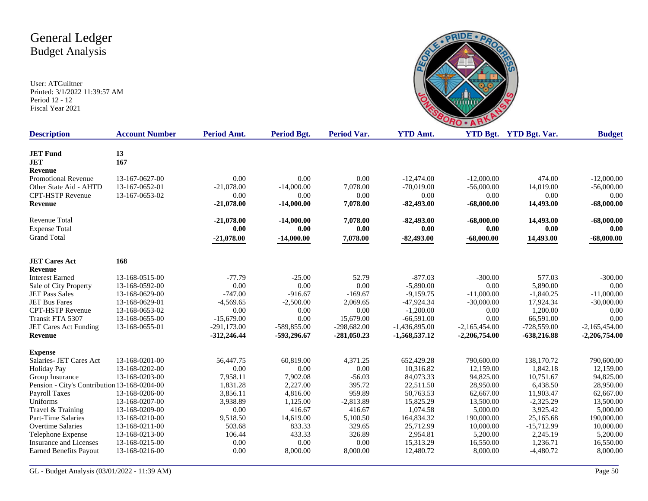

| <b>Description</b>                           | <b>Account Number</b> | Period Amt.   | <b>Period Bgt.</b> | <b>Period Var.</b> | <b>YTD Amt.</b> |                 | YTD Bgt. YTD Bgt. Var. | <b>Budget</b>   |
|----------------------------------------------|-----------------------|---------------|--------------------|--------------------|-----------------|-----------------|------------------------|-----------------|
| <b>JET Fund</b>                              | 13                    |               |                    |                    |                 |                 |                        |                 |
| <b>JET</b>                                   | 167                   |               |                    |                    |                 |                 |                        |                 |
| Revenue                                      |                       |               |                    |                    |                 |                 |                        |                 |
| Promotional Revenue                          | 13-167-0627-00        | 0.00          | 0.00               | 0.00               | $-12,474.00$    | $-12,000.00$    | 474.00                 | $-12,000.00$    |
| Other State Aid - AHTD                       | 13-167-0652-01        | $-21,078.00$  | $-14,000.00$       | 7,078.00           | $-70.019.00$    | $-56,000,00$    | 14,019.00              | $-56,000.00$    |
| <b>CPT-HSTP Revenue</b>                      | 13-167-0653-02        | 0.00          | 0.00               | 0.00               | 0.00            | 0.00            | 0.00                   | 0.00            |
| <b>Revenue</b>                               |                       | $-21,078.00$  | $-14,000.00$       | 7,078.00           | $-82,493.00$    | $-68,000.00$    | 14,493.00              | $-68,000.00$    |
| Revenue Total                                |                       | $-21,078.00$  | $-14,000.00$       | 7,078.00           | $-82,493.00$    | $-68,000.00$    | 14,493.00              | $-68,000.00$    |
| <b>Expense Total</b>                         |                       | 0.00          | 0.00               | 0.00               | 0.00            | 0.00            | 0.00                   | 0.00            |
| <b>Grand Total</b>                           |                       | $-21,078.00$  | $-14,000.00$       | 7,078.00           | $-82,493.00$    | $-68,000.00$    | 14,493.00              | $-68,000.00$    |
| <b>JET Cares Act</b>                         | 168                   |               |                    |                    |                 |                 |                        |                 |
| <b>Revenue</b>                               |                       |               |                    |                    |                 |                 |                        |                 |
| <b>Interest Earned</b>                       | 13-168-0515-00        | $-77.79$      | $-25.00$           | 52.79              | $-877.03$       | $-300.00$       | 577.03                 | $-300.00$       |
| Sale of City Property                        | 13-168-0592-00        | 0.00          | 0.00               | 0.00               | $-5,890.00$     | 0.00            | 5,890.00               | 0.00            |
| <b>JET Pass Sales</b>                        | 13-168-0629-00        | $-747.00$     | $-916.67$          | $-169.67$          | $-9,159.75$     | $-11,000,00$    | $-1.840.25$            | $-11,000.00$    |
| <b>JET Bus Fares</b>                         | 13-168-0629-01        | $-4,569.65$   | $-2,500.00$        | 2,069.65           | $-47,924.34$    | $-30,000.00$    | 17,924.34              | $-30,000.00$    |
| <b>CPT-HSTP Revenue</b>                      | 13-168-0653-02        | 0.00          | 0.00               | 0.00               | $-1,200.00$     | 0.00            | 1,200.00               | 0.00            |
| Transit FTA 5307                             | 13-168-0655-00        | $-15,679.00$  | 0.00               | 15,679.00          | $-66.591.00$    | 0.00            | 66,591.00              | 0.00            |
| JET Cares Act Funding                        | 13-168-0655-01        | $-291,173.00$ | -589,855.00        | $-298,682.00$      | $-1,436,895.00$ | $-2,165,454.00$ | $-728,559.00$          | $-2,165,454.00$ |
| <b>Revenue</b>                               |                       | $-312,246.44$ | -593,296.67        | $-281,050.23$      | -1,568,537.12   | $-2,206,754.00$ | $-638,216.88$          | $-2,206,754.00$ |
| <b>Expense</b>                               |                       |               |                    |                    |                 |                 |                        |                 |
| Salaries- JET Cares Act                      | 13-168-0201-00        | 56,447.75     | 60,819.00          | 4,371.25           | 652,429.28      | 790,600.00      | 138,170.72             | 790,600.00      |
| <b>Holiday Pay</b>                           | 13-168-0202-00        | 0.00          | 0.00               | 0.00               | 10,316.82       | 12,159.00       | 1,842.18               | 12,159.00       |
| Group Insurance                              | 13-168-0203-00        | 7,958.11      | 7,902.08           | $-56.03$           | 84,073.33       | 94,825.00       | 10,751.67              | 94,825.00       |
| Pension - City's Contribution 13-168-0204-00 |                       | 1,831.28      | 2,227.00           | 395.72             | 22,511.50       | 28,950.00       | 6,438.50               | 28,950.00       |
| Payroll Taxes                                | 13-168-0206-00        | 3,856.11      | 4,816.00           | 959.89             | 50,763.53       | 62,667.00       | 11,903.47              | 62,667.00       |
| Uniforms                                     | 13-168-0207-00        | 3,938.89      | 1,125.00           | $-2,813.89$        | 15,825.29       | 13,500.00       | $-2,325.29$            | 13,500.00       |
| Travel & Training                            | 13-168-0209-00        | 0.00          | 416.67             | 416.67             | 1,074.58        | 5,000.00        | 3,925.42               | 5,000.00        |
| Part-Time Salaries                           | 13-168-0210-00        | 9,518.50      | 14,619.00          | 5,100.50           | 164,834.32      | 190,000.00      | 25,165.68              | 190,000.00      |
| <b>Overtime Salaries</b>                     | 13-168-0211-00        | 503.68        | 833.33             | 329.65             | 25,712.99       | 10,000.00       | $-15,712.99$           | 10,000.00       |
| Telephone Expense                            | 13-168-0213-00        | 106.44        | 433.33             | 326.89             | 2,954.81        | 5,200.00        | 2,245.19               | 5,200.00        |
| Insurance and Licenses                       | 13-168-0215-00        | 0.00          | 0.00               | 0.00               | 15,313.29       | 16,550.00       | 1,236.71               | 16,550.00       |
| <b>Earned Benefits Payout</b>                | 13-168-0216-00        | 0.00          | 8,000.00           | 8,000.00           | 12,480.72       | 8,000.00        | $-4,480.72$            | 8,000.00        |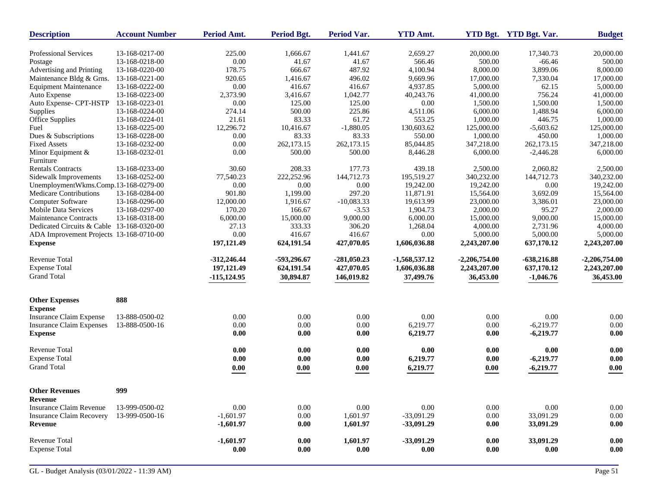| 13-168-0217-00<br>225.00<br>1,441.67<br>2,659.27<br>20,000.00<br>17,340.73<br>20,000.00<br>Professional Services<br>1,666.67<br>13-168-0218-00<br>0.00<br>41.67<br>41.67<br>566.46<br>500.00<br>$-66.46$<br>500.00<br>Postage<br>Advertising and Printing<br>178.75<br>487.92<br>4,100.94<br>8,000.00<br>3,899.06<br>8,000.00<br>13-168-0220-00<br>666.67<br>Maintenance Bldg & Grns.<br>13-168-0221-00<br>920.65<br>496.02<br>9,669.96<br>17,000.00<br>7,330.04<br>17,000.00<br>1,416.67<br>0.00<br>416.67<br>416.67<br><b>Equipment Maintenance</b><br>13-168-0222-00<br>4,937.85<br>5,000.00<br>62.15<br>5,000.00<br>1,042.77<br>756.24<br>Auto Expense<br>13-168-0223-00<br>2,373.90<br>3,416.67<br>40,243.76<br>41,000.00<br>41,000.00<br>125.00<br>Auto Expense- CPT-HSTP<br>13-168-0223-01<br>0.00<br>125.00<br>0.00<br>1,500.00<br>1,500.00<br>1,500.00<br>225.86<br>Supplies<br>13-168-0224-00<br>274.14<br>500.00<br>4,511.06<br>6,000.00<br>1,488.94<br>6,000.00<br>83.33<br>61.72<br>553.25<br>13-168-0224-01<br>21.61<br>1,000.00<br>446.75<br>1,000.00<br>Office Supplies<br>$-1,880.05$<br>130,603.62<br>Fuel<br>13-168-0225-00<br>12,296.72<br>10,416.67<br>125,000.00<br>$-5,603.62$<br>125,000.00<br>83.33<br>Dues & Subscriptions<br>13-168-0228-00<br>0.00<br>83.33<br>550.00<br>1,000.00<br>450.00<br>1,000.00<br>13-168-0232-00<br>0.00<br>262,173.15<br>262,173.15<br>85,044.85<br>347,218.00<br>262,173.15<br>347,218.00<br><b>Fixed Assets</b><br>13-168-0232-01<br>0.00<br>500.00<br>500.00<br>8,446.28<br>6,000.00<br>$-2,446.28$<br>6,000.00<br>Minor Equipment $&$<br>Furniture<br>177.73<br><b>Rentals Contracts</b><br>13-168-0233-00<br>30.60<br>208.33<br>439.18<br>2,500.00<br>2,060.82<br>2,500.00<br>13-168-0252-00<br>222,252.96<br>195,519.27<br>340,232.00<br>340,232.00<br>Sidewalk Improvements<br>77,540.23<br>144,712.73<br>144,712.73<br>UnemploymentWkms.Comp.13-168-0279-00<br>0.00<br>0.00<br>0.00<br>19,242.00<br>19,242.00<br>0.00<br>19,242.00<br>297.20<br>Medicare Contributions<br>13-168-0284-00<br>901.80<br>1,199.00<br>11,871.91<br>15,564.00<br>3,692.09<br>15,564.00<br>$-10,083.33$<br>Computer Software<br>13-168-0296-00<br>12,000.00<br>1.916.67<br>19,613.99<br>23,000.00<br>3,386.01<br>23,000.00<br>Mobile Data Services<br>13-168-0297-00<br>170.20<br>166.67<br>$-3.53$<br>1,904.73<br>2,000.00<br>95.27<br>2,000.00<br>9,000.00<br><b>Maintenance Contracts</b><br>13-168-0318-00<br>6,000.00<br>15,000.00<br>6,000.00<br>15,000.00<br>9,000.00<br>15,000.00<br>333.33<br>2,731.96<br>Dedicated Circuits & Cable 13-168-0320-00<br>27.13<br>306.20<br>1,268.04<br>4,000.00<br>4,000.00<br>0.00<br>ADA Improvement Projects 13-168-0710-00<br>416.67<br>416.67<br>0.00<br>5,000.00<br>5,000.00<br>5,000.00<br>197,121.49<br>624,191.54<br>427,070.05<br>1,606,036.88<br>2,243,207.00<br>637,170.12<br>2,243,207.00<br><b>Expense</b><br>Revenue Total<br>$-312,246.44$<br>-593,296.67<br>$-281,050.23$<br>$-1,568,537.12$<br>$-638,216.88$<br>$-2,206,754.00$<br>$-2,206,754.00$<br><b>Expense Total</b><br>427,070.05<br>197,121.49<br>624,191.54<br>1,606,036.88<br>2,243,207.00<br>637,170.12<br>2,243,207.00<br><b>Grand Total</b><br>30,894.87<br>37,499.76<br>36,453.00<br>$-115, 124.95$<br>146,019.82<br>36,453.00<br>$-1,046.76$<br>888<br><b>Other Expenses</b><br><b>Expense</b><br>0.00<br>0.00<br>0.00<br>$0.00\,$<br>0.00<br>0.00<br>Insurance Claim Expense<br>13-888-0500-02<br>0.00<br>0.00<br>$0.00\,$<br>6,219.77<br>$-6,219.77$<br>$0.00\,$<br><b>Insurance Claim Expenses</b><br>13-888-0500-16<br>0.00<br>0.00<br>0.00<br>0.00<br>0.00<br><b>Expense</b><br>0.00<br>6,219.77<br>0.00<br>$-6,219.77$<br>Revenue Total<br>0.00<br>$0.00\,$<br>0.00<br>0.00<br>0.00<br>0.00<br>0.00<br>$0.00\,$<br><b>Expense Total</b><br>0.00<br>0.00<br>6,219.77<br>0.00<br>$-6,219.77$<br>0.00<br><b>Grand Total</b><br>0.00<br>0.00<br>0.00<br>6,219.77<br>0.00<br>$-6,219.77$<br>0.00<br>999<br><b>Other Revenues</b><br>Revenue<br>0.00<br>0.00<br>$0.00\,$<br>0.00<br>$0.00\,$<br><b>Insurance Claim Revenue</b><br>13-999-0500-02<br>0.00<br>0.00<br>$0.00\,$<br>$0.00\,$<br><b>Insurance Claim Recovery</b><br>13-999-0500-16<br>$-1,601.97$<br>0.00<br>1,601.97<br>$-33,091.29$<br>33,091.29<br>$-1,601.97$<br>0.00<br>1,601.97<br>$-33,091.29$<br>0.00<br>33,091.29<br>0.00<br>Revenue<br>Revenue Total<br>1,601.97<br>$-33,091.29$<br>$0.00\,$<br>33,091.29<br>$-1,601.97$<br>0.00<br>0.00<br><b>Expense Total</b><br>$0.00\,$<br>$0.00\,$<br>0.00<br>$0.00\,$<br>0.00<br>0.00<br>0.00 | <b>Description</b> | <b>Account Number</b> | Period Amt. | <b>Period Bgt.</b> | <b>Period Var.</b> | <b>YTD Amt.</b> | YTD Bgt. YTD Bgt. Var. | <b>Budget</b> |
|----------------------------------------------------------------------------------------------------------------------------------------------------------------------------------------------------------------------------------------------------------------------------------------------------------------------------------------------------------------------------------------------------------------------------------------------------------------------------------------------------------------------------------------------------------------------------------------------------------------------------------------------------------------------------------------------------------------------------------------------------------------------------------------------------------------------------------------------------------------------------------------------------------------------------------------------------------------------------------------------------------------------------------------------------------------------------------------------------------------------------------------------------------------------------------------------------------------------------------------------------------------------------------------------------------------------------------------------------------------------------------------------------------------------------------------------------------------------------------------------------------------------------------------------------------------------------------------------------------------------------------------------------------------------------------------------------------------------------------------------------------------------------------------------------------------------------------------------------------------------------------------------------------------------------------------------------------------------------------------------------------------------------------------------------------------------------------------------------------------------------------------------------------------------------------------------------------------------------------------------------------------------------------------------------------------------------------------------------------------------------------------------------------------------------------------------------------------------------------------------------------------------------------------------------------------------------------------------------------------------------------------------------------------------------------------------------------------------------------------------------------------------------------------------------------------------------------------------------------------------------------------------------------------------------------------------------------------------------------------------------------------------------------------------------------------------------------------------------------------------------------------------------------------------------------------------------------------------------------------------------------------------------------------------------------------------------------------------------------------------------------------------------------------------------------------------------------------------------------------------------------------------------------------------------------------------------------------------------------------------------------------------------------------------------------------------------------------------------------------------------------------------------------------------------------------------------------------------------------------------------------------------------------------------------------------------------------------------------------------------------------------------------------------------------------------------------------------------------------------------------------------------------------------------------------------------------------------------------------------------------------------------------------------------------------------------------------------------------------------------------------------------------------------------------------------------------------------------------------------------------------------------------------------------------------------------------|--------------------|-----------------------|-------------|--------------------|--------------------|-----------------|------------------------|---------------|
|                                                                                                                                                                                                                                                                                                                                                                                                                                                                                                                                                                                                                                                                                                                                                                                                                                                                                                                                                                                                                                                                                                                                                                                                                                                                                                                                                                                                                                                                                                                                                                                                                                                                                                                                                                                                                                                                                                                                                                                                                                                                                                                                                                                                                                                                                                                                                                                                                                                                                                                                                                                                                                                                                                                                                                                                                                                                                                                                                                                                                                                                                                                                                                                                                                                                                                                                                                                                                                                                                                                                                                                                                                                                                                                                                                                                                                                                                                                                                                                                                                                                                                                                                                                                                                                                                                                                                                                                                                                                                                                                                                            |                    |                       |             |                    |                    |                 |                        |               |
|                                                                                                                                                                                                                                                                                                                                                                                                                                                                                                                                                                                                                                                                                                                                                                                                                                                                                                                                                                                                                                                                                                                                                                                                                                                                                                                                                                                                                                                                                                                                                                                                                                                                                                                                                                                                                                                                                                                                                                                                                                                                                                                                                                                                                                                                                                                                                                                                                                                                                                                                                                                                                                                                                                                                                                                                                                                                                                                                                                                                                                                                                                                                                                                                                                                                                                                                                                                                                                                                                                                                                                                                                                                                                                                                                                                                                                                                                                                                                                                                                                                                                                                                                                                                                                                                                                                                                                                                                                                                                                                                                                            |                    |                       |             |                    |                    |                 |                        |               |
|                                                                                                                                                                                                                                                                                                                                                                                                                                                                                                                                                                                                                                                                                                                                                                                                                                                                                                                                                                                                                                                                                                                                                                                                                                                                                                                                                                                                                                                                                                                                                                                                                                                                                                                                                                                                                                                                                                                                                                                                                                                                                                                                                                                                                                                                                                                                                                                                                                                                                                                                                                                                                                                                                                                                                                                                                                                                                                                                                                                                                                                                                                                                                                                                                                                                                                                                                                                                                                                                                                                                                                                                                                                                                                                                                                                                                                                                                                                                                                                                                                                                                                                                                                                                                                                                                                                                                                                                                                                                                                                                                                            |                    |                       |             |                    |                    |                 |                        |               |
|                                                                                                                                                                                                                                                                                                                                                                                                                                                                                                                                                                                                                                                                                                                                                                                                                                                                                                                                                                                                                                                                                                                                                                                                                                                                                                                                                                                                                                                                                                                                                                                                                                                                                                                                                                                                                                                                                                                                                                                                                                                                                                                                                                                                                                                                                                                                                                                                                                                                                                                                                                                                                                                                                                                                                                                                                                                                                                                                                                                                                                                                                                                                                                                                                                                                                                                                                                                                                                                                                                                                                                                                                                                                                                                                                                                                                                                                                                                                                                                                                                                                                                                                                                                                                                                                                                                                                                                                                                                                                                                                                                            |                    |                       |             |                    |                    |                 |                        |               |
|                                                                                                                                                                                                                                                                                                                                                                                                                                                                                                                                                                                                                                                                                                                                                                                                                                                                                                                                                                                                                                                                                                                                                                                                                                                                                                                                                                                                                                                                                                                                                                                                                                                                                                                                                                                                                                                                                                                                                                                                                                                                                                                                                                                                                                                                                                                                                                                                                                                                                                                                                                                                                                                                                                                                                                                                                                                                                                                                                                                                                                                                                                                                                                                                                                                                                                                                                                                                                                                                                                                                                                                                                                                                                                                                                                                                                                                                                                                                                                                                                                                                                                                                                                                                                                                                                                                                                                                                                                                                                                                                                                            |                    |                       |             |                    |                    |                 |                        |               |
|                                                                                                                                                                                                                                                                                                                                                                                                                                                                                                                                                                                                                                                                                                                                                                                                                                                                                                                                                                                                                                                                                                                                                                                                                                                                                                                                                                                                                                                                                                                                                                                                                                                                                                                                                                                                                                                                                                                                                                                                                                                                                                                                                                                                                                                                                                                                                                                                                                                                                                                                                                                                                                                                                                                                                                                                                                                                                                                                                                                                                                                                                                                                                                                                                                                                                                                                                                                                                                                                                                                                                                                                                                                                                                                                                                                                                                                                                                                                                                                                                                                                                                                                                                                                                                                                                                                                                                                                                                                                                                                                                                            |                    |                       |             |                    |                    |                 |                        |               |
|                                                                                                                                                                                                                                                                                                                                                                                                                                                                                                                                                                                                                                                                                                                                                                                                                                                                                                                                                                                                                                                                                                                                                                                                                                                                                                                                                                                                                                                                                                                                                                                                                                                                                                                                                                                                                                                                                                                                                                                                                                                                                                                                                                                                                                                                                                                                                                                                                                                                                                                                                                                                                                                                                                                                                                                                                                                                                                                                                                                                                                                                                                                                                                                                                                                                                                                                                                                                                                                                                                                                                                                                                                                                                                                                                                                                                                                                                                                                                                                                                                                                                                                                                                                                                                                                                                                                                                                                                                                                                                                                                                            |                    |                       |             |                    |                    |                 |                        |               |
|                                                                                                                                                                                                                                                                                                                                                                                                                                                                                                                                                                                                                                                                                                                                                                                                                                                                                                                                                                                                                                                                                                                                                                                                                                                                                                                                                                                                                                                                                                                                                                                                                                                                                                                                                                                                                                                                                                                                                                                                                                                                                                                                                                                                                                                                                                                                                                                                                                                                                                                                                                                                                                                                                                                                                                                                                                                                                                                                                                                                                                                                                                                                                                                                                                                                                                                                                                                                                                                                                                                                                                                                                                                                                                                                                                                                                                                                                                                                                                                                                                                                                                                                                                                                                                                                                                                                                                                                                                                                                                                                                                            |                    |                       |             |                    |                    |                 |                        |               |
|                                                                                                                                                                                                                                                                                                                                                                                                                                                                                                                                                                                                                                                                                                                                                                                                                                                                                                                                                                                                                                                                                                                                                                                                                                                                                                                                                                                                                                                                                                                                                                                                                                                                                                                                                                                                                                                                                                                                                                                                                                                                                                                                                                                                                                                                                                                                                                                                                                                                                                                                                                                                                                                                                                                                                                                                                                                                                                                                                                                                                                                                                                                                                                                                                                                                                                                                                                                                                                                                                                                                                                                                                                                                                                                                                                                                                                                                                                                                                                                                                                                                                                                                                                                                                                                                                                                                                                                                                                                                                                                                                                            |                    |                       |             |                    |                    |                 |                        |               |
|                                                                                                                                                                                                                                                                                                                                                                                                                                                                                                                                                                                                                                                                                                                                                                                                                                                                                                                                                                                                                                                                                                                                                                                                                                                                                                                                                                                                                                                                                                                                                                                                                                                                                                                                                                                                                                                                                                                                                                                                                                                                                                                                                                                                                                                                                                                                                                                                                                                                                                                                                                                                                                                                                                                                                                                                                                                                                                                                                                                                                                                                                                                                                                                                                                                                                                                                                                                                                                                                                                                                                                                                                                                                                                                                                                                                                                                                                                                                                                                                                                                                                                                                                                                                                                                                                                                                                                                                                                                                                                                                                                            |                    |                       |             |                    |                    |                 |                        |               |
|                                                                                                                                                                                                                                                                                                                                                                                                                                                                                                                                                                                                                                                                                                                                                                                                                                                                                                                                                                                                                                                                                                                                                                                                                                                                                                                                                                                                                                                                                                                                                                                                                                                                                                                                                                                                                                                                                                                                                                                                                                                                                                                                                                                                                                                                                                                                                                                                                                                                                                                                                                                                                                                                                                                                                                                                                                                                                                                                                                                                                                                                                                                                                                                                                                                                                                                                                                                                                                                                                                                                                                                                                                                                                                                                                                                                                                                                                                                                                                                                                                                                                                                                                                                                                                                                                                                                                                                                                                                                                                                                                                            |                    |                       |             |                    |                    |                 |                        |               |
|                                                                                                                                                                                                                                                                                                                                                                                                                                                                                                                                                                                                                                                                                                                                                                                                                                                                                                                                                                                                                                                                                                                                                                                                                                                                                                                                                                                                                                                                                                                                                                                                                                                                                                                                                                                                                                                                                                                                                                                                                                                                                                                                                                                                                                                                                                                                                                                                                                                                                                                                                                                                                                                                                                                                                                                                                                                                                                                                                                                                                                                                                                                                                                                                                                                                                                                                                                                                                                                                                                                                                                                                                                                                                                                                                                                                                                                                                                                                                                                                                                                                                                                                                                                                                                                                                                                                                                                                                                                                                                                                                                            |                    |                       |             |                    |                    |                 |                        |               |
|                                                                                                                                                                                                                                                                                                                                                                                                                                                                                                                                                                                                                                                                                                                                                                                                                                                                                                                                                                                                                                                                                                                                                                                                                                                                                                                                                                                                                                                                                                                                                                                                                                                                                                                                                                                                                                                                                                                                                                                                                                                                                                                                                                                                                                                                                                                                                                                                                                                                                                                                                                                                                                                                                                                                                                                                                                                                                                                                                                                                                                                                                                                                                                                                                                                                                                                                                                                                                                                                                                                                                                                                                                                                                                                                                                                                                                                                                                                                                                                                                                                                                                                                                                                                                                                                                                                                                                                                                                                                                                                                                                            |                    |                       |             |                    |                    |                 |                        |               |
|                                                                                                                                                                                                                                                                                                                                                                                                                                                                                                                                                                                                                                                                                                                                                                                                                                                                                                                                                                                                                                                                                                                                                                                                                                                                                                                                                                                                                                                                                                                                                                                                                                                                                                                                                                                                                                                                                                                                                                                                                                                                                                                                                                                                                                                                                                                                                                                                                                                                                                                                                                                                                                                                                                                                                                                                                                                                                                                                                                                                                                                                                                                                                                                                                                                                                                                                                                                                                                                                                                                                                                                                                                                                                                                                                                                                                                                                                                                                                                                                                                                                                                                                                                                                                                                                                                                                                                                                                                                                                                                                                                            |                    |                       |             |                    |                    |                 |                        |               |
|                                                                                                                                                                                                                                                                                                                                                                                                                                                                                                                                                                                                                                                                                                                                                                                                                                                                                                                                                                                                                                                                                                                                                                                                                                                                                                                                                                                                                                                                                                                                                                                                                                                                                                                                                                                                                                                                                                                                                                                                                                                                                                                                                                                                                                                                                                                                                                                                                                                                                                                                                                                                                                                                                                                                                                                                                                                                                                                                                                                                                                                                                                                                                                                                                                                                                                                                                                                                                                                                                                                                                                                                                                                                                                                                                                                                                                                                                                                                                                                                                                                                                                                                                                                                                                                                                                                                                                                                                                                                                                                                                                            |                    |                       |             |                    |                    |                 |                        |               |
|                                                                                                                                                                                                                                                                                                                                                                                                                                                                                                                                                                                                                                                                                                                                                                                                                                                                                                                                                                                                                                                                                                                                                                                                                                                                                                                                                                                                                                                                                                                                                                                                                                                                                                                                                                                                                                                                                                                                                                                                                                                                                                                                                                                                                                                                                                                                                                                                                                                                                                                                                                                                                                                                                                                                                                                                                                                                                                                                                                                                                                                                                                                                                                                                                                                                                                                                                                                                                                                                                                                                                                                                                                                                                                                                                                                                                                                                                                                                                                                                                                                                                                                                                                                                                                                                                                                                                                                                                                                                                                                                                                            |                    |                       |             |                    |                    |                 |                        |               |
|                                                                                                                                                                                                                                                                                                                                                                                                                                                                                                                                                                                                                                                                                                                                                                                                                                                                                                                                                                                                                                                                                                                                                                                                                                                                                                                                                                                                                                                                                                                                                                                                                                                                                                                                                                                                                                                                                                                                                                                                                                                                                                                                                                                                                                                                                                                                                                                                                                                                                                                                                                                                                                                                                                                                                                                                                                                                                                                                                                                                                                                                                                                                                                                                                                                                                                                                                                                                                                                                                                                                                                                                                                                                                                                                                                                                                                                                                                                                                                                                                                                                                                                                                                                                                                                                                                                                                                                                                                                                                                                                                                            |                    |                       |             |                    |                    |                 |                        |               |
|                                                                                                                                                                                                                                                                                                                                                                                                                                                                                                                                                                                                                                                                                                                                                                                                                                                                                                                                                                                                                                                                                                                                                                                                                                                                                                                                                                                                                                                                                                                                                                                                                                                                                                                                                                                                                                                                                                                                                                                                                                                                                                                                                                                                                                                                                                                                                                                                                                                                                                                                                                                                                                                                                                                                                                                                                                                                                                                                                                                                                                                                                                                                                                                                                                                                                                                                                                                                                                                                                                                                                                                                                                                                                                                                                                                                                                                                                                                                                                                                                                                                                                                                                                                                                                                                                                                                                                                                                                                                                                                                                                            |                    |                       |             |                    |                    |                 |                        |               |
|                                                                                                                                                                                                                                                                                                                                                                                                                                                                                                                                                                                                                                                                                                                                                                                                                                                                                                                                                                                                                                                                                                                                                                                                                                                                                                                                                                                                                                                                                                                                                                                                                                                                                                                                                                                                                                                                                                                                                                                                                                                                                                                                                                                                                                                                                                                                                                                                                                                                                                                                                                                                                                                                                                                                                                                                                                                                                                                                                                                                                                                                                                                                                                                                                                                                                                                                                                                                                                                                                                                                                                                                                                                                                                                                                                                                                                                                                                                                                                                                                                                                                                                                                                                                                                                                                                                                                                                                                                                                                                                                                                            |                    |                       |             |                    |                    |                 |                        |               |
|                                                                                                                                                                                                                                                                                                                                                                                                                                                                                                                                                                                                                                                                                                                                                                                                                                                                                                                                                                                                                                                                                                                                                                                                                                                                                                                                                                                                                                                                                                                                                                                                                                                                                                                                                                                                                                                                                                                                                                                                                                                                                                                                                                                                                                                                                                                                                                                                                                                                                                                                                                                                                                                                                                                                                                                                                                                                                                                                                                                                                                                                                                                                                                                                                                                                                                                                                                                                                                                                                                                                                                                                                                                                                                                                                                                                                                                                                                                                                                                                                                                                                                                                                                                                                                                                                                                                                                                                                                                                                                                                                                            |                    |                       |             |                    |                    |                 |                        |               |
|                                                                                                                                                                                                                                                                                                                                                                                                                                                                                                                                                                                                                                                                                                                                                                                                                                                                                                                                                                                                                                                                                                                                                                                                                                                                                                                                                                                                                                                                                                                                                                                                                                                                                                                                                                                                                                                                                                                                                                                                                                                                                                                                                                                                                                                                                                                                                                                                                                                                                                                                                                                                                                                                                                                                                                                                                                                                                                                                                                                                                                                                                                                                                                                                                                                                                                                                                                                                                                                                                                                                                                                                                                                                                                                                                                                                                                                                                                                                                                                                                                                                                                                                                                                                                                                                                                                                                                                                                                                                                                                                                                            |                    |                       |             |                    |                    |                 |                        |               |
|                                                                                                                                                                                                                                                                                                                                                                                                                                                                                                                                                                                                                                                                                                                                                                                                                                                                                                                                                                                                                                                                                                                                                                                                                                                                                                                                                                                                                                                                                                                                                                                                                                                                                                                                                                                                                                                                                                                                                                                                                                                                                                                                                                                                                                                                                                                                                                                                                                                                                                                                                                                                                                                                                                                                                                                                                                                                                                                                                                                                                                                                                                                                                                                                                                                                                                                                                                                                                                                                                                                                                                                                                                                                                                                                                                                                                                                                                                                                                                                                                                                                                                                                                                                                                                                                                                                                                                                                                                                                                                                                                                            |                    |                       |             |                    |                    |                 |                        |               |
|                                                                                                                                                                                                                                                                                                                                                                                                                                                                                                                                                                                                                                                                                                                                                                                                                                                                                                                                                                                                                                                                                                                                                                                                                                                                                                                                                                                                                                                                                                                                                                                                                                                                                                                                                                                                                                                                                                                                                                                                                                                                                                                                                                                                                                                                                                                                                                                                                                                                                                                                                                                                                                                                                                                                                                                                                                                                                                                                                                                                                                                                                                                                                                                                                                                                                                                                                                                                                                                                                                                                                                                                                                                                                                                                                                                                                                                                                                                                                                                                                                                                                                                                                                                                                                                                                                                                                                                                                                                                                                                                                                            |                    |                       |             |                    |                    |                 |                        |               |
|                                                                                                                                                                                                                                                                                                                                                                                                                                                                                                                                                                                                                                                                                                                                                                                                                                                                                                                                                                                                                                                                                                                                                                                                                                                                                                                                                                                                                                                                                                                                                                                                                                                                                                                                                                                                                                                                                                                                                                                                                                                                                                                                                                                                                                                                                                                                                                                                                                                                                                                                                                                                                                                                                                                                                                                                                                                                                                                                                                                                                                                                                                                                                                                                                                                                                                                                                                                                                                                                                                                                                                                                                                                                                                                                                                                                                                                                                                                                                                                                                                                                                                                                                                                                                                                                                                                                                                                                                                                                                                                                                                            |                    |                       |             |                    |                    |                 |                        |               |
|                                                                                                                                                                                                                                                                                                                                                                                                                                                                                                                                                                                                                                                                                                                                                                                                                                                                                                                                                                                                                                                                                                                                                                                                                                                                                                                                                                                                                                                                                                                                                                                                                                                                                                                                                                                                                                                                                                                                                                                                                                                                                                                                                                                                                                                                                                                                                                                                                                                                                                                                                                                                                                                                                                                                                                                                                                                                                                                                                                                                                                                                                                                                                                                                                                                                                                                                                                                                                                                                                                                                                                                                                                                                                                                                                                                                                                                                                                                                                                                                                                                                                                                                                                                                                                                                                                                                                                                                                                                                                                                                                                            |                    |                       |             |                    |                    |                 |                        |               |
|                                                                                                                                                                                                                                                                                                                                                                                                                                                                                                                                                                                                                                                                                                                                                                                                                                                                                                                                                                                                                                                                                                                                                                                                                                                                                                                                                                                                                                                                                                                                                                                                                                                                                                                                                                                                                                                                                                                                                                                                                                                                                                                                                                                                                                                                                                                                                                                                                                                                                                                                                                                                                                                                                                                                                                                                                                                                                                                                                                                                                                                                                                                                                                                                                                                                                                                                                                                                                                                                                                                                                                                                                                                                                                                                                                                                                                                                                                                                                                                                                                                                                                                                                                                                                                                                                                                                                                                                                                                                                                                                                                            |                    |                       |             |                    |                    |                 |                        |               |
|                                                                                                                                                                                                                                                                                                                                                                                                                                                                                                                                                                                                                                                                                                                                                                                                                                                                                                                                                                                                                                                                                                                                                                                                                                                                                                                                                                                                                                                                                                                                                                                                                                                                                                                                                                                                                                                                                                                                                                                                                                                                                                                                                                                                                                                                                                                                                                                                                                                                                                                                                                                                                                                                                                                                                                                                                                                                                                                                                                                                                                                                                                                                                                                                                                                                                                                                                                                                                                                                                                                                                                                                                                                                                                                                                                                                                                                                                                                                                                                                                                                                                                                                                                                                                                                                                                                                                                                                                                                                                                                                                                            |                    |                       |             |                    |                    |                 |                        |               |
|                                                                                                                                                                                                                                                                                                                                                                                                                                                                                                                                                                                                                                                                                                                                                                                                                                                                                                                                                                                                                                                                                                                                                                                                                                                                                                                                                                                                                                                                                                                                                                                                                                                                                                                                                                                                                                                                                                                                                                                                                                                                                                                                                                                                                                                                                                                                                                                                                                                                                                                                                                                                                                                                                                                                                                                                                                                                                                                                                                                                                                                                                                                                                                                                                                                                                                                                                                                                                                                                                                                                                                                                                                                                                                                                                                                                                                                                                                                                                                                                                                                                                                                                                                                                                                                                                                                                                                                                                                                                                                                                                                            |                    |                       |             |                    |                    |                 |                        |               |
|                                                                                                                                                                                                                                                                                                                                                                                                                                                                                                                                                                                                                                                                                                                                                                                                                                                                                                                                                                                                                                                                                                                                                                                                                                                                                                                                                                                                                                                                                                                                                                                                                                                                                                                                                                                                                                                                                                                                                                                                                                                                                                                                                                                                                                                                                                                                                                                                                                                                                                                                                                                                                                                                                                                                                                                                                                                                                                                                                                                                                                                                                                                                                                                                                                                                                                                                                                                                                                                                                                                                                                                                                                                                                                                                                                                                                                                                                                                                                                                                                                                                                                                                                                                                                                                                                                                                                                                                                                                                                                                                                                            |                    |                       |             |                    |                    |                 |                        |               |
|                                                                                                                                                                                                                                                                                                                                                                                                                                                                                                                                                                                                                                                                                                                                                                                                                                                                                                                                                                                                                                                                                                                                                                                                                                                                                                                                                                                                                                                                                                                                                                                                                                                                                                                                                                                                                                                                                                                                                                                                                                                                                                                                                                                                                                                                                                                                                                                                                                                                                                                                                                                                                                                                                                                                                                                                                                                                                                                                                                                                                                                                                                                                                                                                                                                                                                                                                                                                                                                                                                                                                                                                                                                                                                                                                                                                                                                                                                                                                                                                                                                                                                                                                                                                                                                                                                                                                                                                                                                                                                                                                                            |                    |                       |             |                    |                    |                 |                        |               |
|                                                                                                                                                                                                                                                                                                                                                                                                                                                                                                                                                                                                                                                                                                                                                                                                                                                                                                                                                                                                                                                                                                                                                                                                                                                                                                                                                                                                                                                                                                                                                                                                                                                                                                                                                                                                                                                                                                                                                                                                                                                                                                                                                                                                                                                                                                                                                                                                                                                                                                                                                                                                                                                                                                                                                                                                                                                                                                                                                                                                                                                                                                                                                                                                                                                                                                                                                                                                                                                                                                                                                                                                                                                                                                                                                                                                                                                                                                                                                                                                                                                                                                                                                                                                                                                                                                                                                                                                                                                                                                                                                                            |                    |                       |             |                    |                    |                 |                        |               |
|                                                                                                                                                                                                                                                                                                                                                                                                                                                                                                                                                                                                                                                                                                                                                                                                                                                                                                                                                                                                                                                                                                                                                                                                                                                                                                                                                                                                                                                                                                                                                                                                                                                                                                                                                                                                                                                                                                                                                                                                                                                                                                                                                                                                                                                                                                                                                                                                                                                                                                                                                                                                                                                                                                                                                                                                                                                                                                                                                                                                                                                                                                                                                                                                                                                                                                                                                                                                                                                                                                                                                                                                                                                                                                                                                                                                                                                                                                                                                                                                                                                                                                                                                                                                                                                                                                                                                                                                                                                                                                                                                                            |                    |                       |             |                    |                    |                 |                        |               |
|                                                                                                                                                                                                                                                                                                                                                                                                                                                                                                                                                                                                                                                                                                                                                                                                                                                                                                                                                                                                                                                                                                                                                                                                                                                                                                                                                                                                                                                                                                                                                                                                                                                                                                                                                                                                                                                                                                                                                                                                                                                                                                                                                                                                                                                                                                                                                                                                                                                                                                                                                                                                                                                                                                                                                                                                                                                                                                                                                                                                                                                                                                                                                                                                                                                                                                                                                                                                                                                                                                                                                                                                                                                                                                                                                                                                                                                                                                                                                                                                                                                                                                                                                                                                                                                                                                                                                                                                                                                                                                                                                                            |                    |                       |             |                    |                    |                 |                        |               |
|                                                                                                                                                                                                                                                                                                                                                                                                                                                                                                                                                                                                                                                                                                                                                                                                                                                                                                                                                                                                                                                                                                                                                                                                                                                                                                                                                                                                                                                                                                                                                                                                                                                                                                                                                                                                                                                                                                                                                                                                                                                                                                                                                                                                                                                                                                                                                                                                                                                                                                                                                                                                                                                                                                                                                                                                                                                                                                                                                                                                                                                                                                                                                                                                                                                                                                                                                                                                                                                                                                                                                                                                                                                                                                                                                                                                                                                                                                                                                                                                                                                                                                                                                                                                                                                                                                                                                                                                                                                                                                                                                                            |                    |                       |             |                    |                    |                 |                        |               |
|                                                                                                                                                                                                                                                                                                                                                                                                                                                                                                                                                                                                                                                                                                                                                                                                                                                                                                                                                                                                                                                                                                                                                                                                                                                                                                                                                                                                                                                                                                                                                                                                                                                                                                                                                                                                                                                                                                                                                                                                                                                                                                                                                                                                                                                                                                                                                                                                                                                                                                                                                                                                                                                                                                                                                                                                                                                                                                                                                                                                                                                                                                                                                                                                                                                                                                                                                                                                                                                                                                                                                                                                                                                                                                                                                                                                                                                                                                                                                                                                                                                                                                                                                                                                                                                                                                                                                                                                                                                                                                                                                                            |                    |                       |             |                    |                    |                 |                        |               |
|                                                                                                                                                                                                                                                                                                                                                                                                                                                                                                                                                                                                                                                                                                                                                                                                                                                                                                                                                                                                                                                                                                                                                                                                                                                                                                                                                                                                                                                                                                                                                                                                                                                                                                                                                                                                                                                                                                                                                                                                                                                                                                                                                                                                                                                                                                                                                                                                                                                                                                                                                                                                                                                                                                                                                                                                                                                                                                                                                                                                                                                                                                                                                                                                                                                                                                                                                                                                                                                                                                                                                                                                                                                                                                                                                                                                                                                                                                                                                                                                                                                                                                                                                                                                                                                                                                                                                                                                                                                                                                                                                                            |                    |                       |             |                    |                    |                 |                        |               |
|                                                                                                                                                                                                                                                                                                                                                                                                                                                                                                                                                                                                                                                                                                                                                                                                                                                                                                                                                                                                                                                                                                                                                                                                                                                                                                                                                                                                                                                                                                                                                                                                                                                                                                                                                                                                                                                                                                                                                                                                                                                                                                                                                                                                                                                                                                                                                                                                                                                                                                                                                                                                                                                                                                                                                                                                                                                                                                                                                                                                                                                                                                                                                                                                                                                                                                                                                                                                                                                                                                                                                                                                                                                                                                                                                                                                                                                                                                                                                                                                                                                                                                                                                                                                                                                                                                                                                                                                                                                                                                                                                                            |                    |                       |             |                    |                    |                 |                        |               |
|                                                                                                                                                                                                                                                                                                                                                                                                                                                                                                                                                                                                                                                                                                                                                                                                                                                                                                                                                                                                                                                                                                                                                                                                                                                                                                                                                                                                                                                                                                                                                                                                                                                                                                                                                                                                                                                                                                                                                                                                                                                                                                                                                                                                                                                                                                                                                                                                                                                                                                                                                                                                                                                                                                                                                                                                                                                                                                                                                                                                                                                                                                                                                                                                                                                                                                                                                                                                                                                                                                                                                                                                                                                                                                                                                                                                                                                                                                                                                                                                                                                                                                                                                                                                                                                                                                                                                                                                                                                                                                                                                                            |                    |                       |             |                    |                    |                 |                        |               |
|                                                                                                                                                                                                                                                                                                                                                                                                                                                                                                                                                                                                                                                                                                                                                                                                                                                                                                                                                                                                                                                                                                                                                                                                                                                                                                                                                                                                                                                                                                                                                                                                                                                                                                                                                                                                                                                                                                                                                                                                                                                                                                                                                                                                                                                                                                                                                                                                                                                                                                                                                                                                                                                                                                                                                                                                                                                                                                                                                                                                                                                                                                                                                                                                                                                                                                                                                                                                                                                                                                                                                                                                                                                                                                                                                                                                                                                                                                                                                                                                                                                                                                                                                                                                                                                                                                                                                                                                                                                                                                                                                                            |                    |                       |             |                    |                    |                 |                        |               |
|                                                                                                                                                                                                                                                                                                                                                                                                                                                                                                                                                                                                                                                                                                                                                                                                                                                                                                                                                                                                                                                                                                                                                                                                                                                                                                                                                                                                                                                                                                                                                                                                                                                                                                                                                                                                                                                                                                                                                                                                                                                                                                                                                                                                                                                                                                                                                                                                                                                                                                                                                                                                                                                                                                                                                                                                                                                                                                                                                                                                                                                                                                                                                                                                                                                                                                                                                                                                                                                                                                                                                                                                                                                                                                                                                                                                                                                                                                                                                                                                                                                                                                                                                                                                                                                                                                                                                                                                                                                                                                                                                                            |                    |                       |             |                    |                    |                 |                        |               |
|                                                                                                                                                                                                                                                                                                                                                                                                                                                                                                                                                                                                                                                                                                                                                                                                                                                                                                                                                                                                                                                                                                                                                                                                                                                                                                                                                                                                                                                                                                                                                                                                                                                                                                                                                                                                                                                                                                                                                                                                                                                                                                                                                                                                                                                                                                                                                                                                                                                                                                                                                                                                                                                                                                                                                                                                                                                                                                                                                                                                                                                                                                                                                                                                                                                                                                                                                                                                                                                                                                                                                                                                                                                                                                                                                                                                                                                                                                                                                                                                                                                                                                                                                                                                                                                                                                                                                                                                                                                                                                                                                                            |                    |                       |             |                    |                    |                 |                        |               |
|                                                                                                                                                                                                                                                                                                                                                                                                                                                                                                                                                                                                                                                                                                                                                                                                                                                                                                                                                                                                                                                                                                                                                                                                                                                                                                                                                                                                                                                                                                                                                                                                                                                                                                                                                                                                                                                                                                                                                                                                                                                                                                                                                                                                                                                                                                                                                                                                                                                                                                                                                                                                                                                                                                                                                                                                                                                                                                                                                                                                                                                                                                                                                                                                                                                                                                                                                                                                                                                                                                                                                                                                                                                                                                                                                                                                                                                                                                                                                                                                                                                                                                                                                                                                                                                                                                                                                                                                                                                                                                                                                                            |                    |                       |             |                    |                    |                 |                        |               |
|                                                                                                                                                                                                                                                                                                                                                                                                                                                                                                                                                                                                                                                                                                                                                                                                                                                                                                                                                                                                                                                                                                                                                                                                                                                                                                                                                                                                                                                                                                                                                                                                                                                                                                                                                                                                                                                                                                                                                                                                                                                                                                                                                                                                                                                                                                                                                                                                                                                                                                                                                                                                                                                                                                                                                                                                                                                                                                                                                                                                                                                                                                                                                                                                                                                                                                                                                                                                                                                                                                                                                                                                                                                                                                                                                                                                                                                                                                                                                                                                                                                                                                                                                                                                                                                                                                                                                                                                                                                                                                                                                                            |                    |                       |             |                    |                    |                 |                        |               |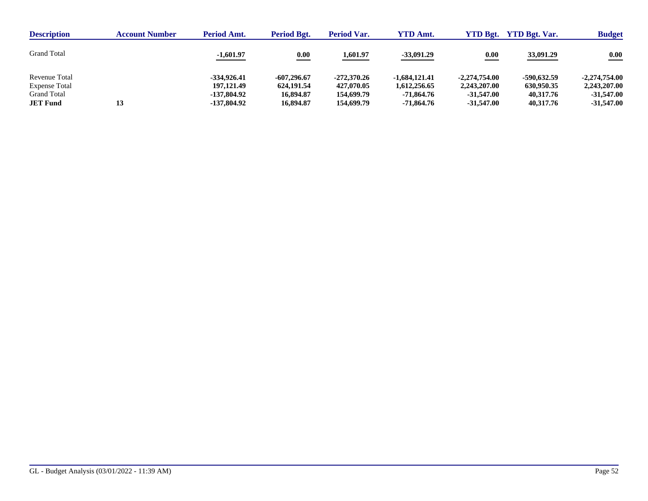| <b>Description</b>   | <b>Account Number</b> | <b>Period Amt.</b> | Period Bgt.   | <b>Period Var.</b> | <b>YTD Amt.</b> | <b>YTD Bgt.</b>    | <b>YTD Bgt. Var.</b> | <b>Budget</b>   |
|----------------------|-----------------------|--------------------|---------------|--------------------|-----------------|--------------------|----------------------|-----------------|
| <b>Grand Total</b>   |                       | $-1,601.97$        | 0.00          | 1,601.97           | $-33,091.29$    | $\underline{0.00}$ | 33,091.29            | 0.00            |
| Revenue Total        |                       | $-334.926.41$      | $-607,296.67$ | $-272.370.26$      | $-1.684.121.41$ | $-2.274.754.00$    | -590,632.59          | $-2.274.754.00$ |
| <b>Expense Total</b> |                       | 197,121.49         | 624.191.54    | 427,070.05         | 1,612,256.65    | 2,243,207.00       | 630,950.35           | 2,243,207.00    |
| <b>Grand Total</b>   |                       | -137,804.92        | 16,894.87     | 154,699.79         | -71.864.76      | $-31.547.00$       | 40.317.76            | $-31.547.00$    |
| <b>JET Fund</b>      | 13                    | -137,804.92        | 16,894.87     | 154,699.79         | -71.864.76      | $-31.547.00$       | 40,317.76            | $-31,547.00$    |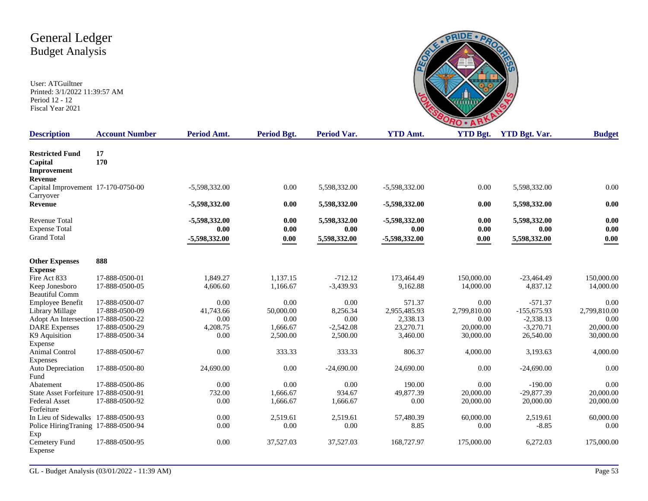

| <b>Description</b>                                                 | <b>Account Number</b> | <b>Period Amt.</b>                     | <b>Period Bgt.</b>   | <b>Period Var.</b>                   | <b>YTD Amt.</b>                        | <b>YTD Bgt.</b>      | <b>YTD Bgt. Var.</b>                 | <b>Budget</b>            |
|--------------------------------------------------------------------|-----------------------|----------------------------------------|----------------------|--------------------------------------|----------------------------------------|----------------------|--------------------------------------|--------------------------|
| <b>Restricted Fund</b><br>Capital<br>Improvement<br>Revenue        | 17<br>170             |                                        |                      |                                      |                                        |                      |                                      |                          |
| Capital Improvement 17-170-0750-00<br>Carryover                    |                       | -5,598,332.00                          | 0.00                 | 5,598,332.00                         | $-5,598,332.00$                        | 0.00                 | 5,598,332.00                         | 0.00                     |
| <b>Revenue</b>                                                     |                       | -5,598,332.00                          | 0.00                 | 5,598,332.00                         | -5,598,332.00                          | 0.00                 | 5,598,332.00                         | 0.00                     |
| <b>Revenue Total</b><br><b>Expense Total</b><br><b>Grand Total</b> |                       | -5,598,332.00<br>0.00<br>-5,598,332.00 | 0.00<br>0.00<br>0.00 | 5,598,332.00<br>0.00<br>5,598,332.00 | -5,598,332.00<br>0.00<br>-5,598,332.00 | 0.00<br>0.00<br>0.00 | 5,598,332.00<br>0.00<br>5,598,332.00 | 0.00<br>0.00<br>$0.00\,$ |
| <b>Other Expenses</b><br><b>Expense</b>                            | 888                   |                                        |                      |                                      |                                        |                      |                                      |                          |
| Fire Act 833                                                       | 17-888-0500-01        | 1.849.27                               | 1.137.15             | $-712.12$                            | 173,464.49                             | 150,000.00           | $-23,464.49$                         | 150,000.00               |
| Keep Jonesboro<br><b>Beautiful Comm</b>                            | 17-888-0500-05        | 4,606.60                               | 1,166.67             | $-3,439.93$                          | 9,162.88                               | 14,000.00            | 4,837.12                             | 14,000.00                |
| <b>Employee Benefit</b>                                            | 17-888-0500-07        | 0.00                                   | 0.00                 | 0.00                                 | 571.37                                 | 0.00                 | $-571.37$                            | 0.00                     |
| Library Millage                                                    | 17-888-0500-09        | 41,743.66                              | 50,000.00            | 8,256.34                             | 2,955,485.93                           | 2,799,810.00         | $-155,675.93$                        | 2,799,810.00             |
| Adopt An Intersection 17-888-0500-22                               |                       | 0.00                                   | 0.00                 | 0.00                                 | 2,338.13                               | 0.00                 | $-2,338.13$                          | 0.00                     |
| <b>DARE</b> Expenses                                               | 17-888-0500-29        | 4,208.75                               | 1,666.67             | $-2,542.08$                          | 23,270.71                              | 20,000.00            | $-3,270.71$                          | 20,000.00                |
| K9 Aquisition<br>Expense                                           | 17-888-0500-34        | 0.00                                   | 2,500.00             | 2,500.00                             | 3,460.00                               | 30,000.00            | 26,540.00                            | 30,000.00                |
| Animal Control<br>Expenses                                         | 17-888-0500-67        | 0.00                                   | 333.33               | 333.33                               | 806.37                                 | 4,000.00             | 3,193.63                             | 4,000.00                 |
| Auto Depreciation<br>Fund                                          | 17-888-0500-80        | 24,690.00                              | 0.00                 | $-24,690.00$                         | 24,690.00                              | 0.00                 | $-24,690.00$                         | 0.00                     |
| Abatement                                                          | 17-888-0500-86        | 0.00                                   | 0.00                 | 0.00                                 | 190.00                                 | 0.00                 | $-190.00$                            | 0.00                     |
| State Asset Forfeiture 17-888-0500-91                              |                       | 732.00                                 | 1,666.67             | 934.67                               | 49,877.39                              | 20,000.00            | $-29,877.39$                         | 20,000.00                |
| <b>Federal Asset</b><br>Forfeiture                                 | 17-888-0500-92        | 0.00                                   | 1,666.67             | 1,666.67                             | 0.00                                   | 20,000.00            | 20,000.00                            | 20,000.00                |
| In Lieu of Sidewalks 17-888-0500-93                                |                       | 0.00                                   | 2,519.61             | 2,519.61                             | 57,480.39                              | 60,000.00            | 2,519.61                             | 60,000.00                |
| Police HiringTraning 17-888-0500-94<br>Exp                         |                       | 0.00                                   | 0.00                 | 0.00                                 | 8.85                                   | 0.00                 | $-8.85$                              | 0.00                     |
| Cemetery Fund<br>Expense                                           | 17-888-0500-95        | 0.00                                   | 37,527.03            | 37,527.03                            | 168,727.97                             | 175,000.00           | 6,272.03                             | 175,000.00               |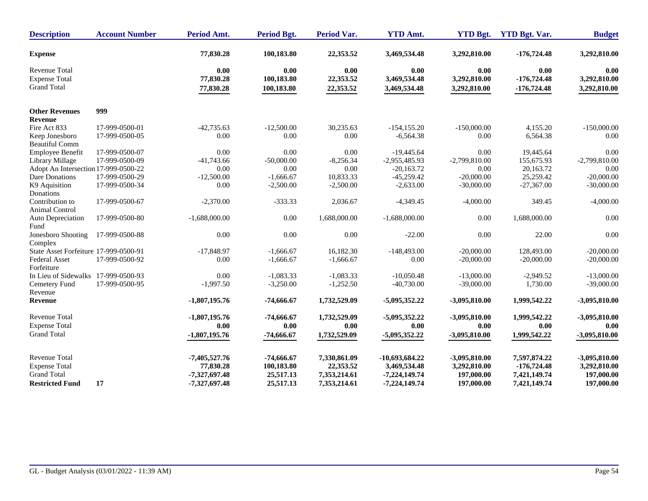| <b>Description</b>                         | <b>Account Number</b> | <b>Period Amt.</b>     | <b>Period Bgt.</b>       | <b>Period Var.</b>     | <b>YTD Amt.</b>              | <b>YTD Bgt.</b>              | <b>YTD Bgt. Var.</b>           | <b>Budget</b>                |
|--------------------------------------------|-----------------------|------------------------|--------------------------|------------------------|------------------------------|------------------------------|--------------------------------|------------------------------|
| <b>Expense</b>                             |                       | 77,830.28              | 100,183.80               | 22,353.52              | 3,469,534.48                 | 3,292,810.00                 | $-176,724.48$                  | 3,292,810.00                 |
| Revenue Total                              |                       | 0.00                   | 0.00                     | 0.00                   | 0.00                         | 0.00                         | 0.00                           | 0.00                         |
| <b>Expense Total</b><br><b>Grand Total</b> |                       | 77,830.28<br>77,830.28 | 100,183.80<br>100,183.80 | 22,353.52<br>22,353.52 | 3,469,534.48<br>3,469,534.48 | 3,292,810.00<br>3,292,810.00 | $-176,724.48$<br>$-176,724.48$ | 3,292,810.00<br>3,292,810.00 |
| <b>Other Revenues</b>                      | 999                   |                        |                          |                        |                              |                              |                                |                              |
| <b>Revenue</b>                             |                       |                        |                          |                        |                              |                              |                                |                              |
| Fire Act 833                               | 17-999-0500-01        | $-42,735.63$           | $-12,500.00$             | 30,235.63              | $-154, 155.20$               | $-150,000.00$                | 4.155.20                       | $-150,000.00$                |
| Keep Jonesboro<br><b>Beautiful Comm</b>    | 17-999-0500-05        | 0.00                   | 0.00                     | 0.00                   | $-6,564.38$                  | 0.00                         | 6,564.38                       | 0.00                         |
| Employee Benefit                           | 17-999-0500-07        | 0.00                   | 0.00                     | 0.00                   | $-19,445.64$                 | 0.00                         | 19,445.64                      | 0.00                         |
| Library Millage                            | 17-999-0500-09        | $-41,743.66$           | $-50,000.00$             | $-8,256.34$            | $-2,955,485.93$              | $-2,799,810.00$              | 155,675.93                     | $-2,799,810.00$              |
| Adopt An Intersection 17-999-0500-22       |                       | 0.00                   | 0.00                     | $0.00\,$               | $-20,163.72$                 | 0.00                         | 20,163.72                      | 0.00                         |
| Dare Donations                             | 17-999-0500-29        | $-12,500.00$           | $-1,666.67$              | 10,833.33              | $-45,259.42$                 | $-20,000.00$                 | 25,259.42                      | $-20,000,00$                 |
| K9 Aquisition<br>Donations                 | 17-999-0500-34        | 0.00                   | $-2,500.00$              | $-2,500.00$            | $-2,633.00$                  | $-30,000.00$                 | $-27,367.00$                   | $-30,000.00$                 |
| Contribution to<br><b>Animal Control</b>   | 17-999-0500-67        | $-2,370.00$            | $-333.33$                | 2,036.67               | $-4,349.45$                  | $-4,000.00$                  | 349.45                         | $-4,000.00$                  |
| Auto Depreciation<br>Fund                  | 17-999-0500-80        | $-1,688,000.00$        | 0.00                     | 1,688,000.00           | $-1,688,000.00$              | 0.00                         | 1,688,000.00                   | 0.00                         |
| Jonesboro Shooting<br>Complex              | 17-999-0500-88        | 0.00                   | 0.00                     | 0.00                   | $-22.00$                     | 0.00                         | 22.00                          | 0.00                         |
| State Asset Forfeiture 17-999-0500-91      |                       | $-17,848.97$           | $-1,666.67$              | 16,182.30              | $-148,493.00$                | $-20,000.00$                 | 128,493.00                     | $-20,000.00$                 |
| <b>Federal Asset</b><br>Forfeiture         | 17-999-0500-92        | 0.00                   | $-1,666.67$              | $-1,666.67$            | 0.00                         | $-20,000.00$                 | $-20,000.00$                   | $-20,000.00$                 |
| In Lieu of Sidewalks 17-999-0500-93        |                       | 0.00                   | $-1,083.33$              | $-1,083.33$            | $-10,050.48$                 | $-13,000.00$                 | $-2,949.52$                    | $-13,000.00$                 |
| Cemetery Fund<br>Revenue                   | 17-999-0500-95        | $-1,997.50$            | $-3,250.00$              | $-1,252.50$            | $-40,730.00$                 | $-39,000.00$                 | 1,730.00                       | $-39,000.00$                 |
| Revenue                                    |                       | $-1,807,195.76$        | $-74,666.67$             | 1,732,529.09           | $-5,095,352.22$              | $-3,095,810.00$              | 1,999,542.22                   | $-3,095,810.00$              |
| <b>Revenue Total</b>                       |                       | $-1,807,195.76$        | $-74,666.67$             | 1,732,529.09           | $-5,095,352.22$              | $-3,095,810.00$              | 1,999,542.22                   | $-3,095,810.00$              |
| <b>Expense Total</b>                       |                       | 0.00                   | 0.00                     | 0.00                   | 0.00                         | 0.00                         | 0.00                           | 0.00                         |
| <b>Grand Total</b>                         |                       | $-1,807,195.76$        | $-74,666.67$             | 1,732,529.09           | $-5,095,352.22$              | $-3,095,810.00$              | 1,999,542.22                   | $-3,095,810.00$              |
| <b>Revenue Total</b>                       |                       | $-7,405,527.76$        | $-74,666.67$             | 7,330,861.09           | -10,693,684.22               | $-3,095,810.00$              | 7,597,874.22                   | $-3,095,810.00$              |
| <b>Expense Total</b>                       |                       | 77,830.28              | 100,183.80               | 22,353.52              | 3,469,534.48                 | 3,292,810.00                 | $-176,724.48$                  | 3,292,810.00                 |
| <b>Grand Total</b>                         |                       | -7,327,697.48          | 25,517.13                | 7,353,214.61           | $-7,224,149.74$              | 197,000.00                   | 7,421,149.74                   | 197,000.00                   |
| <b>Restricted Fund</b>                     | 17                    | -7,327,697.48          | 25,517.13                | 7,353,214.61           | $-7,224,149.74$              | 197,000.00                   | 7,421,149.74                   | 197,000.00                   |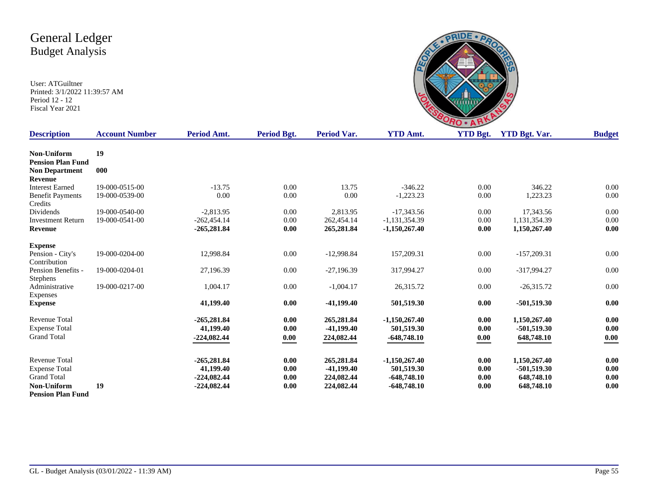

| <b>Description</b>       | <b>Account Number</b> | Period Amt.   | <b>Period Bgt.</b> | Period Var.  | <b>YTD Amt.</b> | <b>YTD Bgt.</b> | <b>YTD Bgt. Var.</b> | <b>Budget</b> |
|--------------------------|-----------------------|---------------|--------------------|--------------|-----------------|-----------------|----------------------|---------------|
| Non-Uniform              | 19                    |               |                    |              |                 |                 |                      |               |
| <b>Pension Plan Fund</b> |                       |               |                    |              |                 |                 |                      |               |
| <b>Non Department</b>    | 000                   |               |                    |              |                 |                 |                      |               |
| Revenue                  |                       |               |                    |              |                 |                 |                      |               |
| <b>Interest Earned</b>   | 19-000-0515-00        | $-13.75$      | 0.00               | 13.75        | $-346.22$       | 0.00            | 346.22               | 0.00          |
| <b>Benefit Payments</b>  | 19-000-0539-00        | 0.00          | 0.00               | 0.00         | $-1,223.23$     | 0.00            | 1,223.23             | 0.00          |
| Credits                  |                       |               |                    |              |                 |                 |                      |               |
| Dividends                | 19-000-0540-00        | $-2,813.95$   | 0.00               | 2,813.95     | $-17,343.56$    | 0.00            | 17,343.56            | 0.00          |
| <b>Investment Return</b> | 19-000-0541-00        | $-262.454.14$ | 0.00               | 262,454.14   | $-1,131,354.39$ | 0.00            | 1,131,354.39         | 0.00          |
| <b>Revenue</b>           |                       | $-265,281.84$ | 0.00               | 265,281.84   | $-1,150,267.40$ | 0.00            | 1,150,267.40         | 0.00          |
| <b>Expense</b>           |                       |               |                    |              |                 |                 |                      |               |
| Pension - City's         | 19-000-0204-00        | 12,998.84     | 0.00               | $-12,998.84$ | 157,209.31      | 0.00            | $-157,209.31$        | 0.00          |
| Contribution             |                       |               |                    |              |                 |                 |                      |               |
| Pension Benefits -       | 19-000-0204-01        | 27,196.39     | 0.00               | $-27,196.39$ | 317,994.27      | 0.00            | -317,994.27          | 0.00          |
| <b>Stephens</b>          |                       |               |                    |              |                 |                 |                      |               |
| Administrative           | 19-000-0217-00        | 1,004.17      | 0.00               | $-1,004.17$  | 26,315.72       | 0.00            | $-26,315.72$         | 0.00          |
| Expenses                 |                       |               |                    |              |                 |                 |                      |               |
| <b>Expense</b>           |                       | 41,199.40     | 0.00               | $-41,199.40$ | 501,519.30      | 0.00            | $-501,519.30$        | 0.00          |
| <b>Revenue Total</b>     |                       | $-265,281.84$ | 0.00               | 265,281.84   | $-1,150,267,40$ | 0.00            | 1,150,267.40         | 0.00          |
| <b>Expense Total</b>     |                       | 41,199.40     | 0.00               | $-41,199.40$ | 501,519.30      | 0.00            | $-501,519.30$        | 0.00          |
| <b>Grand Total</b>       |                       | $-224,082.44$ | 0.00               | 224,082.44   | $-648,748.10$   | 0.00            | 648,748.10           | 0.00          |
|                          |                       |               |                    |              |                 |                 |                      |               |
| <b>Revenue Total</b>     |                       | $-265,281.84$ | 0.00               | 265,281.84   | $-1,150,267.40$ | 0.00            | 1,150,267.40         | 0.00          |
| <b>Expense Total</b>     |                       | 41,199.40     | 0.00               | $-41,199.40$ | 501,519.30      | 0.00            | $-501,519.30$        | 0.00          |
| <b>Grand Total</b>       |                       | $-224,082.44$ | 0.00               | 224,082.44   | $-648,748.10$   | 0.00            | 648,748.10           | 0.00          |
| Non-Uniform              | 19                    | $-224,082.44$ | 0.00               | 224,082.44   | $-648,748.10$   | 0.00            | 648,748.10           | 0.00          |
| <b>Pension Plan Fund</b> |                       |               |                    |              |                 |                 |                      |               |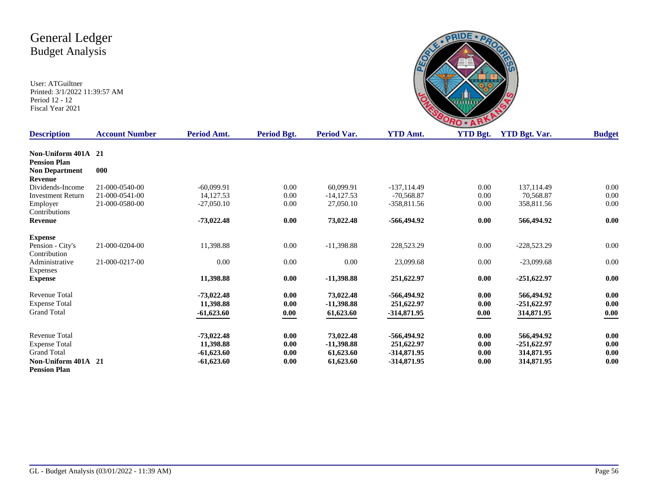

| <b>Description</b>       | <b>Account Number</b> | Period Amt.  | Period Bgt. | Period Var.  | <b>YTD Amt.</b> | <b>YTD Bgt.</b> | <b>YTD Bgt. Var.</b> | <b>Budget</b> |
|--------------------------|-----------------------|--------------|-------------|--------------|-----------------|-----------------|----------------------|---------------|
|                          |                       |              |             |              |                 |                 |                      |               |
| Non-Uniform 401A 21      |                       |              |             |              |                 |                 |                      |               |
| <b>Pension Plan</b>      |                       |              |             |              |                 |                 |                      |               |
| <b>Non Department</b>    | 000                   |              |             |              |                 |                 |                      |               |
| <b>Revenue</b>           |                       |              |             |              |                 |                 |                      |               |
| Dividends-Income         | 21-000-0540-00        | $-60.099.91$ | 0.00        | 60.099.91    | $-137.114.49$   | 0.00            | 137,114.49           | 0.00          |
| <b>Investment Return</b> | 21-000-0541-00        | 14, 127.53   | $0.00\,$    | $-14,127.53$ | $-70.568.87$    | 0.00            | 70.568.87            | 0.00          |
| Employer                 | 21-000-0580-00        | $-27,050.10$ | 0.00        | 27,050.10    | $-358,811.56$   | 0.00            | 358,811.56           | 0.00          |
| Contributions            |                       |              |             |              |                 |                 |                      |               |
| Revenue                  |                       | $-73,022.48$ | 0.00        | 73,022.48    | -566,494.92     | 0.00            | 566,494.92           | 0.00          |
| <b>Expense</b>           |                       |              |             |              |                 |                 |                      |               |
| Pension - City's         | 21-000-0204-00        | 11,398.88    | 0.00        | $-11,398.88$ | 228,523.29      | 0.00            | $-228,523.29$        | 0.00          |
| Contribution             |                       |              |             |              |                 |                 |                      |               |
| Administrative           | 21-000-0217-00        | 0.00         | 0.00        | 0.00         | 23,099.68       | 0.00            | $-23,099.68$         | 0.00          |
| Expenses                 |                       |              |             |              |                 |                 |                      |               |
| <b>Expense</b>           |                       | 11,398.88    | 0.00        | $-11,398.88$ | 251,622.97      | 0.00            | $-251,622.97$        | 0.00          |
| <b>Revenue Total</b>     |                       | $-73,022.48$ | 0.00        | 73,022.48    | -566,494.92     | 0.00            | 566,494.92           | 0.00          |
| <b>Expense Total</b>     |                       | 11,398.88    | 0.00        | $-11,398.88$ | 251,622.97      | 0.00            | $-251,622.97$        | 0.00          |
| <b>Grand Total</b>       |                       | $-61,623.60$ | 0.00        | 61,623.60    | $-314,871.95$   | 0.00            | 314,871.95           | 0.00          |
|                          |                       |              |             |              |                 |                 |                      |               |
| Revenue Total            |                       | $-73,022.48$ | 0.00        | 73,022.48    | -566,494.92     | 0.00            | 566,494.92           | 0.00          |
| <b>Expense Total</b>     |                       | 11,398.88    | 0.00        | $-11,398.88$ | 251,622.97      | 0.00            | $-251,622.97$        | $0.00\,$      |
| <b>Grand Total</b>       |                       | $-61,623.60$ | 0.00        | 61,623.60    | $-314,871.95$   | 0.00            | 314,871.95           | 0.00          |
| Non-Uniform 401A 21      |                       | $-61,623.60$ | 0.00        | 61,623.60    | $-314,871.95$   | 0.00            | 314,871.95           | 0.00          |
| <b>Pension Plan</b>      |                       |              |             |              |                 |                 |                      |               |
|                          |                       |              |             |              |                 |                 |                      |               |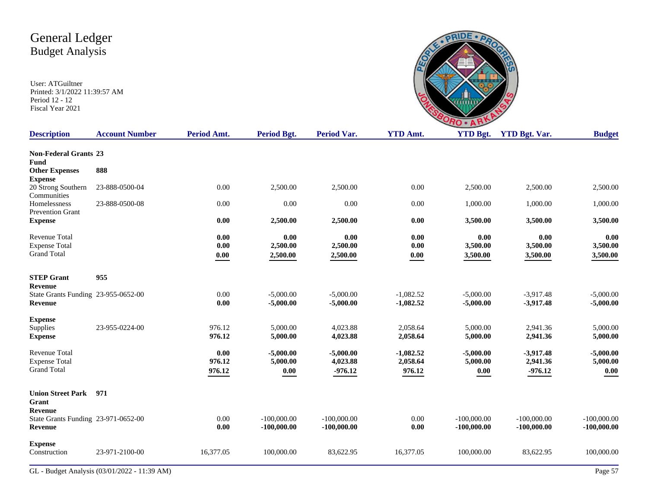|                          | RC                 |                                     |
|--------------------------|--------------------|-------------------------------------|
| $\lambda$ m <sup>+</sup> | $VTD$ $R_{\alpha}$ | $VTD$ $R_{\alpha t}$ $V_{\alpha r}$ |

| <b>Description</b>                      | <b>Account Number</b>                        | Period Amt.         | <b>Period Bgt.</b> | <b>Period Var.</b> | <b>YTD Amt.</b>     | <b>YTD Bgt.</b> | <b>YTD Bgt. Var.</b> | <b>Budget</b> |
|-----------------------------------------|----------------------------------------------|---------------------|--------------------|--------------------|---------------------|-----------------|----------------------|---------------|
| <b>Non-Federal Grants 23</b>            |                                              |                     |                    |                    |                     |                 |                      |               |
| Fund                                    |                                              |                     |                    |                    |                     |                 |                      |               |
| <b>Other Expenses</b>                   | 888                                          |                     |                    |                    |                     |                 |                      |               |
| <b>Expense</b>                          |                                              |                     |                    |                    |                     |                 |                      |               |
| 20 Strong Southern<br>Communities       | 23-888-0500-04                               | 0.00                | 2,500.00           | 2,500.00           | 0.00                | 2,500.00        | 2,500.00             | 2,500.00      |
| Homelessness<br><b>Prevention Grant</b> | 23-888-0500-08                               | 0.00                | 0.00               | 0.00               | 0.00                | 1,000.00        | 1,000.00             | 1,000.00      |
| <b>Expense</b>                          |                                              | 0.00                | 2,500.00           | 2,500.00           | $0.00\,$            | 3,500.00        | 3,500.00             | 3,500.00      |
| Revenue Total                           |                                              | $0.00\,$            | 0.00               | 0.00               | $0.00\,$            | 0.00            | 0.00                 | 0.00          |
| <b>Expense Total</b>                    |                                              | 0.00                | 2,500.00           | 2,500.00           | $0.00\,$            | 3,500.00        | 3,500.00             | 3,500.00      |
| <b>Grand Total</b>                      |                                              | $\boldsymbol{0.00}$ | 2,500.00           | 2,500.00           | $\boldsymbol{0.00}$ | 3,500.00        | 3,500.00             | 3,500.00      |
| <b>STEP Grant</b>                       | 955                                          |                     |                    |                    |                     |                 |                      |               |
| <b>Revenue</b>                          |                                              |                     |                    |                    |                     |                 |                      |               |
| State Grants Funding 23-955-0652-00     |                                              | 0.00                | $-5,000.00$        | $-5,000.00$        | $-1,082.52$         | $-5,000.00$     | $-3,917.48$          | $-5,000.00$   |
| Revenue                                 |                                              | 0.00                | $-5,000.00$        | $-5,000.00$        | $-1,082.52$         | $-5,000.00$     | $-3,917.48$          | $-5,000.00$   |
| <b>Expense</b>                          |                                              |                     |                    |                    |                     |                 |                      |               |
| Supplies                                | 23-955-0224-00                               | 976.12              | 5,000.00           | 4,023.88           | 2,058.64            | 5,000.00        | 2,941.36             | 5,000.00      |
| <b>Expense</b>                          |                                              | 976.12              | 5,000.00           | 4,023.88           | 2,058.64            | 5,000.00        | 2,941.36             | 5,000.00      |
| <b>Revenue Total</b>                    |                                              | 0.00                | $-5,000.00$        | $-5,000.00$        | $-1,082.52$         | $-5,000.00$     | $-3,917.48$          | $-5,000.00$   |
| <b>Expense Total</b>                    |                                              | 976.12              | 5,000.00           | 4,023.88           | 2,058.64            | 5,000.00        | 2,941.36             | 5,000.00      |
| <b>Grand Total</b>                      |                                              | 976.12              | 0.00               | $-976.12$          | 976.12              | 0.00            | $-976.12$            | 0.00          |
| <b>Union Street Park</b>                | 971                                          |                     |                    |                    |                     |                 |                      |               |
| Grant                                   |                                              |                     |                    |                    |                     |                 |                      |               |
| <b>Revenue</b>                          |                                              |                     |                    |                    |                     |                 |                      |               |
| State Grants Funding 23-971-0652-00     |                                              | 0.00                | $-100,000,00$      | $-100,000.00$      | 0.00                | $-100,000,00$   | $-100,000,00$        | $-100,000.00$ |
| Revenue                                 |                                              | 0.00                | $-100,000.00$      | $-100,000.00$      | 0.00                | $-100,000.00$   | $-100,000.00$        | $-100,000.00$ |
| <b>Expense</b>                          |                                              |                     |                    |                    |                     |                 |                      |               |
| Construction                            | 23-971-2100-00                               | 16,377.05           | 100,000.00         | 83,622.95          | 16,377.05           | 100,000.00      | 83,622.95            | 100,000.00    |
|                                         | GL - Budget Analysis (03/01/2022 - 11:39 AM) |                     |                    |                    |                     |                 |                      | Page 57       |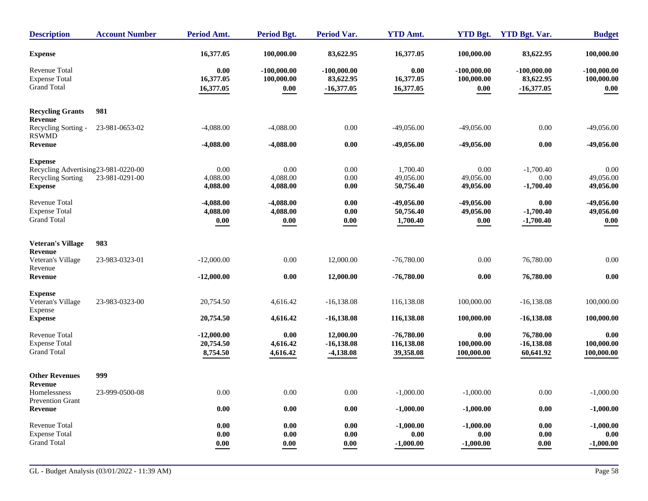| <b>Description</b>                                                                                   | <b>Account Number</b> | <b>Period Amt.</b>                    | <b>Period Bgt.</b>                                 | <b>Period Var.</b>                         | <b>YTD Amt.</b>                         | <b>YTD Bgt.</b>                     | <b>YTD Bgt. Var.</b>                       | <b>Budget</b>                       |
|------------------------------------------------------------------------------------------------------|-----------------------|---------------------------------------|----------------------------------------------------|--------------------------------------------|-----------------------------------------|-------------------------------------|--------------------------------------------|-------------------------------------|
| <b>Expense</b>                                                                                       |                       | 16,377.05                             | 100,000.00                                         | 83,622.95                                  | 16,377.05                               | 100,000.00                          | 83,622.95                                  | 100,000.00                          |
| <b>Revenue Total</b><br><b>Expense Total</b><br><b>Grand Total</b>                                   |                       | 0.00<br>16,377.05<br>16,377.05        | $-100,000,00$<br>100,000.00<br>$\boldsymbol{0.00}$ | $-100,000.00$<br>83,622.95<br>$-16,377.05$ | 0.00<br>16,377.05<br>16,377.05          | $-100,000.00$<br>100,000.00<br>0.00 | $-100,000.00$<br>83,622.95<br>$-16,377.05$ | $-100,000,00$<br>100,000.00<br>0.00 |
| <b>Recycling Grants</b><br><b>Revenue</b>                                                            | 981                   |                                       |                                                    |                                            |                                         |                                     |                                            |                                     |
| Recycling Sorting -<br><b>RSWMD</b>                                                                  | 23-981-0653-02        | $-4,088.00$                           | $-4,088.00$                                        | 0.00                                       | $-49,056.00$                            | $-49,056.00$                        | 0.00                                       | $-49,056.00$                        |
| Revenue                                                                                              |                       | $-4,088.00$                           | $-4,088.00$                                        | 0.00                                       | -49,056.00                              | $-49,056.00$                        | 0.00                                       | $-49,056.00$                        |
| <b>Expense</b><br>Recycling Advertising 23-981-0220-00<br><b>Recycling Sorting</b><br><b>Expense</b> | 23-981-0291-00        | 0.00<br>4,088.00<br>4,088.00          | 0.00<br>4,088.00<br>4,088.00                       | 0.00<br>0.00<br>0.00                       | 1,700.40<br>49,056.00<br>50,756.40      | 0.00<br>49,056.00<br>49,056.00      | $-1,700.40$<br>0.00<br>$-1,700.40$         | 0.00<br>49,056.00<br>49,056.00      |
| <b>Revenue Total</b><br><b>Expense Total</b><br><b>Grand Total</b>                                   |                       | $-4,088.00$<br>4,088.00<br>0.00       | $-4,088.00$<br>4,088.00<br>0.00                    | 0.00<br>0.00<br>0.00                       | -49,056.00<br>50,756.40<br>1,700.40     | $-49,056.00$<br>49,056.00<br>0.00   | 0.00<br>$-1,700.40$<br>$-1,700.40$         | -49,056.00<br>49,056.00<br>0.00     |
| <b>Veteran's Village</b>                                                                             | 983                   |                                       |                                                    |                                            |                                         |                                     |                                            |                                     |
| Revenue<br>Veteran's Village<br>Revenue                                                              | 23-983-0323-01        | $-12,000.00$                          | 0.00                                               | 12,000.00                                  | $-76,780.00$                            | 0.00                                | 76,780.00                                  | 0.00                                |
| <b>Revenue</b>                                                                                       |                       | $-12,000.00$                          | 0.00                                               | 12,000.00                                  | $-76,780.00$                            | 0.00                                | 76,780.00                                  | $0.00\,$                            |
| <b>Expense</b><br>Veteran's Village<br>Expense                                                       | 23-983-0323-00        | 20,754.50                             | 4,616.42                                           | $-16,138.08$                               | 116,138.08                              | 100,000.00                          | $-16,138.08$                               | 100,000.00                          |
| <b>Expense</b>                                                                                       |                       | 20,754.50                             | 4,616.42                                           | $-16,138.08$                               | 116,138.08                              | 100,000.00                          | $-16,138.08$                               | 100,000.00                          |
| <b>Revenue Total</b><br><b>Expense Total</b><br><b>Grand Total</b>                                   |                       | $-12,000.00$<br>20,754.50<br>8,754.50 | 0.00<br>4,616.42<br>4,616.42                       | 12,000.00<br>$-16,138.08$<br>$-4,138.08$   | $-76,780.00$<br>116,138.08<br>39,358.08 | 0.00<br>100,000.00<br>100,000.00    | 76,780.00<br>$-16,138.08$<br>60,641.92     | 0.00<br>100,000.00<br>100,000.00    |
| <b>Other Revenues</b>                                                                                | 999                   |                                       |                                                    |                                            |                                         |                                     |                                            |                                     |
| <b>Revenue</b><br>Homelessness<br><b>Prevention Grant</b>                                            | 23-999-0500-08        | 0.00                                  | 0.00                                               | 0.00                                       | $-1,000.00$                             | $-1,000.00$                         | 0.00                                       | $-1,000.00$                         |
| <b>Revenue</b>                                                                                       |                       | 0.00                                  | 0.00                                               | 0.00                                       | $-1,000.00$                             | $-1,000.00$                         | 0.00                                       | $-1,000.00$                         |
| <b>Revenue Total</b><br><b>Expense Total</b><br><b>Grand Total</b>                                   |                       | 0.00<br>0.00<br>0.00                  | 0.00<br>0.00<br>0.00                               | 0.00<br>0.00<br>0.00                       | $-1,000.00$<br>0.00<br>$-1,000.00$      | $-1,000.00$<br>0.00<br>$-1,000.00$  | $0.00\,$<br>$0.00\,$<br>0.00               | $-1,000.00$<br>0.00<br>$-1,000.00$  |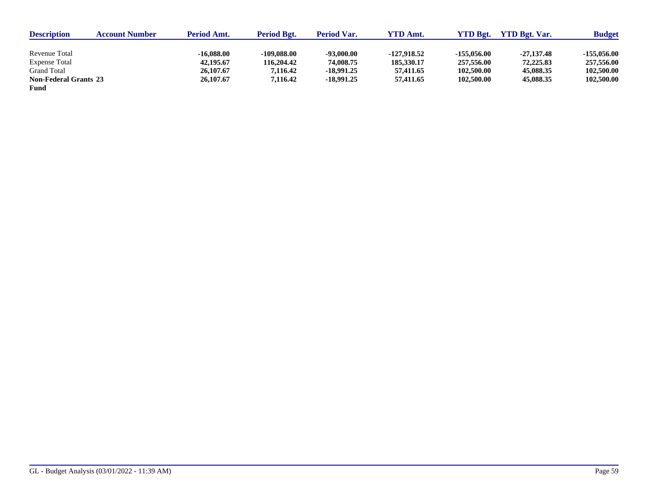| <b>Description</b>           | <b>Account Number</b> | <b>Period Amt.</b> | <b>Period Bgt.</b> | <b>Period Var.</b> | YTD Amt.    | YTD Bgt.      | <b>YTD Bet. Var.</b> | <b>Budget</b> |
|------------------------------|-----------------------|--------------------|--------------------|--------------------|-------------|---------------|----------------------|---------------|
|                              |                       |                    |                    |                    |             |               |                      |               |
| Revenue Total                |                       | -16.088.00         | $-109,088,00$      | $-93,000.00$       | -127,918.52 | $-155.056.00$ | $-27,137,48$         | $-155.056.00$ |
| <b>Expense Total</b>         |                       | 42,195.67          | 116,204.42         | 74,008.75          | 185,330.17  | 257,556.00    | 72,225.83            | 257,556.00    |
| Grand Total                  |                       | 26,107.67          | 7.116.42           | -18.991.25         | 57,411,65   | 102,500.00    | 45,088.35            | 102,500.00    |
| <b>Non-Federal Grants 23</b> |                       | 26,107.67          | 7,116.42           | -18.991.25         | 57,411.65   | 102,500.00    | 45,088.35            | 102,500.00    |
| Fund                         |                       |                    |                    |                    |             |               |                      |               |